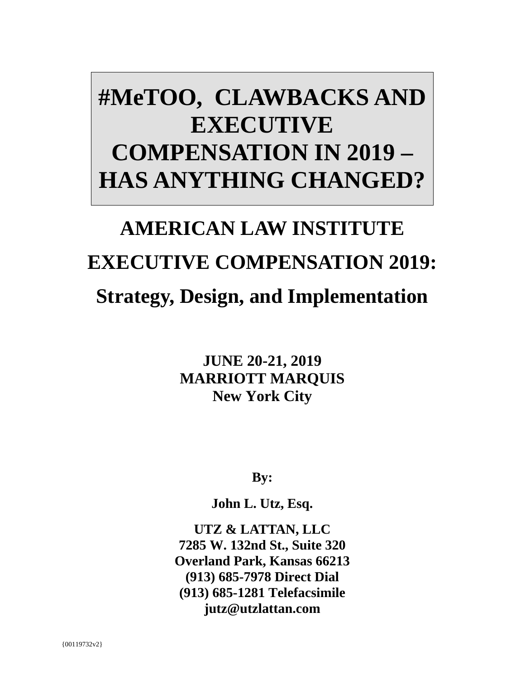## **#MeTOO, CLAWBACKS AND EXECUTIVE COMPENSATION IN 2019 – HAS ANYTHING CHANGED?**

# **AMERICAN LAW INSTITUTE EXECUTIVE COMPENSATION 2019: Strategy, Design, and Implementation**

**JUNE 20-21, 2019 MARRIOTT MARQUIS New York City**

**By:**

**John L. Utz, Esq.** 

**UTZ & LATTAN, LLC 7285 W. 132nd St., Suite 320 Overland Park, Kansas 66213 (913) 685-7978 Direct Dial (913) 685-1281 Telefacsimile jutz@utzlattan.com**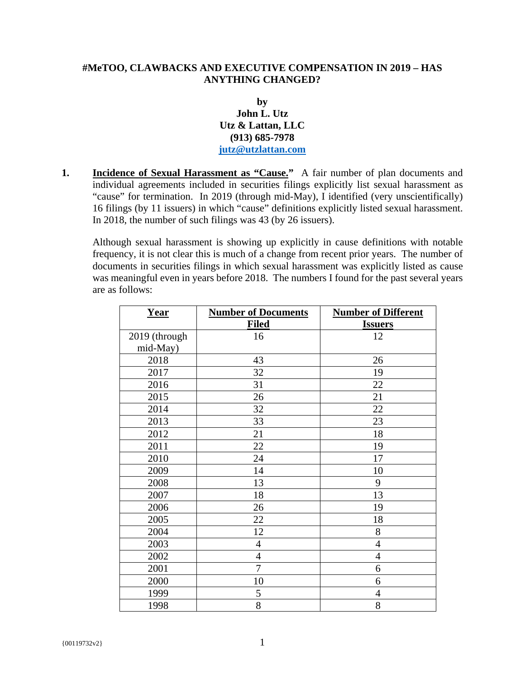#### **#MeTOO, CLAWBACKS AND EXECUTIVE COMPENSATION IN 2019 – HAS ANYTHING CHANGED?**

#### **by John L. Utz Utz & Lattan, LLC (913) 685-7978 jutz@utzlattan.com**

**1. Incidence of Sexual Harassment as "Cause."** A fair number of plan documents and individual agreements included in securities filings explicitly list sexual harassment as "cause" for termination. In 2019 (through mid-May), I identified (very unscientifically) 16 filings (by 11 issuers) in which "cause" definitions explicitly listed sexual harassment. In 2018, the number of such filings was 43 (by 26 issuers).

Although sexual harassment is showing up explicitly in cause definitions with notable frequency, it is not clear this is much of a change from recent prior years. The number of documents in securities filings in which sexual harassment was explicitly listed as cause was meaningful even in years before 2018. The numbers I found for the past several years are as follows:

| <b>Year</b>   | <b>Number of Documents</b> | <b>Number of Different</b> |
|---------------|----------------------------|----------------------------|
|               | <b>Filed</b>               | <b>Issuers</b>             |
| 2019 (through | 16                         | 12                         |
| mid-May)      |                            |                            |
| 2018          | 43                         | 26                         |
| 2017          | 32                         | 19                         |
| 2016          | 31                         | 22                         |
| 2015          | 26                         | 21                         |
| 2014          | 32                         | 22                         |
| 2013          | 33                         | 23                         |
| 2012          | 21                         | 18                         |
| 2011          | 22                         | 19                         |
| 2010          | 24                         | 17                         |
| 2009          | 14                         | 10                         |
| 2008          | 13                         | 9                          |
| 2007          | 18                         | 13                         |
| 2006          | 26                         | 19                         |
| 2005          | 22                         | 18                         |
| 2004          | 12                         | 8                          |
| 2003          | $\overline{4}$             | $\overline{4}$             |
| 2002          | $\overline{4}$             | $\overline{4}$             |
| 2001          | $\overline{7}$             | 6                          |
| 2000          | 10                         | 6                          |
| 1999          | 5                          | $\overline{4}$             |
| 1998          | 8                          | 8                          |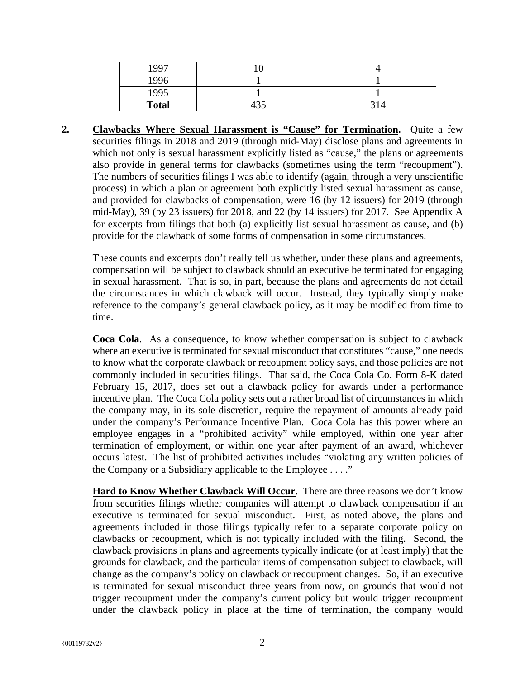| 1997         |  |
|--------------|--|
| 1996         |  |
| 1995         |  |
| <b>Total</b> |  |

**2. Clawbacks Where Sexual Harassment is "Cause" for Termination.** Quite a few securities filings in 2018 and 2019 (through mid-May) disclose plans and agreements in which not only is sexual harassment explicitly listed as "cause," the plans or agreements also provide in general terms for clawbacks (sometimes using the term "recoupment"). The numbers of securities filings I was able to identify (again, through a very unscientific process) in which a plan or agreement both explicitly listed sexual harassment as cause, and provided for clawbacks of compensation, were 16 (by 12 issuers) for 2019 (through mid-May), 39 (by 23 issuers) for 2018, and 22 (by 14 issuers) for 2017. See Appendix A for excerpts from filings that both (a) explicitly list sexual harassment as cause, and (b) provide for the clawback of some forms of compensation in some circumstances.

These counts and excerpts don't really tell us whether, under these plans and agreements, compensation will be subject to clawback should an executive be terminated for engaging in sexual harassment. That is so, in part, because the plans and agreements do not detail the circumstances in which clawback will occur. Instead, they typically simply make reference to the company's general clawback policy, as it may be modified from time to time.

**Coca Cola**. As a consequence, to know whether compensation is subject to clawback where an executive is terminated for sexual misconduct that constitutes "cause," one needs to know what the corporate clawback or recoupment policy says, and those policies are not commonly included in securities filings. That said, the Coca Cola Co. Form 8-K dated February 15, 2017, does set out a clawback policy for awards under a performance incentive plan. The Coca Cola policy sets out a rather broad list of circumstances in which the company may, in its sole discretion, require the repayment of amounts already paid under the company's Performance Incentive Plan. Coca Cola has this power where an employee engages in a "prohibited activity" while employed, within one year after termination of employment, or within one year after payment of an award, whichever occurs latest. The list of prohibited activities includes "violating any written policies of the Company or a Subsidiary applicable to the Employee . . . ."

**Hard to Know Whether Clawback Will Occur**. There are three reasons we don't know from securities filings whether companies will attempt to clawback compensation if an executive is terminated for sexual misconduct. First, as noted above, the plans and agreements included in those filings typically refer to a separate corporate policy on clawbacks or recoupment, which is not typically included with the filing. Second, the clawback provisions in plans and agreements typically indicate (or at least imply) that the grounds for clawback, and the particular items of compensation subject to clawback, will change as the company's policy on clawback or recoupment changes. So, if an executive is terminated for sexual misconduct three years from now, on grounds that would not trigger recoupment under the company's current policy but would trigger recoupment under the clawback policy in place at the time of termination, the company would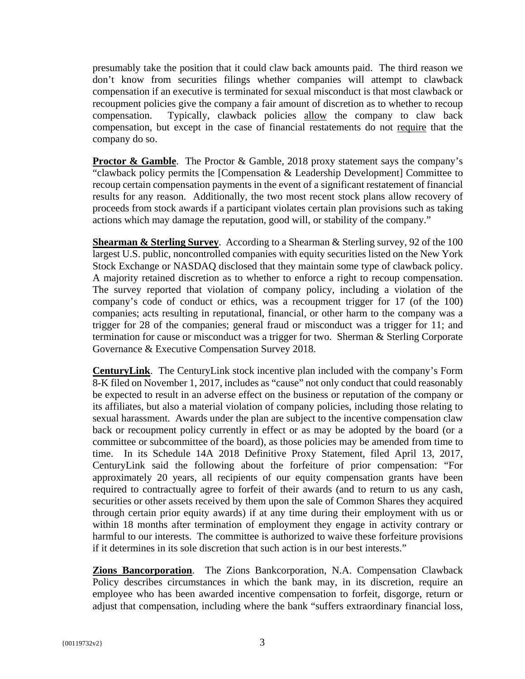presumably take the position that it could claw back amounts paid. The third reason we don't know from securities filings whether companies will attempt to clawback compensation if an executive is terminated for sexual misconduct is that most clawback or recoupment policies give the company a fair amount of discretion as to whether to recoup compensation. Typically, clawback policies allow the company to claw back compensation, but except in the case of financial restatements do not require that the company do so.

**Proctor & Gamble**. The Proctor & Gamble, 2018 proxy statement says the company's "clawback policy permits the [Compensation & Leadership Development] Committee to recoup certain compensation payments in the event of a significant restatement of financial results for any reason. Additionally, the two most recent stock plans allow recovery of proceeds from stock awards if a participant violates certain plan provisions such as taking actions which may damage the reputation, good will, or stability of the company."

**Shearman & Sterling Survey.** According to a Shearman & Sterling survey, 92 of the 100 largest U.S. public, noncontrolled companies with equity securities listed on the New York Stock Exchange or NASDAQ disclosed that they maintain some type of clawback policy. A majority retained discretion as to whether to enforce a right to recoup compensation. The survey reported that violation of company policy, including a violation of the company's code of conduct or ethics, was a recoupment trigger for 17 (of the 100) companies; acts resulting in reputational, financial, or other harm to the company was a trigger for 28 of the companies; general fraud or misconduct was a trigger for 11; and termination for cause or misconduct was a trigger for two. Sherman & Sterling Corporate Governance & Executive Compensation Survey 2018.

**CenturyLink**. The CenturyLink stock incentive plan included with the company's Form 8-K filed on November 1, 2017, includes as "cause" not only conduct that could reasonably be expected to result in an adverse effect on the business or reputation of the company or its affiliates, but also a material violation of company policies, including those relating to sexual harassment. Awards under the plan are subject to the incentive compensation claw back or recoupment policy currently in effect or as may be adopted by the board (or a committee or subcommittee of the board), as those policies may be amended from time to time. In its Schedule 14A 2018 Definitive Proxy Statement, filed April 13, 2017, CenturyLink said the following about the forfeiture of prior compensation: "For approximately 20 years, all recipients of our equity compensation grants have been required to contractually agree to forfeit of their awards (and to return to us any cash, securities or other assets received by them upon the sale of Common Shares they acquired through certain prior equity awards) if at any time during their employment with us or within 18 months after termination of employment they engage in activity contrary or harmful to our interests. The committee is authorized to waive these forfeiture provisions if it determines in its sole discretion that such action is in our best interests."

**Zions Bancorporation**. The Zions Bankcorporation, N.A. Compensation Clawback Policy describes circumstances in which the bank may, in its discretion, require an employee who has been awarded incentive compensation to forfeit, disgorge, return or adjust that compensation, including where the bank "suffers extraordinary financial loss,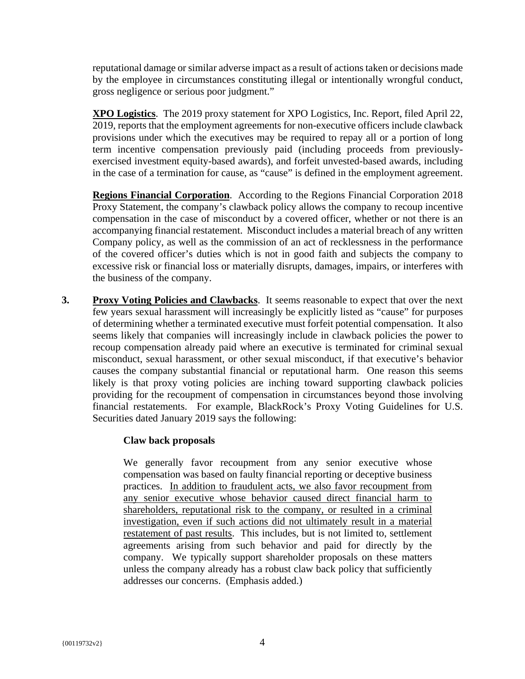reputational damage or similar adverse impact as a result of actions taken or decisions made by the employee in circumstances constituting illegal or intentionally wrongful conduct, gross negligence or serious poor judgment."

**XPO Logistics**. The 2019 proxy statement for XPO Logistics, Inc. Report, filed April 22, 2019, reports that the employment agreements for non-executive officers include clawback provisions under which the executives may be required to repay all or a portion of long term incentive compensation previously paid (including proceeds from previouslyexercised investment equity-based awards), and forfeit unvested-based awards, including in the case of a termination for cause, as "cause" is defined in the employment agreement.

**Regions Financial Corporation**. According to the Regions Financial Corporation 2018 Proxy Statement, the company's clawback policy allows the company to recoup incentive compensation in the case of misconduct by a covered officer, whether or not there is an accompanying financial restatement. Misconduct includes a material breach of any written Company policy, as well as the commission of an act of recklessness in the performance of the covered officer's duties which is not in good faith and subjects the company to excessive risk or financial loss or materially disrupts, damages, impairs, or interferes with the business of the company.

**3. Proxy Voting Policies and Clawbacks**. It seems reasonable to expect that over the next few years sexual harassment will increasingly be explicitly listed as "cause" for purposes of determining whether a terminated executive must forfeit potential compensation. It also seems likely that companies will increasingly include in clawback policies the power to recoup compensation already paid where an executive is terminated for criminal sexual misconduct, sexual harassment, or other sexual misconduct, if that executive's behavior causes the company substantial financial or reputational harm. One reason this seems likely is that proxy voting policies are inching toward supporting clawback policies providing for the recoupment of compensation in circumstances beyond those involving financial restatements. For example, BlackRock's Proxy Voting Guidelines for U.S. Securities dated January 2019 says the following:

#### **Claw back proposals**

We generally favor recoupment from any senior executive whose compensation was based on faulty financial reporting or deceptive business practices. In addition to fraudulent acts, we also favor recoupment from any senior executive whose behavior caused direct financial harm to shareholders, reputational risk to the company, or resulted in a criminal investigation, even if such actions did not ultimately result in a material restatement of past results. This includes, but is not limited to, settlement agreements arising from such behavior and paid for directly by the company. We typically support shareholder proposals on these matters unless the company already has a robust claw back policy that sufficiently addresses our concerns. (Emphasis added.)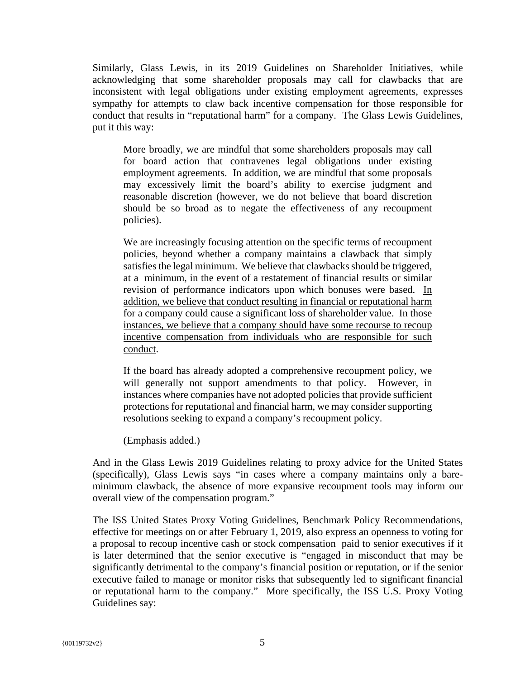Similarly, Glass Lewis, in its 2019 Guidelines on Shareholder Initiatives, while acknowledging that some shareholder proposals may call for clawbacks that are inconsistent with legal obligations under existing employment agreements, expresses sympathy for attempts to claw back incentive compensation for those responsible for conduct that results in "reputational harm" for a company. The Glass Lewis Guidelines, put it this way:

More broadly, we are mindful that some shareholders proposals may call for board action that contravenes legal obligations under existing employment agreements. In addition, we are mindful that some proposals may excessively limit the board's ability to exercise judgment and reasonable discretion (however, we do not believe that board discretion should be so broad as to negate the effectiveness of any recoupment policies).

We are increasingly focusing attention on the specific terms of recoupment policies, beyond whether a company maintains a clawback that simply satisfies the legal minimum. We believe that clawbacks should be triggered, at a minimum, in the event of a restatement of financial results or similar revision of performance indicators upon which bonuses were based. In addition, we believe that conduct resulting in financial or reputational harm for a company could cause a significant loss of shareholder value. In those instances, we believe that a company should have some recourse to recoup incentive compensation from individuals who are responsible for such conduct.

If the board has already adopted a comprehensive recoupment policy, we will generally not support amendments to that policy. However, in instances where companies have not adopted policies that provide sufficient protections for reputational and financial harm, we may consider supporting resolutions seeking to expand a company's recoupment policy.

(Emphasis added.)

And in the Glass Lewis 2019 Guidelines relating to proxy advice for the United States (specifically), Glass Lewis says "in cases where a company maintains only a bareminimum clawback, the absence of more expansive recoupment tools may inform our overall view of the compensation program."

The ISS United States Proxy Voting Guidelines, Benchmark Policy Recommendations, effective for meetings on or after February 1, 2019, also express an openness to voting for a proposal to recoup incentive cash or stock compensation paid to senior executives if it is later determined that the senior executive is "engaged in misconduct that may be significantly detrimental to the company's financial position or reputation, or if the senior executive failed to manage or monitor risks that subsequently led to significant financial or reputational harm to the company." More specifically, the ISS U.S. Proxy Voting Guidelines say: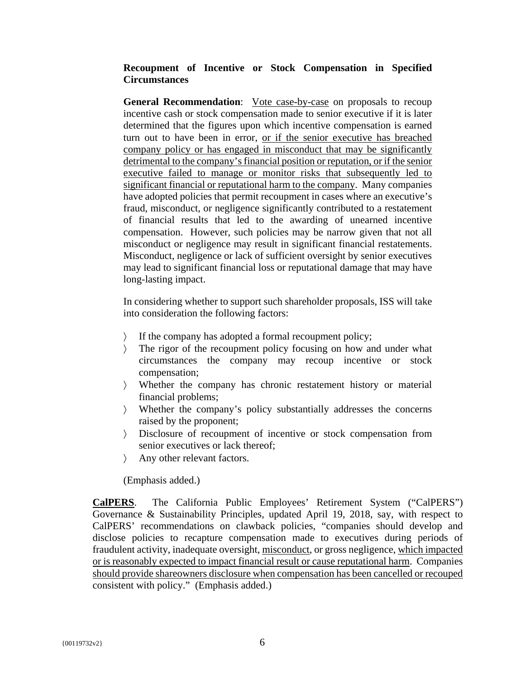## **Recoupment of Incentive or Stock Compensation in Specified Circumstances**

**General Recommendation:** Vote case-by-case on proposals to recoup incentive cash or stock compensation made to senior executive if it is later determined that the figures upon which incentive compensation is earned turn out to have been in error, or if the senior executive has breached company policy or has engaged in misconduct that may be significantly detrimental to the company's financial position or reputation, or if the senior executive failed to manage or monitor risks that subsequently led to significant financial or reputational harm to the company. Many companies have adopted policies that permit recoupment in cases where an executive's fraud, misconduct, or negligence significantly contributed to a restatement of financial results that led to the awarding of unearned incentive compensation. However, such policies may be narrow given that not all misconduct or negligence may result in significant financial restatements. Misconduct, negligence or lack of sufficient oversight by senior executives may lead to significant financial loss or reputational damage that may have long-lasting impact.

In considering whether to support such shareholder proposals, ISS will take into consideration the following factors:

- 〉 If the company has adopted a formal recoupment policy;
- 〉 The rigor of the recoupment policy focusing on how and under what circumstances the company may recoup incentive or stock compensation;
- 〉 Whether the company has chronic restatement history or material financial problems;
- 〉 Whether the company's policy substantially addresses the concerns raised by the proponent;
- 〉 Disclosure of recoupment of incentive or stock compensation from senior executives or lack thereof;
- 〉 Any other relevant factors.

(Emphasis added.)

**CalPERS**. The California Public Employees' Retirement System ("CalPERS") Governance & Sustainability Principles, updated April 19, 2018, say, with respect to CalPERS' recommendations on clawback policies, "companies should develop and disclose policies to recapture compensation made to executives during periods of fraudulent activity, inadequate oversight, misconduct, or gross negligence, which impacted or is reasonably expected to impact financial result or cause reputational harm. Companies should provide shareowners disclosure when compensation has been cancelled or recouped consistent with policy." (Emphasis added.)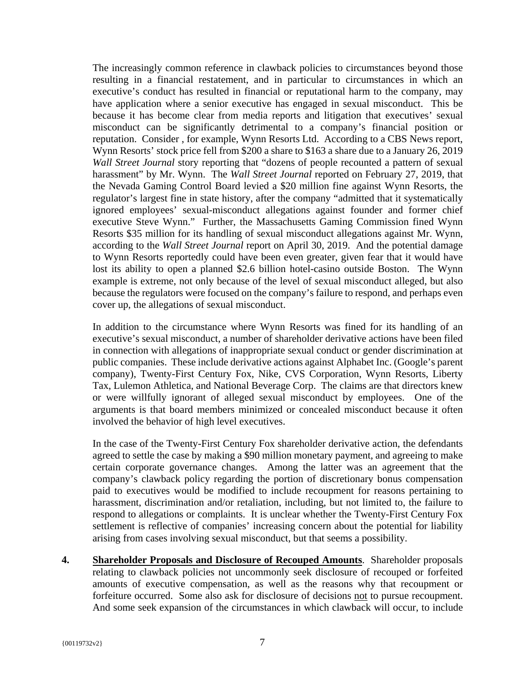The increasingly common reference in clawback policies to circumstances beyond those resulting in a financial restatement, and in particular to circumstances in which an executive's conduct has resulted in financial or reputational harm to the company, may have application where a senior executive has engaged in sexual misconduct. This be because it has become clear from media reports and litigation that executives' sexual misconduct can be significantly detrimental to a company's financial position or reputation. Consider , for example, Wynn Resorts Ltd. According to a CBS News report, Wynn Resorts' stock price fell from \$200 a share to \$163 a share due to a January 26, 2019 *Wall Street Journal* story reporting that "dozens of people recounted a pattern of sexual harassment" by Mr. Wynn. The *Wall Street Journal* reported on February 27, 2019, that the Nevada Gaming Control Board levied a \$20 million fine against Wynn Resorts, the regulator's largest fine in state history, after the company "admitted that it systematically ignored employees' sexual-misconduct allegations against founder and former chief executive Steve Wynn." Further, the Massachusetts Gaming Commission fined Wynn Resorts \$35 million for its handling of sexual misconduct allegations against Mr. Wynn, according to the *Wall Street Journal* report on April 30, 2019. And the potential damage to Wynn Resorts reportedly could have been even greater, given fear that it would have lost its ability to open a planned \$2.6 billion hotel-casino outside Boston. The Wynn example is extreme, not only because of the level of sexual misconduct alleged, but also because the regulators were focused on the company's failure to respond, and perhaps even cover up, the allegations of sexual misconduct.

In addition to the circumstance where Wynn Resorts was fined for its handling of an executive's sexual misconduct, a number of shareholder derivative actions have been filed in connection with allegations of inappropriate sexual conduct or gender discrimination at public companies. These include derivative actions against Alphabet Inc. (Google's parent company), Twenty-First Century Fox, Nike, CVS Corporation, Wynn Resorts, Liberty Tax, Lulemon Athletica, and National Beverage Corp. The claims are that directors knew or were willfully ignorant of alleged sexual misconduct by employees. One of the arguments is that board members minimized or concealed misconduct because it often involved the behavior of high level executives.

In the case of the Twenty-First Century Fox shareholder derivative action, the defendants agreed to settle the case by making a \$90 million monetary payment, and agreeing to make certain corporate governance changes. Among the latter was an agreement that the company's clawback policy regarding the portion of discretionary bonus compensation paid to executives would be modified to include recoupment for reasons pertaining to harassment, discrimination and/or retaliation, including, but not limited to, the failure to respond to allegations or complaints. It is unclear whether the Twenty-First Century Fox settlement is reflective of companies' increasing concern about the potential for liability arising from cases involving sexual misconduct, but that seems a possibility.

**4. Shareholder Proposals and Disclosure of Recouped Amounts**. Shareholder proposals relating to clawback policies not uncommonly seek disclosure of recouped or forfeited amounts of executive compensation, as well as the reasons why that recoupment or forfeiture occurred. Some also ask for disclosure of decisions not to pursue recoupment. And some seek expansion of the circumstances in which clawback will occur, to include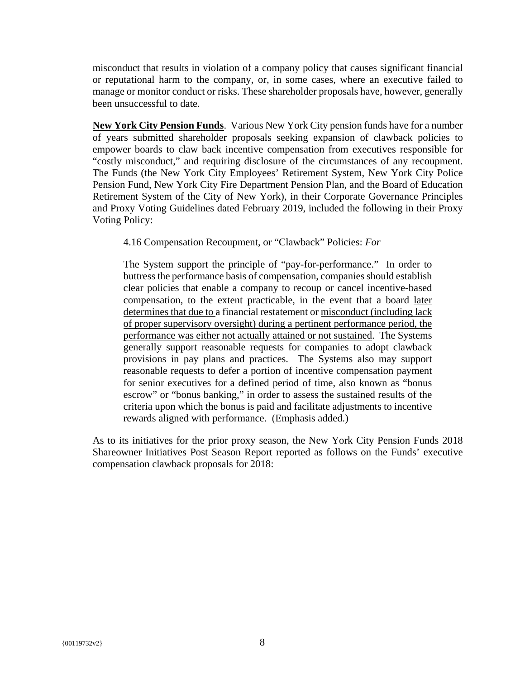misconduct that results in violation of a company policy that causes significant financial or reputational harm to the company, or, in some cases, where an executive failed to manage or monitor conduct or risks. These shareholder proposals have, however, generally been unsuccessful to date.

**New York City Pension Funds**. Various New York City pension funds have for a number of years submitted shareholder proposals seeking expansion of clawback policies to empower boards to claw back incentive compensation from executives responsible for "costly misconduct," and requiring disclosure of the circumstances of any recoupment. The Funds (the New York City Employees' Retirement System, New York City Police Pension Fund, New York City Fire Department Pension Plan, and the Board of Education Retirement System of the City of New York), in their Corporate Governance Principles and Proxy Voting Guidelines dated February 2019, included the following in their Proxy Voting Policy:

4.16 Compensation Recoupment, or "Clawback" Policies: *For*

The System support the principle of "pay-for-performance." In order to buttress the performance basis of compensation, companies should establish clear policies that enable a company to recoup or cancel incentive-based compensation, to the extent practicable, in the event that a board later determines that due to a financial restatement or misconduct (including lack of proper supervisory oversight) during a pertinent performance period, the performance was either not actually attained or not sustained. The Systems generally support reasonable requests for companies to adopt clawback provisions in pay plans and practices. The Systems also may support reasonable requests to defer a portion of incentive compensation payment for senior executives for a defined period of time, also known as "bonus escrow" or "bonus banking," in order to assess the sustained results of the criteria upon which the bonus is paid and facilitate adjustments to incentive rewards aligned with performance. (Emphasis added.)

As to its initiatives for the prior proxy season, the New York City Pension Funds 2018 Shareowner Initiatives Post Season Report reported as follows on the Funds' executive compensation clawback proposals for 2018: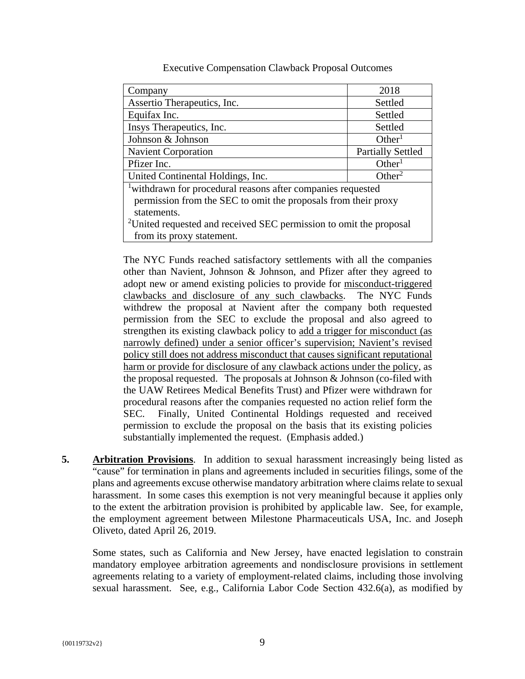| Company                                                                        | 2018                     |  |  |
|--------------------------------------------------------------------------------|--------------------------|--|--|
| Assertio Therapeutics, Inc.                                                    | Settled                  |  |  |
| Equifax Inc.                                                                   | Settled                  |  |  |
| Insys Therapeutics, Inc.                                                       | Settled                  |  |  |
| Johnson & Johnson                                                              | Other <sup>1</sup>       |  |  |
| <b>Navient Corporation</b>                                                     | <b>Partially Settled</b> |  |  |
| Pfizer Inc.                                                                    | Other <sup>1</sup>       |  |  |
| United Continental Holdings, Inc.                                              | Other <sup>2</sup>       |  |  |
| <sup>1</sup> withdrawn for procedural reasons after companies requested        |                          |  |  |
| permission from the SEC to omit the proposals from their proxy                 |                          |  |  |
| statements.                                                                    |                          |  |  |
| <sup>2</sup> United requested and received SEC permission to omit the proposal |                          |  |  |
| from its proxy statement.                                                      |                          |  |  |

Executive Compensation Clawback Proposal Outcomes

The NYC Funds reached satisfactory settlements with all the companies other than Navient, Johnson & Johnson, and Pfizer after they agreed to adopt new or amend existing policies to provide for misconduct-triggered clawbacks and disclosure of any such clawbacks. The NYC Funds withdrew the proposal at Navient after the company both requested permission from the SEC to exclude the proposal and also agreed to strengthen its existing clawback policy to add a trigger for misconduct (as narrowly defined) under a senior officer's supervision; Navient's revised policy still does not address misconduct that causes significant reputational harm or provide for disclosure of any clawback actions under the policy, as the proposal requested. The proposals at Johnson  $&$  Johnson (co-filed with the UAW Retirees Medical Benefits Trust) and Pfizer were withdrawn for procedural reasons after the companies requested no action relief form the SEC. Finally, United Continental Holdings requested and received permission to exclude the proposal on the basis that its existing policies substantially implemented the request. (Emphasis added.)

**5. Arbitration Provisions**. In addition to sexual harassment increasingly being listed as "cause" for termination in plans and agreements included in securities filings, some of the plans and agreements excuse otherwise mandatory arbitration where claims relate to sexual harassment. In some cases this exemption is not very meaningful because it applies only to the extent the arbitration provision is prohibited by applicable law. See, for example, the employment agreement between Milestone Pharmaceuticals USA, Inc. and Joseph Oliveto, dated April 26, 2019.

Some states, such as California and New Jersey, have enacted legislation to constrain mandatory employee arbitration agreements and nondisclosure provisions in settlement agreements relating to a variety of employment-related claims, including those involving sexual harassment. See, e.g., California Labor Code Section 432.6(a), as modified by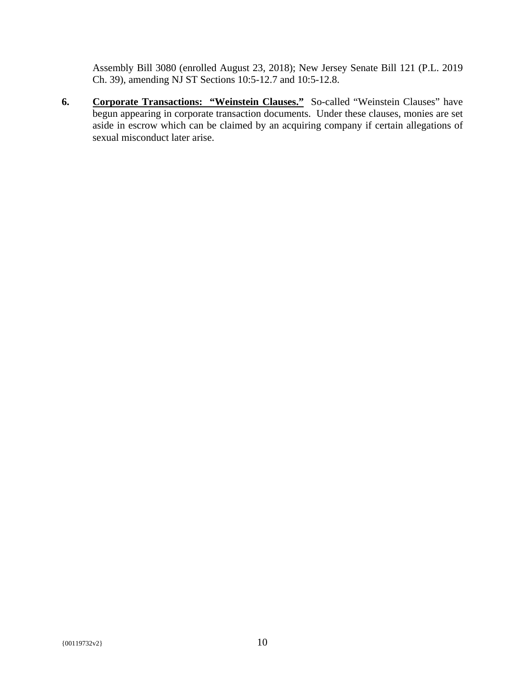Assembly Bill 3080 (enrolled August 23, 2018); New Jersey Senate Bill 121 (P.L. 2019 Ch. 39), amending NJ ST Sections 10:5-12.7 and 10:5-12.8.

**6. Corporate Transactions: "Weinstein Clauses."** So-called "Weinstein Clauses" have begun appearing in corporate transaction documents. Under these clauses, monies are set aside in escrow which can be claimed by an acquiring company if certain allegations of sexual misconduct later arise.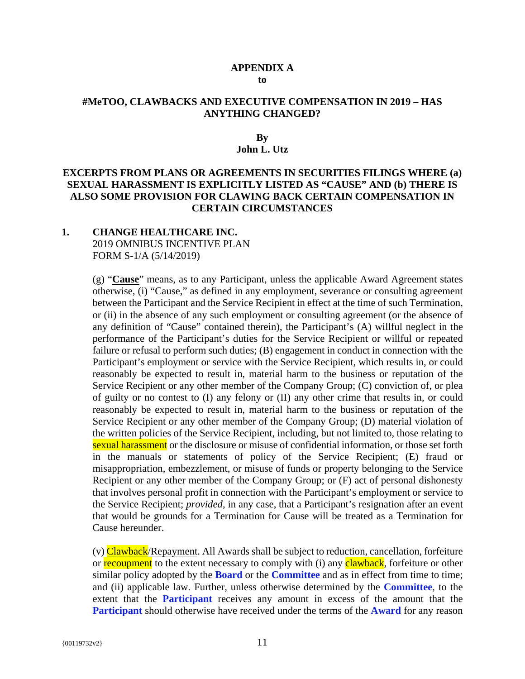#### **APPENDIX A to**

#### **#MeTOO, CLAWBACKS AND EXECUTIVE COMPENSATION IN 2019 – HAS ANYTHING CHANGED?**

#### **By**

#### **John L. Utz**

#### **EXCERPTS FROM PLANS OR AGREEMENTS IN SECURITIES FILINGS WHERE (a) SEXUAL HARASSMENT IS EXPLICITLY LISTED AS "CAUSE" AND (b) THERE IS ALSO SOME PROVISION FOR CLAWING BACK CERTAIN COMPENSATION IN CERTAIN CIRCUMSTANCES**

#### **1. CHANGE HEALTHCARE INC.**  2019 OMNIBUS INCENTIVE PLAN FORM S-1/A (5/14/2019)

(g) "**Cause**" means, as to any Participant, unless the applicable Award Agreement states otherwise, (i) "Cause," as defined in any employment, severance or consulting agreement between the Participant and the Service Recipient in effect at the time of such Termination, or (ii) in the absence of any such employment or consulting agreement (or the absence of any definition of "Cause" contained therein), the Participant's (A) willful neglect in the performance of the Participant's duties for the Service Recipient or willful or repeated failure or refusal to perform such duties; (B) engagement in conduct in connection with the Participant's employment or service with the Service Recipient, which results in, or could reasonably be expected to result in, material harm to the business or reputation of the Service Recipient or any other member of the Company Group; (C) conviction of, or plea of guilty or no contest to (I) any felony or (II) any other crime that results in, or could reasonably be expected to result in, material harm to the business or reputation of the Service Recipient or any other member of the Company Group; (D) material violation of the written policies of the Service Recipient, including, but not limited to, those relating to sexual harassment or the disclosure or misuse of confidential information, or those set forth in the manuals or statements of policy of the Service Recipient; (E) fraud or misappropriation, embezzlement, or misuse of funds or property belonging to the Service Recipient or any other member of the Company Group; or (F) act of personal dishonesty that involves personal profit in connection with the Participant's employment or service to the Service Recipient; *provided*, in any case, that a Participant's resignation after an event that would be grounds for a Termination for Cause will be treated as a Termination for Cause hereunder.

(v) Clawback/Repayment. All Awards shall be subject to reduction, cancellation, forfeiture or recoupment to the extent necessary to comply with (i) any clawback, forfeiture or other similar policy adopted by the **Board** or the **Committee** and as in effect from time to time; and (ii) applicable law. Further, unless otherwise determined by the **Committee**, to the extent that the **Participant** receives any amount in excess of the amount that the **Participant** should otherwise have received under the terms of the **Award** for any reason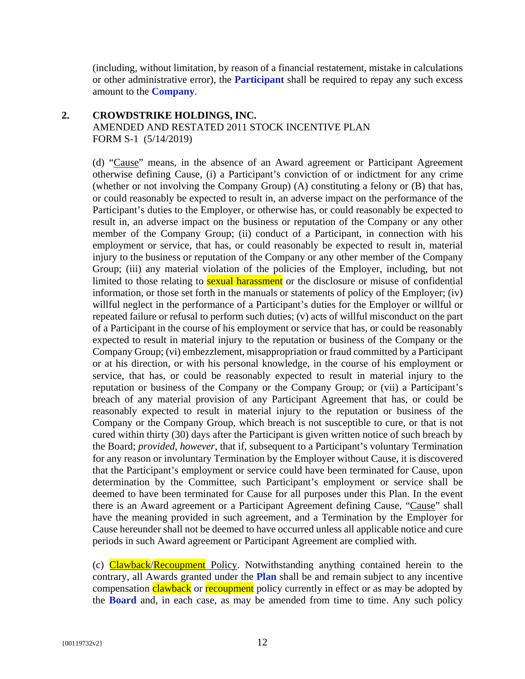(including, without limitation, by reason of a financial restatement, mistake in calculations or other administrative error), the **Participant** shall be required to repay any such excess amount to the **Company**.

## **2. CROWDSTRIKE HOLDINGS, INC.**

AMENDED AND RESTATED 2011 STOCK INCENTIVE PLAN FORM S-1 (5/14/2019)

(d) "Cause" means, in the absence of an Award agreement or Participant Agreement otherwise defining Cause, (i) a Participant's conviction of or indictment for any crime (whether or not involving the Company Group) (A) constituting a felony or (B) that has, or could reasonably be expected to result in, an adverse impact on the performance of the Participant's duties to the Employer, or otherwise has, or could reasonably be expected to result in, an adverse impact on the business or reputation of the Company or any other member of the Company Group; (ii) conduct of a Participant, in connection with his employment or service, that has, or could reasonably be expected to result in, material injury to the business or reputation of the Company or any other member of the Company Group; (iii) any material violation of the policies of the Employer, including, but not limited to those relating to **sexual harassment** or the disclosure or misuse of confidential information, or those set forth in the manuals or statements of policy of the Employer; (iv) willful neglect in the performance of a Participant's duties for the Employer or willful or repeated failure or refusal to perform such duties; (v) acts of willful misconduct on the part of a Participant in the course of his employment or service that has, or could be reasonably expected to result in material injury to the reputation or business of the Company or the Company Group; (vi) embezzlement, misappropriation or fraud committed by a Participant or at his direction, or with his personal knowledge, in the course of his employment or service, that has, or could be reasonably expected to result in material injury to the reputation or business of the Company or the Company Group; or (vii) a Participant's breach of any material provision of any Participant Agreement that has, or could be reasonably expected to result in material injury to the reputation or business of the Company or the Company Group, which breach is not susceptible to cure, or that is not cured within thirty (30) days after the Participant is given written notice of such breach by the Board; *provided*, *however*, that if, subsequent to a Participant's voluntary Termination for any reason or involuntary Termination by the Employer without Cause, it is discovered that the Participant's employment or service could have been terminated for Cause, upon determination by the Committee, such Participant's employment or service shall be deemed to have been terminated for Cause for all purposes under this Plan. In the event there is an Award agreement or a Participant Agreement defining Cause, "Cause" shall have the meaning provided in such agreement, and a Termination by the Employer for Cause hereunder shall not be deemed to have occurred unless all applicable notice and cure periods in such Award agreement or Participant Agreement are complied with.

(c) Clawback/Recoupment Policy. Notwithstanding anything contained herein to the contrary, all Awards granted under the **Plan** shall be and remain subject to any incentive compensation clawback or recoupment policy currently in effect or as may be adopted by the **Board** and, in each case, as may be amended from time to time. Any such policy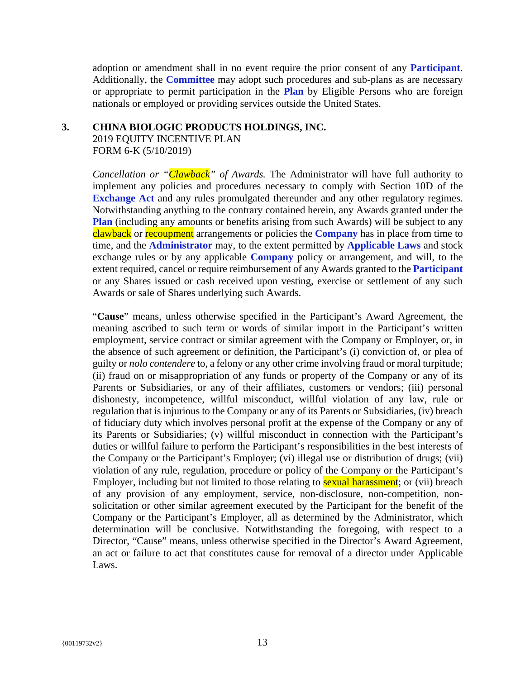adoption or amendment shall in no event require the prior consent of any **Participant**. Additionally, the **Committee** may adopt such procedures and sub-plans as are necessary or appropriate to permit participation in the **Plan** by Eligible Persons who are foreign nationals or employed or providing services outside the United States.

#### **3. CHINA BIOLOGIC PRODUCTS HOLDINGS, INC.**

2019 EQUITY INCENTIVE PLAN FORM 6-K (5/10/2019)

*Cancellation or "Clawback" of Awards.* The Administrator will have full authority to implement any policies and procedures necessary to comply with Section 10D of the **Exchange Act** and any rules promulgated thereunder and any other regulatory regimes. Notwithstanding anything to the contrary contained herein, any Awards granted under the **Plan** (including any amounts or benefits arising from such Awards) will be subject to any clawback or recoupment arrangements or policies the **Company** has in place from time to time, and the **Administrator** may, to the extent permitted by **Applicable Laws** and stock exchange rules or by any applicable **Company** policy or arrangement, and will, to the extent required, cancel or require reimbursement of any Awards granted to the **Participant** or any Shares issued or cash received upon vesting, exercise or settlement of any such Awards or sale of Shares underlying such Awards.

"**Cause**" means, unless otherwise specified in the Participant's Award Agreement, the meaning ascribed to such term or words of similar import in the Participant's written employment, service contract or similar agreement with the Company or Employer, or, in the absence of such agreement or definition, the Participant's (i) conviction of, or plea of guilty or *nolo contendere* to, a felony or any other crime involving fraud or moral turpitude; (ii) fraud on or misappropriation of any funds or property of the Company or any of its Parents or Subsidiaries, or any of their affiliates, customers or vendors; (iii) personal dishonesty, incompetence, willful misconduct, willful violation of any law, rule or regulation that is injurious to the Company or any of its Parents or Subsidiaries, (iv) breach of fiduciary duty which involves personal profit at the expense of the Company or any of its Parents or Subsidiaries; (v) willful misconduct in connection with the Participant's duties or willful failure to perform the Participant's responsibilities in the best interests of the Company or the Participant's Employer; (vi) illegal use or distribution of drugs; (vii) violation of any rule, regulation, procedure or policy of the Company or the Participant's Employer, including but not limited to those relating to **sexual harassment**; or (vii) breach of any provision of any employment, service, non-disclosure, non-competition, nonsolicitation or other similar agreement executed by the Participant for the benefit of the Company or the Participant's Employer, all as determined by the Administrator, which determination will be conclusive. Notwithstanding the foregoing, with respect to a Director, "Cause" means, unless otherwise specified in the Director's Award Agreement, an act or failure to act that constitutes cause for removal of a director under Applicable Laws.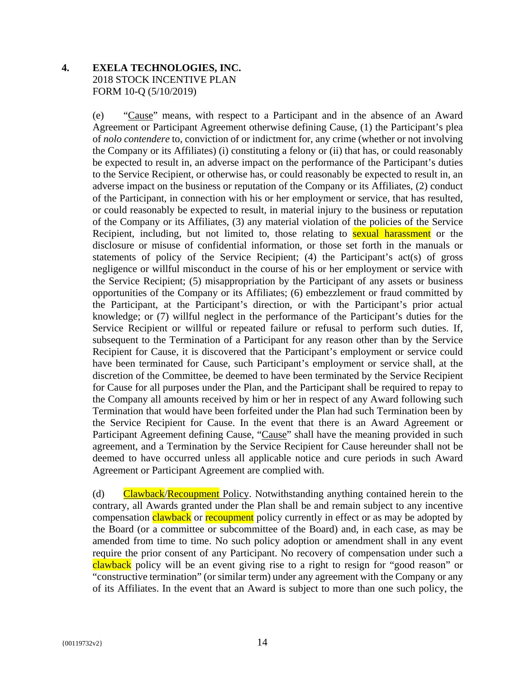## **4. EXELA TECHNOLOGIES, INC.**  2018 STOCK INCENTIVE PLAN FORM 10-Q (5/10/2019)

(e) "Cause" means, with respect to a Participant and in the absence of an Award Agreement or Participant Agreement otherwise defining Cause, (1) the Participant's plea of *nolo contendere* to, conviction of or indictment for, any crime (whether or not involving the Company or its Affiliates) (i) constituting a felony or (ii) that has, or could reasonably be expected to result in, an adverse impact on the performance of the Participant's duties to the Service Recipient, or otherwise has, or could reasonably be expected to result in, an adverse impact on the business or reputation of the Company or its Affiliates, (2) conduct of the Participant, in connection with his or her employment or service, that has resulted, or could reasonably be expected to result, in material injury to the business or reputation of the Company or its Affiliates, (3) any material violation of the policies of the Service Recipient, including, but not limited to, those relating to **sexual harassment** or the disclosure or misuse of confidential information, or those set forth in the manuals or statements of policy of the Service Recipient; (4) the Participant's act(s) of gross negligence or willful misconduct in the course of his or her employment or service with the Service Recipient; (5) misappropriation by the Participant of any assets or business opportunities of the Company or its Affiliates; (6) embezzlement or fraud committed by the Participant, at the Participant's direction, or with the Participant's prior actual knowledge; or (7) willful neglect in the performance of the Participant's duties for the Service Recipient or willful or repeated failure or refusal to perform such duties. If, subsequent to the Termination of a Participant for any reason other than by the Service Recipient for Cause, it is discovered that the Participant's employment or service could have been terminated for Cause, such Participant's employment or service shall, at the discretion of the Committee, be deemed to have been terminated by the Service Recipient for Cause for all purposes under the Plan, and the Participant shall be required to repay to the Company all amounts received by him or her in respect of any Award following such Termination that would have been forfeited under the Plan had such Termination been by the Service Recipient for Cause. In the event that there is an Award Agreement or Participant Agreement defining Cause, "Cause" shall have the meaning provided in such agreement, and a Termination by the Service Recipient for Cause hereunder shall not be deemed to have occurred unless all applicable notice and cure periods in such Award Agreement or Participant Agreement are complied with.

(d) Clawback/Recoupment Policy. Notwithstanding anything contained herein to the contrary, all Awards granted under the Plan shall be and remain subject to any incentive compensation clawback or recoupment policy currently in effect or as may be adopted by the Board (or a committee or subcommittee of the Board) and, in each case, as may be amended from time to time. No such policy adoption or amendment shall in any event require the prior consent of any Participant. No recovery of compensation under such a clawback policy will be an event giving rise to a right to resign for "good reason" or "constructive termination" (or similar term) under any agreement with the Company or any of its Affiliates. In the event that an Award is subject to more than one such policy, the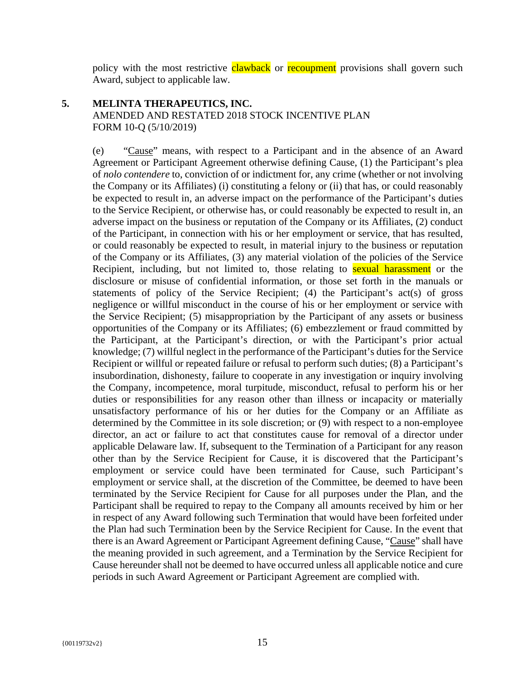policy with the most restrictive **clawback** or **recoupment** provisions shall govern such Award, subject to applicable law.

#### **5. MELINTA THERAPEUTICS, INC.**

AMENDED AND RESTATED 2018 STOCK INCENTIVE PLAN FORM 10-Q (5/10/2019)

(e) "Cause" means, with respect to a Participant and in the absence of an Award Agreement or Participant Agreement otherwise defining Cause, (1) the Participant's plea of *nolo contendere* to, conviction of or indictment for, any crime (whether or not involving the Company or its Affiliates) (i) constituting a felony or (ii) that has, or could reasonably be expected to result in, an adverse impact on the performance of the Participant's duties to the Service Recipient, or otherwise has, or could reasonably be expected to result in, an adverse impact on the business or reputation of the Company or its Affiliates, (2) conduct of the Participant, in connection with his or her employment or service, that has resulted, or could reasonably be expected to result, in material injury to the business or reputation of the Company or its Affiliates, (3) any material violation of the policies of the Service Recipient, including, but not limited to, those relating to **sexual harassment** or the disclosure or misuse of confidential information, or those set forth in the manuals or statements of policy of the Service Recipient; (4) the Participant's act(s) of gross negligence or willful misconduct in the course of his or her employment or service with the Service Recipient; (5) misappropriation by the Participant of any assets or business opportunities of the Company or its Affiliates; (6) embezzlement or fraud committed by the Participant, at the Participant's direction, or with the Participant's prior actual knowledge; (7) willful neglect in the performance of the Participant's duties for the Service Recipient or willful or repeated failure or refusal to perform such duties; (8) a Participant's insubordination, dishonesty, failure to cooperate in any investigation or inquiry involving the Company, incompetence, moral turpitude, misconduct, refusal to perform his or her duties or responsibilities for any reason other than illness or incapacity or materially unsatisfactory performance of his or her duties for the Company or an Affiliate as determined by the Committee in its sole discretion; or (9) with respect to a non-employee director, an act or failure to act that constitutes cause for removal of a director under applicable Delaware law. If, subsequent to the Termination of a Participant for any reason other than by the Service Recipient for Cause, it is discovered that the Participant's employment or service could have been terminated for Cause, such Participant's employment or service shall, at the discretion of the Committee, be deemed to have been terminated by the Service Recipient for Cause for all purposes under the Plan, and the Participant shall be required to repay to the Company all amounts received by him or her in respect of any Award following such Termination that would have been forfeited under the Plan had such Termination been by the Service Recipient for Cause. In the event that there is an Award Agreement or Participant Agreement defining Cause, "Cause" shall have the meaning provided in such agreement, and a Termination by the Service Recipient for Cause hereunder shall not be deemed to have occurred unless all applicable notice and cure periods in such Award Agreement or Participant Agreement are complied with.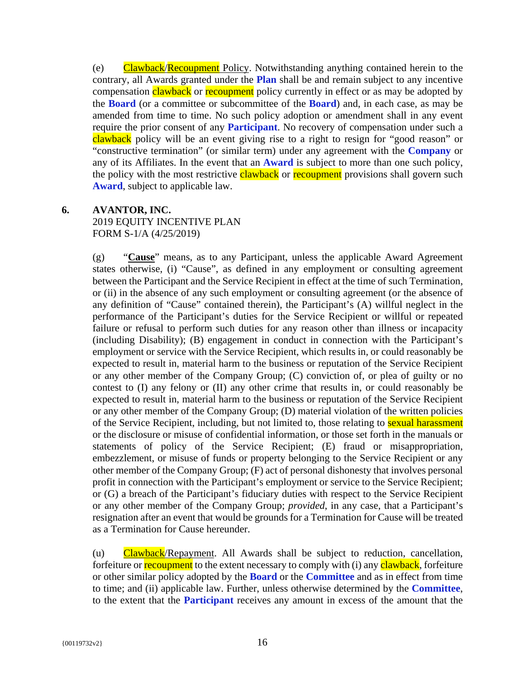(e) Clawback/Recoupment Policy. Notwithstanding anything contained herein to the contrary, all Awards granted under the **Plan** shall be and remain subject to any incentive compensation clawback or recoupment policy currently in effect or as may be adopted by the **Board** (or a committee or subcommittee of the **Board**) and, in each case, as may be amended from time to time. No such policy adoption or amendment shall in any event require the prior consent of any **Participant**. No recovery of compensation under such a clawback policy will be an event giving rise to a right to resign for "good reason" or "constructive termination" (or similar term) under any agreement with the **Company** or any of its Affiliates. In the event that an **Award** is subject to more than one such policy, the policy with the most restrictive clawback or recoupment provisions shall govern such **Award**, subject to applicable law.

## **6. AVANTOR, INC.**

2019 EQUITY INCENTIVE PLAN FORM S-1/A (4/25/2019)

(g) "**Cause**" means, as to any Participant, unless the applicable Award Agreement states otherwise, (i) "Cause", as defined in any employment or consulting agreement between the Participant and the Service Recipient in effect at the time of such Termination, or (ii) in the absence of any such employment or consulting agreement (or the absence of any definition of "Cause" contained therein), the Participant's (A) willful neglect in the performance of the Participant's duties for the Service Recipient or willful or repeated failure or refusal to perform such duties for any reason other than illness or incapacity (including Disability); (B) engagement in conduct in connection with the Participant's employment or service with the Service Recipient, which results in, or could reasonably be expected to result in, material harm to the business or reputation of the Service Recipient or any other member of the Company Group; (C) conviction of, or plea of guilty or no contest to (I) any felony or (II) any other crime that results in, or could reasonably be expected to result in, material harm to the business or reputation of the Service Recipient or any other member of the Company Group; (D) material violation of the written policies of the Service Recipient, including, but not limited to, those relating to **sexual harassment** or the disclosure or misuse of confidential information, or those set forth in the manuals or statements of policy of the Service Recipient; (E) fraud or misappropriation, embezzlement, or misuse of funds or property belonging to the Service Recipient or any other member of the Company Group; (F) act of personal dishonesty that involves personal profit in connection with the Participant's employment or service to the Service Recipient; or (G) a breach of the Participant's fiduciary duties with respect to the Service Recipient or any other member of the Company Group; *provided*, in any case, that a Participant's resignation after an event that would be grounds for a Termination for Cause will be treated as a Termination for Cause hereunder.

(u) Clawback/Repayment. All Awards shall be subject to reduction, cancellation, forfeiture or **recoupment** to the extent necessary to comply with (i) any **clawback**, forfeiture or other similar policy adopted by the **Board** or the **Committee** and as in effect from time to time; and (ii) applicable law. Further, unless otherwise determined by the **Committee**, to the extent that the **Participant** receives any amount in excess of the amount that the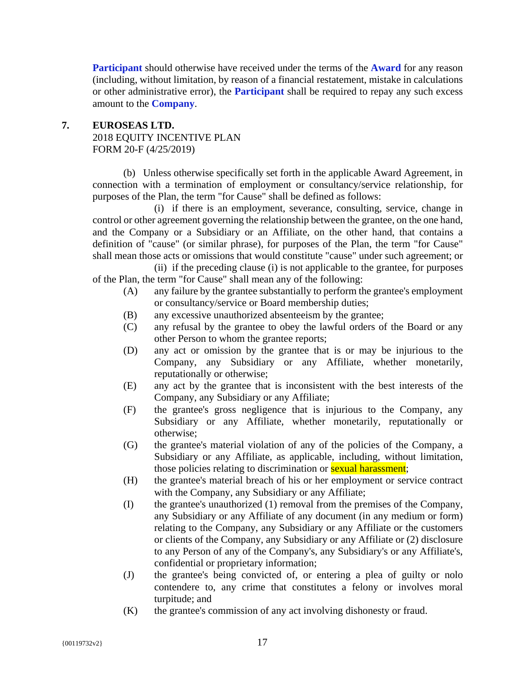**Participant** should otherwise have received under the terms of the **Award** for any reason (including, without limitation, by reason of a financial restatement, mistake in calculations or other administrative error), the **Participant** shall be required to repay any such excess amount to the **Company**.

#### **7. EUROSEAS LTD.**  2018 EQUITY INCENTIVE PLAN FORM 20-F (4/25/2019)

(b) Unless otherwise specifically set forth in the applicable Award Agreement, in connection with a termination of employment or consultancy/service relationship, for purposes of the Plan, the term "for Cause" shall be defined as follows:

(i) if there is an employment, severance, consulting, service, change in control or other agreement governing the relationship between the grantee, on the one hand, and the Company or a Subsidiary or an Affiliate, on the other hand, that contains a definition of "cause" (or similar phrase), for purposes of the Plan, the term "for Cause" shall mean those acts or omissions that would constitute "cause" under such agreement; or

(ii) if the preceding clause (i) is not applicable to the grantee, for purposes of the Plan, the term "for Cause" shall mean any of the following:

- (A) any failure by the grantee substantially to perform the grantee's employment or consultancy/service or Board membership duties;
- (B) any excessive unauthorized absenteeism by the grantee;
- (C) any refusal by the grantee to obey the lawful orders of the Board or any other Person to whom the grantee reports;
- (D) any act or omission by the grantee that is or may be injurious to the Company, any Subsidiary or any Affiliate, whether monetarily, reputationally or otherwise;
- (E) any act by the grantee that is inconsistent with the best interests of the Company, any Subsidiary or any Affiliate;
- (F) the grantee's gross negligence that is injurious to the Company, any Subsidiary or any Affiliate, whether monetarily, reputationally or otherwise;
- (G) the grantee's material violation of any of the policies of the Company, a Subsidiary or any Affiliate, as applicable, including, without limitation, those policies relating to discrimination or **sexual harassment**;
- (H) the grantee's material breach of his or her employment or service contract with the Company, any Subsidiary or any Affiliate;
- (I) the grantee's unauthorized (1) removal from the premises of the Company, any Subsidiary or any Affiliate of any document (in any medium or form) relating to the Company, any Subsidiary or any Affiliate or the customers or clients of the Company, any Subsidiary or any Affiliate or (2) disclosure to any Person of any of the Company's, any Subsidiary's or any Affiliate's, confidential or proprietary information;
- (J) the grantee's being convicted of, or entering a plea of guilty or nolo contendere to, any crime that constitutes a felony or involves moral turpitude; and
- (K) the grantee's commission of any act involving dishonesty or fraud.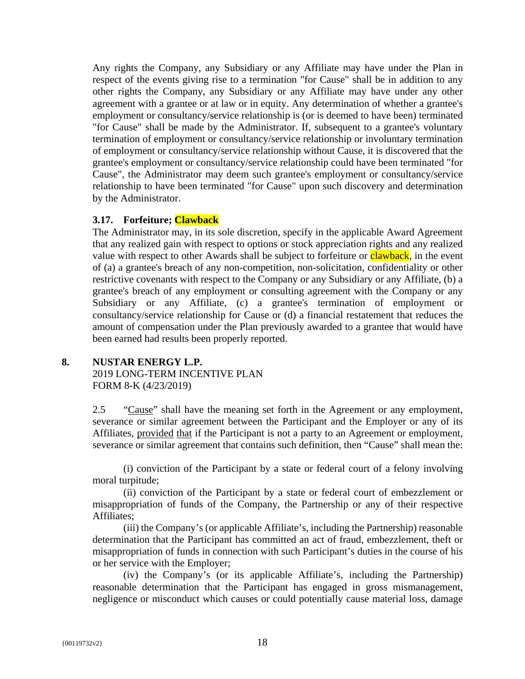Any rights the Company, any Subsidiary or any Affiliate may have under the Plan in respect of the events giving rise to a termination "for Cause" shall be in addition to any other rights the Company, any Subsidiary or any Affiliate may have under any other agreement with a grantee or at law or in equity. Any determination of whether a grantee's employment or consultancy/service relationship is (or is deemed to have been) terminated "for Cause" shall be made by the Administrator. If, subsequent to a grantee's voluntary termination of employment or consultancy/service relationship or involuntary termination of employment or consultancy/service relationship without Cause, it is discovered that the grantee's employment or consultancy/service relationship could have been terminated "for Cause", the Administrator may deem such grantee's employment or consultancy/service relationship to have been terminated "for Cause" upon such discovery and determination by the Administrator.

#### **3.17. Forfeiture; Clawback**

The Administrator may, in its sole discretion, specify in the applicable Award Agreement that any realized gain with respect to options or stock appreciation rights and any realized value with respect to other Awards shall be subject to forfeiture or **clawback**, in the event of (a) a grantee's breach of any non-competition, non-solicitation, confidentiality or other restrictive covenants with respect to the Company or any Subsidiary or any Affiliate, (b) a grantee's breach of any employment or consulting agreement with the Company or any Subsidiary or any Affiliate, (c) a grantee's termination of employment or consultancy/service relationship for Cause or (d) a financial restatement that reduces the amount of compensation under the Plan previously awarded to a grantee that would have been earned had results been properly reported.

#### **8. NUSTAR ENERGY L.P.**

2019 LONG-TERM INCENTIVE PLAN FORM 8-K (4/23/2019)

2.5 "Cause" shall have the meaning set forth in the Agreement or any employment, severance or similar agreement between the Participant and the Employer or any of its Affiliates, provided that if the Participant is not a party to an Agreement or employment, severance or similar agreement that contains such definition, then "Cause" shall mean the:

(i) conviction of the Participant by a state or federal court of a felony involving moral turpitude;

(ii) conviction of the Participant by a state or federal court of embezzlement or misappropriation of funds of the Company, the Partnership or any of their respective Affiliates;

(iii) the Company's (or applicable Affiliate's, including the Partnership) reasonable determination that the Participant has committed an act of fraud, embezzlement, theft or misappropriation of funds in connection with such Participant's duties in the course of his or her service with the Employer;

(iv) the Company's (or its applicable Affiliate's, including the Partnership) reasonable determination that the Participant has engaged in gross mismanagement, negligence or misconduct which causes or could potentially cause material loss, damage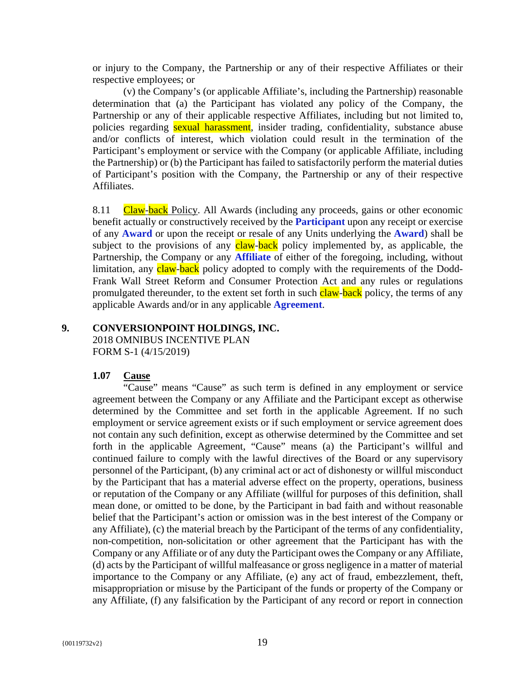or injury to the Company, the Partnership or any of their respective Affiliates or their respective employees; or

(v) the Company's (or applicable Affiliate's, including the Partnership) reasonable determination that (a) the Participant has violated any policy of the Company, the Partnership or any of their applicable respective Affiliates, including but not limited to, policies regarding sexual harassment, insider trading, confidentiality, substance abuse and/or conflicts of interest, which violation could result in the termination of the Participant's employment or service with the Company (or applicable Affiliate, including the Partnership) or (b) the Participant has failed to satisfactorily perform the material duties of Participant's position with the Company, the Partnership or any of their respective Affiliates.

8.11 Claw-back Policy. All Awards (including any proceeds, gains or other economic benefit actually or constructively received by the **Participant** upon any receipt or exercise of any **Award** or upon the receipt or resale of any Units underlying the **Award**) shall be subject to the provisions of any claw-back policy implemented by, as applicable, the Partnership, the Company or any **Affiliate** of either of the foregoing, including, without limitation, any claw-back policy adopted to comply with the requirements of the Dodd-Frank Wall Street Reform and Consumer Protection Act and any rules or regulations promulgated thereunder, to the extent set forth in such claw-back policy, the terms of any applicable Awards and/or in any applicable **Agreement**.

#### **9. CONVERSIONPOINT HOLDINGS, INC.**

2018 OMNIBUS INCENTIVE PLAN FORM S-1 (4/15/2019)

#### **1.07 Cause**

"Cause" means "Cause" as such term is defined in any employment or service agreement between the Company or any Affiliate and the Participant except as otherwise determined by the Committee and set forth in the applicable Agreement. If no such employment or service agreement exists or if such employment or service agreement does not contain any such definition, except as otherwise determined by the Committee and set forth in the applicable Agreement, "Cause" means (a) the Participant's willful and continued failure to comply with the lawful directives of the Board or any supervisory personnel of the Participant, (b) any criminal act or act of dishonesty or willful misconduct by the Participant that has a material adverse effect on the property, operations, business or reputation of the Company or any Affiliate (willful for purposes of this definition, shall mean done, or omitted to be done, by the Participant in bad faith and without reasonable belief that the Participant's action or omission was in the best interest of the Company or any Affiliate), (c) the material breach by the Participant of the terms of any confidentiality, non-competition, non-solicitation or other agreement that the Participant has with the Company or any Affiliate or of any duty the Participant owes the Company or any Affiliate, (d) acts by the Participant of willful malfeasance or gross negligence in a matter of material importance to the Company or any Affiliate, (e) any act of fraud, embezzlement, theft, misappropriation or misuse by the Participant of the funds or property of the Company or any Affiliate, (f) any falsification by the Participant of any record or report in connection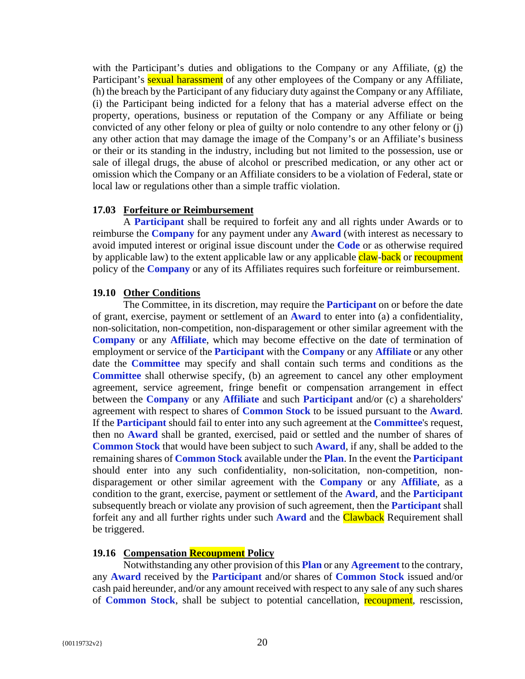with the Participant's duties and obligations to the Company or any Affiliate, (g) the Participant's **sexual harassment** of any other employees of the Company or any Affiliate, (h) the breach by the Participant of any fiduciary duty against the Company or any Affiliate, (i) the Participant being indicted for a felony that has a material adverse effect on the property, operations, business or reputation of the Company or any Affiliate or being convicted of any other felony or plea of guilty or nolo contendre to any other felony or (j) any other action that may damage the image of the Company's or an Affiliate's business or their or its standing in the industry, including but not limited to the possession, use or sale of illegal drugs, the abuse of alcohol or prescribed medication, or any other act or omission which the Company or an Affiliate considers to be a violation of Federal, state or local law or regulations other than a simple traffic violation.

#### **17.03 Forfeiture or Reimbursement**

A **Participant** shall be required to forfeit any and all rights under Awards or to reimburse the **Company** for any payment under any **Award** (with interest as necessary to avoid imputed interest or original issue discount under the **Code** or as otherwise required by applicable law) to the extent applicable law or any applicable claw-back or recoupment policy of the **Company** or any of its Affiliates requires such forfeiture or reimbursement.

#### **19.10 Other Conditions**

The Committee, in its discretion, may require the **Participant** on or before the date of grant, exercise, payment or settlement of an **Award** to enter into (a) a confidentiality, non-solicitation, non-competition, non-disparagement or other similar agreement with the **Company** or any **Affiliate**, which may become effective on the date of termination of employment or service of the **Participant** with the **Company** or any **Affiliate** or any other date the **Committee** may specify and shall contain such terms and conditions as the **Committee** shall otherwise specify, (b) an agreement to cancel any other employment agreement, service agreement, fringe benefit or compensation arrangement in effect between the **Company** or any **Affiliate** and such **Participant** and/or (c) a shareholders' agreement with respect to shares of **Common Stock** to be issued pursuant to the **Award**. If the **Participant** should fail to enter into any such agreement at the **Committee**'s request, then no **Award** shall be granted, exercised, paid or settled and the number of shares of **Common Stock** that would have been subject to such **Award**, if any, shall be added to the remaining shares of **Common Stock** available under the **Plan**. In the event the **Participant** should enter into any such confidentiality, non-solicitation, non-competition, nondisparagement or other similar agreement with the **Company** or any **Affiliate**, as a condition to the grant, exercise, payment or settlement of the **Award**, and the **Participant** subsequently breach or violate any provision of such agreement, then the **Participant** shall forfeit any and all further rights under such **Award** and the Clawback Requirement shall be triggered.

#### **19.16 Compensation Recoupment Policy**

Notwithstanding any other provision of this **Plan** or any **Agreement** to the contrary, any **Award** received by the **Participant** and/or shares of **Common Stock** issued and/or cash paid hereunder, and/or any amount received with respect to any sale of any such shares of **Common Stock**, shall be subject to potential cancellation, recoupment, rescission,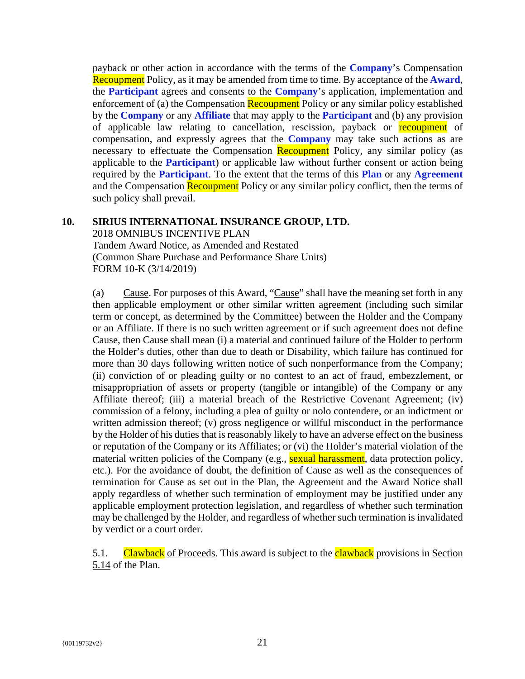payback or other action in accordance with the terms of the **Company**'s Compensation Recoupment Policy, as it may be amended from time to time. By acceptance of the **Award**, the **Participant** agrees and consents to the **Company**'s application, implementation and enforcement of (a) the Compensation Recoupment Policy or any similar policy established by the **Company** or any **Affiliate** that may apply to the **Participant** and (b) any provision of applicable law relating to cancellation, rescission, payback or recoupment of compensation, and expressly agrees that the **Company** may take such actions as are necessary to effectuate the Compensation Recoupment Policy, any similar policy (as applicable to the **Participant**) or applicable law without further consent or action being required by the **Participant**. To the extent that the terms of this **Plan** or any **Agreement** and the Compensation Recoupment Policy or any similar policy conflict, then the terms of such policy shall prevail.

#### **10. SIRIUS INTERNATIONAL INSURANCE GROUP, LTD.**

2018 OMNIBUS INCENTIVE PLAN Tandem Award Notice, as Amended and Restated (Common Share Purchase and Performance Share Units) FORM 10-K (3/14/2019)

(a) Cause. For purposes of this Award, "Cause" shall have the meaning set forth in any then applicable employment or other similar written agreement (including such similar term or concept, as determined by the Committee) between the Holder and the Company or an Affiliate. If there is no such written agreement or if such agreement does not define Cause, then Cause shall mean (i) a material and continued failure of the Holder to perform the Holder's duties, other than due to death or Disability, which failure has continued for more than 30 days following written notice of such nonperformance from the Company; (ii) conviction of or pleading guilty or no contest to an act of fraud, embezzlement, or misappropriation of assets or property (tangible or intangible) of the Company or any Affiliate thereof; (iii) a material breach of the Restrictive Covenant Agreement; (iv) commission of a felony, including a plea of guilty or nolo contendere, or an indictment or written admission thereof; (v) gross negligence or willful misconduct in the performance by the Holder of his duties that is reasonably likely to have an adverse effect on the business or reputation of the Company or its Affiliates; or (vi) the Holder's material violation of the material written policies of the Company (e.g., sexual harassment, data protection policy, etc.). For the avoidance of doubt, the definition of Cause as well as the consequences of termination for Cause as set out in the Plan, the Agreement and the Award Notice shall apply regardless of whether such termination of employment may be justified under any applicable employment protection legislation, and regardless of whether such termination may be challenged by the Holder, and regardless of whether such termination is invalidated by verdict or a court order.

5.1. Clawback of Proceeds. This award is subject to the **clawback** provisions in Section 5.14 of the Plan.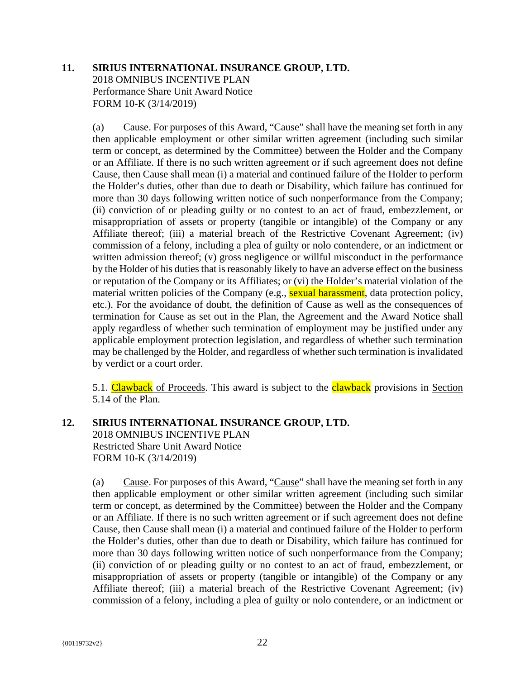## **11. SIRIUS INTERNATIONAL INSURANCE GROUP, LTD.** 2018 OMNIBUS INCENTIVE PLAN Performance Share Unit Award Notice FORM 10-K (3/14/2019)

(a) Cause. For purposes of this Award, "Cause" shall have the meaning set forth in any then applicable employment or other similar written agreement (including such similar term or concept, as determined by the Committee) between the Holder and the Company or an Affiliate. If there is no such written agreement or if such agreement does not define Cause, then Cause shall mean (i) a material and continued failure of the Holder to perform the Holder's duties, other than due to death or Disability, which failure has continued for more than 30 days following written notice of such nonperformance from the Company; (ii) conviction of or pleading guilty or no contest to an act of fraud, embezzlement, or misappropriation of assets or property (tangible or intangible) of the Company or any Affiliate thereof; (iii) a material breach of the Restrictive Covenant Agreement; (iv) commission of a felony, including a plea of guilty or nolo contendere, or an indictment or written admission thereof; (v) gross negligence or willful misconduct in the performance by the Holder of his duties that is reasonably likely to have an adverse effect on the business or reputation of the Company or its Affiliates; or (vi) the Holder's material violation of the material written policies of the Company (e.g., sexual harassment, data protection policy, etc.). For the avoidance of doubt, the definition of Cause as well as the consequences of termination for Cause as set out in the Plan, the Agreement and the Award Notice shall apply regardless of whether such termination of employment may be justified under any applicable employment protection legislation, and regardless of whether such termination may be challenged by the Holder, and regardless of whether such termination is invalidated by verdict or a court order.

5.1. Clawback of Proceeds. This award is subject to the **clawback** provisions in Section 5.14 of the Plan.

## **12. SIRIUS INTERNATIONAL INSURANCE GROUP, LTD.**

2018 OMNIBUS INCENTIVE PLAN Restricted Share Unit Award Notice FORM 10-K (3/14/2019)

(a) Cause. For purposes of this Award, "Cause" shall have the meaning set forth in any then applicable employment or other similar written agreement (including such similar term or concept, as determined by the Committee) between the Holder and the Company or an Affiliate. If there is no such written agreement or if such agreement does not define Cause, then Cause shall mean (i) a material and continued failure of the Holder to perform the Holder's duties, other than due to death or Disability, which failure has continued for more than 30 days following written notice of such nonperformance from the Company; (ii) conviction of or pleading guilty or no contest to an act of fraud, embezzlement, or misappropriation of assets or property (tangible or intangible) of the Company or any Affiliate thereof; (iii) a material breach of the Restrictive Covenant Agreement; (iv) commission of a felony, including a plea of guilty or nolo contendere, or an indictment or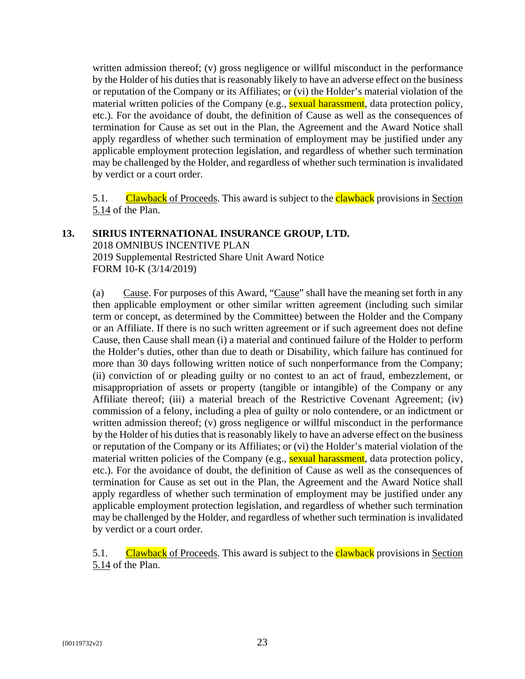written admission thereof; (v) gross negligence or willful misconduct in the performance by the Holder of his duties that is reasonably likely to have an adverse effect on the business or reputation of the Company or its Affiliates; or (vi) the Holder's material violation of the material written policies of the Company (e.g., sexual harassment, data protection policy, etc.). For the avoidance of doubt, the definition of Cause as well as the consequences of termination for Cause as set out in the Plan, the Agreement and the Award Notice shall apply regardless of whether such termination of employment may be justified under any applicable employment protection legislation, and regardless of whether such termination may be challenged by the Holder, and regardless of whether such termination is invalidated by verdict or a court order.

5.1. Clawback of Proceeds. This award is subject to the **clawback** provisions in Section 5.14 of the Plan.

#### **13. SIRIUS INTERNATIONAL INSURANCE GROUP, LTD.**

2018 OMNIBUS INCENTIVE PLAN 2019 Supplemental Restricted Share Unit Award Notice FORM 10-K (3/14/2019)

(a) Cause. For purposes of this Award, "Cause" shall have the meaning set forth in any then applicable employment or other similar written agreement (including such similar term or concept, as determined by the Committee) between the Holder and the Company or an Affiliate. If there is no such written agreement or if such agreement does not define Cause, then Cause shall mean (i) a material and continued failure of the Holder to perform the Holder's duties, other than due to death or Disability, which failure has continued for more than 30 days following written notice of such nonperformance from the Company; (ii) conviction of or pleading guilty or no contest to an act of fraud, embezzlement, or misappropriation of assets or property (tangible or intangible) of the Company or any Affiliate thereof; (iii) a material breach of the Restrictive Covenant Agreement; (iv) commission of a felony, including a plea of guilty or nolo contendere, or an indictment or written admission thereof; (v) gross negligence or willful misconduct in the performance by the Holder of his duties that is reasonably likely to have an adverse effect on the business or reputation of the Company or its Affiliates; or (vi) the Holder's material violation of the material written policies of the Company (e.g., sexual harassment, data protection policy, etc.). For the avoidance of doubt, the definition of Cause as well as the consequences of termination for Cause as set out in the Plan, the Agreement and the Award Notice shall apply regardless of whether such termination of employment may be justified under any applicable employment protection legislation, and regardless of whether such termination may be challenged by the Holder, and regardless of whether such termination is invalidated by verdict or a court order.

5.1. Clawback of Proceeds. This award is subject to the **clawback** provisions in Section 5.14 of the Plan.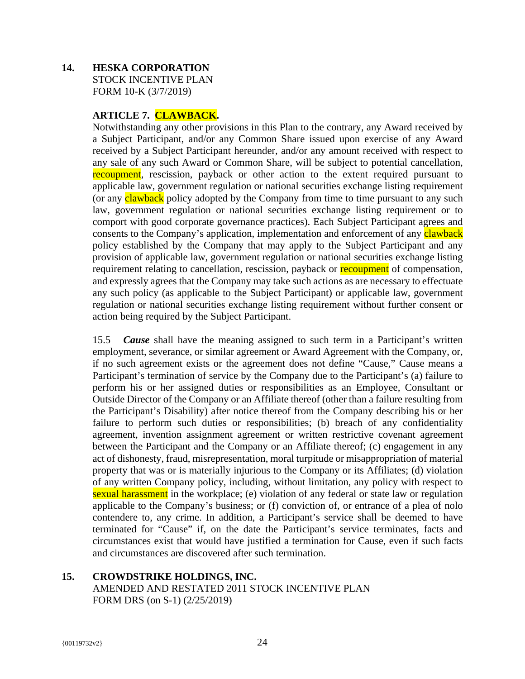## **14. HESKA CORPORATION**  STOCK INCENTIVE PLAN FORM 10-K (3/7/2019)

## **ARTICLE 7. CLAWBACK.**

Notwithstanding any other provisions in this Plan to the contrary, any Award received by a Subject Participant, and/or any Common Share issued upon exercise of any Award received by a Subject Participant hereunder, and/or any amount received with respect to any sale of any such Award or Common Share, will be subject to potential cancellation, recoupment, rescission, payback or other action to the extent required pursuant to applicable law, government regulation or national securities exchange listing requirement (or any **clawback** policy adopted by the Company from time to time pursuant to any such law, government regulation or national securities exchange listing requirement or to comport with good corporate governance practices). Each Subject Participant agrees and consents to the Company's application, implementation and enforcement of any **clawback** policy established by the Company that may apply to the Subject Participant and any provision of applicable law, government regulation or national securities exchange listing requirement relating to cancellation, rescission, payback or recoupment of compensation, and expressly agrees that the Company may take such actions as are necessary to effectuate any such policy (as applicable to the Subject Participant) or applicable law, government regulation or national securities exchange listing requirement without further consent or action being required by the Subject Participant.

15.5 *Cause* shall have the meaning assigned to such term in a Participant's written employment, severance, or similar agreement or Award Agreement with the Company, or, if no such agreement exists or the agreement does not define "Cause," Cause means a Participant's termination of service by the Company due to the Participant's (a) failure to perform his or her assigned duties or responsibilities as an Employee, Consultant or Outside Director of the Company or an Affiliate thereof (other than a failure resulting from the Participant's Disability) after notice thereof from the Company describing his or her failure to perform such duties or responsibilities; (b) breach of any confidentiality agreement, invention assignment agreement or written restrictive covenant agreement between the Participant and the Company or an Affiliate thereof; (c) engagement in any act of dishonesty, fraud, misrepresentation, moral turpitude or misappropriation of material property that was or is materially injurious to the Company or its Affiliates; (d) violation of any written Company policy, including, without limitation, any policy with respect to sexual harassment in the workplace; (e) violation of any federal or state law or regulation applicable to the Company's business; or (f) conviction of, or entrance of a plea of nolo contendere to, any crime. In addition, a Participant's service shall be deemed to have terminated for "Cause" if, on the date the Participant's service terminates, facts and circumstances exist that would have justified a termination for Cause, even if such facts and circumstances are discovered after such termination.

**15. CROWDSTRIKE HOLDINGS, INC.**  AMENDED AND RESTATED 2011 STOCK INCENTIVE PLAN FORM DRS (on S-1) (2/25/2019)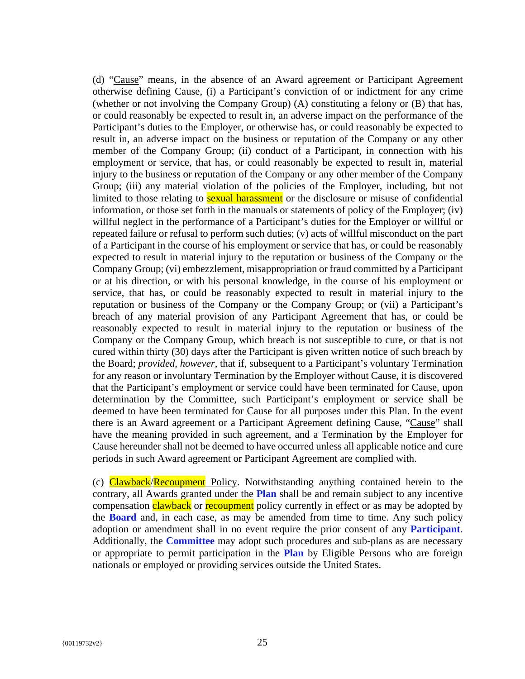(d) "Cause" means, in the absence of an Award agreement or Participant Agreement otherwise defining Cause, (i) a Participant's conviction of or indictment for any crime (whether or not involving the Company Group) (A) constituting a felony or (B) that has, or could reasonably be expected to result in, an adverse impact on the performance of the Participant's duties to the Employer, or otherwise has, or could reasonably be expected to result in, an adverse impact on the business or reputation of the Company or any other member of the Company Group; (ii) conduct of a Participant, in connection with his employment or service, that has, or could reasonably be expected to result in, material injury to the business or reputation of the Company or any other member of the Company Group; (iii) any material violation of the policies of the Employer, including, but not limited to those relating to **sexual harassment** or the disclosure or misuse of confidential information, or those set forth in the manuals or statements of policy of the Employer; (iv) willful neglect in the performance of a Participant's duties for the Employer or willful or repeated failure or refusal to perform such duties; (v) acts of willful misconduct on the part of a Participant in the course of his employment or service that has, or could be reasonably expected to result in material injury to the reputation or business of the Company or the Company Group; (vi) embezzlement, misappropriation or fraud committed by a Participant or at his direction, or with his personal knowledge, in the course of his employment or service, that has, or could be reasonably expected to result in material injury to the reputation or business of the Company or the Company Group; or (vii) a Participant's breach of any material provision of any Participant Agreement that has, or could be reasonably expected to result in material injury to the reputation or business of the Company or the Company Group, which breach is not susceptible to cure, or that is not cured within thirty (30) days after the Participant is given written notice of such breach by the Board; *provided*, *however*, that if, subsequent to a Participant's voluntary Termination for any reason or involuntary Termination by the Employer without Cause, it is discovered that the Participant's employment or service could have been terminated for Cause, upon determination by the Committee, such Participant's employment or service shall be deemed to have been terminated for Cause for all purposes under this Plan. In the event there is an Award agreement or a Participant Agreement defining Cause, "Cause" shall have the meaning provided in such agreement, and a Termination by the Employer for Cause hereunder shall not be deemed to have occurred unless all applicable notice and cure periods in such Award agreement or Participant Agreement are complied with.

(c) Clawback/Recoupment Policy. Notwithstanding anything contained herein to the contrary, all Awards granted under the **Plan** shall be and remain subject to any incentive compensation clawback or recoupment policy currently in effect or as may be adopted by the **Board** and, in each case, as may be amended from time to time. Any such policy adoption or amendment shall in no event require the prior consent of any **Participant**. Additionally, the **Committee** may adopt such procedures and sub-plans as are necessary or appropriate to permit participation in the **Plan** by Eligible Persons who are foreign nationals or employed or providing services outside the United States.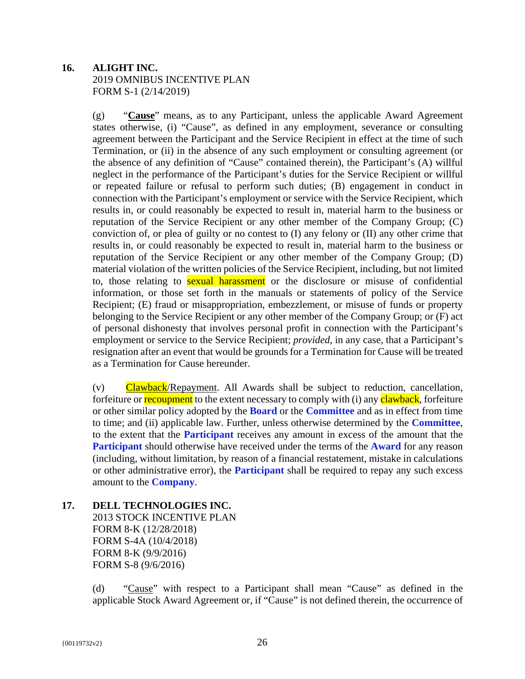## **16. ALIGHT INC.**  2019 OMNIBUS INCENTIVE PLAN FORM S-1 (2/14/2019)

(g) "**Cause**" means, as to any Participant, unless the applicable Award Agreement states otherwise, (i) "Cause", as defined in any employment, severance or consulting agreement between the Participant and the Service Recipient in effect at the time of such Termination, or (ii) in the absence of any such employment or consulting agreement (or the absence of any definition of "Cause" contained therein), the Participant's (A) willful neglect in the performance of the Participant's duties for the Service Recipient or willful or repeated failure or refusal to perform such duties; (B) engagement in conduct in connection with the Participant's employment or service with the Service Recipient, which results in, or could reasonably be expected to result in, material harm to the business or reputation of the Service Recipient or any other member of the Company Group; (C) conviction of, or plea of guilty or no contest to (I) any felony or (II) any other crime that results in, or could reasonably be expected to result in, material harm to the business or reputation of the Service Recipient or any other member of the Company Group; (D) material violation of the written policies of the Service Recipient, including, but not limited to, those relating to **sexual harassment** or the disclosure or misuse of confidential information, or those set forth in the manuals or statements of policy of the Service Recipient; (E) fraud or misappropriation, embezzlement, or misuse of funds or property belonging to the Service Recipient or any other member of the Company Group; or (F) act of personal dishonesty that involves personal profit in connection with the Participant's employment or service to the Service Recipient; *provided*, in any case, that a Participant's resignation after an event that would be grounds for a Termination for Cause will be treated as a Termination for Cause hereunder.

(v) Clawback/Repayment. All Awards shall be subject to reduction, cancellation, forfeiture or **recoupment** to the extent necessary to comply with (i) any **clawback**, forfeiture or other similar policy adopted by the **Board** or the **Committee** and as in effect from time to time; and (ii) applicable law. Further, unless otherwise determined by the **Committee**, to the extent that the **Participant** receives any amount in excess of the amount that the **Participant** should otherwise have received under the terms of the **Award** for any reason (including, without limitation, by reason of a financial restatement, mistake in calculations or other administrative error), the **Participant** shall be required to repay any such excess amount to the **Company**.

**17. DELL TECHNOLOGIES INC.**  2013 STOCK INCENTIVE PLAN FORM 8-K (12/28/2018) FORM S-4A (10/4/2018) FORM 8-K (9/9/2016) FORM S-8 (9/6/2016)

> (d) "Cause" with respect to a Participant shall mean "Cause" as defined in the applicable Stock Award Agreement or, if "Cause" is not defined therein, the occurrence of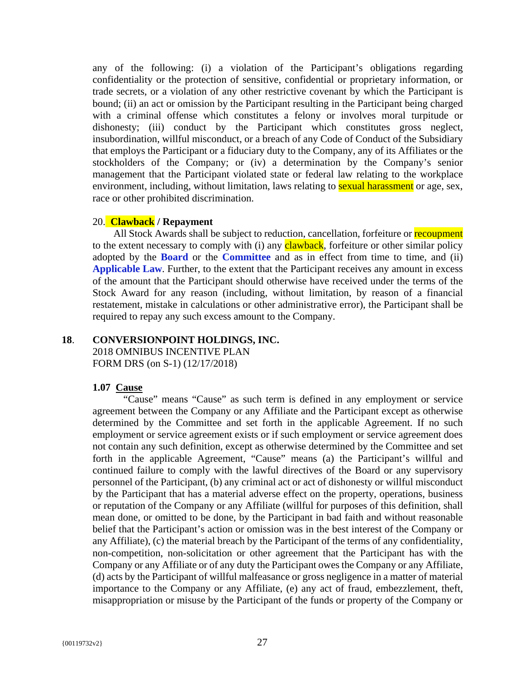any of the following: (i) a violation of the Participant's obligations regarding confidentiality or the protection of sensitive, confidential or proprietary information, or trade secrets, or a violation of any other restrictive covenant by which the Participant is bound; (ii) an act or omission by the Participant resulting in the Participant being charged with a criminal offense which constitutes a felony or involves moral turpitude or dishonesty; (iii) conduct by the Participant which constitutes gross neglect, insubordination, willful misconduct, or a breach of any Code of Conduct of the Subsidiary that employs the Participant or a fiduciary duty to the Company, any of its Affiliates or the stockholders of the Company; or (iv) a determination by the Company's senior management that the Participant violated state or federal law relating to the workplace environment, including, without limitation, laws relating to **sexual harassment** or age, sex, race or other prohibited discrimination.

#### 20. **Clawback / Repayment**

All Stock Awards shall be subject to reduction, cancellation, forfeiture or recoupment to the extent necessary to comply with (i) any **clawback**, forfeiture or other similar policy adopted by the **Board** or the **Committee** and as in effect from time to time, and (ii) **Applicable Law**. Further, to the extent that the Participant receives any amount in excess of the amount that the Participant should otherwise have received under the terms of the Stock Award for any reason (including, without limitation, by reason of a financial restatement, mistake in calculations or other administrative error), the Participant shall be required to repay any such excess amount to the Company.

#### **18**. **CONVERSIONPOINT HOLDINGS, INC.**

2018 OMNIBUS INCENTIVE PLAN FORM DRS (on S-1) (12/17/2018)

#### **1.07 Cause**

"Cause" means "Cause" as such term is defined in any employment or service agreement between the Company or any Affiliate and the Participant except as otherwise determined by the Committee and set forth in the applicable Agreement. If no such employment or service agreement exists or if such employment or service agreement does not contain any such definition, except as otherwise determined by the Committee and set forth in the applicable Agreement, "Cause" means (a) the Participant's willful and continued failure to comply with the lawful directives of the Board or any supervisory personnel of the Participant, (b) any criminal act or act of dishonesty or willful misconduct by the Participant that has a material adverse effect on the property, operations, business or reputation of the Company or any Affiliate (willful for purposes of this definition, shall mean done, or omitted to be done, by the Participant in bad faith and without reasonable belief that the Participant's action or omission was in the best interest of the Company or any Affiliate), (c) the material breach by the Participant of the terms of any confidentiality, non-competition, non-solicitation or other agreement that the Participant has with the Company or any Affiliate or of any duty the Participant owes the Company or any Affiliate, (d) acts by the Participant of willful malfeasance or gross negligence in a matter of material importance to the Company or any Affiliate, (e) any act of fraud, embezzlement, theft, misappropriation or misuse by the Participant of the funds or property of the Company or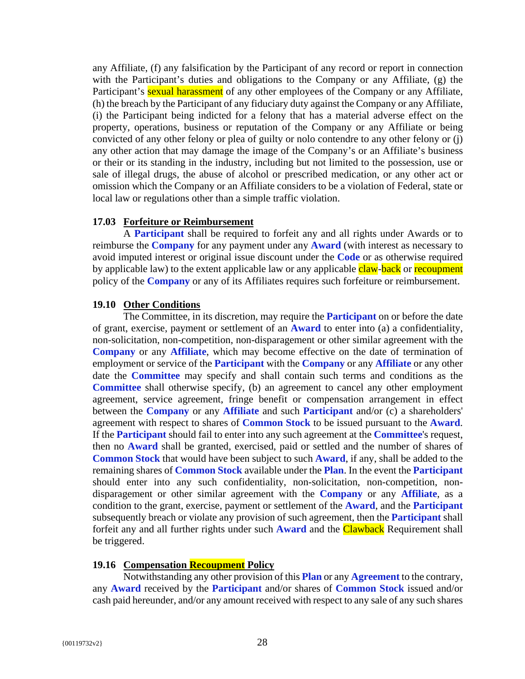any Affiliate, (f) any falsification by the Participant of any record or report in connection with the Participant's duties and obligations to the Company or any Affiliate, (g) the Participant's **sexual harassment** of any other employees of the Company or any Affiliate, (h) the breach by the Participant of any fiduciary duty against the Company or any Affiliate, (i) the Participant being indicted for a felony that has a material adverse effect on the property, operations, business or reputation of the Company or any Affiliate or being convicted of any other felony or plea of guilty or nolo contendre to any other felony or (j) any other action that may damage the image of the Company's or an Affiliate's business or their or its standing in the industry, including but not limited to the possession, use or sale of illegal drugs, the abuse of alcohol or prescribed medication, or any other act or omission which the Company or an Affiliate considers to be a violation of Federal, state or local law or regulations other than a simple traffic violation.

#### **17.03 Forfeiture or Reimbursement**

A **Participant** shall be required to forfeit any and all rights under Awards or to reimburse the **Company** for any payment under any **Award** (with interest as necessary to avoid imputed interest or original issue discount under the **Code** or as otherwise required by applicable law) to the extent applicable law or any applicable claw-back or recoupment policy of the **Company** or any of its Affiliates requires such forfeiture or reimbursement.

#### **19.10 Other Conditions**

The Committee, in its discretion, may require the **Participant** on or before the date of grant, exercise, payment or settlement of an **Award** to enter into (a) a confidentiality, non-solicitation, non-competition, non-disparagement or other similar agreement with the **Company** or any **Affiliate**, which may become effective on the date of termination of employment or service of the **Participant** with the **Company** or any **Affiliate** or any other date the **Committee** may specify and shall contain such terms and conditions as the **Committee** shall otherwise specify, (b) an agreement to cancel any other employment agreement, service agreement, fringe benefit or compensation arrangement in effect between the **Company** or any **Affiliate** and such **Participant** and/or (c) a shareholders' agreement with respect to shares of **Common Stock** to be issued pursuant to the **Award**. If the **Participant** should fail to enter into any such agreement at the **Committee**'s request, then no **Award** shall be granted, exercised, paid or settled and the number of shares of **Common Stock** that would have been subject to such **Award**, if any, shall be added to the remaining shares of **Common Stock** available under the **Plan**. In the event the **Participant** should enter into any such confidentiality, non-solicitation, non-competition, nondisparagement or other similar agreement with the **Company** or any **Affiliate**, as a condition to the grant, exercise, payment or settlement of the **Award**, and the **Participant** subsequently breach or violate any provision of such agreement, then the **Participant** shall forfeit any and all further rights under such **Award** and the Clawback Requirement shall be triggered.

#### **19.16 Compensation Recoupment Policy**

Notwithstanding any other provision of this **Plan** or any **Agreement** to the contrary, any **Award** received by the **Participant** and/or shares of **Common Stock** issued and/or cash paid hereunder, and/or any amount received with respect to any sale of any such shares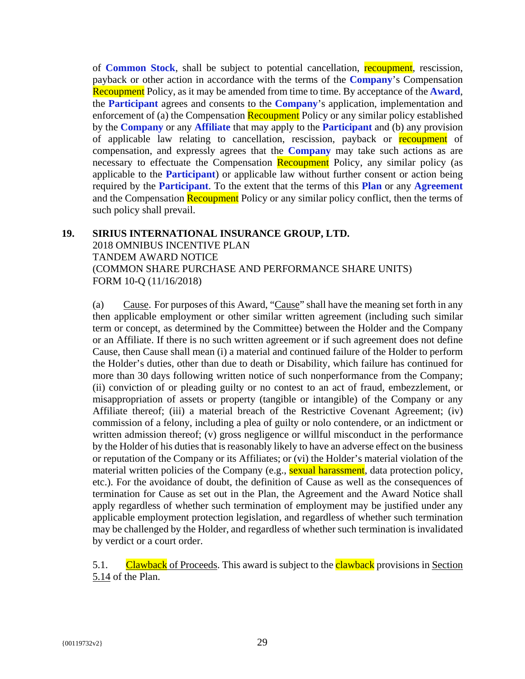of **Common Stock**, shall be subject to potential cancellation, recoupment, rescission, payback or other action in accordance with the terms of the **Company**'s Compensation Recoupment Policy, as it may be amended from time to time. By acceptance of the **Award**, the **Participant** agrees and consents to the **Company**'s application, implementation and enforcement of (a) the Compensation Recoupment Policy or any similar policy established by the **Company** or any **Affiliate** that may apply to the **Participant** and (b) any provision of applicable law relating to cancellation, rescission, payback or recoupment of compensation, and expressly agrees that the **Company** may take such actions as are necessary to effectuate the Compensation Recoupment Policy, any similar policy (as applicable to the **Participant**) or applicable law without further consent or action being required by the **Participant**. To the extent that the terms of this **Plan** or any **Agreement** and the Compensation Recoupment Policy or any similar policy conflict, then the terms of such policy shall prevail.

## **19. SIRIUS INTERNATIONAL INSURANCE GROUP, LTD.** 2018 OMNIBUS INCENTIVE PLAN TANDEM AWARD NOTICE (COMMON SHARE PURCHASE AND PERFORMANCE SHARE UNITS) FORM 10-Q (11/16/2018)

(a) Cause. For purposes of this Award, "Cause" shall have the meaning set forth in any then applicable employment or other similar written agreement (including such similar term or concept, as determined by the Committee) between the Holder and the Company or an Affiliate. If there is no such written agreement or if such agreement does not define Cause, then Cause shall mean (i) a material and continued failure of the Holder to perform the Holder's duties, other than due to death or Disability, which failure has continued for more than 30 days following written notice of such nonperformance from the Company; (ii) conviction of or pleading guilty or no contest to an act of fraud, embezzlement, or misappropriation of assets or property (tangible or intangible) of the Company or any Affiliate thereof; (iii) a material breach of the Restrictive Covenant Agreement; (iv) commission of a felony, including a plea of guilty or nolo contendere, or an indictment or written admission thereof; (v) gross negligence or willful misconduct in the performance by the Holder of his duties that is reasonably likely to have an adverse effect on the business or reputation of the Company or its Affiliates; or (vi) the Holder's material violation of the material written policies of the Company (e.g., sexual harassment, data protection policy, etc.). For the avoidance of doubt, the definition of Cause as well as the consequences of termination for Cause as set out in the Plan, the Agreement and the Award Notice shall apply regardless of whether such termination of employment may be justified under any applicable employment protection legislation, and regardless of whether such termination may be challenged by the Holder, and regardless of whether such termination is invalidated by verdict or a court order.

5.1. Clawback of Proceeds. This award is subject to the **clawback** provisions in Section 5.14 of the Plan.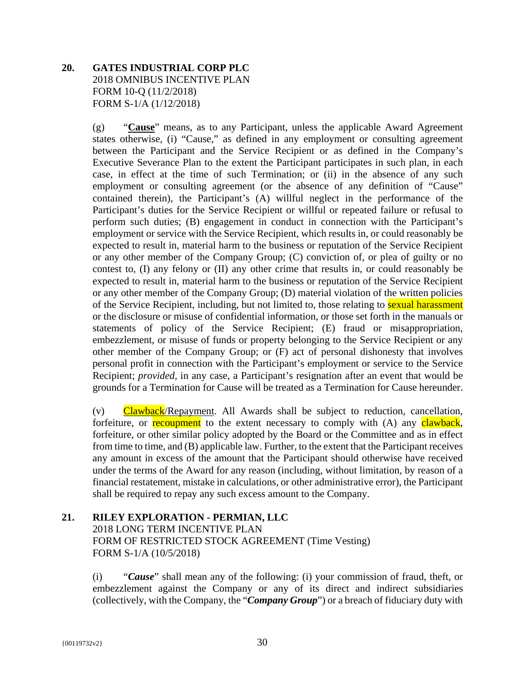## **20. GATES INDUSTRIAL CORP PLC** 2018 OMNIBUS INCENTIVE PLAN FORM 10-Q (11/2/2018) FORM S-1/A (1/12/2018)

(g) "**Cause**" means, as to any Participant, unless the applicable Award Agreement states otherwise, (i) "Cause," as defined in any employment or consulting agreement between the Participant and the Service Recipient or as defined in the Company's Executive Severance Plan to the extent the Participant participates in such plan, in each case, in effect at the time of such Termination; or (ii) in the absence of any such employment or consulting agreement (or the absence of any definition of "Cause" contained therein), the Participant's (A) willful neglect in the performance of the Participant's duties for the Service Recipient or willful or repeated failure or refusal to perform such duties; (B) engagement in conduct in connection with the Participant's employment or service with the Service Recipient, which results in, or could reasonably be expected to result in, material harm to the business or reputation of the Service Recipient or any other member of the Company Group; (C) conviction of, or plea of guilty or no contest to, (I) any felony or (II) any other crime that results in, or could reasonably be expected to result in, material harm to the business or reputation of the Service Recipient or any other member of the Company Group; (D) material violation of the written policies of the Service Recipient, including, but not limited to, those relating to sexual harassment or the disclosure or misuse of confidential information, or those set forth in the manuals or statements of policy of the Service Recipient; (E) fraud or misappropriation, embezzlement, or misuse of funds or property belonging to the Service Recipient or any other member of the Company Group; or (F) act of personal dishonesty that involves personal profit in connection with the Participant's employment or service to the Service Recipient; *provided,* in any case, a Participant's resignation after an event that would be grounds for a Termination for Cause will be treated as a Termination for Cause hereunder.

(v) Clawback/Repayment. All Awards shall be subject to reduction, cancellation, forfeiture, or recoupment to the extent necessary to comply with (A) any clawback, forfeiture, or other similar policy adopted by the Board or the Committee and as in effect from time to time, and (B) applicable law. Further, to the extent that the Participant receives any amount in excess of the amount that the Participant should otherwise have received under the terms of the Award for any reason (including, without limitation, by reason of a financial restatement, mistake in calculations, or other administrative error), the Participant shall be required to repay any such excess amount to the Company.

#### **21. RILEY EXPLORATION - PERMIAN, LLC** 2018 LONG TERM INCENTIVE PLAN FORM OF RESTRICTED STOCK AGREEMENT (Time Vesting)

FORM S-1/A (10/5/2018)

(i) "*Cause*" shall mean any of the following: (i) your commission of fraud, theft, or embezzlement against the Company or any of its direct and indirect subsidiaries (collectively, with the Company, the "*Company Group*") or a breach of fiduciary duty with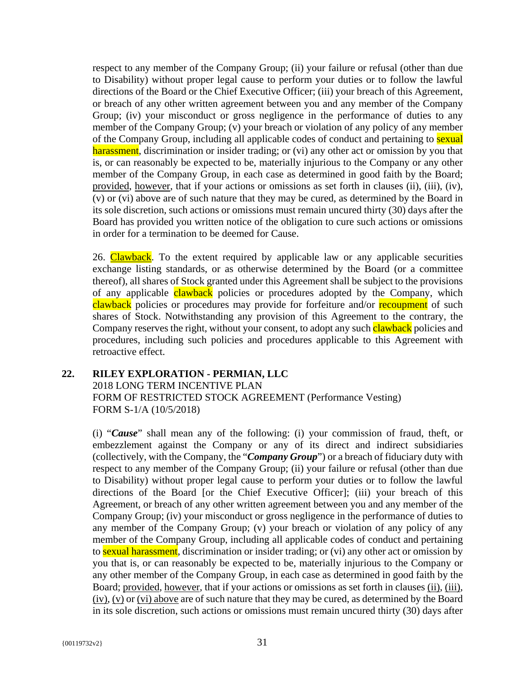respect to any member of the Company Group; (ii) your failure or refusal (other than due to Disability) without proper legal cause to perform your duties or to follow the lawful directions of the Board or the Chief Executive Officer; (iii) your breach of this Agreement, or breach of any other written agreement between you and any member of the Company Group; (iv) your misconduct or gross negligence in the performance of duties to any member of the Company Group; (v) your breach or violation of any policy of any member of the Company Group, including all applicable codes of conduct and pertaining to **sexual** harassment, discrimination or insider trading; or (vi) any other act or omission by you that is, or can reasonably be expected to be, materially injurious to the Company or any other member of the Company Group, in each case as determined in good faith by the Board; provided, however, that if your actions or omissions as set forth in clauses (ii), (iii), (iv), (v) or (vi) above are of such nature that they may be cured, as determined by the Board in its sole discretion, such actions or omissions must remain uncured thirty (30) days after the Board has provided you written notice of the obligation to cure such actions or omissions in order for a termination to be deemed for Cause.

26. Clawback. To the extent required by applicable law or any applicable securities exchange listing standards, or as otherwise determined by the Board (or a committee thereof), all shares of Stock granted under this Agreement shall be subject to the provisions of any applicable **clawback** policies or procedures adopted by the Company, which clawback policies or procedures may provide for forfeiture and/or recoupment of such shares of Stock. Notwithstanding any provision of this Agreement to the contrary, the Company reserves the right, without your consent, to adopt any such **clawback** policies and procedures, including such policies and procedures applicable to this Agreement with retroactive effect.

## **22. RILEY EXPLORATION - PERMIAN, LLC** 2018 LONG TERM INCENTIVE PLAN FORM OF RESTRICTED STOCK AGREEMENT (Performance Vesting) FORM S-1/A (10/5/2018)

(i) "*Cause*" shall mean any of the following: (i) your commission of fraud, theft, or embezzlement against the Company or any of its direct and indirect subsidiaries (collectively, with the Company, the "*Company Group*") or a breach of fiduciary duty with respect to any member of the Company Group; (ii) your failure or refusal (other than due to Disability) without proper legal cause to perform your duties or to follow the lawful directions of the Board [or the Chief Executive Officer]; (iii) your breach of this Agreement, or breach of any other written agreement between you and any member of the Company Group; (iv) your misconduct or gross negligence in the performance of duties to any member of the Company Group; (v) your breach or violation of any policy of any member of the Company Group, including all applicable codes of conduct and pertaining to sexual harassment, discrimination or insider trading; or (vi) any other act or omission by you that is, or can reasonably be expected to be, materially injurious to the Company or any other member of the Company Group, in each case as determined in good faith by the Board; provided*,* however*,* that if your actions or omissions as set forth in clauses (ii), (iii), (iv), (v) or (vi) above are of such nature that they may be cured, as determined by the Board in its sole discretion, such actions or omissions must remain uncured thirty (30) days after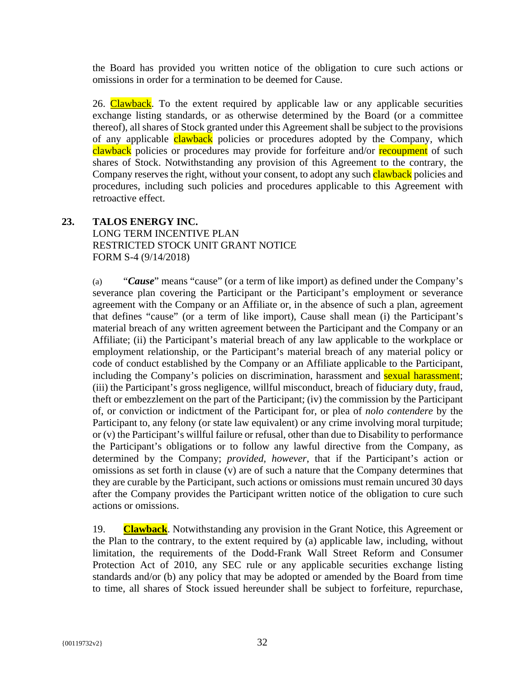the Board has provided you written notice of the obligation to cure such actions or omissions in order for a termination to be deemed for Cause.

26. Clawback. To the extent required by applicable law or any applicable securities exchange listing standards, or as otherwise determined by the Board (or a committee thereof), all shares of Stock granted under this Agreement shall be subject to the provisions of any applicable clawback policies or procedures adopted by the Company, which clawback policies or procedures may provide for forfeiture and/or recoupment of such shares of Stock. Notwithstanding any provision of this Agreement to the contrary, the Company reserves the right, without your consent, to adopt any such **clawback** policies and procedures, including such policies and procedures applicable to this Agreement with retroactive effect.

#### **23. TALOS ENERGY INC.**  LONG TERM INCENTIVE PLAN RESTRICTED STOCK UNIT GRANT NOTICE

FORM S-4 (9/14/2018)

(a) "*Cause*" means "cause" (or a term of like import) as defined under the Company's severance plan covering the Participant or the Participant's employment or severance agreement with the Company or an Affiliate or, in the absence of such a plan, agreement that defines "cause" (or a term of like import), Cause shall mean (i) the Participant's material breach of any written agreement between the Participant and the Company or an Affiliate; (ii) the Participant's material breach of any law applicable to the workplace or employment relationship, or the Participant's material breach of any material policy or code of conduct established by the Company or an Affiliate applicable to the Participant, including the Company's policies on discrimination, harassment and **sexual harassment**; (iii) the Participant's gross negligence, willful misconduct, breach of fiduciary duty, fraud, theft or embezzlement on the part of the Participant; (iv) the commission by the Participant of, or conviction or indictment of the Participant for, or plea of *nolo contendere* by the Participant to, any felony (or state law equivalent) or any crime involving moral turpitude; or (v) the Participant's willful failure or refusal, other than due to Disability to performance the Participant's obligations or to follow any lawful directive from the Company, as determined by the Company; *provided, however*, that if the Participant's action or omissions as set forth in clause (v) are of such a nature that the Company determines that they are curable by the Participant, such actions or omissions must remain uncured 30 days after the Company provides the Participant written notice of the obligation to cure such actions or omissions.

19. **Clawback**. Notwithstanding any provision in the Grant Notice, this Agreement or the Plan to the contrary, to the extent required by (a) applicable law, including, without limitation, the requirements of the Dodd-Frank Wall Street Reform and Consumer Protection Act of 2010, any SEC rule or any applicable securities exchange listing standards and/or (b) any policy that may be adopted or amended by the Board from time to time, all shares of Stock issued hereunder shall be subject to forfeiture, repurchase,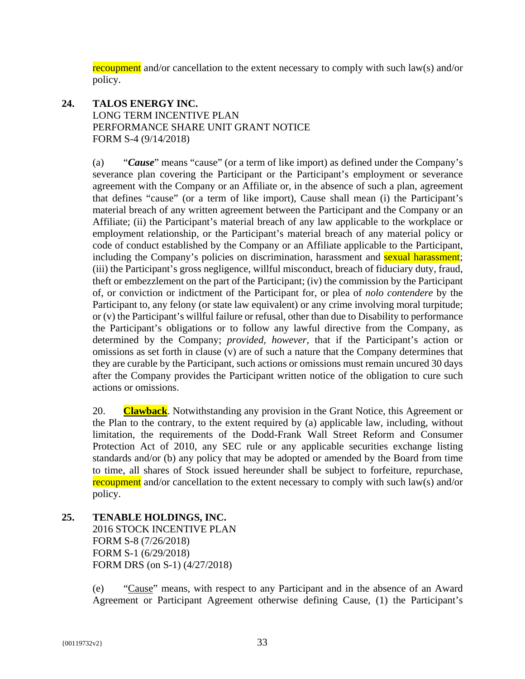recoupment and/or cancellation to the extent necessary to comply with such law(s) and/or policy.

## **24. TALOS ENERGY INC.**  LONG TERM INCENTIVE PLAN PERFORMANCE SHARE UNIT GRANT NOTICE FORM S-4 (9/14/2018)

(a) "*Cause*" means "cause" (or a term of like import) as defined under the Company's severance plan covering the Participant or the Participant's employment or severance agreement with the Company or an Affiliate or, in the absence of such a plan, agreement that defines "cause" (or a term of like import), Cause shall mean (i) the Participant's material breach of any written agreement between the Participant and the Company or an Affiliate; (ii) the Participant's material breach of any law applicable to the workplace or employment relationship, or the Participant's material breach of any material policy or code of conduct established by the Company or an Affiliate applicable to the Participant, including the Company's policies on discrimination, harassment and **sexual harassment**; (iii) the Participant's gross negligence, willful misconduct, breach of fiduciary duty, fraud, theft or embezzlement on the part of the Participant; (iv) the commission by the Participant of, or conviction or indictment of the Participant for, or plea of *nolo contendere* by the Participant to, any felony (or state law equivalent) or any crime involving moral turpitude; or (v) the Participant's willful failure or refusal, other than due to Disability to performance the Participant's obligations or to follow any lawful directive from the Company, as determined by the Company; *provided, however*, that if the Participant's action or omissions as set forth in clause (v) are of such a nature that the Company determines that they are curable by the Participant, such actions or omissions must remain uncured 30 days after the Company provides the Participant written notice of the obligation to cure such actions or omissions.

20. **Clawback**. Notwithstanding any provision in the Grant Notice, this Agreement or the Plan to the contrary, to the extent required by (a) applicable law, including, without limitation, the requirements of the Dodd-Frank Wall Street Reform and Consumer Protection Act of 2010, any SEC rule or any applicable securities exchange listing standards and/or (b) any policy that may be adopted or amended by the Board from time to time, all shares of Stock issued hereunder shall be subject to forfeiture, repurchase, recoupment and/or cancellation to the extent necessary to comply with such law(s) and/or policy.

**25. TENABLE HOLDINGS, INC.**  2016 STOCK INCENTIVE PLAN FORM S-8 (7/26/2018) FORM S-1 (6/29/2018) FORM DRS (on S-1) (4/27/2018)

> (e) "Cause" means, with respect to any Participant and in the absence of an Award Agreement or Participant Agreement otherwise defining Cause, (1) the Participant's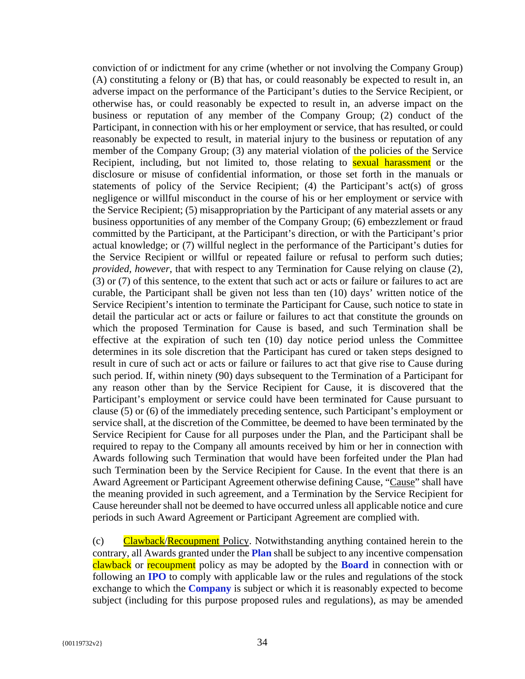conviction of or indictment for any crime (whether or not involving the Company Group) (A) constituting a felony or (B) that has, or could reasonably be expected to result in, an adverse impact on the performance of the Participant's duties to the Service Recipient, or otherwise has, or could reasonably be expected to result in, an adverse impact on the business or reputation of any member of the Company Group; (2) conduct of the Participant, in connection with his or her employment or service, that has resulted, or could reasonably be expected to result, in material injury to the business or reputation of any member of the Company Group; (3) any material violation of the policies of the Service Recipient, including, but not limited to, those relating to **sexual harassment** or the disclosure or misuse of confidential information, or those set forth in the manuals or statements of policy of the Service Recipient; (4) the Participant's act(s) of gross negligence or willful misconduct in the course of his or her employment or service with the Service Recipient; (5) misappropriation by the Participant of any material assets or any business opportunities of any member of the Company Group; (6) embezzlement or fraud committed by the Participant, at the Participant's direction, or with the Participant's prior actual knowledge; or (7) willful neglect in the performance of the Participant's duties for the Service Recipient or willful or repeated failure or refusal to perform such duties; *provided, however*, that with respect to any Termination for Cause relying on clause (2), (3) or (7) of this sentence, to the extent that such act or acts or failure or failures to act are curable, the Participant shall be given not less than ten (10) days' written notice of the Service Recipient's intention to terminate the Participant for Cause, such notice to state in detail the particular act or acts or failure or failures to act that constitute the grounds on which the proposed Termination for Cause is based, and such Termination shall be effective at the expiration of such ten (10) day notice period unless the Committee determines in its sole discretion that the Participant has cured or taken steps designed to result in cure of such act or acts or failure or failures to act that give rise to Cause during such period. If, within ninety (90) days subsequent to the Termination of a Participant for any reason other than by the Service Recipient for Cause, it is discovered that the Participant's employment or service could have been terminated for Cause pursuant to clause (5) or (6) of the immediately preceding sentence, such Participant's employment or service shall, at the discretion of the Committee, be deemed to have been terminated by the Service Recipient for Cause for all purposes under the Plan, and the Participant shall be required to repay to the Company all amounts received by him or her in connection with Awards following such Termination that would have been forfeited under the Plan had such Termination been by the Service Recipient for Cause. In the event that there is an Award Agreement or Participant Agreement otherwise defining Cause, "Cause" shall have the meaning provided in such agreement, and a Termination by the Service Recipient for Cause hereunder shall not be deemed to have occurred unless all applicable notice and cure periods in such Award Agreement or Participant Agreement are complied with.

(c) Clawback/Recoupment Policy. Notwithstanding anything contained herein to the contrary, all Awards granted under the **Plan** shall be subject to any incentive compensation clawback or recoupment policy as may be adopted by the **Board** in connection with or following an **IPO** to comply with applicable law or the rules and regulations of the stock exchange to which the **Company** is subject or which it is reasonably expected to become subject (including for this purpose proposed rules and regulations), as may be amended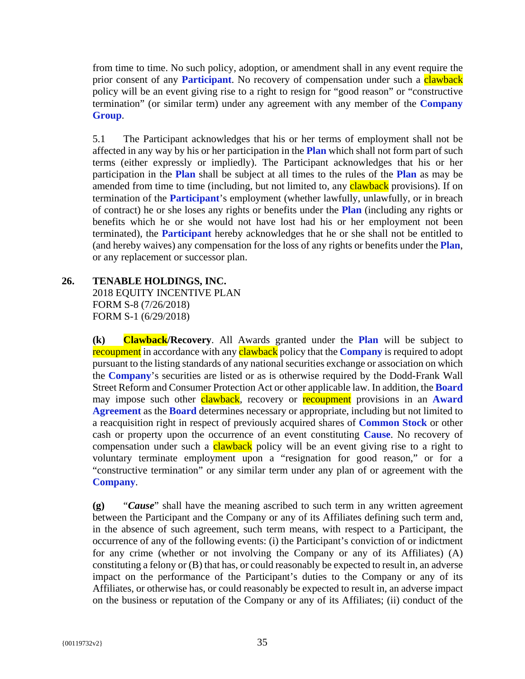from time to time. No such policy, adoption, or amendment shall in any event require the prior consent of any **Participant**. No recovery of compensation under such a clawback policy will be an event giving rise to a right to resign for "good reason" or "constructive termination" (or similar term) under any agreement with any member of the **Company Group**.

5.1 The Participant acknowledges that his or her terms of employment shall not be affected in any way by his or her participation in the **Plan** which shall not form part of such terms (either expressly or impliedly). The Participant acknowledges that his or her participation in the **Plan** shall be subject at all times to the rules of the **Plan** as may be amended from time to time (including, but not limited to, any **clawback** provisions). If on termination of the **Participant**'s employment (whether lawfully, unlawfully, or in breach of contract) he or she loses any rights or benefits under the **Plan** (including any rights or benefits which he or she would not have lost had his or her employment not been terminated), the **Participant** hereby acknowledges that he or she shall not be entitled to (and hereby waives) any compensation for the loss of any rights or benefits under the **Plan**, or any replacement or successor plan.

#### **26. TENABLE HOLDINGS, INC.**

2018 EQUITY INCENTIVE PLAN FORM S-8 (7/26/2018) FORM S-1 (6/29/2018)

**(k) Clawback/Recovery**. All Awards granted under the **Plan** will be subject to recoupment in accordance with any clawback policy that the **Company** is required to adopt pursuant to the listing standards of any national securities exchange or association on which the **Company**'s securities are listed or as is otherwise required by the Dodd-Frank Wall Street Reform and Consumer Protection Act or other applicable law. In addition, the **Board** may impose such other clawback, recovery or recoupment provisions in an **Award Agreement** as the **Board** determines necessary or appropriate, including but not limited to a reacquisition right in respect of previously acquired shares of **Common Stock** or other cash or property upon the occurrence of an event constituting **Cause**. No recovery of compensation under such a **clawback** policy will be an event giving rise to a right to voluntary terminate employment upon a "resignation for good reason," or for a "constructive termination" or any similar term under any plan of or agreement with the **Company**.

**(g)** "*Cause*" shall have the meaning ascribed to such term in any written agreement between the Participant and the Company or any of its Affiliates defining such term and, in the absence of such agreement, such term means, with respect to a Participant, the occurrence of any of the following events: (i) the Participant's conviction of or indictment for any crime (whether or not involving the Company or any of its Affiliates) (A) constituting a felony or (B) that has, or could reasonably be expected to result in, an adverse impact on the performance of the Participant's duties to the Company or any of its Affiliates, or otherwise has, or could reasonably be expected to result in, an adverse impact on the business or reputation of the Company or any of its Affiliates; (ii) conduct of the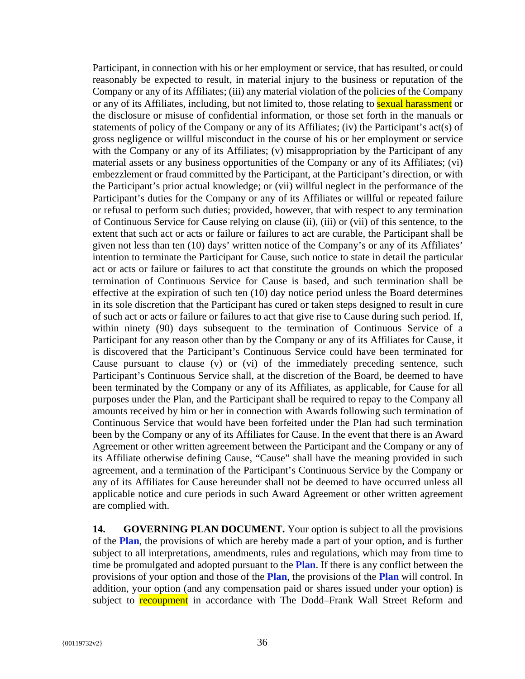Participant, in connection with his or her employment or service, that has resulted, or could reasonably be expected to result, in material injury to the business or reputation of the Company or any of its Affiliates; (iii) any material violation of the policies of the Company or any of its Affiliates, including, but not limited to, those relating to sexual harassment or the disclosure or misuse of confidential information, or those set forth in the manuals or statements of policy of the Company or any of its Affiliates; (iv) the Participant's act(s) of gross negligence or willful misconduct in the course of his or her employment or service with the Company or any of its Affiliates; (v) misappropriation by the Participant of any material assets or any business opportunities of the Company or any of its Affiliates; (vi) embezzlement or fraud committed by the Participant, at the Participant's direction, or with the Participant's prior actual knowledge; or (vii) willful neglect in the performance of the Participant's duties for the Company or any of its Affiliates or willful or repeated failure or refusal to perform such duties; provided, however, that with respect to any termination of Continuous Service for Cause relying on clause (ii), (iii) or (vii) of this sentence, to the extent that such act or acts or failure or failures to act are curable, the Participant shall be given not less than ten (10) days' written notice of the Company's or any of its Affiliates' intention to terminate the Participant for Cause, such notice to state in detail the particular act or acts or failure or failures to act that constitute the grounds on which the proposed termination of Continuous Service for Cause is based, and such termination shall be effective at the expiration of such ten (10) day notice period unless the Board determines in its sole discretion that the Participant has cured or taken steps designed to result in cure of such act or acts or failure or failures to act that give rise to Cause during such period. If, within ninety (90) days subsequent to the termination of Continuous Service of a Participant for any reason other than by the Company or any of its Affiliates for Cause, it is discovered that the Participant's Continuous Service could have been terminated for Cause pursuant to clause (v) or (vi) of the immediately preceding sentence, such Participant's Continuous Service shall, at the discretion of the Board, be deemed to have been terminated by the Company or any of its Affiliates, as applicable, for Cause for all purposes under the Plan, and the Participant shall be required to repay to the Company all amounts received by him or her in connection with Awards following such termination of Continuous Service that would have been forfeited under the Plan had such termination been by the Company or any of its Affiliates for Cause. In the event that there is an Award Agreement or other written agreement between the Participant and the Company or any of its Affiliate otherwise defining Cause, "Cause" shall have the meaning provided in such agreement, and a termination of the Participant's Continuous Service by the Company or any of its Affiliates for Cause hereunder shall not be deemed to have occurred unless all applicable notice and cure periods in such Award Agreement or other written agreement are complied with.

**14. GOVERNING PLAN DOCUMENT.** Your option is subject to all the provisions of the **Plan**, the provisions of which are hereby made a part of your option, and is further subject to all interpretations, amendments, rules and regulations, which may from time to time be promulgated and adopted pursuant to the **Plan**. If there is any conflict between the provisions of your option and those of the **Plan**, the provisions of the **Plan** will control. In addition, your option (and any compensation paid or shares issued under your option) is subject to recoupment in accordance with The Dodd–Frank Wall Street Reform and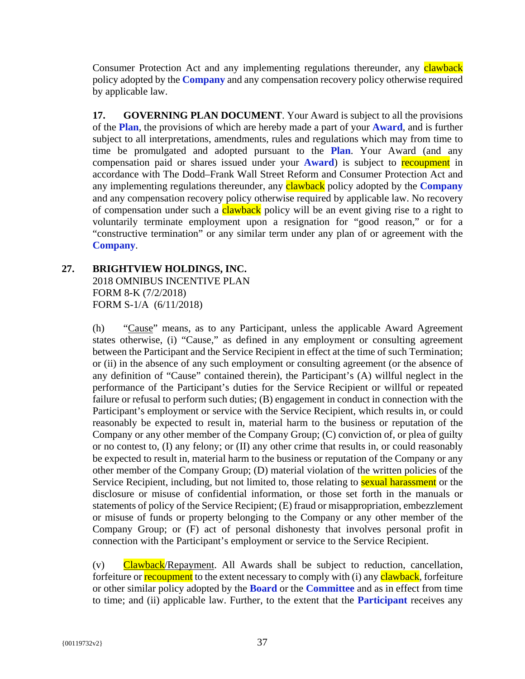Consumer Protection Act and any implementing regulations thereunder, any **clawback** policy adopted by the **Company** and any compensation recovery policy otherwise required by applicable law.

**17. GOVERNING PLAN DOCUMENT**. Your Award is subject to all the provisions of the **Plan**, the provisions of which are hereby made a part of your **Award**, and is further subject to all interpretations, amendments, rules and regulations which may from time to time be promulgated and adopted pursuant to the **Plan**. Your Award (and any compensation paid or shares issued under your **Award**) is subject to recoupment in accordance with The Dodd–Frank Wall Street Reform and Consumer Protection Act and any implementing regulations thereunder, any clawback policy adopted by the **Company** and any compensation recovery policy otherwise required by applicable law. No recovery of compensation under such a **clawback** policy will be an event giving rise to a right to voluntarily terminate employment upon a resignation for "good reason," or for a "constructive termination" or any similar term under any plan of or agreement with the **Company**.

# **27. BRIGHTVIEW HOLDINGS, INC.**

2018 OMNIBUS INCENTIVE PLAN FORM 8-K (7/2/2018) FORM S-1/A (6/11/2018)

(h) "Cause" means, as to any Participant, unless the applicable Award Agreement states otherwise, (i) "Cause," as defined in any employment or consulting agreement between the Participant and the Service Recipient in effect at the time of such Termination; or (ii) in the absence of any such employment or consulting agreement (or the absence of any definition of "Cause" contained therein), the Participant's (A) willful neglect in the performance of the Participant's duties for the Service Recipient or willful or repeated failure or refusal to perform such duties; (B) engagement in conduct in connection with the Participant's employment or service with the Service Recipient, which results in, or could reasonably be expected to result in, material harm to the business or reputation of the Company or any other member of the Company Group; (C) conviction of, or plea of guilty or no contest to, (I) any felony; or (II) any other crime that results in, or could reasonably be expected to result in, material harm to the business or reputation of the Company or any other member of the Company Group; (D) material violation of the written policies of the Service Recipient, including, but not limited to, those relating to **sexual harassment** or the disclosure or misuse of confidential information, or those set forth in the manuals or statements of policy of the Service Recipient; (E) fraud or misappropriation, embezzlement or misuse of funds or property belonging to the Company or any other member of the Company Group; or (F) act of personal dishonesty that involves personal profit in connection with the Participant's employment or service to the Service Recipient.

(v) Clawback/Repayment. All Awards shall be subject to reduction, cancellation, forfeiture or **recoupment** to the extent necessary to comply with (i) any **clawback**, forfeiture or other similar policy adopted by the **Board** or the **Committee** and as in effect from time to time; and (ii) applicable law. Further, to the extent that the **Participant** receives any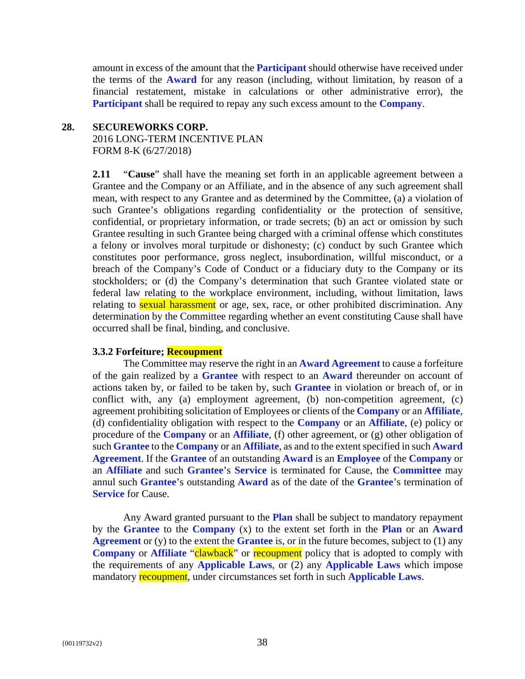amount in excess of the amount that the **Participant** should otherwise have received under the terms of the **Award** for any reason (including, without limitation, by reason of a financial restatement, mistake in calculations or other administrative error), the **Participant** shall be required to repay any such excess amount to the **Company**.

## **28. SECUREWORKS CORP.**

2016 LONG-TERM INCENTIVE PLAN FORM 8-K (6/27/2018)

**2.11** "**Cause**" shall have the meaning set forth in an applicable agreement between a Grantee and the Company or an Affiliate, and in the absence of any such agreement shall mean, with respect to any Grantee and as determined by the Committee, (a) a violation of such Grantee's obligations regarding confidentiality or the protection of sensitive, confidential, or proprietary information, or trade secrets; (b) an act or omission by such Grantee resulting in such Grantee being charged with a criminal offense which constitutes a felony or involves moral turpitude or dishonesty; (c) conduct by such Grantee which constitutes poor performance, gross neglect, insubordination, willful misconduct, or a breach of the Company's Code of Conduct or a fiduciary duty to the Company or its stockholders; or (d) the Company's determination that such Grantee violated state or federal law relating to the workplace environment, including, without limitation, laws relating to **sexual harassment** or age, sex, race, or other prohibited discrimination. Any determination by the Committee regarding whether an event constituting Cause shall have occurred shall be final, binding, and conclusive.

# **3.3.2 Forfeiture; Recoupment**

The Committee may reserve the right in an **Award Agreement** to cause a forfeiture of the gain realized by a **Grantee** with respect to an **Award** thereunder on account of actions taken by, or failed to be taken by, such **Grantee** in violation or breach of, or in conflict with, any (a) employment agreement, (b) non-competition agreement, (c) agreement prohibiting solicitation of Employees or clients of the **Company** or an **Affiliate**, (d) confidentiality obligation with respect to the **Company** or an **Affiliate**, (e) policy or procedure of the **Company** or an **Affiliate**, (f) other agreement, or (g) other obligation of such **Grantee** to the **Company** or an **Affiliate**, as and to the extent specified in such **Award Agreement**. If the **Grantee** of an outstanding **Award** is an **Employee** of the **Company** or an **Affiliate** and such **Grantee**'s **Service** is terminated for Cause, the **Committee** may annul such **Grantee**'s outstanding **Award** as of the date of the **Grantee**'s termination of **Service** for Cause.

Any Award granted pursuant to the **Plan** shall be subject to mandatory repayment by the **Grantee** to the **Company** (x) to the extent set forth in the **Plan** or an **Award Agreement** or (y) to the extent the **Grantee** is, or in the future becomes, subject to (1) any **Company** or **Affiliate** "**clawback**" or **recoupment** policy that is adopted to comply with the requirements of any **Applicable Laws**, or (2) any **Applicable Laws** which impose mandatory recoupment, under circumstances set forth in such **Applicable Laws**.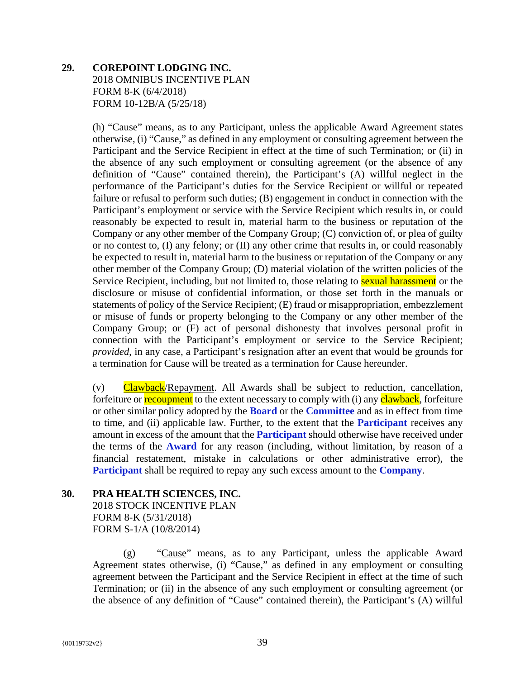# **29. COREPOINT LODGING INC.**  2018 OMNIBUS INCENTIVE PLAN FORM 8-K (6/4/2018) FORM 10-12B/A (5/25/18)

(h) "Cause" means, as to any Participant, unless the applicable Award Agreement states otherwise, (i) "Cause," as defined in any employment or consulting agreement between the Participant and the Service Recipient in effect at the time of such Termination; or (ii) in the absence of any such employment or consulting agreement (or the absence of any definition of "Cause" contained therein), the Participant's (A) willful neglect in the performance of the Participant's duties for the Service Recipient or willful or repeated failure or refusal to perform such duties; (B) engagement in conduct in connection with the Participant's employment or service with the Service Recipient which results in, or could reasonably be expected to result in, material harm to the business or reputation of the Company or any other member of the Company Group; (C) conviction of, or plea of guilty or no contest to, (I) any felony; or (II) any other crime that results in, or could reasonably be expected to result in, material harm to the business or reputation of the Company or any other member of the Company Group; (D) material violation of the written policies of the Service Recipient, including, but not limited to, those relating to **sexual harassment** or the disclosure or misuse of confidential information, or those set forth in the manuals or statements of policy of the Service Recipient; (E) fraud or misappropriation, embezzlement or misuse of funds or property belonging to the Company or any other member of the Company Group; or (F) act of personal dishonesty that involves personal profit in connection with the Participant's employment or service to the Service Recipient; *provided*, in any case, a Participant's resignation after an event that would be grounds for a termination for Cause will be treated as a termination for Cause hereunder.

(v) Clawback/Repayment. All Awards shall be subject to reduction, cancellation, forfeiture or **recoupment** to the extent necessary to comply with (i) any **clawback**, forfeiture or other similar policy adopted by the **Board** or the **Committee** and as in effect from time to time, and (ii) applicable law. Further, to the extent that the **Participant** receives any amount in excess of the amount that the **Participant** should otherwise have received under the terms of the **Award** for any reason (including, without limitation, by reason of a financial restatement, mistake in calculations or other administrative error), the **Participant** shall be required to repay any such excess amount to the **Company**.

# **30. PRA HEALTH SCIENCES, INC.**  2018 STOCK INCENTIVE PLAN FORM 8-K (5/31/2018) FORM S-1/A (10/8/2014)

(g) "Cause" means, as to any Participant, unless the applicable Award Agreement states otherwise, (i) "Cause," as defined in any employment or consulting agreement between the Participant and the Service Recipient in effect at the time of such Termination; or (ii) in the absence of any such employment or consulting agreement (or the absence of any definition of "Cause" contained therein), the Participant's (A) willful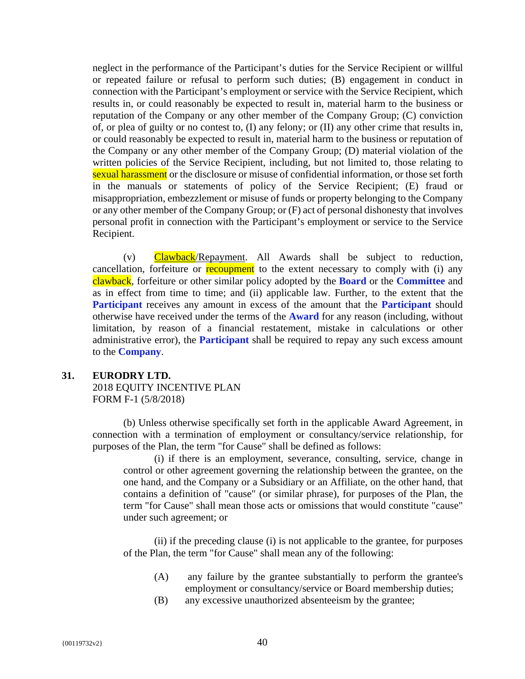neglect in the performance of the Participant's duties for the Service Recipient or willful or repeated failure or refusal to perform such duties; (B) engagement in conduct in connection with the Participant's employment or service with the Service Recipient, which results in, or could reasonably be expected to result in, material harm to the business or reputation of the Company or any other member of the Company Group; (C) conviction of, or plea of guilty or no contest to, (I) any felony; or (II) any other crime that results in, or could reasonably be expected to result in, material harm to the business or reputation of the Company or any other member of the Company Group; (D) material violation of the written policies of the Service Recipient, including, but not limited to, those relating to sexual harassment or the disclosure or misuse of confidential information, or those set forth in the manuals or statements of policy of the Service Recipient; (E) fraud or misappropriation, embezzlement or misuse of funds or property belonging to the Company or any other member of the Company Group; or (F) act of personal dishonesty that involves personal profit in connection with the Participant's employment or service to the Service Recipient.

(v) Clawback/Repayment. All Awards shall be subject to reduction, cancellation, forfeiture or **recoupment** to the extent necessary to comply with (i) any clawback, forfeiture or other similar policy adopted by the **Board** or the **Committee** and as in effect from time to time; and (ii) applicable law. Further, to the extent that the **Participant** receives any amount in excess of the amount that the **Participant** should otherwise have received under the terms of the **Award** for any reason (including, without limitation, by reason of a financial restatement, mistake in calculations or other administrative error), the **Participant** shall be required to repay any such excess amount to the **Company**.

#### **31. EURODRY LTD.**

2018 EQUITY INCENTIVE PLAN FORM F-1 (5/8/2018)

(b) Unless otherwise specifically set forth in the applicable Award Agreement, in connection with a termination of employment or consultancy/service relationship, for purposes of the Plan, the term "for Cause" shall be defined as follows:

(i) if there is an employment, severance, consulting, service, change in control or other agreement governing the relationship between the grantee, on the one hand, and the Company or a Subsidiary or an Affiliate, on the other hand, that contains a definition of "cause" (or similar phrase), for purposes of the Plan, the term "for Cause" shall mean those acts or omissions that would constitute "cause" under such agreement; or

(ii) if the preceding clause (i) is not applicable to the grantee, for purposes of the Plan, the term "for Cause" shall mean any of the following:

- (A) any failure by the grantee substantially to perform the grantee's employment or consultancy/service or Board membership duties;
- (B) any excessive unauthorized absenteeism by the grantee;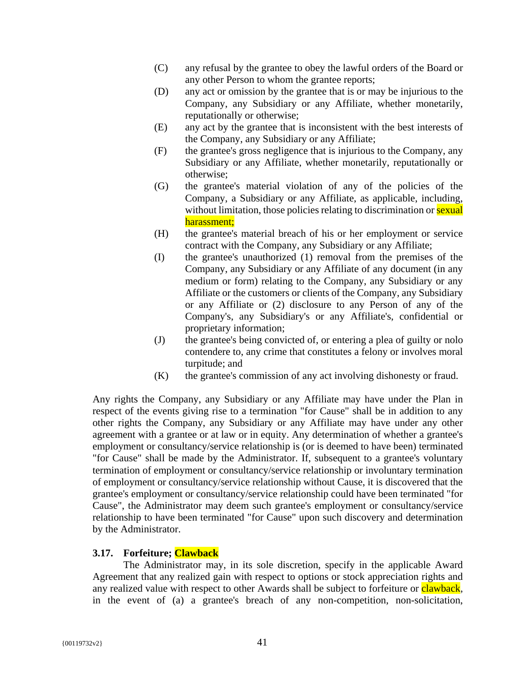- (C) any refusal by the grantee to obey the lawful orders of the Board or any other Person to whom the grantee reports;
- (D) any act or omission by the grantee that is or may be injurious to the Company, any Subsidiary or any Affiliate, whether monetarily, reputationally or otherwise;
- (E) any act by the grantee that is inconsistent with the best interests of the Company, any Subsidiary or any Affiliate;
- (F) the grantee's gross negligence that is injurious to the Company, any Subsidiary or any Affiliate, whether monetarily, reputationally or otherwise;
- (G) the grantee's material violation of any of the policies of the Company, a Subsidiary or any Affiliate, as applicable, including, without limitation, those policies relating to discrimination or **sexual** harassment;
- (H) the grantee's material breach of his or her employment or service contract with the Company, any Subsidiary or any Affiliate;
- (I) the grantee's unauthorized (1) removal from the premises of the Company, any Subsidiary or any Affiliate of any document (in any medium or form) relating to the Company, any Subsidiary or any Affiliate or the customers or clients of the Company, any Subsidiary or any Affiliate or (2) disclosure to any Person of any of the Company's, any Subsidiary's or any Affiliate's, confidential or proprietary information;
- (J) the grantee's being convicted of, or entering a plea of guilty or nolo contendere to, any crime that constitutes a felony or involves moral turpitude; and
- (K) the grantee's commission of any act involving dishonesty or fraud.

Any rights the Company, any Subsidiary or any Affiliate may have under the Plan in respect of the events giving rise to a termination "for Cause" shall be in addition to any other rights the Company, any Subsidiary or any Affiliate may have under any other agreement with a grantee or at law or in equity. Any determination of whether a grantee's employment or consultancy/service relationship is (or is deemed to have been) terminated "for Cause" shall be made by the Administrator. If, subsequent to a grantee's voluntary termination of employment or consultancy/service relationship or involuntary termination of employment or consultancy/service relationship without Cause, it is discovered that the grantee's employment or consultancy/service relationship could have been terminated "for Cause", the Administrator may deem such grantee's employment or consultancy/service relationship to have been terminated "for Cause" upon such discovery and determination by the Administrator.

# **3.17. Forfeiture; Clawback**

The Administrator may, in its sole discretion, specify in the applicable Award Agreement that any realized gain with respect to options or stock appreciation rights and any realized value with respect to other Awards shall be subject to forfeiture or clawback, in the event of (a) a grantee's breach of any non-competition, non-solicitation,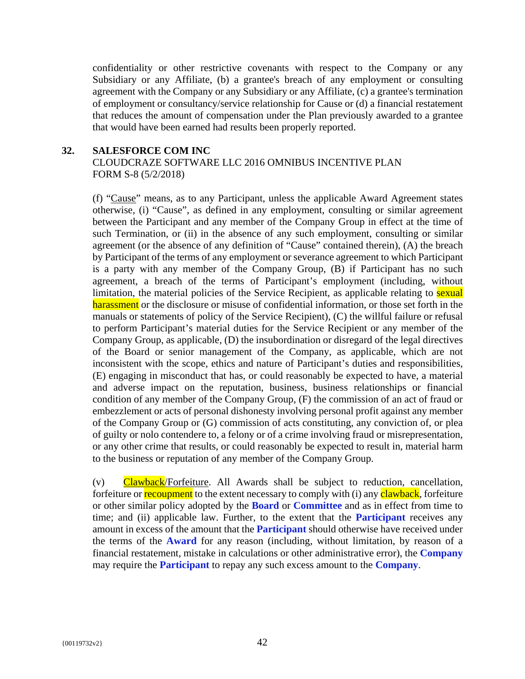confidentiality or other restrictive covenants with respect to the Company or any Subsidiary or any Affiliate, (b) a grantee's breach of any employment or consulting agreement with the Company or any Subsidiary or any Affiliate, (c) a grantee's termination of employment or consultancy/service relationship for Cause or (d) a financial restatement that reduces the amount of compensation under the Plan previously awarded to a grantee that would have been earned had results been properly reported.

# **32. SALESFORCE COM INC**

CLOUDCRAZE SOFTWARE LLC 2016 OMNIBUS INCENTIVE PLAN FORM S-8 (5/2/2018)

(f) "Cause" means, as to any Participant, unless the applicable Award Agreement states otherwise, (i) "Cause", as defined in any employment, consulting or similar agreement between the Participant and any member of the Company Group in effect at the time of such Termination, or (ii) in the absence of any such employment, consulting or similar agreement (or the absence of any definition of "Cause" contained therein), (A) the breach by Participant of the terms of any employment or severance agreement to which Participant is a party with any member of the Company Group, (B) if Participant has no such agreement, a breach of the terms of Participant's employment (including, without limitation, the material policies of the Service Recipient, as applicable relating to sexual harassment or the disclosure or misuse of confidential information, or those set forth in the manuals or statements of policy of the Service Recipient), (C) the willful failure or refusal to perform Participant's material duties for the Service Recipient or any member of the Company Group, as applicable, (D) the insubordination or disregard of the legal directives of the Board or senior management of the Company, as applicable, which are not inconsistent with the scope, ethics and nature of Participant's duties and responsibilities, (E) engaging in misconduct that has, or could reasonably be expected to have, a material and adverse impact on the reputation, business, business relationships or financial condition of any member of the Company Group, (F) the commission of an act of fraud or embezzlement or acts of personal dishonesty involving personal profit against any member of the Company Group or (G) commission of acts constituting, any conviction of, or plea of guilty or nolo contendere to, a felony or of a crime involving fraud or misrepresentation, or any other crime that results, or could reasonably be expected to result in, material harm to the business or reputation of any member of the Company Group.

(v) Clawback/Forfeiture. All Awards shall be subject to reduction, cancellation, forfeiture or **recoupment** to the extent necessary to comply with (i) any **clawback**, forfeiture or other similar policy adopted by the **Board** or **Committee** and as in effect from time to time; and (ii) applicable law. Further, to the extent that the **Participant** receives any amount in excess of the amount that the **Participant** should otherwise have received under the terms of the **Award** for any reason (including, without limitation, by reason of a financial restatement, mistake in calculations or other administrative error), the **Company** may require the **Participant** to repay any such excess amount to the **Company**.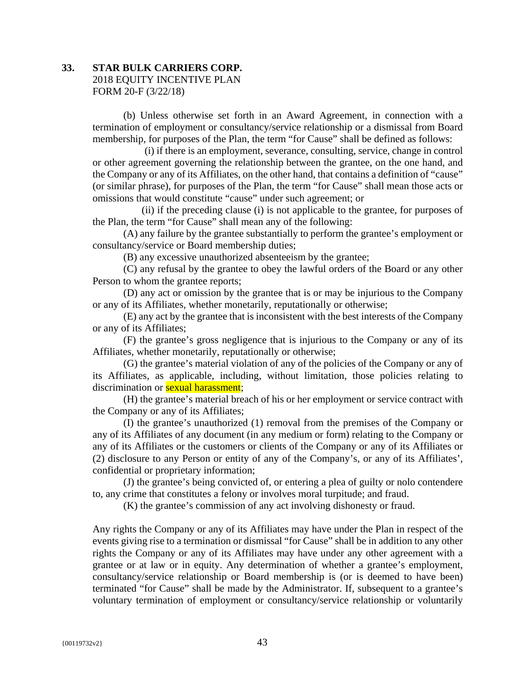# **33. STAR BULK CARRIERS CORP.**  2018 EQUITY INCENTIVE PLAN FORM 20-F (3/22/18)

(b) Unless otherwise set forth in an Award Agreement, in connection with a termination of employment or consultancy/service relationship or a dismissal from Board membership, for purposes of the Plan, the term "for Cause" shall be defined as follows:

(i) if there is an employment, severance, consulting, service, change in control or other agreement governing the relationship between the grantee, on the one hand, and the Company or any of its Affiliates, on the other hand, that contains a definition of "cause" (or similar phrase), for purposes of the Plan, the term "for Cause" shall mean those acts or omissions that would constitute "cause" under such agreement; or

(ii) if the preceding clause (i) is not applicable to the grantee, for purposes of the Plan, the term "for Cause" shall mean any of the following:

(A) any failure by the grantee substantially to perform the grantee's employment or consultancy/service or Board membership duties;

(B) any excessive unauthorized absenteeism by the grantee;

(C) any refusal by the grantee to obey the lawful orders of the Board or any other Person to whom the grantee reports;

(D) any act or omission by the grantee that is or may be injurious to the Company or any of its Affiliates, whether monetarily, reputationally or otherwise;

(E) any act by the grantee that is inconsistent with the best interests of the Company or any of its Affiliates;

(F) the grantee's gross negligence that is injurious to the Company or any of its Affiliates, whether monetarily, reputationally or otherwise;

(G) the grantee's material violation of any of the policies of the Company or any of its Affiliates, as applicable, including, without limitation, those policies relating to discrimination or **sexual harassment**;

(H) the grantee's material breach of his or her employment or service contract with the Company or any of its Affiliates;

(I) the grantee's unauthorized (1) removal from the premises of the Company or any of its Affiliates of any document (in any medium or form) relating to the Company or any of its Affiliates or the customers or clients of the Company or any of its Affiliates or (2) disclosure to any Person or entity of any of the Company's, or any of its Affiliates', confidential or proprietary information;

(J) the grantee's being convicted of, or entering a plea of guilty or nolo contendere to, any crime that constitutes a felony or involves moral turpitude; and fraud.

(K) the grantee's commission of any act involving dishonesty or fraud.

Any rights the Company or any of its Affiliates may have under the Plan in respect of the events giving rise to a termination or dismissal "for Cause" shall be in addition to any other rights the Company or any of its Affiliates may have under any other agreement with a grantee or at law or in equity. Any determination of whether a grantee's employment, consultancy/service relationship or Board membership is (or is deemed to have been) terminated "for Cause" shall be made by the Administrator. If, subsequent to a grantee's voluntary termination of employment or consultancy/service relationship or voluntarily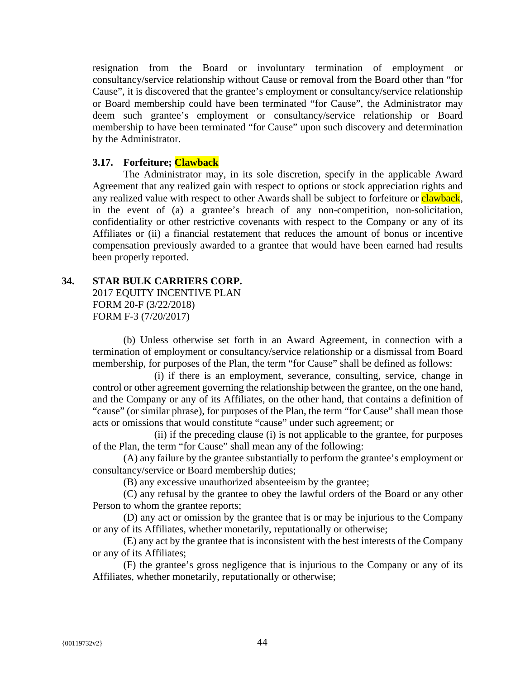resignation from the Board or involuntary termination of employment or consultancy/service relationship without Cause or removal from the Board other than "for Cause", it is discovered that the grantee's employment or consultancy/service relationship or Board membership could have been terminated "for Cause", the Administrator may deem such grantee's employment or consultancy/service relationship or Board membership to have been terminated "for Cause" upon such discovery and determination by the Administrator.

# **3.17. Forfeiture; Clawback**

The Administrator may, in its sole discretion, specify in the applicable Award Agreement that any realized gain with respect to options or stock appreciation rights and any realized value with respect to other Awards shall be subject to forfeiture or **clawback**, in the event of (a) a grantee's breach of any non-competition, non-solicitation, confidentiality or other restrictive covenants with respect to the Company or any of its Affiliates or (ii) a financial restatement that reduces the amount of bonus or incentive compensation previously awarded to a grantee that would have been earned had results been properly reported.

# **34. STAR BULK CARRIERS CORP.**

2017 EQUITY INCENTIVE PLAN FORM 20-F (3/22/2018) FORM F-3 (7/20/2017)

(b) Unless otherwise set forth in an Award Agreement, in connection with a termination of employment or consultancy/service relationship or a dismissal from Board membership, for purposes of the Plan, the term "for Cause" shall be defined as follows:

(i) if there is an employment, severance, consulting, service, change in control or other agreement governing the relationship between the grantee, on the one hand, and the Company or any of its Affiliates, on the other hand, that contains a definition of "cause" (or similar phrase), for purposes of the Plan, the term "for Cause" shall mean those acts or omissions that would constitute "cause" under such agreement; or

(ii) if the preceding clause (i) is not applicable to the grantee, for purposes of the Plan, the term "for Cause" shall mean any of the following:

(A) any failure by the grantee substantially to perform the grantee's employment or consultancy/service or Board membership duties;

(B) any excessive unauthorized absenteeism by the grantee;

(C) any refusal by the grantee to obey the lawful orders of the Board or any other Person to whom the grantee reports;

(D) any act or omission by the grantee that is or may be injurious to the Company or any of its Affiliates, whether monetarily, reputationally or otherwise;

(E) any act by the grantee that is inconsistent with the best interests of the Company or any of its Affiliates;

(F) the grantee's gross negligence that is injurious to the Company or any of its Affiliates, whether monetarily, reputationally or otherwise;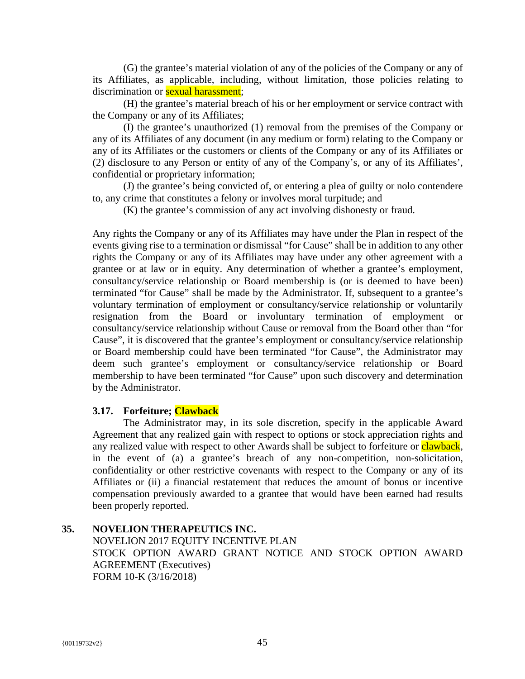(G) the grantee's material violation of any of the policies of the Company or any of its Affiliates, as applicable, including, without limitation, those policies relating to discrimination or **sexual harassment**;

(H) the grantee's material breach of his or her employment or service contract with the Company or any of its Affiliates;

(I) the grantee's unauthorized (1) removal from the premises of the Company or any of its Affiliates of any document (in any medium or form) relating to the Company or any of its Affiliates or the customers or clients of the Company or any of its Affiliates or (2) disclosure to any Person or entity of any of the Company's, or any of its Affiliates', confidential or proprietary information;

(J) the grantee's being convicted of, or entering a plea of guilty or nolo contendere to, any crime that constitutes a felony or involves moral turpitude; and

(K) the grantee's commission of any act involving dishonesty or fraud.

Any rights the Company or any of its Affiliates may have under the Plan in respect of the events giving rise to a termination or dismissal "for Cause" shall be in addition to any other rights the Company or any of its Affiliates may have under any other agreement with a grantee or at law or in equity. Any determination of whether a grantee's employment, consultancy/service relationship or Board membership is (or is deemed to have been) terminated "for Cause" shall be made by the Administrator. If, subsequent to a grantee's voluntary termination of employment or consultancy/service relationship or voluntarily resignation from the Board or involuntary termination of employment or consultancy/service relationship without Cause or removal from the Board other than "for Cause", it is discovered that the grantee's employment or consultancy/service relationship or Board membership could have been terminated "for Cause", the Administrator may deem such grantee's employment or consultancy/service relationship or Board membership to have been terminated "for Cause" upon such discovery and determination by the Administrator.

# **3.17. Forfeiture; Clawback**

The Administrator may, in its sole discretion, specify in the applicable Award Agreement that any realized gain with respect to options or stock appreciation rights and any realized value with respect to other Awards shall be subject to forfeiture or clawback, in the event of (a) a grantee's breach of any non-competition, non-solicitation, confidentiality or other restrictive covenants with respect to the Company or any of its Affiliates or (ii) a financial restatement that reduces the amount of bonus or incentive compensation previously awarded to a grantee that would have been earned had results been properly reported.

# **35. NOVELION THERAPEUTICS INC.**

NOVELION 2017 EQUITY INCENTIVE PLAN STOCK OPTION AWARD GRANT NOTICE AND STOCK OPTION AWARD AGREEMENT (Executives) FORM 10-K (3/16/2018)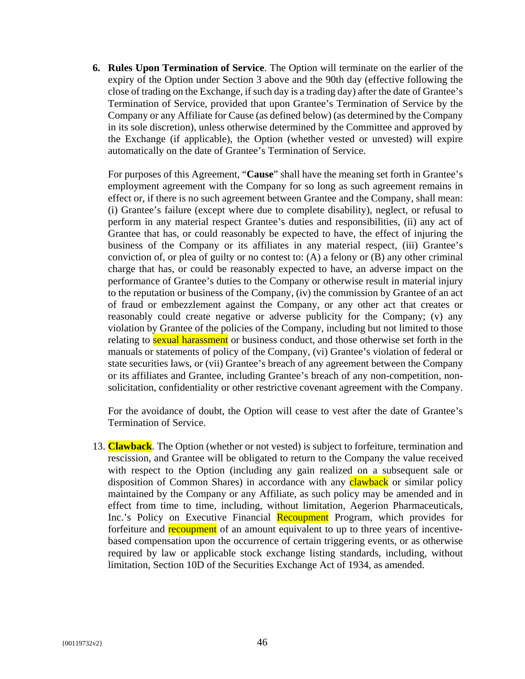**6. Rules Upon Termination of Service**. The Option will terminate on the earlier of the expiry of the Option under Section 3 above and the 90th day (effective following the close of trading on the Exchange, if such day is a trading day) after the date of Grantee's Termination of Service, provided that upon Grantee's Termination of Service by the Company or any Affiliate for Cause (as defined below) (as determined by the Company in its sole discretion), unless otherwise determined by the Committee and approved by the Exchange (if applicable), the Option (whether vested or unvested) will expire automatically on the date of Grantee's Termination of Service.

For purposes of this Agreement, "**Cause**" shall have the meaning set forth in Grantee's employment agreement with the Company for so long as such agreement remains in effect or, if there is no such agreement between Grantee and the Company, shall mean: (i) Grantee's failure (except where due to complete disability), neglect, or refusal to perform in any material respect Grantee's duties and responsibilities, (ii) any act of Grantee that has, or could reasonably be expected to have, the effect of injuring the business of the Company or its affiliates in any material respect, (iii) Grantee's conviction of, or plea of guilty or no contest to: (A) a felony or (B) any other criminal charge that has, or could be reasonably expected to have, an adverse impact on the performance of Grantee's duties to the Company or otherwise result in material injury to the reputation or business of the Company, (iv) the commission by Grantee of an act of fraud or embezzlement against the Company, or any other act that creates or reasonably could create negative or adverse publicity for the Company; (v) any violation by Grantee of the policies of the Company, including but not limited to those relating to **sexual harassment** or business conduct, and those otherwise set forth in the manuals or statements of policy of the Company, (vi) Grantee's violation of federal or state securities laws, or (vii) Grantee's breach of any agreement between the Company or its affiliates and Grantee, including Grantee's breach of any non-competition, nonsolicitation, confidentiality or other restrictive covenant agreement with the Company.

For the avoidance of doubt, the Option will cease to vest after the date of Grantee's Termination of Service.

13. **Clawback**. The Option (whether or not vested) is subject to forfeiture, termination and rescission, and Grantee will be obligated to return to the Company the value received with respect to the Option (including any gain realized on a subsequent sale or disposition of Common Shares) in accordance with any **clawback** or similar policy maintained by the Company or any Affiliate, as such policy may be amended and in effect from time to time, including, without limitation, Aegerion Pharmaceuticals, Inc.'s Policy on Executive Financial Recoupment Program, which provides for forfeiture and recoupment of an amount equivalent to up to three years of incentivebased compensation upon the occurrence of certain triggering events, or as otherwise required by law or applicable stock exchange listing standards, including, without limitation, Section 10D of the Securities Exchange Act of 1934, as amended.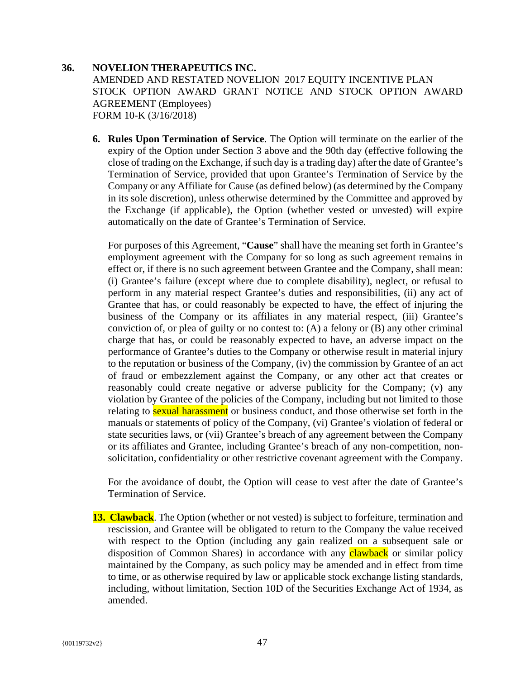# **36. NOVELION THERAPEUTICS INC.**

AMENDED AND RESTATED NOVELION 2017 EQUITY INCENTIVE PLAN STOCK OPTION AWARD GRANT NOTICE AND STOCK OPTION AWARD AGREEMENT (Employees) FORM 10-K (3/16/2018)

**6. Rules Upon Termination of Service**. The Option will terminate on the earlier of the expiry of the Option under Section 3 above and the 90th day (effective following the close of trading on the Exchange, if such day is a trading day) after the date of Grantee's Termination of Service, provided that upon Grantee's Termination of Service by the Company or any Affiliate for Cause (as defined below) (as determined by the Company in its sole discretion), unless otherwise determined by the Committee and approved by the Exchange (if applicable), the Option (whether vested or unvested) will expire automatically on the date of Grantee's Termination of Service.

For purposes of this Agreement, "**Cause**" shall have the meaning set forth in Grantee's employment agreement with the Company for so long as such agreement remains in effect or, if there is no such agreement between Grantee and the Company, shall mean: (i) Grantee's failure (except where due to complete disability), neglect, or refusal to perform in any material respect Grantee's duties and responsibilities, (ii) any act of Grantee that has, or could reasonably be expected to have, the effect of injuring the business of the Company or its affiliates in any material respect, (iii) Grantee's conviction of, or plea of guilty or no contest to: (A) a felony or (B) any other criminal charge that has, or could be reasonably expected to have, an adverse impact on the performance of Grantee's duties to the Company or otherwise result in material injury to the reputation or business of the Company, (iv) the commission by Grantee of an act of fraud or embezzlement against the Company, or any other act that creates or reasonably could create negative or adverse publicity for the Company; (v) any violation by Grantee of the policies of the Company, including but not limited to those relating to sexual harassment or business conduct, and those otherwise set forth in the manuals or statements of policy of the Company, (vi) Grantee's violation of federal or state securities laws, or (vii) Grantee's breach of any agreement between the Company or its affiliates and Grantee, including Grantee's breach of any non-competition, nonsolicitation, confidentiality or other restrictive covenant agreement with the Company.

For the avoidance of doubt, the Option will cease to vest after the date of Grantee's Termination of Service.

**13. Clawback**. The Option (whether or not vested) is subject to forfeiture, termination and rescission, and Grantee will be obligated to return to the Company the value received with respect to the Option (including any gain realized on a subsequent sale or disposition of Common Shares) in accordance with any **clawback** or similar policy maintained by the Company, as such policy may be amended and in effect from time to time, or as otherwise required by law or applicable stock exchange listing standards, including, without limitation, Section 10D of the Securities Exchange Act of 1934, as amended.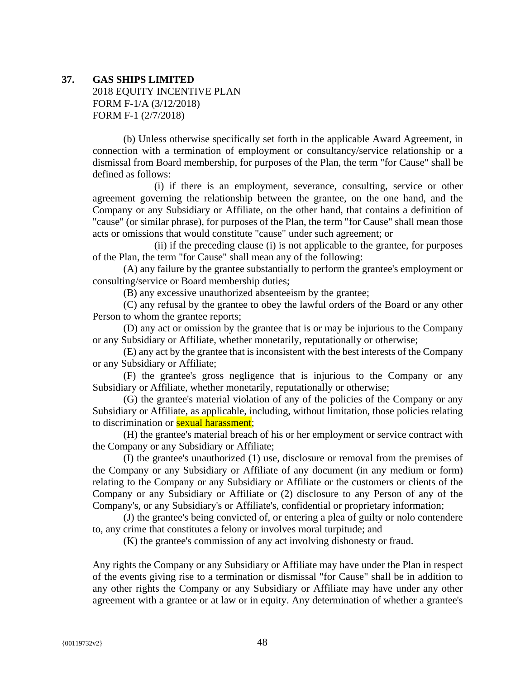#### **37. GAS SHIPS LIMITED**

2018 EQUITY INCENTIVE PLAN FORM F-1/A (3/12/2018) FORM F-1 (2/7/2018)

(b) Unless otherwise specifically set forth in the applicable Award Agreement, in connection with a termination of employment or consultancy/service relationship or a dismissal from Board membership, for purposes of the Plan, the term "for Cause" shall be defined as follows:

(i) if there is an employment, severance, consulting, service or other agreement governing the relationship between the grantee, on the one hand, and the Company or any Subsidiary or Affiliate, on the other hand, that contains a definition of "cause" (or similar phrase), for purposes of the Plan, the term "for Cause" shall mean those acts or omissions that would constitute "cause" under such agreement; or

(ii) if the preceding clause (i) is not applicable to the grantee, for purposes of the Plan, the term "for Cause" shall mean any of the following:

(A) any failure by the grantee substantially to perform the grantee's employment or consulting/service or Board membership duties;

(B) any excessive unauthorized absenteeism by the grantee;

(C) any refusal by the grantee to obey the lawful orders of the Board or any other Person to whom the grantee reports;

(D) any act or omission by the grantee that is or may be injurious to the Company or any Subsidiary or Affiliate, whether monetarily, reputationally or otherwise;

(E) any act by the grantee that is inconsistent with the best interests of the Company or any Subsidiary or Affiliate;

(F) the grantee's gross negligence that is injurious to the Company or any Subsidiary or Affiliate, whether monetarily, reputationally or otherwise;

(G) the grantee's material violation of any of the policies of the Company or any Subsidiary or Affiliate, as applicable, including, without limitation, those policies relating to discrimination or **sexual harassment**;

(H) the grantee's material breach of his or her employment or service contract with the Company or any Subsidiary or Affiliate;

(I) the grantee's unauthorized (1) use, disclosure or removal from the premises of the Company or any Subsidiary or Affiliate of any document (in any medium or form) relating to the Company or any Subsidiary or Affiliate or the customers or clients of the Company or any Subsidiary or Affiliate or (2) disclosure to any Person of any of the Company's, or any Subsidiary's or Affiliate's, confidential or proprietary information;

(J) the grantee's being convicted of, or entering a plea of guilty or nolo contendere to, any crime that constitutes a felony or involves moral turpitude; and

(K) the grantee's commission of any act involving dishonesty or fraud.

Any rights the Company or any Subsidiary or Affiliate may have under the Plan in respect of the events giving rise to a termination or dismissal "for Cause" shall be in addition to any other rights the Company or any Subsidiary or Affiliate may have under any other agreement with a grantee or at law or in equity. Any determination of whether a grantee's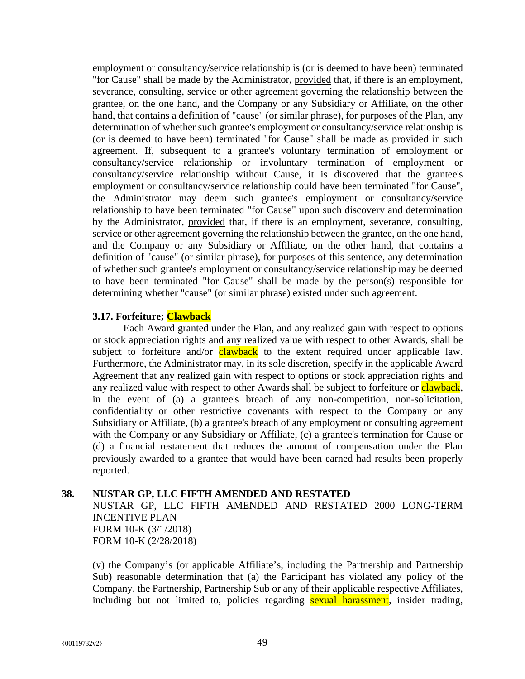employment or consultancy/service relationship is (or is deemed to have been) terminated "for Cause" shall be made by the Administrator, provided that, if there is an employment, severance, consulting, service or other agreement governing the relationship between the grantee, on the one hand, and the Company or any Subsidiary or Affiliate, on the other hand, that contains a definition of "cause" (or similar phrase), for purposes of the Plan, any determination of whether such grantee's employment or consultancy/service relationship is (or is deemed to have been) terminated "for Cause" shall be made as provided in such agreement. If, subsequent to a grantee's voluntary termination of employment or consultancy/service relationship or involuntary termination of employment or consultancy/service relationship without Cause, it is discovered that the grantee's employment or consultancy/service relationship could have been terminated "for Cause", the Administrator may deem such grantee's employment or consultancy/service relationship to have been terminated "for Cause" upon such discovery and determination by the Administrator, provided that, if there is an employment, severance, consulting, service or other agreement governing the relationship between the grantee, on the one hand, and the Company or any Subsidiary or Affiliate, on the other hand, that contains a definition of "cause" (or similar phrase), for purposes of this sentence, any determination of whether such grantee's employment or consultancy/service relationship may be deemed to have been terminated "for Cause" shall be made by the person(s) responsible for determining whether "cause" (or similar phrase) existed under such agreement.

#### **3.17. Forfeiture; Clawback**

Each Award granted under the Plan, and any realized gain with respect to options or stock appreciation rights and any realized value with respect to other Awards, shall be subject to forfeiture and/or clawback to the extent required under applicable law. Furthermore, the Administrator may, in its sole discretion, specify in the applicable Award Agreement that any realized gain with respect to options or stock appreciation rights and any realized value with respect to other Awards shall be subject to forfeiture or **clawback**, in the event of (a) a grantee's breach of any non-competition, non-solicitation, confidentiality or other restrictive covenants with respect to the Company or any Subsidiary or Affiliate, (b) a grantee's breach of any employment or consulting agreement with the Company or any Subsidiary or Affiliate, (c) a grantee's termination for Cause or (d) a financial restatement that reduces the amount of compensation under the Plan previously awarded to a grantee that would have been earned had results been properly reported.

#### **38. NUSTAR GP, LLC FIFTH AMENDED AND RESTATED**

NUSTAR GP, LLC FIFTH AMENDED AND RESTATED 2000 LONG-TERM INCENTIVE PLAN FORM 10-K (3/1/2018) FORM 10-K (2/28/2018)

(v) the Company's (or applicable Affiliate's, including the Partnership and Partnership Sub) reasonable determination that (a) the Participant has violated any policy of the Company, the Partnership, Partnership Sub or any of their applicable respective Affiliates, including but not limited to, policies regarding sexual harassment, insider trading,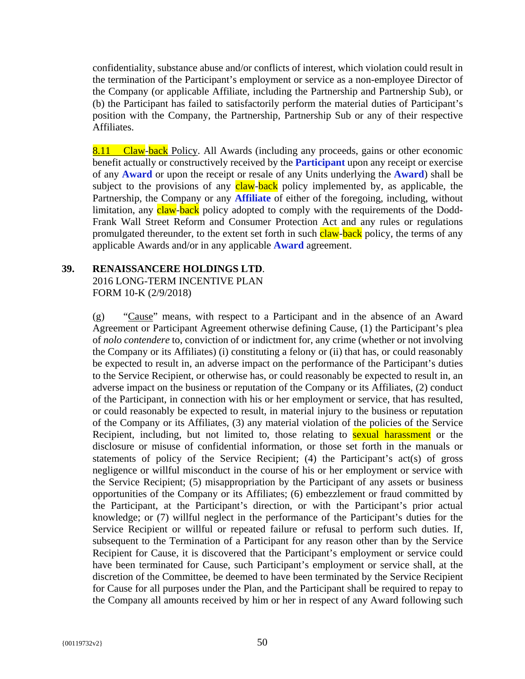confidentiality, substance abuse and/or conflicts of interest, which violation could result in the termination of the Participant's employment or service as a non-employee Director of the Company (or applicable Affiliate, including the Partnership and Partnership Sub), or (b) the Participant has failed to satisfactorily perform the material duties of Participant's position with the Company, the Partnership, Partnership Sub or any of their respective Affiliates.

8.11 Claw-back Policy. All Awards (including any proceeds, gains or other economic benefit actually or constructively received by the **Participant** upon any receipt or exercise of any **Award** or upon the receipt or resale of any Units underlying the **Award**) shall be subject to the provisions of any claw-back policy implemented by, as applicable, the Partnership, the Company or any **Affiliate** of either of the foregoing, including, without limitation, any claw-back policy adopted to comply with the requirements of the Dodd-Frank Wall Street Reform and Consumer Protection Act and any rules or regulations promulgated thereunder, to the extent set forth in such claw-back policy, the terms of any applicable Awards and/or in any applicable **Award** agreement.

# **39. RENAISSANCERE HOLDINGS LTD**.

2016 LONG-TERM INCENTIVE PLAN FORM 10-K (2/9/2018)

(g) "Cause" means, with respect to a Participant and in the absence of an Award Agreement or Participant Agreement otherwise defining Cause, (1) the Participant's plea of *nolo contendere* to, conviction of or indictment for, any crime (whether or not involving the Company or its Affiliates) (i) constituting a felony or (ii) that has, or could reasonably be expected to result in, an adverse impact on the performance of the Participant's duties to the Service Recipient, or otherwise has, or could reasonably be expected to result in, an adverse impact on the business or reputation of the Company or its Affiliates, (2) conduct of the Participant, in connection with his or her employment or service, that has resulted, or could reasonably be expected to result, in material injury to the business or reputation of the Company or its Affiliates, (3) any material violation of the policies of the Service Recipient, including, but not limited to, those relating to **sexual harassment** or the disclosure or misuse of confidential information, or those set forth in the manuals or statements of policy of the Service Recipient; (4) the Participant's act(s) of gross negligence or willful misconduct in the course of his or her employment or service with the Service Recipient; (5) misappropriation by the Participant of any assets or business opportunities of the Company or its Affiliates; (6) embezzlement or fraud committed by the Participant, at the Participant's direction, or with the Participant's prior actual knowledge; or (7) willful neglect in the performance of the Participant's duties for the Service Recipient or willful or repeated failure or refusal to perform such duties. If, subsequent to the Termination of a Participant for any reason other than by the Service Recipient for Cause, it is discovered that the Participant's employment or service could have been terminated for Cause, such Participant's employment or service shall, at the discretion of the Committee, be deemed to have been terminated by the Service Recipient for Cause for all purposes under the Plan, and the Participant shall be required to repay to the Company all amounts received by him or her in respect of any Award following such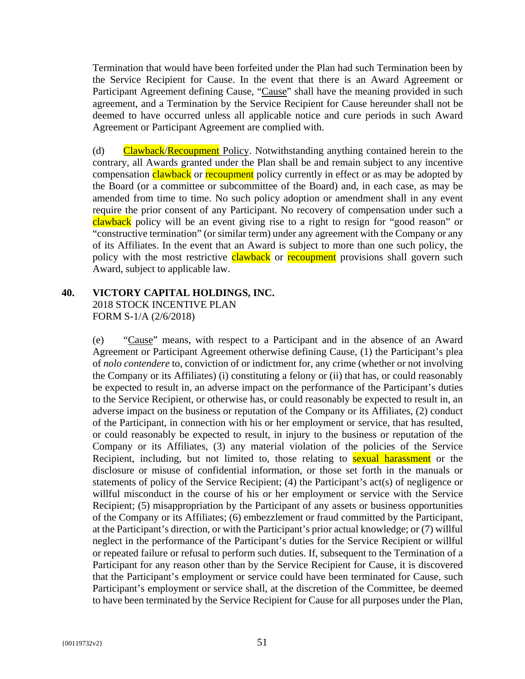Termination that would have been forfeited under the Plan had such Termination been by the Service Recipient for Cause. In the event that there is an Award Agreement or Participant Agreement defining Cause, "Cause" shall have the meaning provided in such agreement, and a Termination by the Service Recipient for Cause hereunder shall not be deemed to have occurred unless all applicable notice and cure periods in such Award Agreement or Participant Agreement are complied with.

(d) Clawback/Recoupment Policy. Notwithstanding anything contained herein to the contrary, all Awards granted under the Plan shall be and remain subject to any incentive compensation clawback or recoupment policy currently in effect or as may be adopted by the Board (or a committee or subcommittee of the Board) and, in each case, as may be amended from time to time. No such policy adoption or amendment shall in any event require the prior consent of any Participant. No recovery of compensation under such a clawback policy will be an event giving rise to a right to resign for "good reason" or "constructive termination" (or similar term) under any agreement with the Company or any of its Affiliates. In the event that an Award is subject to more than one such policy, the policy with the most restrictive **clawback** or **recoupment** provisions shall govern such Award, subject to applicable law.

# **40. VICTORY CAPITAL HOLDINGS, INC.**

2018 STOCK INCENTIVE PLAN FORM S-1/A (2/6/2018)

(e) "Cause" means, with respect to a Participant and in the absence of an Award Agreement or Participant Agreement otherwise defining Cause, (1) the Participant's plea of *nolo contendere* to, conviction of or indictment for, any crime (whether or not involving the Company or its Affiliates) (i) constituting a felony or (ii) that has, or could reasonably be expected to result in, an adverse impact on the performance of the Participant's duties to the Service Recipient, or otherwise has, or could reasonably be expected to result in, an adverse impact on the business or reputation of the Company or its Affiliates, (2) conduct of the Participant, in connection with his or her employment or service, that has resulted, or could reasonably be expected to result, in injury to the business or reputation of the Company or its Affiliates, (3) any material violation of the policies of the Service Recipient, including, but not limited to, those relating to **sexual harassment** or the disclosure or misuse of confidential information, or those set forth in the manuals or statements of policy of the Service Recipient; (4) the Participant's act(s) of negligence or willful misconduct in the course of his or her employment or service with the Service Recipient; (5) misappropriation by the Participant of any assets or business opportunities of the Company or its Affiliates; (6) embezzlement or fraud committed by the Participant, at the Participant's direction, or with the Participant's prior actual knowledge; or (7) willful neglect in the performance of the Participant's duties for the Service Recipient or willful or repeated failure or refusal to perform such duties. If, subsequent to the Termination of a Participant for any reason other than by the Service Recipient for Cause, it is discovered that the Participant's employment or service could have been terminated for Cause, such Participant's employment or service shall, at the discretion of the Committee, be deemed to have been terminated by the Service Recipient for Cause for all purposes under the Plan,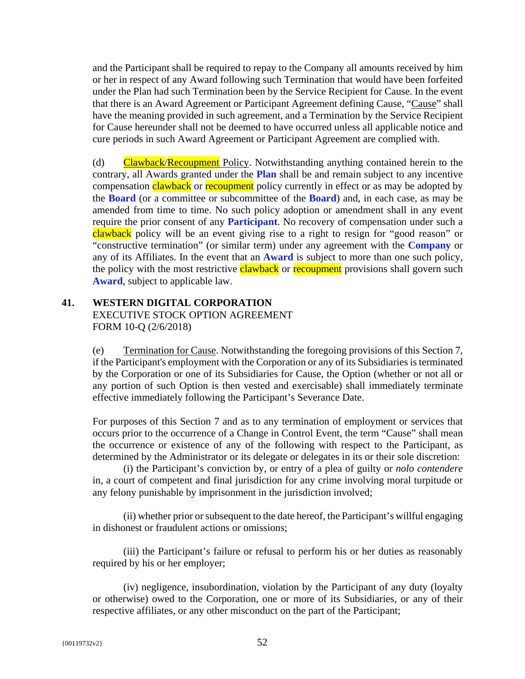and the Participant shall be required to repay to the Company all amounts received by him or her in respect of any Award following such Termination that would have been forfeited under the Plan had such Termination been by the Service Recipient for Cause. In the event that there is an Award Agreement or Participant Agreement defining Cause, "Cause" shall have the meaning provided in such agreement, and a Termination by the Service Recipient for Cause hereunder shall not be deemed to have occurred unless all applicable notice and cure periods in such Award Agreement or Participant Agreement are complied with.

(d) Clawback/Recoupment Policy. Notwithstanding anything contained herein to the contrary, all Awards granted under the **Plan** shall be and remain subject to any incentive compensation clawback or recoupment policy currently in effect or as may be adopted by the **Board** (or a committee or subcommittee of the **Board**) and, in each case, as may be amended from time to time. No such policy adoption or amendment shall in any event require the prior consent of any **Participant**. No recovery of compensation under such a clawback policy will be an event giving rise to a right to resign for "good reason" or "constructive termination" (or similar term) under any agreement with the **Company** or any of its Affiliates. In the event that an **Award** is subject to more than one such policy, the policy with the most restrictive clawback or recoupment provisions shall govern such **Award**, subject to applicable law.

# **41. WESTERN DIGITAL CORPORATION**  EXECUTIVE STOCK OPTION AGREEMENT FORM 10-Q (2/6/2018)

(e) Termination for Cause. Notwithstanding the foregoing provisions of this Section 7, if the Participant's employment with the Corporation or any of its Subsidiaries is terminated by the Corporation or one of its Subsidiaries for Cause, the Option (whether or not all or any portion of such Option is then vested and exercisable) shall immediately terminate effective immediately following the Participant's Severance Date.

For purposes of this Section 7 and as to any termination of employment or services that occurs prior to the occurrence of a Change in Control Event, the term "Cause" shall mean the occurrence or existence of any of the following with respect to the Participant, as determined by the Administrator or its delegate or delegates in its or their sole discretion:

(i) the Participant's conviction by, or entry of a plea of guilty or *nolo contendere* in, a court of competent and final jurisdiction for any crime involving moral turpitude or any felony punishable by imprisonment in the jurisdiction involved;

(ii) whether prior or subsequent to the date hereof, the Participant's willful engaging in dishonest or fraudulent actions or omissions;

(iii) the Participant's failure or refusal to perform his or her duties as reasonably required by his or her employer;

(iv) negligence, insubordination, violation by the Participant of any duty (loyalty or otherwise) owed to the Corporation, one or more of its Subsidiaries, or any of their respective affiliates, or any other misconduct on the part of the Participant;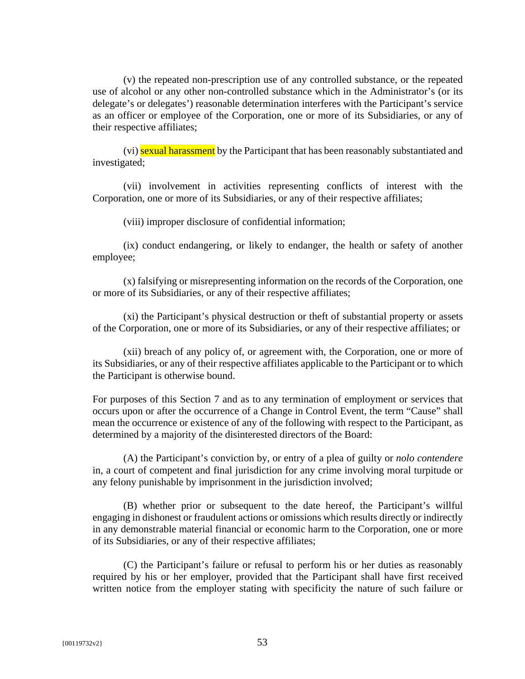(v) the repeated non-prescription use of any controlled substance, or the repeated use of alcohol or any other non-controlled substance which in the Administrator's (or its delegate's or delegates') reasonable determination interferes with the Participant's service as an officer or employee of the Corporation, one or more of its Subsidiaries, or any of their respective affiliates;

(vi) sexual harassment by the Participant that has been reasonably substantiated and investigated;

(vii) involvement in activities representing conflicts of interest with the Corporation, one or more of its Subsidiaries, or any of their respective affiliates;

(viii) improper disclosure of confidential information;

(ix) conduct endangering, or likely to endanger, the health or safety of another employee;

(x) falsifying or misrepresenting information on the records of the Corporation, one or more of its Subsidiaries, or any of their respective affiliates;

(xi) the Participant's physical destruction or theft of substantial property or assets of the Corporation, one or more of its Subsidiaries, or any of their respective affiliates; or

(xii) breach of any policy of, or agreement with, the Corporation, one or more of its Subsidiaries, or any of their respective affiliates applicable to the Participant or to which the Participant is otherwise bound.

For purposes of this Section 7 and as to any termination of employment or services that occurs upon or after the occurrence of a Change in Control Event, the term "Cause" shall mean the occurrence or existence of any of the following with respect to the Participant, as determined by a majority of the disinterested directors of the Board:

(A) the Participant's conviction by, or entry of a plea of guilty or *nolo contendere* in, a court of competent and final jurisdiction for any crime involving moral turpitude or any felony punishable by imprisonment in the jurisdiction involved;

(B) whether prior or subsequent to the date hereof, the Participant's willful engaging in dishonest or fraudulent actions or omissions which results directly or indirectly in any demonstrable material financial or economic harm to the Corporation, one or more of its Subsidiaries, or any of their respective affiliates;

(C) the Participant's failure or refusal to perform his or her duties as reasonably required by his or her employer, provided that the Participant shall have first received written notice from the employer stating with specificity the nature of such failure or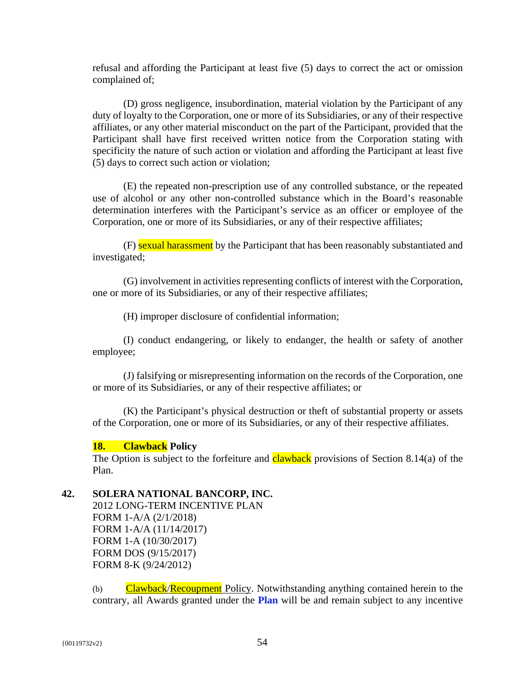refusal and affording the Participant at least five (5) days to correct the act or omission complained of;

(D) gross negligence, insubordination, material violation by the Participant of any duty of loyalty to the Corporation, one or more of its Subsidiaries, or any of their respective affiliates, or any other material misconduct on the part of the Participant, provided that the Participant shall have first received written notice from the Corporation stating with specificity the nature of such action or violation and affording the Participant at least five (5) days to correct such action or violation;

(E) the repeated non-prescription use of any controlled substance, or the repeated use of alcohol or any other non-controlled substance which in the Board's reasonable determination interferes with the Participant's service as an officer or employee of the Corporation, one or more of its Subsidiaries, or any of their respective affiliates;

(F) sexual harassment by the Participant that has been reasonably substantiated and investigated;

(G) involvement in activities representing conflicts of interest with the Corporation, one or more of its Subsidiaries, or any of their respective affiliates;

(H) improper disclosure of confidential information;

(I) conduct endangering, or likely to endanger, the health or safety of another employee;

(J) falsifying or misrepresenting information on the records of the Corporation, one or more of its Subsidiaries, or any of their respective affiliates; or

(K) the Participant's physical destruction or theft of substantial property or assets of the Corporation, one or more of its Subsidiaries, or any of their respective affiliates.

# **18. Clawback Policy**

The Option is subject to the forfeiture and **clawback** provisions of Section 8.14(a) of the Plan.

# **42. SOLERA NATIONAL BANCORP, INC.**

2012 LONG-TERM INCENTIVE PLAN FORM 1-A/A (2/1/2018) FORM 1-A/A (11/14/2017) FORM 1-A (10/30/2017) FORM DOS (9/15/2017) FORM 8-K (9/24/2012)

(b) Clawback/Recoupment Policy. Notwithstanding anything contained herein to the contrary, all Awards granted under the **Plan** will be and remain subject to any incentive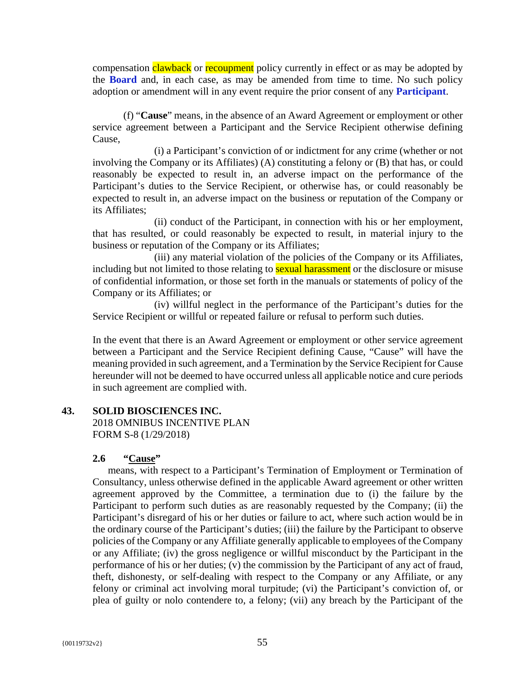compensation clawback or recoupment policy currently in effect or as may be adopted by the **Board** and, in each case, as may be amended from time to time. No such policy adoption or amendment will in any event require the prior consent of any **Participant**.

(f) "**Cause**" means, in the absence of an Award Agreement or employment or other service agreement between a Participant and the Service Recipient otherwise defining Cause,

(i) a Participant's conviction of or indictment for any crime (whether or not involving the Company or its Affiliates) (A) constituting a felony or (B) that has, or could reasonably be expected to result in, an adverse impact on the performance of the Participant's duties to the Service Recipient, or otherwise has, or could reasonably be expected to result in, an adverse impact on the business or reputation of the Company or its Affiliates;

(ii) conduct of the Participant, in connection with his or her employment, that has resulted, or could reasonably be expected to result, in material injury to the business or reputation of the Company or its Affiliates;

(iii) any material violation of the policies of the Company or its Affiliates, including but not limited to those relating to **sexual harassment** or the disclosure or misuse of confidential information, or those set forth in the manuals or statements of policy of the Company or its Affiliates; or

(iv) willful neglect in the performance of the Participant's duties for the Service Recipient or willful or repeated failure or refusal to perform such duties.

In the event that there is an Award Agreement or employment or other service agreement between a Participant and the Service Recipient defining Cause, "Cause" will have the meaning provided in such agreement, and a Termination by the Service Recipient for Cause hereunder will not be deemed to have occurred unless all applicable notice and cure periods in such agreement are complied with.

# **43. SOLID BIOSCIENCES INC.**

2018 OMNIBUS INCENTIVE PLAN FORM S-8 (1/29/2018)

#### **2.6 "Cause"**

means, with respect to a Participant's Termination of Employment or Termination of Consultancy, unless otherwise defined in the applicable Award agreement or other written agreement approved by the Committee, a termination due to (i) the failure by the Participant to perform such duties as are reasonably requested by the Company; (ii) the Participant's disregard of his or her duties or failure to act, where such action would be in the ordinary course of the Participant's duties; (iii) the failure by the Participant to observe policies of the Company or any Affiliate generally applicable to employees of the Company or any Affiliate; (iv) the gross negligence or willful misconduct by the Participant in the performance of his or her duties; (v) the commission by the Participant of any act of fraud, theft, dishonesty, or self-dealing with respect to the Company or any Affiliate, or any felony or criminal act involving moral turpitude; (vi) the Participant's conviction of, or plea of guilty or nolo contendere to, a felony; (vii) any breach by the Participant of the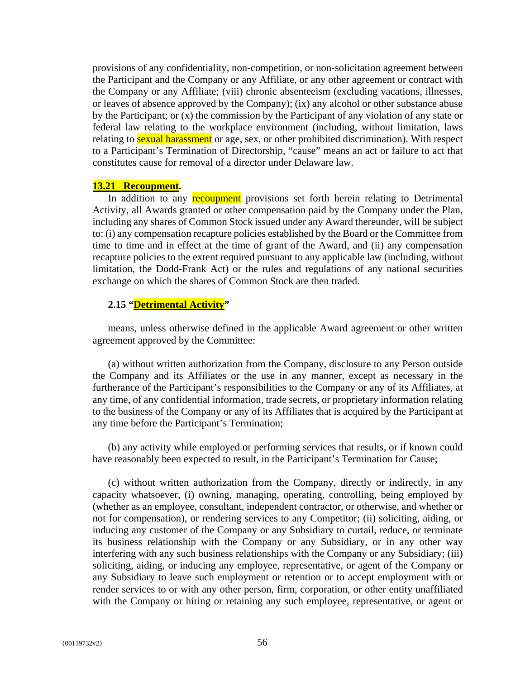provisions of any confidentiality, non-competition, or non-solicitation agreement between the Participant and the Company or any Affiliate, or any other agreement or contract with the Company or any Affiliate; (viii) chronic absenteeism (excluding vacations, illnesses, or leaves of absence approved by the Company); (ix) any alcohol or other substance abuse by the Participant; or (x) the commission by the Participant of any violation of any state or federal law relating to the workplace environment (including, without limitation, laws relating to **sexual harassment** or age, sex, or other prohibited discrimination). With respect to a Participant's Termination of Directorship, "cause" means an act or failure to act that constitutes cause for removal of a director under Delaware law.

#### **13.21 Recoupment.**

In addition to any **recoupment** provisions set forth herein relating to Detrimental Activity, all Awards granted or other compensation paid by the Company under the Plan, including any shares of Common Stock issued under any Award thereunder, will be subject to: (i) any compensation recapture policies established by the Board or the Committee from time to time and in effect at the time of grant of the Award, and (ii) any compensation recapture policies to the extent required pursuant to any applicable law (including, without limitation, the Dodd-Frank Act) or the rules and regulations of any national securities exchange on which the shares of Common Stock are then traded.

# **2.15 "Detrimental Activity"**

means, unless otherwise defined in the applicable Award agreement or other written agreement approved by the Committee:

(a) without written authorization from the Company, disclosure to any Person outside the Company and its Affiliates or the use in any manner, except as necessary in the furtherance of the Participant's responsibilities to the Company or any of its Affiliates, at any time, of any confidential information, trade secrets, or proprietary information relating to the business of the Company or any of its Affiliates that is acquired by the Participant at any time before the Participant's Termination;

(b) any activity while employed or performing services that results, or if known could have reasonably been expected to result, in the Participant's Termination for Cause;

(c) without written authorization from the Company, directly or indirectly, in any capacity whatsoever, (i) owning, managing, operating, controlling, being employed by (whether as an employee, consultant, independent contractor, or otherwise, and whether or not for compensation), or rendering services to any Competitor; (ii) soliciting, aiding, or inducing any customer of the Company or any Subsidiary to curtail, reduce, or terminate its business relationship with the Company or any Subsidiary, or in any other way interfering with any such business relationships with the Company or any Subsidiary; (iii) soliciting, aiding, or inducing any employee, representative, or agent of the Company or any Subsidiary to leave such employment or retention or to accept employment with or render services to or with any other person, firm, corporation, or other entity unaffiliated with the Company or hiring or retaining any such employee, representative, or agent or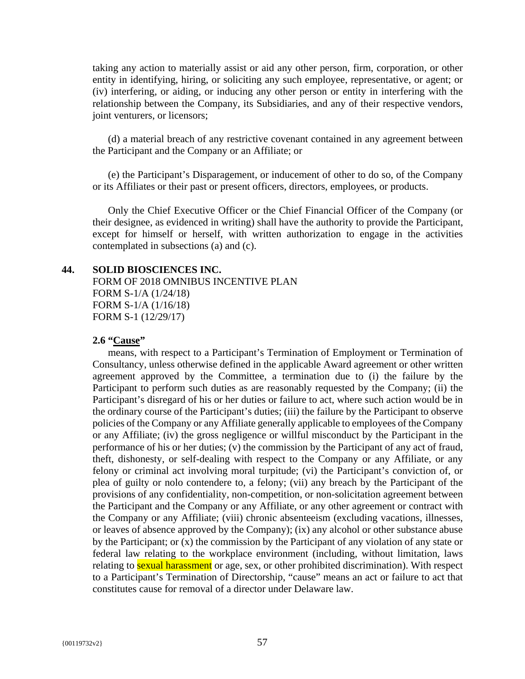taking any action to materially assist or aid any other person, firm, corporation, or other entity in identifying, hiring, or soliciting any such employee, representative, or agent; or (iv) interfering, or aiding, or inducing any other person or entity in interfering with the relationship between the Company, its Subsidiaries, and any of their respective vendors, joint venturers, or licensors;

(d) a material breach of any restrictive covenant contained in any agreement between the Participant and the Company or an Affiliate; or

(e) the Participant's Disparagement, or inducement of other to do so, of the Company or its Affiliates or their past or present officers, directors, employees, or products.

Only the Chief Executive Officer or the Chief Financial Officer of the Company (or their designee, as evidenced in writing) shall have the authority to provide the Participant, except for himself or herself, with written authorization to engage in the activities contemplated in subsections (a) and (c).

#### **44. SOLID BIOSCIENCES INC.**

FORM OF 2018 OMNIBUS INCENTIVE PLAN FORM S-1/A (1/24/18) FORM S-1/A (1/16/18) FORM S-1 (12/29/17)

#### **2.6 "Cause"**

means, with respect to a Participant's Termination of Employment or Termination of Consultancy, unless otherwise defined in the applicable Award agreement or other written agreement approved by the Committee, a termination due to (i) the failure by the Participant to perform such duties as are reasonably requested by the Company; (ii) the Participant's disregard of his or her duties or failure to act, where such action would be in the ordinary course of the Participant's duties; (iii) the failure by the Participant to observe policies of the Company or any Affiliate generally applicable to employees of the Company or any Affiliate; (iv) the gross negligence or willful misconduct by the Participant in the performance of his or her duties; (v) the commission by the Participant of any act of fraud, theft, dishonesty, or self-dealing with respect to the Company or any Affiliate, or any felony or criminal act involving moral turpitude; (vi) the Participant's conviction of, or plea of guilty or nolo contendere to, a felony; (vii) any breach by the Participant of the provisions of any confidentiality, non-competition, or non-solicitation agreement between the Participant and the Company or any Affiliate, or any other agreement or contract with the Company or any Affiliate; (viii) chronic absenteeism (excluding vacations, illnesses, or leaves of absence approved by the Company); (ix) any alcohol or other substance abuse by the Participant; or (x) the commission by the Participant of any violation of any state or federal law relating to the workplace environment (including, without limitation, laws relating to **sexual harassment** or age, sex, or other prohibited discrimination). With respect to a Participant's Termination of Directorship, "cause" means an act or failure to act that constitutes cause for removal of a director under Delaware law.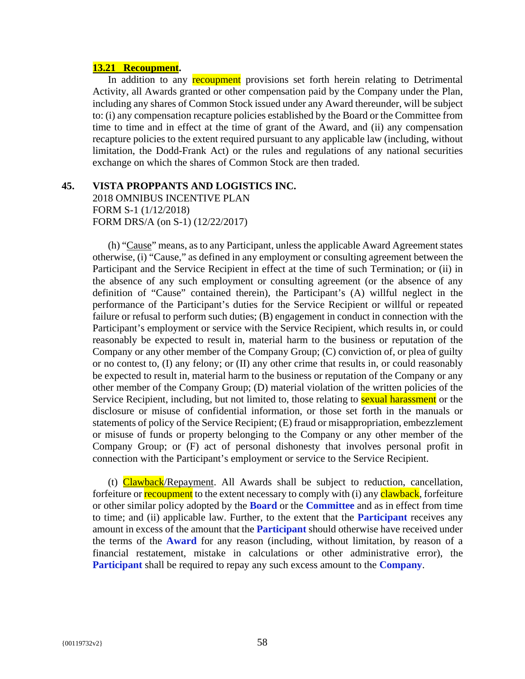#### **13.21 Recoupment.**

In addition to any **recoupment** provisions set forth herein relating to Detrimental Activity, all Awards granted or other compensation paid by the Company under the Plan, including any shares of Common Stock issued under any Award thereunder, will be subject to: (i) any compensation recapture policies established by the Board or the Committee from time to time and in effect at the time of grant of the Award, and (ii) any compensation recapture policies to the extent required pursuant to any applicable law (including, without limitation, the Dodd-Frank Act) or the rules and regulations of any national securities exchange on which the shares of Common Stock are then traded.

#### **45. VISTA PROPPANTS AND LOGISTICS INC.**

2018 OMNIBUS INCENTIVE PLAN FORM S-1 (1/12/2018) FORM DRS/A (on S-1) (12/22/2017)

(h) "Cause" means, as to any Participant, unless the applicable Award Agreement states otherwise, (i) "Cause," as defined in any employment or consulting agreement between the Participant and the Service Recipient in effect at the time of such Termination; or (ii) in the absence of any such employment or consulting agreement (or the absence of any definition of "Cause" contained therein), the Participant's (A) willful neglect in the performance of the Participant's duties for the Service Recipient or willful or repeated failure or refusal to perform such duties; (B) engagement in conduct in connection with the Participant's employment or service with the Service Recipient, which results in, or could reasonably be expected to result in, material harm to the business or reputation of the Company or any other member of the Company Group; (C) conviction of, or plea of guilty or no contest to, (I) any felony; or (II) any other crime that results in, or could reasonably be expected to result in, material harm to the business or reputation of the Company or any other member of the Company Group; (D) material violation of the written policies of the Service Recipient, including, but not limited to, those relating to **sexual harassment** or the disclosure or misuse of confidential information, or those set forth in the manuals or statements of policy of the Service Recipient; (E) fraud or misappropriation, embezzlement or misuse of funds or property belonging to the Company or any other member of the Company Group; or (F) act of personal dishonesty that involves personal profit in connection with the Participant's employment or service to the Service Recipient.

(t) Clawback/Repayment. All Awards shall be subject to reduction, cancellation, forfeiture or **recoupment** to the extent necessary to comply with (i) any **clawback**, forfeiture or other similar policy adopted by the **Board** or the **Committee** and as in effect from time to time; and (ii) applicable law. Further, to the extent that the **Participant** receives any amount in excess of the amount that the **Participant** should otherwise have received under the terms of the **Award** for any reason (including, without limitation, by reason of a financial restatement, mistake in calculations or other administrative error), the **Participant** shall be required to repay any such excess amount to the **Company**.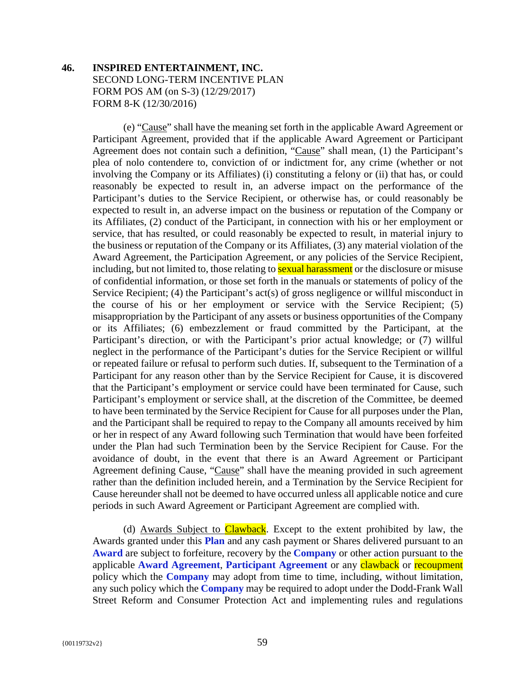# **46. INSPIRED ENTERTAINMENT, INC.**  SECOND LONG-TERM INCENTIVE PLAN FORM POS AM (on S-3) (12/29/2017) FORM 8-K (12/30/2016)

(e) "Cause" shall have the meaning set forth in the applicable Award Agreement or Participant Agreement, provided that if the applicable Award Agreement or Participant Agreement does not contain such a definition, "Cause" shall mean, (1) the Participant's plea of nolo contendere to, conviction of or indictment for, any crime (whether or not involving the Company or its Affiliates) (i) constituting a felony or (ii) that has, or could reasonably be expected to result in, an adverse impact on the performance of the Participant's duties to the Service Recipient, or otherwise has, or could reasonably be expected to result in, an adverse impact on the business or reputation of the Company or its Affiliates, (2) conduct of the Participant, in connection with his or her employment or service, that has resulted, or could reasonably be expected to result, in material injury to the business or reputation of the Company or its Affiliates, (3) any material violation of the Award Agreement, the Participation Agreement, or any policies of the Service Recipient, including, but not limited to, those relating to **sexual harassment** or the disclosure or misuse of confidential information, or those set forth in the manuals or statements of policy of the Service Recipient; (4) the Participant's act(s) of gross negligence or willful misconduct in the course of his or her employment or service with the Service Recipient; (5) misappropriation by the Participant of any assets or business opportunities of the Company or its Affiliates; (6) embezzlement or fraud committed by the Participant, at the Participant's direction, or with the Participant's prior actual knowledge; or (7) willful neglect in the performance of the Participant's duties for the Service Recipient or willful or repeated failure or refusal to perform such duties. If, subsequent to the Termination of a Participant for any reason other than by the Service Recipient for Cause, it is discovered that the Participant's employment or service could have been terminated for Cause, such Participant's employment or service shall, at the discretion of the Committee, be deemed to have been terminated by the Service Recipient for Cause for all purposes under the Plan, and the Participant shall be required to repay to the Company all amounts received by him or her in respect of any Award following such Termination that would have been forfeited under the Plan had such Termination been by the Service Recipient for Cause. For the avoidance of doubt, in the event that there is an Award Agreement or Participant Agreement defining Cause, "Cause" shall have the meaning provided in such agreement rather than the definition included herein, and a Termination by the Service Recipient for Cause hereunder shall not be deemed to have occurred unless all applicable notice and cure periods in such Award Agreement or Participant Agreement are complied with.

(d) Awards Subject to Clawback. Except to the extent prohibited by law, the Awards granted under this **Plan** and any cash payment or Shares delivered pursuant to an **Award** are subject to forfeiture, recovery by the **Company** or other action pursuant to the applicable **Award Agreement**, **Participant Agreement** or any clawback or recoupment policy which the **Company** may adopt from time to time, including, without limitation, any such policy which the **Company** may be required to adopt under the Dodd-Frank Wall Street Reform and Consumer Protection Act and implementing rules and regulations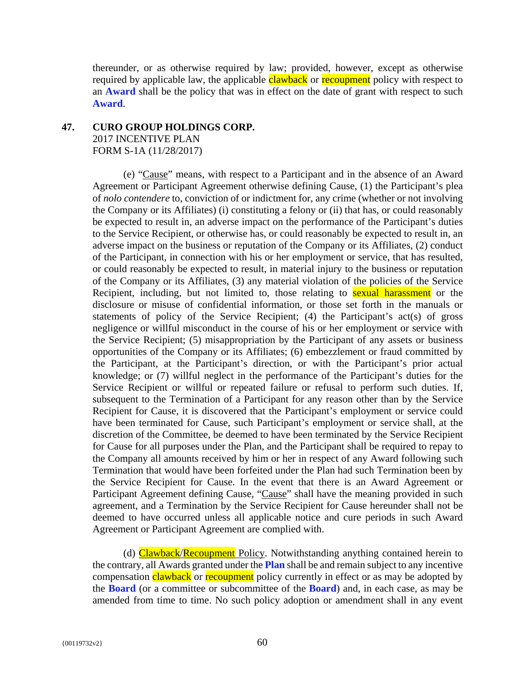thereunder, or as otherwise required by law; provided, however, except as otherwise required by applicable law, the applicable **clawback** or **recoupment** policy with respect to an **Award** shall be the policy that was in effect on the date of grant with respect to such **Award**.

# **47. CURO GROUP HOLDINGS CORP.**  2017 INCENTIVE PLAN

FORM S-1A (11/28/2017)

(e) "Cause" means, with respect to a Participant and in the absence of an Award Agreement or Participant Agreement otherwise defining Cause, (1) the Participant's plea of *nolo contendere* to, conviction of or indictment for, any crime (whether or not involving the Company or its Affiliates) (i) constituting a felony or (ii) that has, or could reasonably be expected to result in, an adverse impact on the performance of the Participant's duties to the Service Recipient, or otherwise has, or could reasonably be expected to result in, an adverse impact on the business or reputation of the Company or its Affiliates, (2) conduct of the Participant, in connection with his or her employment or service, that has resulted, or could reasonably be expected to result, in material injury to the business or reputation of the Company or its Affiliates, (3) any material violation of the policies of the Service Recipient, including, but not limited to, those relating to **sexual harassment** or the disclosure or misuse of confidential information, or those set forth in the manuals or statements of policy of the Service Recipient; (4) the Participant's act(s) of gross negligence or willful misconduct in the course of his or her employment or service with the Service Recipient; (5) misappropriation by the Participant of any assets or business opportunities of the Company or its Affiliates; (6) embezzlement or fraud committed by the Participant, at the Participant's direction, or with the Participant's prior actual knowledge; or (7) willful neglect in the performance of the Participant's duties for the Service Recipient or willful or repeated failure or refusal to perform such duties. If, subsequent to the Termination of a Participant for any reason other than by the Service Recipient for Cause, it is discovered that the Participant's employment or service could have been terminated for Cause, such Participant's employment or service shall, at the discretion of the Committee, be deemed to have been terminated by the Service Recipient for Cause for all purposes under the Plan, and the Participant shall be required to repay to the Company all amounts received by him or her in respect of any Award following such Termination that would have been forfeited under the Plan had such Termination been by the Service Recipient for Cause. In the event that there is an Award Agreement or Participant Agreement defining Cause, "Cause" shall have the meaning provided in such agreement, and a Termination by the Service Recipient for Cause hereunder shall not be deemed to have occurred unless all applicable notice and cure periods in such Award Agreement or Participant Agreement are complied with.

(d) Clawback/Recoupment Policy. Notwithstanding anything contained herein to the contrary, all Awards granted under the **Plan** shall be and remain subject to any incentive compensation clawback or recoupment policy currently in effect or as may be adopted by the **Board** (or a committee or subcommittee of the **Board**) and, in each case, as may be amended from time to time. No such policy adoption or amendment shall in any event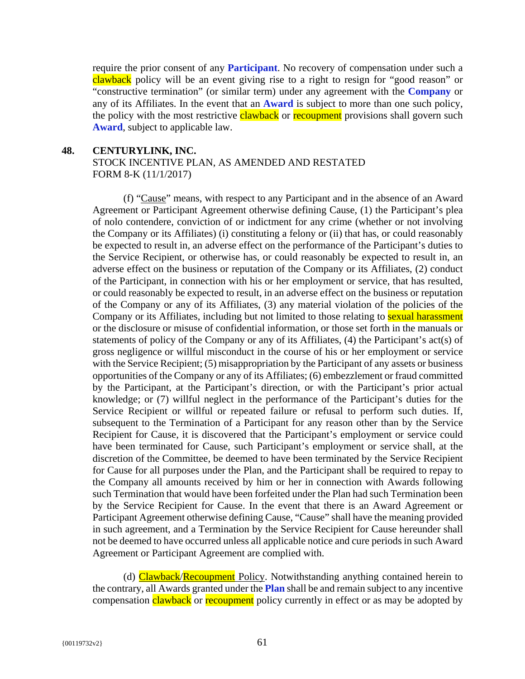require the prior consent of any **Participant**. No recovery of compensation under such a clawback policy will be an event giving rise to a right to resign for "good reason" or "constructive termination" (or similar term) under any agreement with the **Company** or any of its Affiliates. In the event that an **Award** is subject to more than one such policy, the policy with the most restrictive clawback or recoupment provisions shall govern such **Award**, subject to applicable law.

#### **48. CENTURYLINK, INC.**

STOCK INCENTIVE PLAN, AS AMENDED AND RESTATED FORM 8-K (11/1/2017)

(f) "Cause" means, with respect to any Participant and in the absence of an Award Agreement or Participant Agreement otherwise defining Cause, (1) the Participant's plea of nolo contendere, conviction of or indictment for any crime (whether or not involving the Company or its Affiliates) (i) constituting a felony or (ii) that has, or could reasonably be expected to result in, an adverse effect on the performance of the Participant's duties to the Service Recipient, or otherwise has, or could reasonably be expected to result in, an adverse effect on the business or reputation of the Company or its Affiliates, (2) conduct of the Participant, in connection with his or her employment or service, that has resulted, or could reasonably be expected to result, in an adverse effect on the business or reputation of the Company or any of its Affiliates, (3) any material violation of the policies of the Company or its Affiliates, including but not limited to those relating to **sexual harassment** or the disclosure or misuse of confidential information, or those set forth in the manuals or statements of policy of the Company or any of its Affiliates, (4) the Participant's act(s) of gross negligence or willful misconduct in the course of his or her employment or service with the Service Recipient; (5) misappropriation by the Participant of any assets or business opportunities of the Company or any of its Affiliates; (6) embezzlement or fraud committed by the Participant, at the Participant's direction, or with the Participant's prior actual knowledge; or (7) willful neglect in the performance of the Participant's duties for the Service Recipient or willful or repeated failure or refusal to perform such duties. If, subsequent to the Termination of a Participant for any reason other than by the Service Recipient for Cause, it is discovered that the Participant's employment or service could have been terminated for Cause, such Participant's employment or service shall, at the discretion of the Committee, be deemed to have been terminated by the Service Recipient for Cause for all purposes under the Plan, and the Participant shall be required to repay to the Company all amounts received by him or her in connection with Awards following such Termination that would have been forfeited under the Plan had such Termination been by the Service Recipient for Cause. In the event that there is an Award Agreement or Participant Agreement otherwise defining Cause, "Cause" shall have the meaning provided in such agreement, and a Termination by the Service Recipient for Cause hereunder shall not be deemed to have occurred unless all applicable notice and cure periods in such Award Agreement or Participant Agreement are complied with.

(d) **Clawback/Recoupment** Policy. Notwithstanding anything contained herein to the contrary, all Awards granted under the **Plan** shall be and remain subject to any incentive compensation clawback or recoupment policy currently in effect or as may be adopted by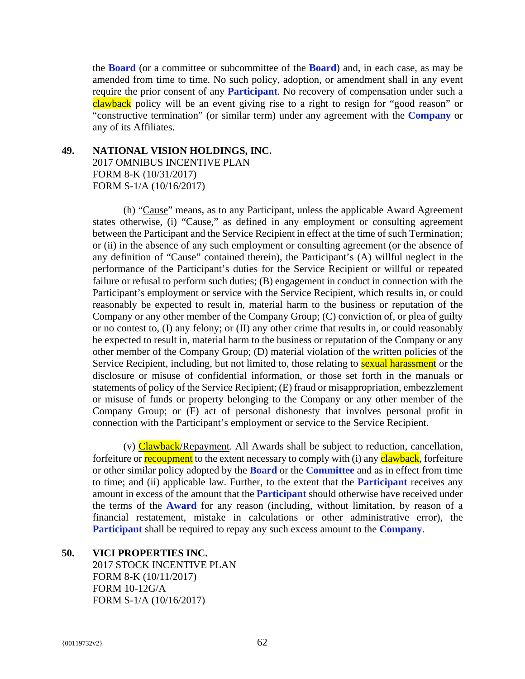the **Board** (or a committee or subcommittee of the **Board**) and, in each case, as may be amended from time to time. No such policy, adoption, or amendment shall in any event require the prior consent of any **Participant**. No recovery of compensation under such a clawback policy will be an event giving rise to a right to resign for "good reason" or "constructive termination" (or similar term) under any agreement with the **Company** or any of its Affiliates.

# **49. NATIONAL VISION HOLDINGS, INC.**  2017 OMNIBUS INCENTIVE PLAN FORM 8-K (10/31/2017) FORM S-1/A (10/16/2017)

(h) "Cause" means, as to any Participant, unless the applicable Award Agreement states otherwise, (i) "Cause," as defined in any employment or consulting agreement between the Participant and the Service Recipient in effect at the time of such Termination; or (ii) in the absence of any such employment or consulting agreement (or the absence of any definition of "Cause" contained therein), the Participant's (A) willful neglect in the performance of the Participant's duties for the Service Recipient or willful or repeated failure or refusal to perform such duties; (B) engagement in conduct in connection with the Participant's employment or service with the Service Recipient, which results in, or could reasonably be expected to result in, material harm to the business or reputation of the Company or any other member of the Company Group; (C) conviction of, or plea of guilty or no contest to, (I) any felony; or (II) any other crime that results in, or could reasonably be expected to result in, material harm to the business or reputation of the Company or any other member of the Company Group; (D) material violation of the written policies of the Service Recipient, including, but not limited to, those relating to **sexual harassment** or the disclosure or misuse of confidential information, or those set forth in the manuals or statements of policy of the Service Recipient; (E) fraud or misappropriation, embezzlement or misuse of funds or property belonging to the Company or any other member of the Company Group; or (F) act of personal dishonesty that involves personal profit in connection with the Participant's employment or service to the Service Recipient.

(v) Clawback/Repayment. All Awards shall be subject to reduction, cancellation, forfeiture or **recoupment** to the extent necessary to comply with (i) any **clawback**, forfeiture or other similar policy adopted by the **Board** or the **Committee** and as in effect from time to time; and (ii) applicable law. Further, to the extent that the **Participant** receives any amount in excess of the amount that the **Participant** should otherwise have received under the terms of the **Award** for any reason (including, without limitation, by reason of a financial restatement, mistake in calculations or other administrative error), the **Participant** shall be required to repay any such excess amount to the **Company**.

## **50. VICI PROPERTIES INC.**

2017 STOCK INCENTIVE PLAN FORM 8-K (10/11/2017) FORM 10-12G/A FORM S-1/A (10/16/2017)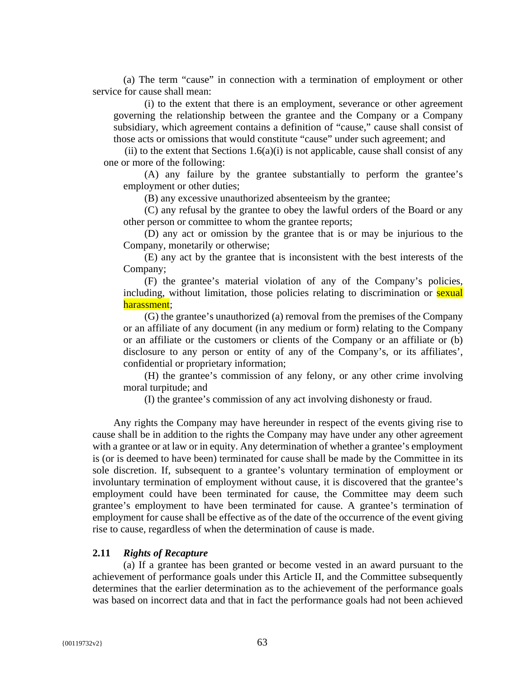(a) The term "cause" in connection with a termination of employment or other service for cause shall mean:

(i) to the extent that there is an employment, severance or other agreement governing the relationship between the grantee and the Company or a Company subsidiary, which agreement contains a definition of "cause," cause shall consist of those acts or omissions that would constitute "cause" under such agreement; and

(ii) to the extent that Sections  $1.6(a)(i)$  is not applicable, cause shall consist of any one or more of the following:

(A) any failure by the grantee substantially to perform the grantee's employment or other duties;

(B) any excessive unauthorized absenteeism by the grantee;

(C) any refusal by the grantee to obey the lawful orders of the Board or any other person or committee to whom the grantee reports;

(D) any act or omission by the grantee that is or may be injurious to the Company, monetarily or otherwise;

(E) any act by the grantee that is inconsistent with the best interests of the Company;

(F) the grantee's material violation of any of the Company's policies, including, without limitation, those policies relating to discrimination or **sexual** harassment;

(G) the grantee's unauthorized (a) removal from the premises of the Company or an affiliate of any document (in any medium or form) relating to the Company or an affiliate or the customers or clients of the Company or an affiliate or (b) disclosure to any person or entity of any of the Company's, or its affiliates', confidential or proprietary information;

(H) the grantee's commission of any felony, or any other crime involving moral turpitude; and

(I) the grantee's commission of any act involving dishonesty or fraud.

Any rights the Company may have hereunder in respect of the events giving rise to cause shall be in addition to the rights the Company may have under any other agreement with a grantee or at law or in equity. Any determination of whether a grantee's employment is (or is deemed to have been) terminated for cause shall be made by the Committee in its sole discretion. If, subsequent to a grantee's voluntary termination of employment or involuntary termination of employment without cause, it is discovered that the grantee's employment could have been terminated for cause, the Committee may deem such grantee's employment to have been terminated for cause. A grantee's termination of employment for cause shall be effective as of the date of the occurrence of the event giving rise to cause, regardless of when the determination of cause is made.

#### **2.11** *Rights of Recapture*

(a) If a grantee has been granted or become vested in an award pursuant to the achievement of performance goals under this Article II, and the Committee subsequently determines that the earlier determination as to the achievement of the performance goals was based on incorrect data and that in fact the performance goals had not been achieved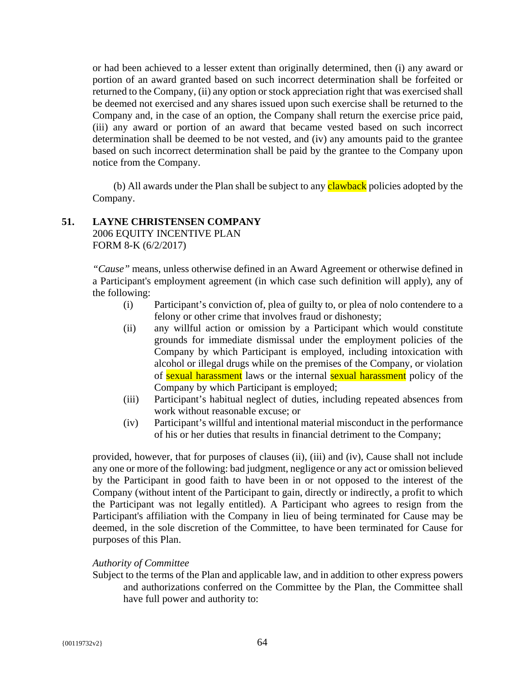or had been achieved to a lesser extent than originally determined, then (i) any award or portion of an award granted based on such incorrect determination shall be forfeited or returned to the Company, (ii) any option or stock appreciation right that was exercised shall be deemed not exercised and any shares issued upon such exercise shall be returned to the Company and, in the case of an option, the Company shall return the exercise price paid, (iii) any award or portion of an award that became vested based on such incorrect determination shall be deemed to be not vested, and (iv) any amounts paid to the grantee based on such incorrect determination shall be paid by the grantee to the Company upon notice from the Company.

(b) All awards under the Plan shall be subject to any **clawback** policies adopted by the Company.

# **51. LAYNE CHRISTENSEN COMPANY**

2006 EQUITY INCENTIVE PLAN FORM 8-K (6/2/2017)

*"Cause"* means, unless otherwise defined in an Award Agreement or otherwise defined in a Participant's employment agreement (in which case such definition will apply), any of the following:

- (i) Participant's conviction of, plea of guilty to, or plea of nolo contendere to a felony or other crime that involves fraud or dishonesty;
- (ii) any willful action or omission by a Participant which would constitute grounds for immediate dismissal under the employment policies of the Company by which Participant is employed, including intoxication with alcohol or illegal drugs while on the premises of the Company, or violation of sexual harassment laws or the internal sexual harassment policy of the Company by which Participant is employed;
- (iii) Participant's habitual neglect of duties, including repeated absences from work without reasonable excuse; or
- (iv) Participant's willful and intentional material misconduct in the performance of his or her duties that results in financial detriment to the Company;

provided, however, that for purposes of clauses (ii), (iii) and (iv), Cause shall not include any one or more of the following: bad judgment, negligence or any act or omission believed by the Participant in good faith to have been in or not opposed to the interest of the Company (without intent of the Participant to gain, directly or indirectly, a profit to which the Participant was not legally entitled). A Participant who agrees to resign from the Participant's affiliation with the Company in lieu of being terminated for Cause may be deemed, in the sole discretion of the Committee, to have been terminated for Cause for purposes of this Plan.

# *Authority of Committee*

Subject to the terms of the Plan and applicable law, and in addition to other express powers and authorizations conferred on the Committee by the Plan, the Committee shall have full power and authority to: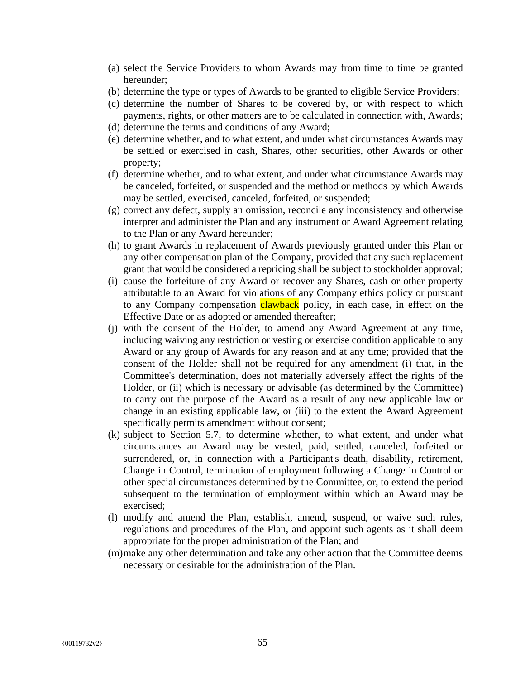- (a) select the Service Providers to whom Awards may from time to time be granted hereunder;
- (b) determine the type or types of Awards to be granted to eligible Service Providers;
- (c) determine the number of Shares to be covered by, or with respect to which payments, rights, or other matters are to be calculated in connection with, Awards;
- (d) determine the terms and conditions of any Award;
- (e) determine whether, and to what extent, and under what circumstances Awards may be settled or exercised in cash, Shares, other securities, other Awards or other property;
- (f) determine whether, and to what extent, and under what circumstance Awards may be canceled, forfeited, or suspended and the method or methods by which Awards may be settled, exercised, canceled, forfeited, or suspended;
- (g) correct any defect, supply an omission, reconcile any inconsistency and otherwise interpret and administer the Plan and any instrument or Award Agreement relating to the Plan or any Award hereunder;
- (h) to grant Awards in replacement of Awards previously granted under this Plan or any other compensation plan of the Company, provided that any such replacement grant that would be considered a repricing shall be subject to stockholder approval;
- (i) cause the forfeiture of any Award or recover any Shares, cash or other property attributable to an Award for violations of any Company ethics policy or pursuant to any Company compensation **clawback** policy, in each case, in effect on the Effective Date or as adopted or amended thereafter;
- (j) with the consent of the Holder, to amend any Award Agreement at any time, including waiving any restriction or vesting or exercise condition applicable to any Award or any group of Awards for any reason and at any time; provided that the consent of the Holder shall not be required for any amendment (i) that, in the Committee's determination, does not materially adversely affect the rights of the Holder, or (ii) which is necessary or advisable (as determined by the Committee) to carry out the purpose of the Award as a result of any new applicable law or change in an existing applicable law, or (iii) to the extent the Award Agreement specifically permits amendment without consent;
- (k) subject to Section 5.7, to determine whether, to what extent, and under what circumstances an Award may be vested, paid, settled, canceled, forfeited or surrendered, or, in connection with a Participant's death, disability, retirement, Change in Control, termination of employment following a Change in Control or other special circumstances determined by the Committee, or, to extend the period subsequent to the termination of employment within which an Award may be exercised;
- (l) modify and amend the Plan, establish, amend, suspend, or waive such rules, regulations and procedures of the Plan, and appoint such agents as it shall deem appropriate for the proper administration of the Plan; and
- (m)make any other determination and take any other action that the Committee deems necessary or desirable for the administration of the Plan.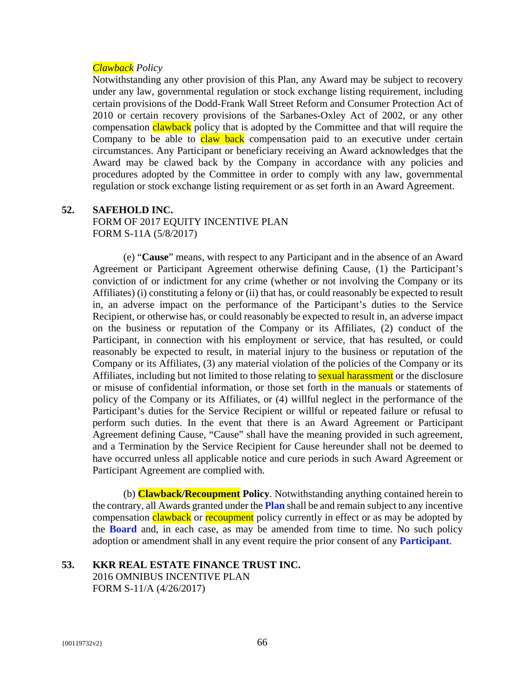#### *Clawback Policy*

Notwithstanding any other provision of this Plan, any Award may be subject to recovery under any law, governmental regulation or stock exchange listing requirement, including certain provisions of the Dodd-Frank Wall Street Reform and Consumer Protection Act of 2010 or certain recovery provisions of the Sarbanes-Oxley Act of 2002, or any other compensation *clawback* policy that is adopted by the Committee and that will require the Company to be able to claw back compensation paid to an executive under certain circumstances. Any Participant or beneficiary receiving an Award acknowledges that the Award may be clawed back by the Company in accordance with any policies and procedures adopted by the Committee in order to comply with any law, governmental regulation or stock exchange listing requirement or as set forth in an Award Agreement.

#### **52. SAFEHOLD INC.**

FORM OF 2017 EQUITY INCENTIVE PLAN FORM S-11A (5/8/2017)

(e) "**Cause**" means, with respect to any Participant and in the absence of an Award Agreement or Participant Agreement otherwise defining Cause, (1) the Participant's conviction of or indictment for any crime (whether or not involving the Company or its Affiliates) (i) constituting a felony or (ii) that has, or could reasonably be expected to result in, an adverse impact on the performance of the Participant's duties to the Service Recipient, or otherwise has, or could reasonably be expected to result in, an adverse impact on the business or reputation of the Company or its Affiliates, (2) conduct of the Participant, in connection with his employment or service, that has resulted, or could reasonably be expected to result, in material injury to the business or reputation of the Company or its Affiliates, (3) any material violation of the policies of the Company or its Affiliates, including but not limited to those relating to **sexual harassment** or the disclosure or misuse of confidential information, or those set forth in the manuals or statements of policy of the Company or its Affiliates, or (4) willful neglect in the performance of the Participant's duties for the Service Recipient or willful or repeated failure or refusal to perform such duties. In the event that there is an Award Agreement or Participant Agreement defining Cause, "Cause" shall have the meaning provided in such agreement, and a Termination by the Service Recipient for Cause hereunder shall not be deemed to have occurred unless all applicable notice and cure periods in such Award Agreement or Participant Agreement are complied with.

(b) **Clawback/Recoupment Policy**. Notwithstanding anything contained herein to the contrary, all Awards granted under the **Plan** shall be and remain subject to any incentive compensation clawback or recoupment policy currently in effect or as may be adopted by the **Board** and, in each case, as may be amended from time to time. No such policy adoption or amendment shall in any event require the prior consent of any **Participant**.

# **53. KKR REAL ESTATE FINANCE TRUST INC.**  2016 OMNIBUS INCENTIVE PLAN FORM S-11/A (4/26/2017)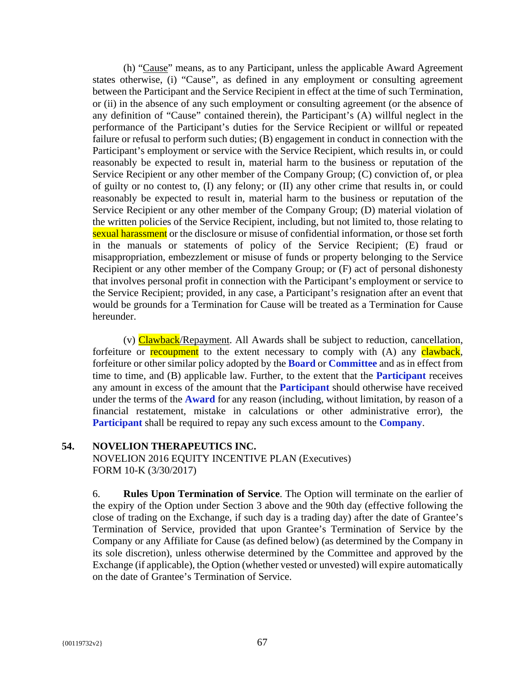(h) "Cause" means, as to any Participant, unless the applicable Award Agreement states otherwise, (i) "Cause", as defined in any employment or consulting agreement between the Participant and the Service Recipient in effect at the time of such Termination, or (ii) in the absence of any such employment or consulting agreement (or the absence of any definition of "Cause" contained therein), the Participant's (A) willful neglect in the performance of the Participant's duties for the Service Recipient or willful or repeated failure or refusal to perform such duties; (B) engagement in conduct in connection with the Participant's employment or service with the Service Recipient, which results in, or could reasonably be expected to result in, material harm to the business or reputation of the Service Recipient or any other member of the Company Group; (C) conviction of, or plea of guilty or no contest to, (I) any felony; or (II) any other crime that results in, or could reasonably be expected to result in, material harm to the business or reputation of the Service Recipient or any other member of the Company Group; (D) material violation of the written policies of the Service Recipient, including, but not limited to, those relating to sexual harassment or the disclosure or misuse of confidential information, or those set forth in the manuals or statements of policy of the Service Recipient; (E) fraud or misappropriation, embezzlement or misuse of funds or property belonging to the Service Recipient or any other member of the Company Group; or (F) act of personal dishonesty that involves personal profit in connection with the Participant's employment or service to the Service Recipient; provided, in any case, a Participant's resignation after an event that would be grounds for a Termination for Cause will be treated as a Termination for Cause hereunder.

(v) Clawback/Repayment. All Awards shall be subject to reduction, cancellation, forfeiture or recoupment to the extent necessary to comply with (A) any clawback, forfeiture or other similar policy adopted by the **Board** or **Committee** and as in effect from time to time, and (B) applicable law. Further, to the extent that the **Participant** receives any amount in excess of the amount that the **Participant** should otherwise have received under the terms of the **Award** for any reason (including, without limitation, by reason of a financial restatement, mistake in calculations or other administrative error), the **Participant** shall be required to repay any such excess amount to the **Company**.

#### **54. NOVELION THERAPEUTICS INC.**

NOVELION 2016 EQUITY INCENTIVE PLAN (Executives) FORM 10-K (3/30/2017)

6. **Rules Upon Termination of Service**. The Option will terminate on the earlier of the expiry of the Option under Section 3 above and the 90th day (effective following the close of trading on the Exchange, if such day is a trading day) after the date of Grantee's Termination of Service, provided that upon Grantee's Termination of Service by the Company or any Affiliate for Cause (as defined below) (as determined by the Company in its sole discretion), unless otherwise determined by the Committee and approved by the Exchange (if applicable), the Option (whether vested or unvested) will expire automatically on the date of Grantee's Termination of Service.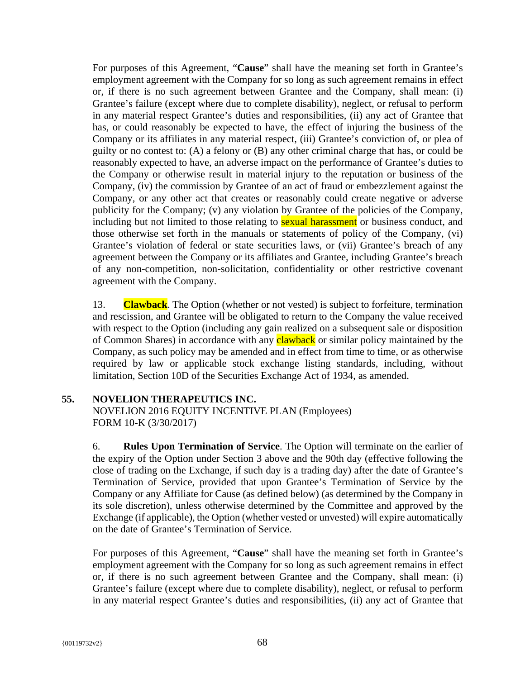For purposes of this Agreement, "**Cause**" shall have the meaning set forth in Grantee's employment agreement with the Company for so long as such agreement remains in effect or, if there is no such agreement between Grantee and the Company, shall mean: (i) Grantee's failure (except where due to complete disability), neglect, or refusal to perform in any material respect Grantee's duties and responsibilities, (ii) any act of Grantee that has, or could reasonably be expected to have, the effect of injuring the business of the Company or its affiliates in any material respect, (iii) Grantee's conviction of, or plea of guilty or no contest to: (A) a felony or (B) any other criminal charge that has, or could be reasonably expected to have, an adverse impact on the performance of Grantee's duties to the Company or otherwise result in material injury to the reputation or business of the Company, (iv) the commission by Grantee of an act of fraud or embezzlement against the Company, or any other act that creates or reasonably could create negative or adverse publicity for the Company; (v) any violation by Grantee of the policies of the Company, including but not limited to those relating to **sexual harassment** or business conduct, and those otherwise set forth in the manuals or statements of policy of the Company, (vi) Grantee's violation of federal or state securities laws, or (vii) Grantee's breach of any agreement between the Company or its affiliates and Grantee, including Grantee's breach of any non-competition, non-solicitation, confidentiality or other restrictive covenant agreement with the Company.

13. **Clawback**. The Option (whether or not vested) is subject to forfeiture, termination and rescission, and Grantee will be obligated to return to the Company the value received with respect to the Option (including any gain realized on a subsequent sale or disposition of Common Shares) in accordance with any **clawback** or similar policy maintained by the Company, as such policy may be amended and in effect from time to time, or as otherwise required by law or applicable stock exchange listing standards, including, without limitation, Section 10D of the Securities Exchange Act of 1934, as amended.

# **55. NOVELION THERAPEUTICS INC.**

NOVELION 2016 EQUITY INCENTIVE PLAN (Employees) FORM 10-K (3/30/2017)

6. **Rules Upon Termination of Service**. The Option will terminate on the earlier of the expiry of the Option under Section 3 above and the 90th day (effective following the close of trading on the Exchange, if such day is a trading day) after the date of Grantee's Termination of Service, provided that upon Grantee's Termination of Service by the Company or any Affiliate for Cause (as defined below) (as determined by the Company in its sole discretion), unless otherwise determined by the Committee and approved by the Exchange (if applicable), the Option (whether vested or unvested) will expire automatically on the date of Grantee's Termination of Service.

For purposes of this Agreement, "**Cause**" shall have the meaning set forth in Grantee's employment agreement with the Company for so long as such agreement remains in effect or, if there is no such agreement between Grantee and the Company, shall mean: (i) Grantee's failure (except where due to complete disability), neglect, or refusal to perform in any material respect Grantee's duties and responsibilities, (ii) any act of Grantee that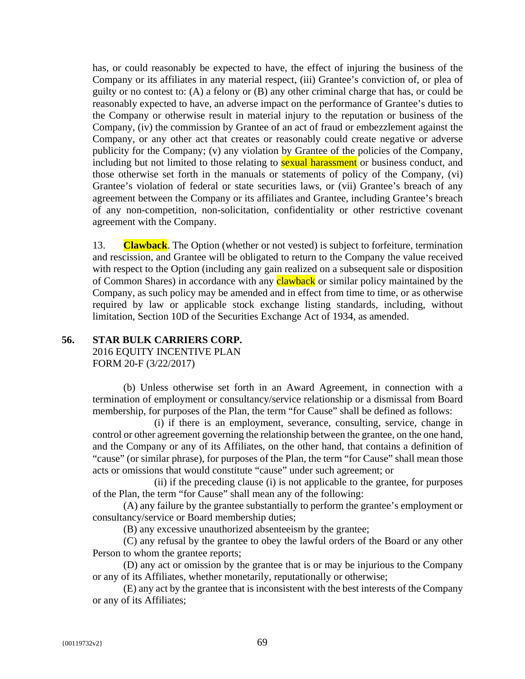has, or could reasonably be expected to have, the effect of injuring the business of the Company or its affiliates in any material respect, (iii) Grantee's conviction of, or plea of guilty or no contest to: (A) a felony or (B) any other criminal charge that has, or could be reasonably expected to have, an adverse impact on the performance of Grantee's duties to the Company or otherwise result in material injury to the reputation or business of the Company, (iv) the commission by Grantee of an act of fraud or embezzlement against the Company, or any other act that creates or reasonably could create negative or adverse publicity for the Company; (v) any violation by Grantee of the policies of the Company, including but not limited to those relating to **sexual harassment** or business conduct, and those otherwise set forth in the manuals or statements of policy of the Company, (vi) Grantee's violation of federal or state securities laws, or (vii) Grantee's breach of any agreement between the Company or its affiliates and Grantee, including Grantee's breach of any non-competition, non-solicitation, confidentiality or other restrictive covenant agreement with the Company.

13. **Clawback**. The Option (whether or not vested) is subject to forfeiture, termination and rescission, and Grantee will be obligated to return to the Company the value received with respect to the Option (including any gain realized on a subsequent sale or disposition of Common Shares) in accordance with any **clawback** or similar policy maintained by the Company, as such policy may be amended and in effect from time to time, or as otherwise required by law or applicable stock exchange listing standards, including, without limitation, Section 10D of the Securities Exchange Act of 1934, as amended.

# **56. STAR BULK CARRIERS CORP.**

2016 EQUITY INCENTIVE PLAN FORM 20-F (3/22/2017)

(b) Unless otherwise set forth in an Award Agreement, in connection with a termination of employment or consultancy/service relationship or a dismissal from Board membership, for purposes of the Plan, the term "for Cause" shall be defined as follows:

(i) if there is an employment, severance, consulting, service, change in control or other agreement governing the relationship between the grantee, on the one hand, and the Company or any of its Affiliates, on the other hand, that contains a definition of "cause" (or similar phrase), for purposes of the Plan, the term "for Cause" shall mean those acts or omissions that would constitute "cause" under such agreement; or

(ii) if the preceding clause (i) is not applicable to the grantee, for purposes of the Plan, the term "for Cause" shall mean any of the following:

(A) any failure by the grantee substantially to perform the grantee's employment or consultancy/service or Board membership duties;

(B) any excessive unauthorized absenteeism by the grantee;

(C) any refusal by the grantee to obey the lawful orders of the Board or any other Person to whom the grantee reports;

(D) any act or omission by the grantee that is or may be injurious to the Company or any of its Affiliates, whether monetarily, reputationally or otherwise;

(E) any act by the grantee that is inconsistent with the best interests of the Company or any of its Affiliates;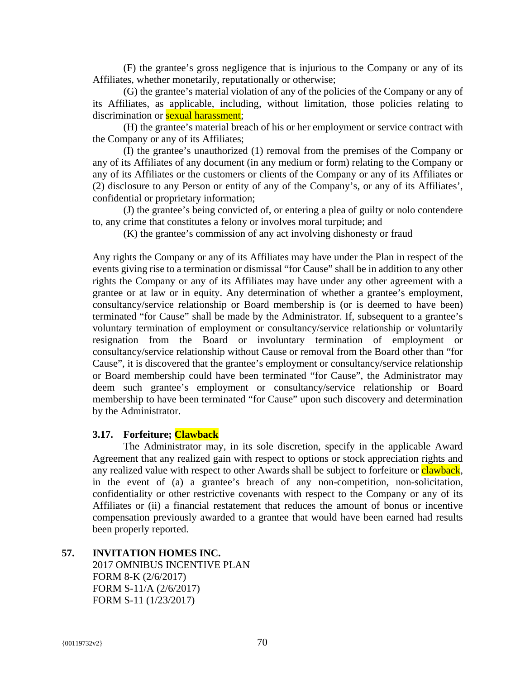(F) the grantee's gross negligence that is injurious to the Company or any of its Affiliates, whether monetarily, reputationally or otherwise;

(G) the grantee's material violation of any of the policies of the Company or any of its Affiliates, as applicable, including, without limitation, those policies relating to discrimination or **sexual harassment**;

(H) the grantee's material breach of his or her employment or service contract with the Company or any of its Affiliates;

(I) the grantee's unauthorized (1) removal from the premises of the Company or any of its Affiliates of any document (in any medium or form) relating to the Company or any of its Affiliates or the customers or clients of the Company or any of its Affiliates or (2) disclosure to any Person or entity of any of the Company's, or any of its Affiliates', confidential or proprietary information;

(J) the grantee's being convicted of, or entering a plea of guilty or nolo contendere to, any crime that constitutes a felony or involves moral turpitude; and

(K) the grantee's commission of any act involving dishonesty or fraud

Any rights the Company or any of its Affiliates may have under the Plan in respect of the events giving rise to a termination or dismissal "for Cause" shall be in addition to any other rights the Company or any of its Affiliates may have under any other agreement with a grantee or at law or in equity. Any determination of whether a grantee's employment, consultancy/service relationship or Board membership is (or is deemed to have been) terminated "for Cause" shall be made by the Administrator. If, subsequent to a grantee's voluntary termination of employment or consultancy/service relationship or voluntarily resignation from the Board or involuntary termination of employment or consultancy/service relationship without Cause or removal from the Board other than "for Cause", it is discovered that the grantee's employment or consultancy/service relationship or Board membership could have been terminated "for Cause", the Administrator may deem such grantee's employment or consultancy/service relationship or Board membership to have been terminated "for Cause" upon such discovery and determination by the Administrator.

# **3.17. Forfeiture; Clawback**

The Administrator may, in its sole discretion, specify in the applicable Award Agreement that any realized gain with respect to options or stock appreciation rights and any realized value with respect to other Awards shall be subject to forfeiture or **clawback**, in the event of (a) a grantee's breach of any non-competition, non-solicitation, confidentiality or other restrictive covenants with respect to the Company or any of its Affiliates or (ii) a financial restatement that reduces the amount of bonus or incentive compensation previously awarded to a grantee that would have been earned had results been properly reported.

# **57. INVITATION HOMES INC.**

2017 OMNIBUS INCENTIVE PLAN FORM 8-K (2/6/2017) FORM S-11/A (2/6/2017) FORM S-11 (1/23/2017)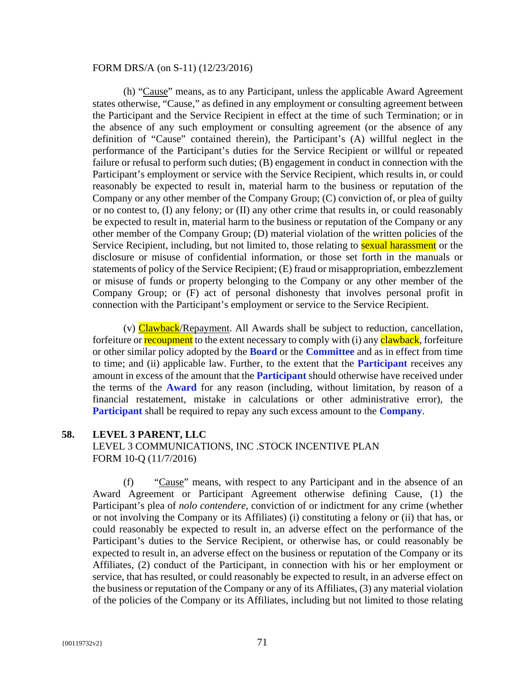#### FORM DRS/A (on S-11) (12/23/2016)

(h) "Cause" means, as to any Participant, unless the applicable Award Agreement states otherwise, "Cause," as defined in any employment or consulting agreement between the Participant and the Service Recipient in effect at the time of such Termination; or in the absence of any such employment or consulting agreement (or the absence of any definition of "Cause" contained therein), the Participant's (A) willful neglect in the performance of the Participant's duties for the Service Recipient or willful or repeated failure or refusal to perform such duties; (B) engagement in conduct in connection with the Participant's employment or service with the Service Recipient, which results in, or could reasonably be expected to result in, material harm to the business or reputation of the Company or any other member of the Company Group; (C) conviction of, or plea of guilty or no contest to, (I) any felony; or (II) any other crime that results in, or could reasonably be expected to result in, material harm to the business or reputation of the Company or any other member of the Company Group; (D) material violation of the written policies of the Service Recipient, including, but not limited to, those relating to **sexual harassment** or the disclosure or misuse of confidential information, or those set forth in the manuals or statements of policy of the Service Recipient; (E) fraud or misappropriation, embezzlement or misuse of funds or property belonging to the Company or any other member of the Company Group; or (F) act of personal dishonesty that involves personal profit in connection with the Participant's employment or service to the Service Recipient.

(v)  $Clawback/Repayment$ . All Awards shall be subject to reduction, cancellation, forfeiture or **recoupment** to the extent necessary to comply with (i) any **clawback**, forfeiture or other similar policy adopted by the **Board** or the **Committee** and as in effect from time to time; and (ii) applicable law. Further, to the extent that the **Participant** receives any amount in excess of the amount that the **Participant** should otherwise have received under the terms of the **Award** for any reason (including, without limitation, by reason of a financial restatement, mistake in calculations or other administrative error), the **Participant** shall be required to repay any such excess amount to the **Company**.

# **58. LEVEL 3 PARENT, LLC**

LEVEL 3 COMMUNICATIONS, INC .STOCK INCENTIVE PLAN FORM 10-Q (11/7/2016)

(f) "Cause" means, with respect to any Participant and in the absence of an Award Agreement or Participant Agreement otherwise defining Cause, (1) the Participant's plea of *nolo contendere*, conviction of or indictment for any crime (whether or not involving the Company or its Affiliates) (i) constituting a felony or (ii) that has, or could reasonably be expected to result in, an adverse effect on the performance of the Participant's duties to the Service Recipient, or otherwise has, or could reasonably be expected to result in, an adverse effect on the business or reputation of the Company or its Affiliates, (2) conduct of the Participant, in connection with his or her employment or service, that has resulted, or could reasonably be expected to result, in an adverse effect on the business or reputation of the Company or any of its Affiliates, (3) any material violation of the policies of the Company or its Affiliates, including but not limited to those relating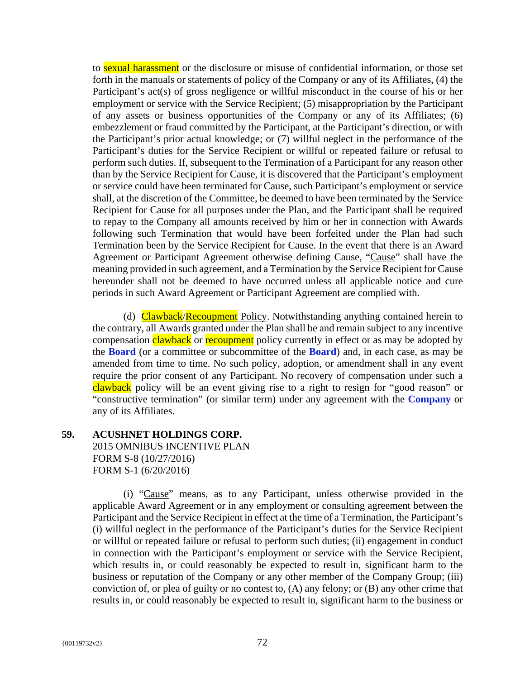to sexual harassment or the disclosure or misuse of confidential information, or those set forth in the manuals or statements of policy of the Company or any of its Affiliates, (4) the Participant's act(s) of gross negligence or willful misconduct in the course of his or her employment or service with the Service Recipient; (5) misappropriation by the Participant of any assets or business opportunities of the Company or any of its Affiliates; (6) embezzlement or fraud committed by the Participant, at the Participant's direction, or with the Participant's prior actual knowledge; or (7) willful neglect in the performance of the Participant's duties for the Service Recipient or willful or repeated failure or refusal to perform such duties. If, subsequent to the Termination of a Participant for any reason other than by the Service Recipient for Cause, it is discovered that the Participant's employment or service could have been terminated for Cause, such Participant's employment or service shall, at the discretion of the Committee, be deemed to have been terminated by the Service Recipient for Cause for all purposes under the Plan, and the Participant shall be required to repay to the Company all amounts received by him or her in connection with Awards following such Termination that would have been forfeited under the Plan had such Termination been by the Service Recipient for Cause. In the event that there is an Award Agreement or Participant Agreement otherwise defining Cause, "Cause" shall have the meaning provided in such agreement, and a Termination by the Service Recipient for Cause hereunder shall not be deemed to have occurred unless all applicable notice and cure periods in such Award Agreement or Participant Agreement are complied with.

(d) Clawback/Recoupment Policy. Notwithstanding anything contained herein to the contrary, all Awards granted under the Plan shall be and remain subject to any incentive compensation clawback or recoupment policy currently in effect or as may be adopted by the **Board** (or a committee or subcommittee of the **Board**) and, in each case, as may be amended from time to time. No such policy, adoption, or amendment shall in any event require the prior consent of any Participant. No recovery of compensation under such a clawback policy will be an event giving rise to a right to resign for "good reason" or "constructive termination" (or similar term) under any agreement with the **Company** or any of its Affiliates.

# **59. ACUSHNET HOLDINGS CORP.**  2015 OMNIBUS INCENTIVE PLAN FORM S-8 (10/27/2016) FORM S-1 (6/20/2016)

(i) "Cause" means, as to any Participant, unless otherwise provided in the applicable Award Agreement or in any employment or consulting agreement between the Participant and the Service Recipient in effect at the time of a Termination, the Participant's (i) willful neglect in the performance of the Participant's duties for the Service Recipient or willful or repeated failure or refusal to perform such duties; (ii) engagement in conduct in connection with the Participant's employment or service with the Service Recipient, which results in, or could reasonably be expected to result in, significant harm to the business or reputation of the Company or any other member of the Company Group; (iii) conviction of, or plea of guilty or no contest to, (A) any felony; or (B) any other crime that results in, or could reasonably be expected to result in, significant harm to the business or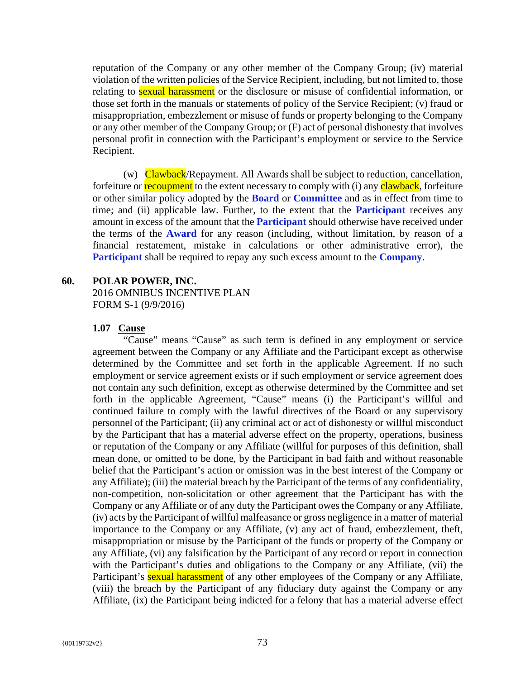reputation of the Company or any other member of the Company Group; (iv) material violation of the written policies of the Service Recipient, including, but not limited to, those relating to **sexual harassment** or the disclosure or misuse of confidential information, or those set forth in the manuals or statements of policy of the Service Recipient; (v) fraud or misappropriation, embezzlement or misuse of funds or property belonging to the Company or any other member of the Company Group; or (F) act of personal dishonesty that involves personal profit in connection with the Participant's employment or service to the Service Recipient.

(w) Clawback/Repayment. All Awards shall be subject to reduction, cancellation, forfeiture or **recoupment** to the extent necessary to comply with (i) any **clawback**, forfeiture or other similar policy adopted by the **Board** or **Committee** and as in effect from time to time; and (ii) applicable law. Further, to the extent that the **Participant** receives any amount in excess of the amount that the **Participant** should otherwise have received under the terms of the **Award** for any reason (including, without limitation, by reason of a financial restatement, mistake in calculations or other administrative error), the **Participant** shall be required to repay any such excess amount to the **Company**.

#### **60. POLAR POWER, INC.**

2016 OMNIBUS INCENTIVE PLAN FORM S-1 (9/9/2016)

#### **1.07 Cause**

"Cause" means "Cause" as such term is defined in any employment or service agreement between the Company or any Affiliate and the Participant except as otherwise determined by the Committee and set forth in the applicable Agreement. If no such employment or service agreement exists or if such employment or service agreement does not contain any such definition, except as otherwise determined by the Committee and set forth in the applicable Agreement, "Cause" means (i) the Participant's willful and continued failure to comply with the lawful directives of the Board or any supervisory personnel of the Participant; (ii) any criminal act or act of dishonesty or willful misconduct by the Participant that has a material adverse effect on the property, operations, business or reputation of the Company or any Affiliate (willful for purposes of this definition, shall mean done, or omitted to be done, by the Participant in bad faith and without reasonable belief that the Participant's action or omission was in the best interest of the Company or any Affiliate); (iii) the material breach by the Participant of the terms of any confidentiality, non-competition, non-solicitation or other agreement that the Participant has with the Company or any Affiliate or of any duty the Participant owes the Company or any Affiliate, (iv) acts by the Participant of willful malfeasance or gross negligence in a matter of material importance to the Company or any Affiliate, (v) any act of fraud, embezzlement, theft, misappropriation or misuse by the Participant of the funds or property of the Company or any Affiliate, (vi) any falsification by the Participant of any record or report in connection with the Participant's duties and obligations to the Company or any Affiliate, (vii) the Participant's **sexual harassment** of any other employees of the Company or any Affiliate, (viii) the breach by the Participant of any fiduciary duty against the Company or any Affiliate, (ix) the Participant being indicted for a felony that has a material adverse effect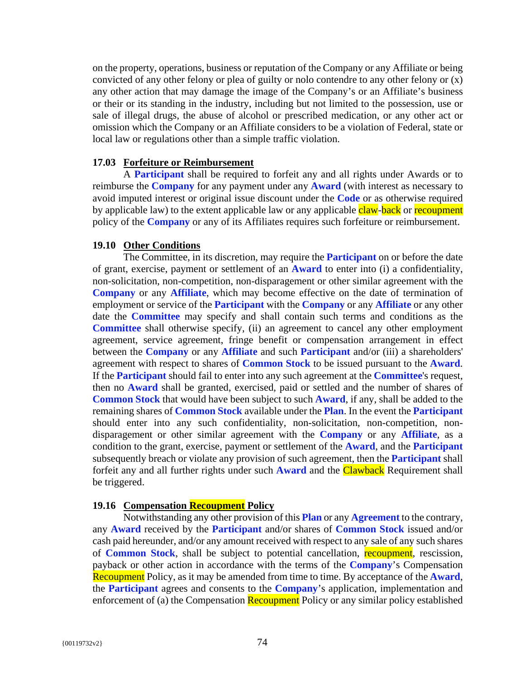on the property, operations, business or reputation of the Company or any Affiliate or being convicted of any other felony or plea of guilty or nolo contendre to any other felony or (x) any other action that may damage the image of the Company's or an Affiliate's business or their or its standing in the industry, including but not limited to the possession, use or sale of illegal drugs, the abuse of alcohol or prescribed medication, or any other act or omission which the Company or an Affiliate considers to be a violation of Federal, state or local law or regulations other than a simple traffic violation.

#### **17.03 Forfeiture or Reimbursement**

A **Participant** shall be required to forfeit any and all rights under Awards or to reimburse the **Company** for any payment under any **Award** (with interest as necessary to avoid imputed interest or original issue discount under the **Code** or as otherwise required by applicable law) to the extent applicable law or any applicable claw-back or recoupment policy of the **Company** or any of its Affiliates requires such forfeiture or reimbursement.

#### **19.10 Other Conditions**

The Committee, in its discretion, may require the **Participant** on or before the date of grant, exercise, payment or settlement of an **Award** to enter into (i) a confidentiality, non-solicitation, non-competition, non-disparagement or other similar agreement with the **Company** or any **Affiliate**, which may become effective on the date of termination of employment or service of the **Participant** with the **Company** or any **Affiliate** or any other date the **Committee** may specify and shall contain such terms and conditions as the **Committee** shall otherwise specify, (ii) an agreement to cancel any other employment agreement, service agreement, fringe benefit or compensation arrangement in effect between the **Company** or any **Affiliate** and such **Participant** and/or (iii) a shareholders' agreement with respect to shares of **Common Stock** to be issued pursuant to the **Award**. If the **Participant** should fail to enter into any such agreement at the **Committee**'s request, then no **Award** shall be granted, exercised, paid or settled and the number of shares of **Common Stock** that would have been subject to such **Award**, if any, shall be added to the remaining shares of **Common Stock** available under the **Plan**. In the event the **Participant** should enter into any such confidentiality, non-solicitation, non-competition, nondisparagement or other similar agreement with the **Company** or any **Affiliate**, as a condition to the grant, exercise, payment or settlement of the **Award**, and the **Participant** subsequently breach or violate any provision of such agreement, then the **Participant** shall forfeit any and all further rights under such **Award** and the Clawback Requirement shall be triggered.

## **19.16 Compensation Recoupment Policy**

Notwithstanding any other provision of this **Plan** or any **Agreement** to the contrary, any **Award** received by the **Participant** and/or shares of **Common Stock** issued and/or cash paid hereunder, and/or any amount received with respect to any sale of any such shares of **Common Stock**, shall be subject to potential cancellation, recoupment, rescission, payback or other action in accordance with the terms of the **Company**'s Compensation Recoupment Policy, as it may be amended from time to time. By acceptance of the **Award**, the **Participant** agrees and consents to the **Company**'s application, implementation and enforcement of (a) the Compensation Recoupment Policy or any similar policy established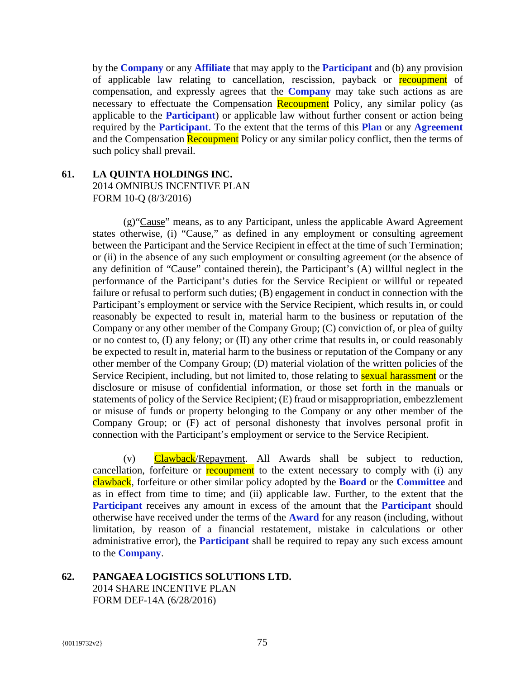by the **Company** or any **Affiliate** that may apply to the **Participant** and (b) any provision of applicable law relating to cancellation, rescission, payback or recoupment of compensation, and expressly agrees that the **Company** may take such actions as are necessary to effectuate the Compensation Recoupment Policy, any similar policy (as applicable to the **Participant**) or applicable law without further consent or action being required by the **Participant**. To the extent that the terms of this **Plan** or any **Agreement** and the Compensation Recoupment Policy or any similar policy conflict, then the terms of such policy shall prevail.

## **61. LA QUINTA HOLDINGS INC.**

2014 OMNIBUS INCENTIVE PLAN FORM 10-Q (8/3/2016)

(g)"Cause" means, as to any Participant, unless the applicable Award Agreement states otherwise, (i) "Cause," as defined in any employment or consulting agreement between the Participant and the Service Recipient in effect at the time of such Termination; or (ii) in the absence of any such employment or consulting agreement (or the absence of any definition of "Cause" contained therein), the Participant's (A) willful neglect in the performance of the Participant's duties for the Service Recipient or willful or repeated failure or refusal to perform such duties; (B) engagement in conduct in connection with the Participant's employment or service with the Service Recipient, which results in, or could reasonably be expected to result in, material harm to the business or reputation of the Company or any other member of the Company Group; (C) conviction of, or plea of guilty or no contest to, (I) any felony; or (II) any other crime that results in, or could reasonably be expected to result in, material harm to the business or reputation of the Company or any other member of the Company Group; (D) material violation of the written policies of the Service Recipient, including, but not limited to, those relating to **sexual harassment** or the disclosure or misuse of confidential information, or those set forth in the manuals or statements of policy of the Service Recipient; (E) fraud or misappropriation, embezzlement or misuse of funds or property belonging to the Company or any other member of the Company Group; or (F) act of personal dishonesty that involves personal profit in connection with the Participant's employment or service to the Service Recipient.

(v) Clawback/Repayment. All Awards shall be subject to reduction, cancellation, forfeiture or **recoupment** to the extent necessary to comply with (i) any clawback, forfeiture or other similar policy adopted by the **Board** or the **Committee** and as in effect from time to time; and (ii) applicable law. Further, to the extent that the **Participant** receives any amount in excess of the amount that the **Participant** should otherwise have received under the terms of the **Award** for any reason (including, without limitation, by reason of a financial restatement, mistake in calculations or other administrative error), the **Participant** shall be required to repay any such excess amount to the **Company**.

**62. PANGAEA LOGISTICS SOLUTIONS LTD.**  2014 SHARE INCENTIVE PLAN FORM DEF-14A (6/28/2016)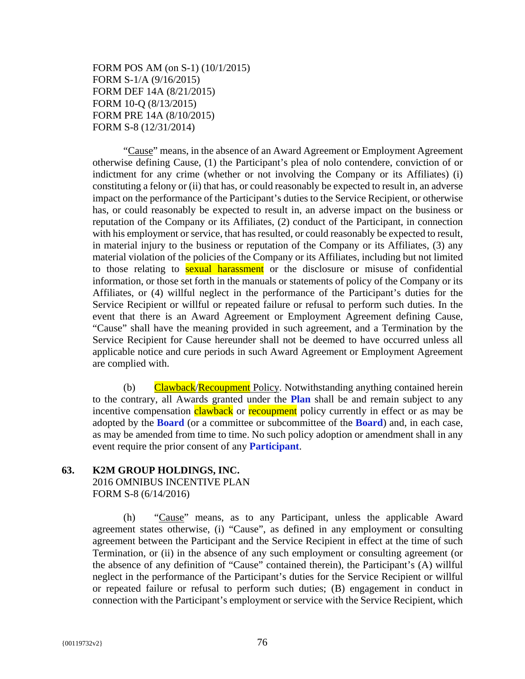FORM POS AM (on S-1) (10/1/2015) FORM S-1/A (9/16/2015) FORM DEF 14A (8/21/2015) FORM 10-Q (8/13/2015) FORM PRE 14A (8/10/2015) FORM S-8 (12/31/2014)

"Cause" means, in the absence of an Award Agreement or Employment Agreement otherwise defining Cause, (1) the Participant's plea of nolo contendere, conviction of or indictment for any crime (whether or not involving the Company or its Affiliates) (i) constituting a felony or (ii) that has, or could reasonably be expected to result in, an adverse impact on the performance of the Participant's duties to the Service Recipient, or otherwise has, or could reasonably be expected to result in, an adverse impact on the business or reputation of the Company or its Affiliates, (2) conduct of the Participant, in connection with his employment or service, that has resulted, or could reasonably be expected to result, in material injury to the business or reputation of the Company or its Affiliates, (3) any material violation of the policies of the Company or its Affiliates, including but not limited to those relating to **sexual harassment** or the disclosure or misuse of confidential information, or those set forth in the manuals or statements of policy of the Company or its Affiliates, or (4) willful neglect in the performance of the Participant's duties for the Service Recipient or willful or repeated failure or refusal to perform such duties. In the event that there is an Award Agreement or Employment Agreement defining Cause, "Cause" shall have the meaning provided in such agreement, and a Termination by the Service Recipient for Cause hereunder shall not be deemed to have occurred unless all applicable notice and cure periods in such Award Agreement or Employment Agreement are complied with.

(b) Clawback/Recoupment Policy. Notwithstanding anything contained herein to the contrary, all Awards granted under the **Plan** shall be and remain subject to any incentive compensation **clawback** or **recoupment** policy currently in effect or as may be adopted by the **Board** (or a committee or subcommittee of the **Board**) and, in each case, as may be amended from time to time. No such policy adoption or amendment shall in any event require the prior consent of any **Participant**.

#### **63. K2M GROUP HOLDINGS, INC.**

2016 OMNIBUS INCENTIVE PLAN FORM S-8 (6/14/2016)

(h) "Cause" means, as to any Participant, unless the applicable Award agreement states otherwise, (i) "Cause", as defined in any employment or consulting agreement between the Participant and the Service Recipient in effect at the time of such Termination, or (ii) in the absence of any such employment or consulting agreement (or the absence of any definition of "Cause" contained therein), the Participant's (A) willful neglect in the performance of the Participant's duties for the Service Recipient or willful or repeated failure or refusal to perform such duties; (B) engagement in conduct in connection with the Participant's employment or service with the Service Recipient, which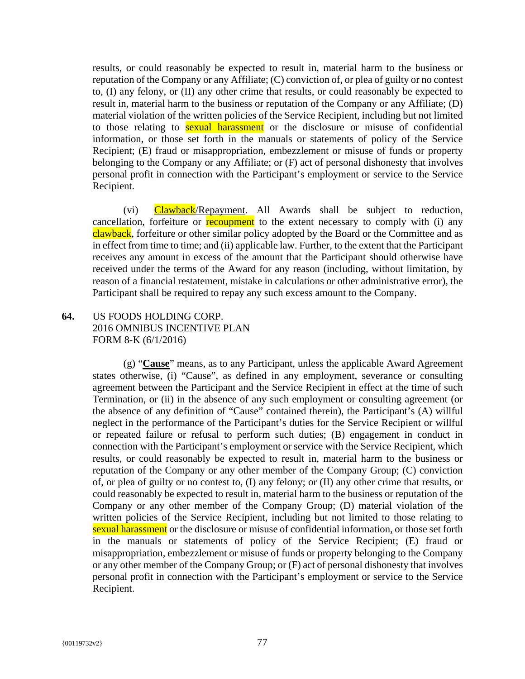results, or could reasonably be expected to result in, material harm to the business or reputation of the Company or any Affiliate; (C) conviction of, or plea of guilty or no contest to, (I) any felony, or (II) any other crime that results, or could reasonably be expected to result in, material harm to the business or reputation of the Company or any Affiliate; (D) material violation of the written policies of the Service Recipient, including but not limited to those relating to **sexual harassment** or the disclosure or misuse of confidential information, or those set forth in the manuals or statements of policy of the Service Recipient; (E) fraud or misappropriation, embezzlement or misuse of funds or property belonging to the Company or any Affiliate; or (F) act of personal dishonesty that involves personal profit in connection with the Participant's employment or service to the Service Recipient.

(vi) Clawback/Repayment. All Awards shall be subject to reduction, cancellation, forfeiture or **recoupment** to the extent necessary to comply with (i) any clawback, forfeiture or other similar policy adopted by the Board or the Committee and as in effect from time to time; and (ii) applicable law. Further, to the extent that the Participant receives any amount in excess of the amount that the Participant should otherwise have received under the terms of the Award for any reason (including, without limitation, by reason of a financial restatement, mistake in calculations or other administrative error), the Participant shall be required to repay any such excess amount to the Company.

# **64.** US FOODS HOLDING CORP. 2016 OMNIBUS INCENTIVE PLAN FORM 8-K (6/1/2016)

(g) "**Cause**" means, as to any Participant, unless the applicable Award Agreement states otherwise, (i) "Cause", as defined in any employment, severance or consulting agreement between the Participant and the Service Recipient in effect at the time of such Termination, or (ii) in the absence of any such employment or consulting agreement (or the absence of any definition of "Cause" contained therein), the Participant's (A) willful neglect in the performance of the Participant's duties for the Service Recipient or willful or repeated failure or refusal to perform such duties; (B) engagement in conduct in connection with the Participant's employment or service with the Service Recipient, which results, or could reasonably be expected to result in, material harm to the business or reputation of the Company or any other member of the Company Group; (C) conviction of, or plea of guilty or no contest to, (I) any felony; or (II) any other crime that results, or could reasonably be expected to result in, material harm to the business or reputation of the Company or any other member of the Company Group; (D) material violation of the written policies of the Service Recipient, including but not limited to those relating to sexual harassment or the disclosure or misuse of confidential information, or those set forth in the manuals or statements of policy of the Service Recipient; (E) fraud or misappropriation, embezzlement or misuse of funds or property belonging to the Company or any other member of the Company Group; or (F) act of personal dishonesty that involves personal profit in connection with the Participant's employment or service to the Service Recipient.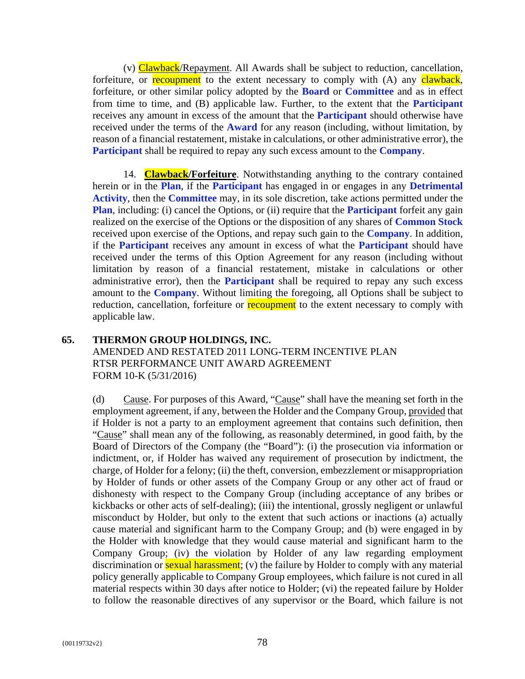(v) Clawback/Repayment. All Awards shall be subject to reduction, cancellation, forfeiture, or **recoupment** to the extent necessary to comply with (A) any **clawback**, forfeiture, or other similar policy adopted by the **Board** or **Committee** and as in effect from time to time, and (B) applicable law. Further, to the extent that the **Participant** receives any amount in excess of the amount that the **Participant** should otherwise have received under the terms of the **Award** for any reason (including, without limitation, by reason of a financial restatement, mistake in calculations, or other administrative error), the **Participant** shall be required to repay any such excess amount to the **Company**.

14. **Clawback/Forfeiture**. Notwithstanding anything to the contrary contained herein or in the **Plan**, if the **Participant** has engaged in or engages in any **Detrimental Activity**, then the **Committee** may, in its sole discretion, take actions permitted under the **Plan, including:** (i) cancel the Options, or (ii) require that the **Participant** forfeit any gain realized on the exercise of the Options or the disposition of any shares of **Common Stock** received upon exercise of the Options, and repay such gain to the **Company**. In addition, if the **Participant** receives any amount in excess of what the **Participant** should have received under the terms of this Option Agreement for any reason (including without limitation by reason of a financial restatement, mistake in calculations or other administrative error), then the **Participant** shall be required to repay any such excess amount to the **Company**. Without limiting the foregoing, all Options shall be subject to reduction, cancellation, forfeiture or **recoupment** to the extent necessary to comply with applicable law.

# **65. THERMON GROUP HOLDINGS, INC.**  AMENDED AND RESTATED 2011 LONG-TERM INCENTIVE PLAN RTSR PERFORMANCE UNIT AWARD AGREEMENT FORM 10-K (5/31/2016)

(d) Cause. For purposes of this Award, "Cause" shall have the meaning set forth in the employment agreement, if any, between the Holder and the Company Group, provided that if Holder is not a party to an employment agreement that contains such definition, then "Cause" shall mean any of the following, as reasonably determined, in good faith, by the Board of Directors of the Company (the "Board"): (i) the prosecution via information or indictment, or, if Holder has waived any requirement of prosecution by indictment, the charge, of Holder for a felony; (ii) the theft, conversion, embezzlement or misappropriation by Holder of funds or other assets of the Company Group or any other act of fraud or dishonesty with respect to the Company Group (including acceptance of any bribes or kickbacks or other acts of self-dealing); (iii) the intentional, grossly negligent or unlawful misconduct by Holder, but only to the extent that such actions or inactions (a) actually cause material and significant harm to the Company Group; and (b) were engaged in by the Holder with knowledge that they would cause material and significant harm to the Company Group; (iv) the violation by Holder of any law regarding employment discrimination or **sexual harassment**; (v) the failure by Holder to comply with any material policy generally applicable to Company Group employees, which failure is not cured in all material respects within 30 days after notice to Holder; (vi) the repeated failure by Holder to follow the reasonable directives of any supervisor or the Board, which failure is not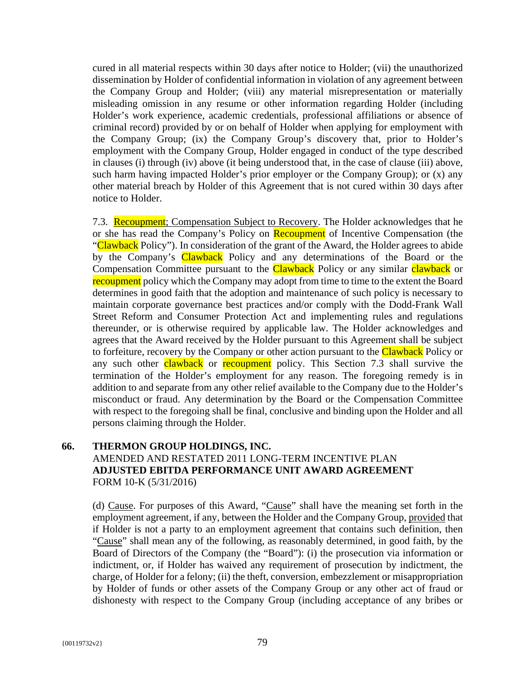cured in all material respects within 30 days after notice to Holder; (vii) the unauthorized dissemination by Holder of confidential information in violation of any agreement between the Company Group and Holder; (viii) any material misrepresentation or materially misleading omission in any resume or other information regarding Holder (including Holder's work experience, academic credentials, professional affiliations or absence of criminal record) provided by or on behalf of Holder when applying for employment with the Company Group; (ix) the Company Group's discovery that, prior to Holder's employment with the Company Group, Holder engaged in conduct of the type described in clauses (i) through (iv) above (it being understood that, in the case of clause (iii) above, such harm having impacted Holder's prior employer or the Company Group); or (x) any other material breach by Holder of this Agreement that is not cured within 30 days after notice to Holder.

7.3. Recoupment; Compensation Subject to Recovery. The Holder acknowledges that he or she has read the Company's Policy on Recoupment of Incentive Compensation (the "Clawback Policy"). In consideration of the grant of the Award, the Holder agrees to abide by the Company's Clawback Policy and any determinations of the Board or the Compensation Committee pursuant to the **Clawback** Policy or any similar **clawback** or recoupment policy which the Company may adopt from time to time to the extent the Board determines in good faith that the adoption and maintenance of such policy is necessary to maintain corporate governance best practices and/or comply with the Dodd-Frank Wall Street Reform and Consumer Protection Act and implementing rules and regulations thereunder, or is otherwise required by applicable law. The Holder acknowledges and agrees that the Award received by the Holder pursuant to this Agreement shall be subject to forfeiture, recovery by the Company or other action pursuant to the **Clawback** Policy or any such other clawback or recoupment policy. This Section 7.3 shall survive the termination of the Holder's employment for any reason. The foregoing remedy is in addition to and separate from any other relief available to the Company due to the Holder's misconduct or fraud. Any determination by the Board or the Compensation Committee with respect to the foregoing shall be final, conclusive and binding upon the Holder and all persons claiming through the Holder.

# **66. THERMON GROUP HOLDINGS, INC.**  AMENDED AND RESTATED 2011 LONG-TERM INCENTIVE PLAN **ADJUSTED EBITDA PERFORMANCE UNIT AWARD AGREEMENT**  FORM 10-K (5/31/2016)

(d) Cause. For purposes of this Award, "Cause" shall have the meaning set forth in the employment agreement, if any, between the Holder and the Company Group, provided that if Holder is not a party to an employment agreement that contains such definition, then "Cause" shall mean any of the following, as reasonably determined, in good faith, by the Board of Directors of the Company (the "Board"): (i) the prosecution via information or indictment, or, if Holder has waived any requirement of prosecution by indictment, the charge, of Holder for a felony; (ii) the theft, conversion, embezzlement or misappropriation by Holder of funds or other assets of the Company Group or any other act of fraud or dishonesty with respect to the Company Group (including acceptance of any bribes or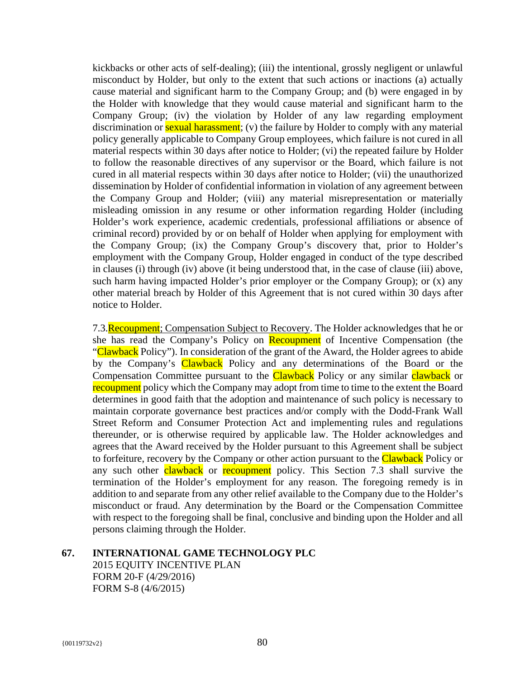kickbacks or other acts of self-dealing); (iii) the intentional, grossly negligent or unlawful misconduct by Holder, but only to the extent that such actions or inactions (a) actually cause material and significant harm to the Company Group; and (b) were engaged in by the Holder with knowledge that they would cause material and significant harm to the Company Group; (iv) the violation by Holder of any law regarding employment discrimination or **sexual harassment**; (v) the failure by Holder to comply with any material policy generally applicable to Company Group employees, which failure is not cured in all material respects within 30 days after notice to Holder; (vi) the repeated failure by Holder to follow the reasonable directives of any supervisor or the Board, which failure is not cured in all material respects within 30 days after notice to Holder; (vii) the unauthorized dissemination by Holder of confidential information in violation of any agreement between the Company Group and Holder; (viii) any material misrepresentation or materially misleading omission in any resume or other information regarding Holder (including Holder's work experience, academic credentials, professional affiliations or absence of criminal record) provided by or on behalf of Holder when applying for employment with the Company Group; (ix) the Company Group's discovery that, prior to Holder's employment with the Company Group, Holder engaged in conduct of the type described in clauses (i) through (iv) above (it being understood that, in the case of clause (iii) above, such harm having impacted Holder's prior employer or the Company Group); or (x) any other material breach by Holder of this Agreement that is not cured within 30 days after notice to Holder.

7.3. Recoupment; Compensation Subject to Recovery. The Holder acknowledges that he or she has read the Company's Policy on Recoupment of Incentive Compensation (the "Clawback Policy"). In consideration of the grant of the Award, the Holder agrees to abide by the Company's Clawback Policy and any determinations of the Board or the Compensation Committee pursuant to the Clawback Policy or any similar clawback or recoupment policy which the Company may adopt from time to time to the extent the Board determines in good faith that the adoption and maintenance of such policy is necessary to maintain corporate governance best practices and/or comply with the Dodd-Frank Wall Street Reform and Consumer Protection Act and implementing rules and regulations thereunder, or is otherwise required by applicable law. The Holder acknowledges and agrees that the Award received by the Holder pursuant to this Agreement shall be subject to forfeiture, recovery by the Company or other action pursuant to the **Clawback** Policy or any such other **clawback** or **recoupment** policy. This Section 7.3 shall survive the termination of the Holder's employment for any reason. The foregoing remedy is in addition to and separate from any other relief available to the Company due to the Holder's misconduct or fraud. Any determination by the Board or the Compensation Committee with respect to the foregoing shall be final, conclusive and binding upon the Holder and all persons claiming through the Holder.

## **67. INTERNATIONAL GAME TECHNOLOGY PLC**

2015 EQUITY INCENTIVE PLAN FORM 20-F (4/29/2016) FORM S-8 (4/6/2015)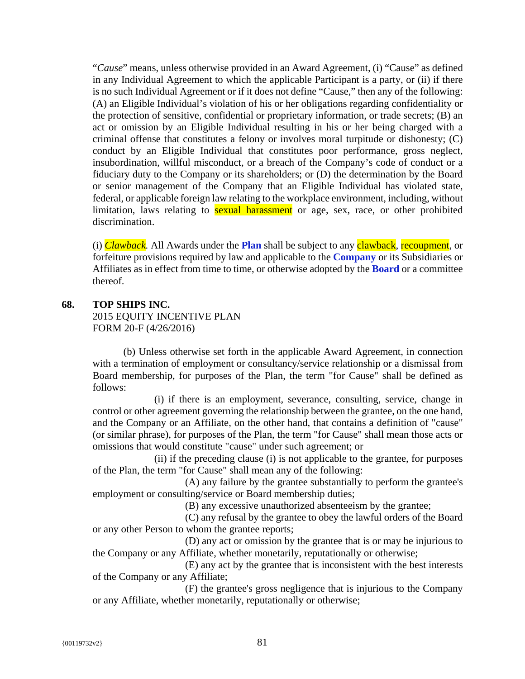"*Cause*" means, unless otherwise provided in an Award Agreement, (i) "Cause" as defined in any Individual Agreement to which the applicable Participant is a party, or (ii) if there is no such Individual Agreement or if it does not define "Cause," then any of the following: (A) an Eligible Individual's violation of his or her obligations regarding confidentiality or the protection of sensitive, confidential or proprietary information, or trade secrets; (B) an act or omission by an Eligible Individual resulting in his or her being charged with a criminal offense that constitutes a felony or involves moral turpitude or dishonesty; (C) conduct by an Eligible Individual that constitutes poor performance, gross neglect, insubordination, willful misconduct, or a breach of the Company's code of conduct or a fiduciary duty to the Company or its shareholders; or (D) the determination by the Board or senior management of the Company that an Eligible Individual has violated state, federal, or applicable foreign law relating to the workplace environment, including, without limitation, laws relating to **sexual harassment** or age, sex, race, or other prohibited discrimination.

(i) *Clawback.* All Awards under the **Plan** shall be subject to any clawback, recoupment, or forfeiture provisions required by law and applicable to the **Company** or its Subsidiaries or Affiliates as in effect from time to time, or otherwise adopted by the **Board** or a committee thereof.

# **68. TOP SHIPS INC.**

2015 EQUITY INCENTIVE PLAN FORM 20-F (4/26/2016)

(b) Unless otherwise set forth in the applicable Award Agreement, in connection with a termination of employment or consultancy/service relationship or a dismissal from Board membership, for purposes of the Plan, the term "for Cause" shall be defined as follows:

(i) if there is an employment, severance, consulting, service, change in control or other agreement governing the relationship between the grantee, on the one hand, and the Company or an Affiliate, on the other hand, that contains a definition of "cause" (or similar phrase), for purposes of the Plan, the term "for Cause" shall mean those acts or omissions that would constitute "cause" under such agreement; or

(ii) if the preceding clause (i) is not applicable to the grantee, for purposes of the Plan, the term "for Cause" shall mean any of the following:

(A) any failure by the grantee substantially to perform the grantee's employment or consulting/service or Board membership duties;

(B) any excessive unauthorized absenteeism by the grantee;

(C) any refusal by the grantee to obey the lawful orders of the Board or any other Person to whom the grantee reports;

(D) any act or omission by the grantee that is or may be injurious to the Company or any Affiliate, whether monetarily, reputationally or otherwise;

(E) any act by the grantee that is inconsistent with the best interests of the Company or any Affiliate;

(F) the grantee's gross negligence that is injurious to the Company or any Affiliate, whether monetarily, reputationally or otherwise;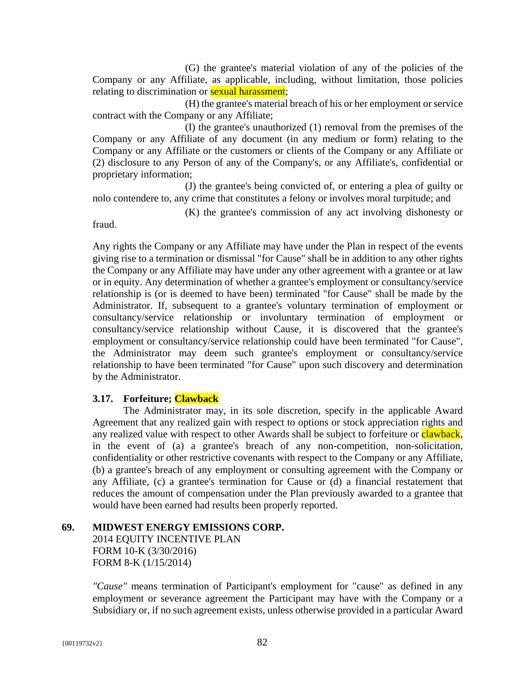(G) the grantee's material violation of any of the policies of the Company or any Affiliate, as applicable, including, without limitation, those policies relating to discrimination or **sexual harassment**;

(H) the grantee's material breach of his or her employment or service contract with the Company or any Affiliate;

(I) the grantee's unauthorized (1) removal from the premises of the Company or any Affiliate of any document (in any medium or form) relating to the Company or any Affiliate or the customers or clients of the Company or any Affiliate or (2) disclosure to any Person of any of the Company's, or any Affiliate's, confidential or proprietary information;

(J) the grantee's being convicted of, or entering a plea of guilty or nolo contendere to, any crime that constitutes a felony or involves moral turpitude; and

(K) the grantee's commission of any act involving dishonesty or

fraud.

Any rights the Company or any Affiliate may have under the Plan in respect of the events giving rise to a termination or dismissal "for Cause" shall be in addition to any other rights the Company or any Affiliate may have under any other agreement with a grantee or at law or in equity. Any determination of whether a grantee's employment or consultancy/service relationship is (or is deemed to have been) terminated "for Cause" shall be made by the Administrator. If, subsequent to a grantee's voluntary termination of employment or consultancy/service relationship or involuntary termination of employment or consultancy/service relationship without Cause, it is discovered that the grantee's employment or consultancy/service relationship could have been terminated "for Cause", the Administrator may deem such grantee's employment or consultancy/service relationship to have been terminated "for Cause" upon such discovery and determination by the Administrator.

# **3.17. Forfeiture; Clawback**

The Administrator may, in its sole discretion, specify in the applicable Award Agreement that any realized gain with respect to options or stock appreciation rights and any realized value with respect to other Awards shall be subject to forfeiture or **clawback**, in the event of (a) a grantee's breach of any non-competition, non-solicitation, confidentiality or other restrictive covenants with respect to the Company or any Affiliate, (b) a grantee's breach of any employment or consulting agreement with the Company or any Affiliate, (c) a grantee's termination for Cause or (d) a financial restatement that reduces the amount of compensation under the Plan previously awarded to a grantee that would have been earned had results been properly reported.

## **69. MIDWEST ENERGY EMISSIONS CORP.**

2014 EQUITY INCENTIVE PLAN FORM 10-K (3/30/2016) FORM 8-K (1/15/2014)

*"Cause"* means termination of Participant's employment for "cause" as defined in any employment or severance agreement the Participant may have with the Company or a Subsidiary or, if no such agreement exists, unless otherwise provided in a particular Award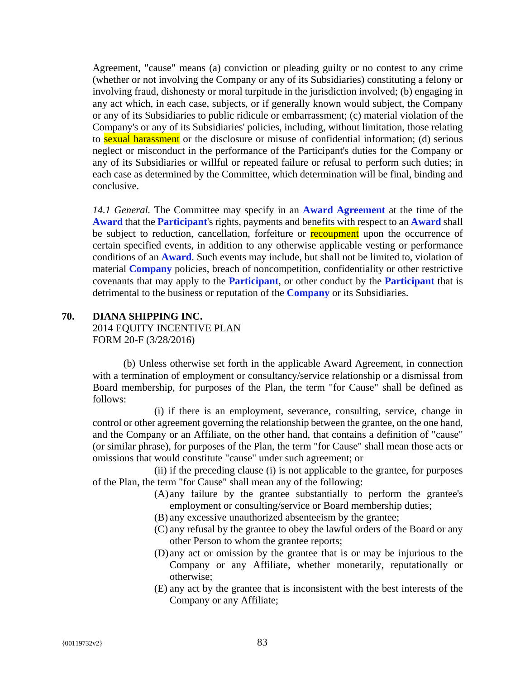Agreement, "cause" means (a) conviction or pleading guilty or no contest to any crime (whether or not involving the Company or any of its Subsidiaries) constituting a felony or involving fraud, dishonesty or moral turpitude in the jurisdiction involved; (b) engaging in any act which, in each case, subjects, or if generally known would subject, the Company or any of its Subsidiaries to public ridicule or embarrassment; (c) material violation of the Company's or any of its Subsidiaries' policies, including, without limitation, those relating to **sexual harassment** or the disclosure or misuse of confidential information; (d) serious neglect or misconduct in the performance of the Participant's duties for the Company or any of its Subsidiaries or willful or repeated failure or refusal to perform such duties; in each case as determined by the Committee, which determination will be final, binding and conclusive.

*14.1 General.* The Committee may specify in an **Award Agreement** at the time of the **Award** that the **Participant**'s rights, payments and benefits with respect to an **Award** shall be subject to reduction, cancellation, forfeiture or recoupment upon the occurrence of certain specified events, in addition to any otherwise applicable vesting or performance conditions of an **Award**. Such events may include, but shall not be limited to, violation of material **Company** policies, breach of noncompetition, confidentiality or other restrictive covenants that may apply to the **Participant**, or other conduct by the **Participant** that is detrimental to the business or reputation of the **Company** or its Subsidiaries.

## **70. DIANA SHIPPING INC.**

2014 EQUITY INCENTIVE PLAN FORM 20-F (3/28/2016)

(b) Unless otherwise set forth in the applicable Award Agreement, in connection with a termination of employment or consultancy/service relationship or a dismissal from Board membership, for purposes of the Plan, the term "for Cause" shall be defined as follows:

(i) if there is an employment, severance, consulting, service, change in control or other agreement governing the relationship between the grantee, on the one hand, and the Company or an Affiliate, on the other hand, that contains a definition of "cause" (or similar phrase), for purposes of the Plan, the term "for Cause" shall mean those acts or omissions that would constitute "cause" under such agreement; or

(ii) if the preceding clause (i) is not applicable to the grantee, for purposes of the Plan, the term "for Cause" shall mean any of the following:

- (A) any failure by the grantee substantially to perform the grantee's employment or consulting/service or Board membership duties;
- (B) any excessive unauthorized absenteeism by the grantee;
- (C) any refusal by the grantee to obey the lawful orders of the Board or any other Person to whom the grantee reports;
- (D) any act or omission by the grantee that is or may be injurious to the Company or any Affiliate, whether monetarily, reputationally or otherwise;
- (E) any act by the grantee that is inconsistent with the best interests of the Company or any Affiliate;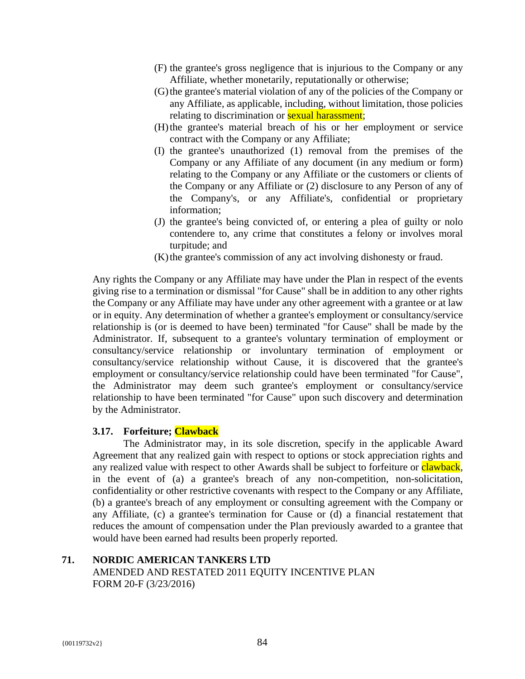- (F) the grantee's gross negligence that is injurious to the Company or any Affiliate, whether monetarily, reputationally or otherwise;
- (G)the grantee's material violation of any of the policies of the Company or any Affiliate, as applicable, including, without limitation, those policies relating to discrimination or **sexual harassment**;
- (H)the grantee's material breach of his or her employment or service contract with the Company or any Affiliate;
- (I) the grantee's unauthorized (1) removal from the premises of the Company or any Affiliate of any document (in any medium or form) relating to the Company or any Affiliate or the customers or clients of the Company or any Affiliate or (2) disclosure to any Person of any of the Company's, or any Affiliate's, confidential or proprietary information;
- (J) the grantee's being convicted of, or entering a plea of guilty or nolo contendere to, any crime that constitutes a felony or involves moral turpitude; and
- (K)the grantee's commission of any act involving dishonesty or fraud.

Any rights the Company or any Affiliate may have under the Plan in respect of the events giving rise to a termination or dismissal "for Cause" shall be in addition to any other rights the Company or any Affiliate may have under any other agreement with a grantee or at law or in equity. Any determination of whether a grantee's employment or consultancy/service relationship is (or is deemed to have been) terminated "for Cause" shall be made by the Administrator. If, subsequent to a grantee's voluntary termination of employment or consultancy/service relationship or involuntary termination of employment or consultancy/service relationship without Cause, it is discovered that the grantee's employment or consultancy/service relationship could have been terminated "for Cause", the Administrator may deem such grantee's employment or consultancy/service relationship to have been terminated "for Cause" upon such discovery and determination by the Administrator.

## **3.17. Forfeiture; Clawback**

The Administrator may, in its sole discretion, specify in the applicable Award Agreement that any realized gain with respect to options or stock appreciation rights and any realized value with respect to other Awards shall be subject to forfeiture or clawback, in the event of (a) a grantee's breach of any non-competition, non-solicitation, confidentiality or other restrictive covenants with respect to the Company or any Affiliate, (b) a grantee's breach of any employment or consulting agreement with the Company or any Affiliate, (c) a grantee's termination for Cause or (d) a financial restatement that reduces the amount of compensation under the Plan previously awarded to a grantee that would have been earned had results been properly reported.

# **71. NORDIC AMERICAN TANKERS LTD**  AMENDED AND RESTATED 2011 EQUITY INCENTIVE PLAN FORM 20-F (3/23/2016)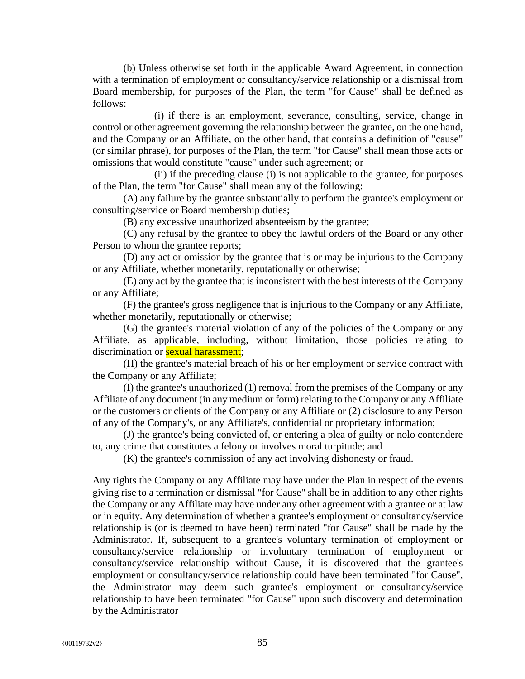(b) Unless otherwise set forth in the applicable Award Agreement, in connection with a termination of employment or consultancy/service relationship or a dismissal from Board membership, for purposes of the Plan, the term "for Cause" shall be defined as follows:

(i) if there is an employment, severance, consulting, service, change in control or other agreement governing the relationship between the grantee, on the one hand, and the Company or an Affiliate, on the other hand, that contains a definition of "cause" (or similar phrase), for purposes of the Plan, the term "for Cause" shall mean those acts or omissions that would constitute "cause" under such agreement; or

(ii) if the preceding clause (i) is not applicable to the grantee, for purposes of the Plan, the term "for Cause" shall mean any of the following:

(A) any failure by the grantee substantially to perform the grantee's employment or consulting/service or Board membership duties;

(B) any excessive unauthorized absenteeism by the grantee;

(C) any refusal by the grantee to obey the lawful orders of the Board or any other Person to whom the grantee reports;

(D) any act or omission by the grantee that is or may be injurious to the Company or any Affiliate, whether monetarily, reputationally or otherwise;

(E) any act by the grantee that is inconsistent with the best interests of the Company or any Affiliate;

(F) the grantee's gross negligence that is injurious to the Company or any Affiliate, whether monetarily, reputationally or otherwise;

(G) the grantee's material violation of any of the policies of the Company or any Affiliate, as applicable, including, without limitation, those policies relating to discrimination or **sexual harassment**;

(H) the grantee's material breach of his or her employment or service contract with the Company or any Affiliate;

(I) the grantee's unauthorized (1) removal from the premises of the Company or any Affiliate of any document (in any medium or form) relating to the Company or any Affiliate or the customers or clients of the Company or any Affiliate or (2) disclosure to any Person of any of the Company's, or any Affiliate's, confidential or proprietary information;

(J) the grantee's being convicted of, or entering a plea of guilty or nolo contendere to, any crime that constitutes a felony or involves moral turpitude; and

(K) the grantee's commission of any act involving dishonesty or fraud.

Any rights the Company or any Affiliate may have under the Plan in respect of the events giving rise to a termination or dismissal "for Cause" shall be in addition to any other rights the Company or any Affiliate may have under any other agreement with a grantee or at law or in equity. Any determination of whether a grantee's employment or consultancy/service relationship is (or is deemed to have been) terminated "for Cause" shall be made by the Administrator. If, subsequent to a grantee's voluntary termination of employment or consultancy/service relationship or involuntary termination of employment or consultancy/service relationship without Cause, it is discovered that the grantee's employment or consultancy/service relationship could have been terminated "for Cause", the Administrator may deem such grantee's employment or consultancy/service relationship to have been terminated "for Cause" upon such discovery and determination by the Administrator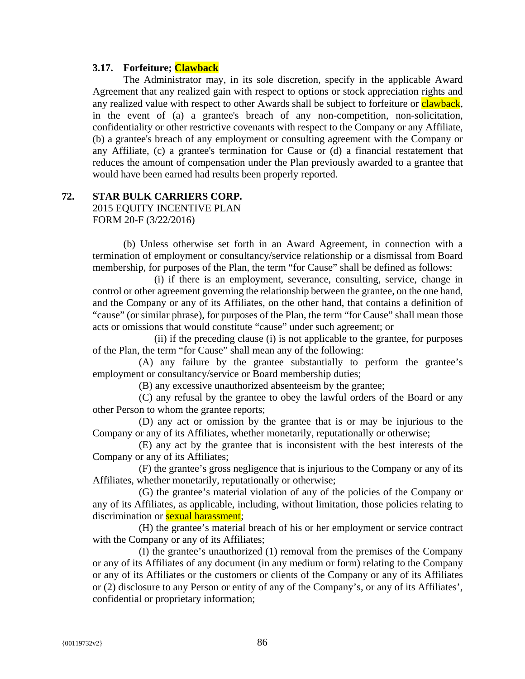#### **3.17. Forfeiture; Clawback**

The Administrator may, in its sole discretion, specify in the applicable Award Agreement that any realized gain with respect to options or stock appreciation rights and any realized value with respect to other Awards shall be subject to forfeiture or clawback, in the event of (a) a grantee's breach of any non-competition, non-solicitation, confidentiality or other restrictive covenants with respect to the Company or any Affiliate, (b) a grantee's breach of any employment or consulting agreement with the Company or any Affiliate, (c) a grantee's termination for Cause or (d) a financial restatement that reduces the amount of compensation under the Plan previously awarded to a grantee that would have been earned had results been properly reported.

#### **72. STAR BULK CARRIERS CORP.**

2015 EQUITY INCENTIVE PLAN FORM 20-F (3/22/2016)

(b) Unless otherwise set forth in an Award Agreement, in connection with a termination of employment or consultancy/service relationship or a dismissal from Board membership, for purposes of the Plan, the term "for Cause" shall be defined as follows:

(i) if there is an employment, severance, consulting, service, change in control or other agreement governing the relationship between the grantee, on the one hand, and the Company or any of its Affiliates, on the other hand, that contains a definition of "cause" (or similar phrase), for purposes of the Plan, the term "for Cause" shall mean those acts or omissions that would constitute "cause" under such agreement; or

(ii) if the preceding clause (i) is not applicable to the grantee, for purposes of the Plan, the term "for Cause" shall mean any of the following:

(A) any failure by the grantee substantially to perform the grantee's employment or consultancy/service or Board membership duties;

(B) any excessive unauthorized absenteeism by the grantee;

(C) any refusal by the grantee to obey the lawful orders of the Board or any other Person to whom the grantee reports;

(D) any act or omission by the grantee that is or may be injurious to the Company or any of its Affiliates, whether monetarily, reputationally or otherwise;

(E) any act by the grantee that is inconsistent with the best interests of the Company or any of its Affiliates;

(F) the grantee's gross negligence that is injurious to the Company or any of its Affiliates, whether monetarily, reputationally or otherwise;

(G) the grantee's material violation of any of the policies of the Company or any of its Affiliates, as applicable, including, without limitation, those policies relating to discrimination or **sexual harassment**;

(H) the grantee's material breach of his or her employment or service contract with the Company or any of its Affiliates;

(I) the grantee's unauthorized (1) removal from the premises of the Company or any of its Affiliates of any document (in any medium or form) relating to the Company or any of its Affiliates or the customers or clients of the Company or any of its Affiliates or (2) disclosure to any Person or entity of any of the Company's, or any of its Affiliates', confidential or proprietary information;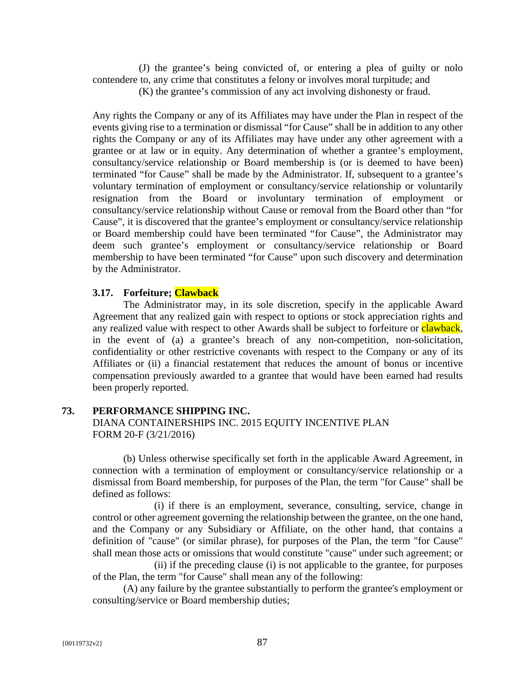(J) the grantee's being convicted of, or entering a plea of guilty or nolo contendere to, any crime that constitutes a felony or involves moral turpitude; and

(K) the grantee's commission of any act involving dishonesty or fraud.

Any rights the Company or any of its Affiliates may have under the Plan in respect of the events giving rise to a termination or dismissal "for Cause" shall be in addition to any other rights the Company or any of its Affiliates may have under any other agreement with a grantee or at law or in equity. Any determination of whether a grantee's employment, consultancy/service relationship or Board membership is (or is deemed to have been) terminated "for Cause" shall be made by the Administrator. If, subsequent to a grantee's voluntary termination of employment or consultancy/service relationship or voluntarily resignation from the Board or involuntary termination of employment or consultancy/service relationship without Cause or removal from the Board other than "for Cause", it is discovered that the grantee's employment or consultancy/service relationship or Board membership could have been terminated "for Cause", the Administrator may deem such grantee's employment or consultancy/service relationship or Board membership to have been terminated "for Cause" upon such discovery and determination by the Administrator.

## **3.17. Forfeiture; Clawback**

The Administrator may, in its sole discretion, specify in the applicable Award Agreement that any realized gain with respect to options or stock appreciation rights and any realized value with respect to other Awards shall be subject to forfeiture or **clawback**, in the event of (a) a grantee's breach of any non-competition, non-solicitation, confidentiality or other restrictive covenants with respect to the Company or any of its Affiliates or (ii) a financial restatement that reduces the amount of bonus or incentive compensation previously awarded to a grantee that would have been earned had results been properly reported.

## **73. PERFORMANCE SHIPPING INC.**

DIANA CONTAINERSHIPS INC. 2015 EQUITY INCENTIVE PLAN FORM 20-F (3/21/2016)

(b) Unless otherwise specifically set forth in the applicable Award Agreement, in connection with a termination of employment or consultancy/service relationship or a dismissal from Board membership, for purposes of the Plan, the term "for Cause" shall be defined as follows:

(i) if there is an employment, severance, consulting, service, change in control or other agreement governing the relationship between the grantee, on the one hand, and the Company or any Subsidiary or Affiliate, on the other hand, that contains a definition of "cause" (or similar phrase), for purposes of the Plan, the term "for Cause" shall mean those acts or omissions that would constitute "cause" under such agreement; or

(ii) if the preceding clause (i) is not applicable to the grantee, for purposes of the Plan, the term "for Cause" shall mean any of the following:

(A) any failure by the grantee substantially to perform the grantee's employment or consulting/service or Board membership duties;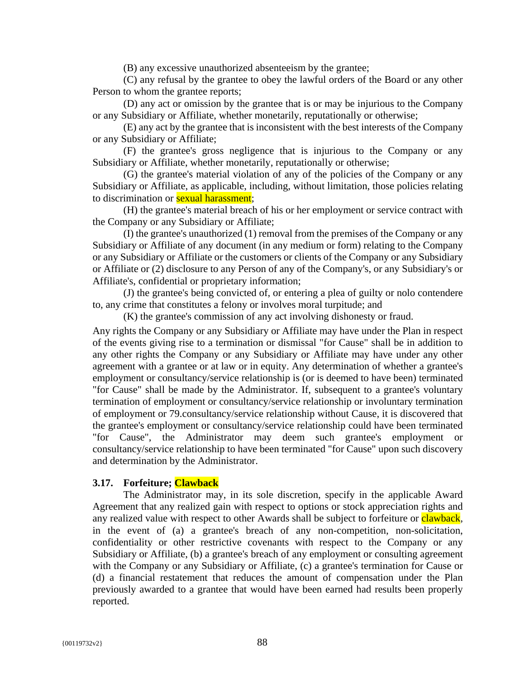(B) any excessive unauthorized absenteeism by the grantee;

(C) any refusal by the grantee to obey the lawful orders of the Board or any other Person to whom the grantee reports;

(D) any act or omission by the grantee that is or may be injurious to the Company or any Subsidiary or Affiliate, whether monetarily, reputationally or otherwise;

(E) any act by the grantee that is inconsistent with the best interests of the Company or any Subsidiary or Affiliate;

(F) the grantee's gross negligence that is injurious to the Company or any Subsidiary or Affiliate, whether monetarily, reputationally or otherwise;

(G) the grantee's material violation of any of the policies of the Company or any Subsidiary or Affiliate, as applicable, including, without limitation, those policies relating to discrimination or **sexual harassment**;

(H) the grantee's material breach of his or her employment or service contract with the Company or any Subsidiary or Affiliate;

(I) the grantee's unauthorized (1) removal from the premises of the Company or any Subsidiary or Affiliate of any document (in any medium or form) relating to the Company or any Subsidiary or Affiliate or the customers or clients of the Company or any Subsidiary or Affiliate or (2) disclosure to any Person of any of the Company's, or any Subsidiary's or Affiliate's, confidential or proprietary information;

(J) the grantee's being convicted of, or entering a plea of guilty or nolo contendere to, any crime that constitutes a felony or involves moral turpitude; and

(K) the grantee's commission of any act involving dishonesty or fraud.

Any rights the Company or any Subsidiary or Affiliate may have under the Plan in respect of the events giving rise to a termination or dismissal "for Cause" shall be in addition to any other rights the Company or any Subsidiary or Affiliate may have under any other agreement with a grantee or at law or in equity. Any determination of whether a grantee's employment or consultancy/service relationship is (or is deemed to have been) terminated "for Cause" shall be made by the Administrator. If, subsequent to a grantee's voluntary termination of employment or consultancy/service relationship or involuntary termination of employment or 79.consultancy/service relationship without Cause, it is discovered that the grantee's employment or consultancy/service relationship could have been terminated "for Cause", the Administrator may deem such grantee's employment or consultancy/service relationship to have been terminated "for Cause" upon such discovery and determination by the Administrator.

#### **3.17. Forfeiture; Clawback**

The Administrator may, in its sole discretion, specify in the applicable Award Agreement that any realized gain with respect to options or stock appreciation rights and any realized value with respect to other Awards shall be subject to forfeiture or clawback, in the event of (a) a grantee's breach of any non-competition, non-solicitation, confidentiality or other restrictive covenants with respect to the Company or any Subsidiary or Affiliate, (b) a grantee's breach of any employment or consulting agreement with the Company or any Subsidiary or Affiliate, (c) a grantee's termination for Cause or (d) a financial restatement that reduces the amount of compensation under the Plan previously awarded to a grantee that would have been earned had results been properly reported.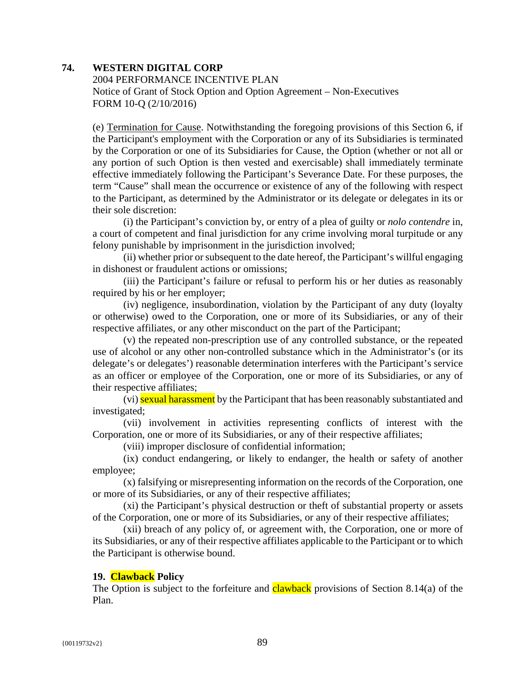## **74. WESTERN DIGITAL CORP**

2004 PERFORMANCE INCENTIVE PLAN Notice of Grant of Stock Option and Option Agreement – Non-Executives FORM 10-Q (2/10/2016)

(e) Termination for Cause. Notwithstanding the foregoing provisions of this Section 6, if the Participant's employment with the Corporation or any of its Subsidiaries is terminated by the Corporation or one of its Subsidiaries for Cause, the Option (whether or not all or any portion of such Option is then vested and exercisable) shall immediately terminate effective immediately following the Participant's Severance Date. For these purposes, the term "Cause" shall mean the occurrence or existence of any of the following with respect to the Participant, as determined by the Administrator or its delegate or delegates in its or their sole discretion:

(i) the Participant's conviction by, or entry of a plea of guilty or *nolo contendre* in, a court of competent and final jurisdiction for any crime involving moral turpitude or any felony punishable by imprisonment in the jurisdiction involved;

(ii) whether prior or subsequent to the date hereof, the Participant's willful engaging in dishonest or fraudulent actions or omissions;

(iii) the Participant's failure or refusal to perform his or her duties as reasonably required by his or her employer;

(iv) negligence, insubordination, violation by the Participant of any duty (loyalty or otherwise) owed to the Corporation, one or more of its Subsidiaries, or any of their respective affiliates, or any other misconduct on the part of the Participant;

(v) the repeated non-prescription use of any controlled substance, or the repeated use of alcohol or any other non-controlled substance which in the Administrator's (or its delegate's or delegates') reasonable determination interferes with the Participant's service as an officer or employee of the Corporation, one or more of its Subsidiaries, or any of their respective affiliates;

(vi) sexual harassment by the Participant that has been reasonably substantiated and investigated;

(vii) involvement in activities representing conflicts of interest with the Corporation, one or more of its Subsidiaries, or any of their respective affiliates;

(viii) improper disclosure of confidential information;

(ix) conduct endangering, or likely to endanger, the health or safety of another employee;

(x) falsifying or misrepresenting information on the records of the Corporation, one or more of its Subsidiaries, or any of their respective affiliates;

(xi) the Participant's physical destruction or theft of substantial property or assets of the Corporation, one or more of its Subsidiaries, or any of their respective affiliates;

(xii) breach of any policy of, or agreement with, the Corporation, one or more of its Subsidiaries, or any of their respective affiliates applicable to the Participant or to which the Participant is otherwise bound.

#### **19. Clawback Policy**

The Option is subject to the forfeiture and **clawback** provisions of Section 8.14(a) of the Plan.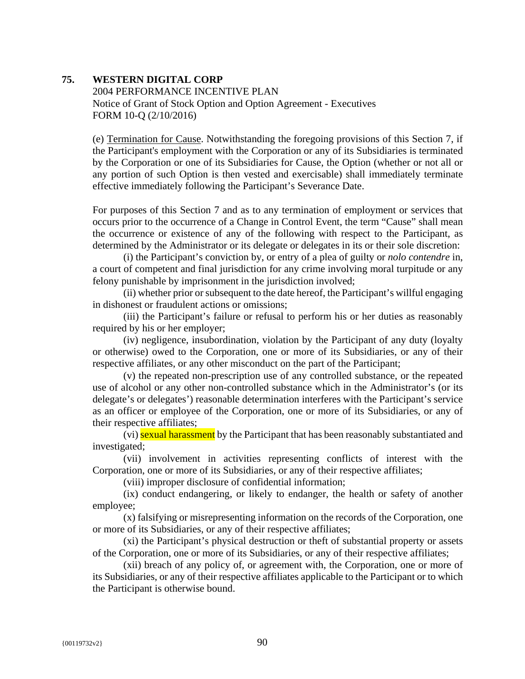#### **75. WESTERN DIGITAL CORP**

2004 PERFORMANCE INCENTIVE PLAN Notice of Grant of Stock Option and Option Agreement - Executives FORM 10-Q (2/10/2016)

(e) Termination for Cause. Notwithstanding the foregoing provisions of this Section 7, if the Participant's employment with the Corporation or any of its Subsidiaries is terminated by the Corporation or one of its Subsidiaries for Cause, the Option (whether or not all or any portion of such Option is then vested and exercisable) shall immediately terminate effective immediately following the Participant's Severance Date.

For purposes of this Section 7 and as to any termination of employment or services that occurs prior to the occurrence of a Change in Control Event, the term "Cause" shall mean the occurrence or existence of any of the following with respect to the Participant, as determined by the Administrator or its delegate or delegates in its or their sole discretion:

(i) the Participant's conviction by, or entry of a plea of guilty or *nolo contendre* in, a court of competent and final jurisdiction for any crime involving moral turpitude or any felony punishable by imprisonment in the jurisdiction involved;

(ii) whether prior or subsequent to the date hereof, the Participant's willful engaging in dishonest or fraudulent actions or omissions;

(iii) the Participant's failure or refusal to perform his or her duties as reasonably required by his or her employer;

(iv) negligence, insubordination, violation by the Participant of any duty (loyalty or otherwise) owed to the Corporation, one or more of its Subsidiaries, or any of their respective affiliates, or any other misconduct on the part of the Participant;

(v) the repeated non-prescription use of any controlled substance, or the repeated use of alcohol or any other non-controlled substance which in the Administrator's (or its delegate's or delegates') reasonable determination interferes with the Participant's service as an officer or employee of the Corporation, one or more of its Subsidiaries, or any of their respective affiliates;

(vi) sexual harassment by the Participant that has been reasonably substantiated and investigated;

(vii) involvement in activities representing conflicts of interest with the Corporation, one or more of its Subsidiaries, or any of their respective affiliates;

(viii) improper disclosure of confidential information;

(ix) conduct endangering, or likely to endanger, the health or safety of another employee;

(x) falsifying or misrepresenting information on the records of the Corporation, one or more of its Subsidiaries, or any of their respective affiliates;

(xi) the Participant's physical destruction or theft of substantial property or assets of the Corporation, one or more of its Subsidiaries, or any of their respective affiliates;

(xii) breach of any policy of, or agreement with, the Corporation, one or more of its Subsidiaries, or any of their respective affiliates applicable to the Participant or to which the Participant is otherwise bound.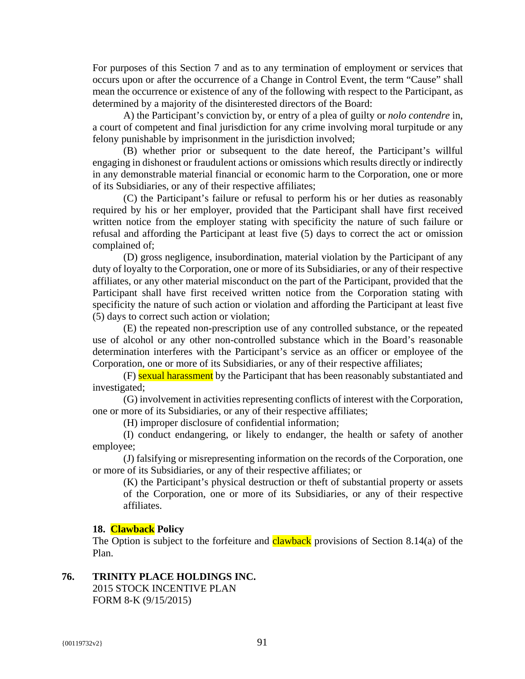For purposes of this Section 7 and as to any termination of employment or services that occurs upon or after the occurrence of a Change in Control Event, the term "Cause" shall mean the occurrence or existence of any of the following with respect to the Participant, as determined by a majority of the disinterested directors of the Board:

A) the Participant's conviction by, or entry of a plea of guilty or *nolo contendre* in, a court of competent and final jurisdiction for any crime involving moral turpitude or any felony punishable by imprisonment in the jurisdiction involved;

(B) whether prior or subsequent to the date hereof, the Participant's willful engaging in dishonest or fraudulent actions or omissions which results directly or indirectly in any demonstrable material financial or economic harm to the Corporation, one or more of its Subsidiaries, or any of their respective affiliates;

(C) the Participant's failure or refusal to perform his or her duties as reasonably required by his or her employer, provided that the Participant shall have first received written notice from the employer stating with specificity the nature of such failure or refusal and affording the Participant at least five (5) days to correct the act or omission complained of;

(D) gross negligence, insubordination, material violation by the Participant of any duty of loyalty to the Corporation, one or more of its Subsidiaries, or any of their respective affiliates, or any other material misconduct on the part of the Participant, provided that the Participant shall have first received written notice from the Corporation stating with specificity the nature of such action or violation and affording the Participant at least five (5) days to correct such action or violation;

(E) the repeated non-prescription use of any controlled substance, or the repeated use of alcohol or any other non-controlled substance which in the Board's reasonable determination interferes with the Participant's service as an officer or employee of the Corporation, one or more of its Subsidiaries, or any of their respective affiliates;

(F) sexual harassment by the Participant that has been reasonably substantiated and investigated;

(G) involvement in activities representing conflicts of interest with the Corporation, one or more of its Subsidiaries, or any of their respective affiliates;

(H) improper disclosure of confidential information;

(I) conduct endangering, or likely to endanger, the health or safety of another employee;

(J) falsifying or misrepresenting information on the records of the Corporation, one or more of its Subsidiaries, or any of their respective affiliates; or

(K) the Participant's physical destruction or theft of substantial property or assets of the Corporation, one or more of its Subsidiaries, or any of their respective affiliates.

#### **18. Clawback Policy**

The Option is subject to the forfeiture and **clawback** provisions of Section 8.14(a) of the Plan.

## **76. TRINITY PLACE HOLDINGS INC.**

2015 STOCK INCENTIVE PLAN FORM 8-K (9/15/2015)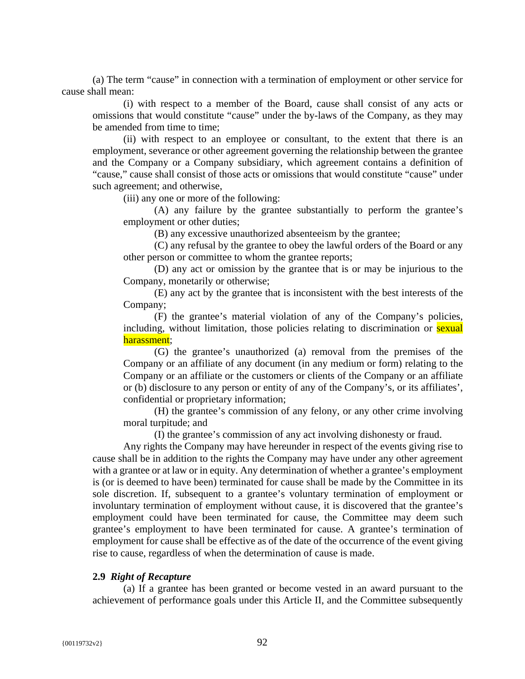(a) The term "cause" in connection with a termination of employment or other service for cause shall mean:

(i) with respect to a member of the Board, cause shall consist of any acts or omissions that would constitute "cause" under the by-laws of the Company, as they may be amended from time to time;

(ii) with respect to an employee or consultant, to the extent that there is an employment, severance or other agreement governing the relationship between the grantee and the Company or a Company subsidiary, which agreement contains a definition of "cause," cause shall consist of those acts or omissions that would constitute "cause" under such agreement; and otherwise,

(iii) any one or more of the following:

(A) any failure by the grantee substantially to perform the grantee's employment or other duties;

(B) any excessive unauthorized absenteeism by the grantee;

(C) any refusal by the grantee to obey the lawful orders of the Board or any other person or committee to whom the grantee reports;

(D) any act or omission by the grantee that is or may be injurious to the Company, monetarily or otherwise;

(E) any act by the grantee that is inconsistent with the best interests of the Company;

(F) the grantee's material violation of any of the Company's policies, including, without limitation, those policies relating to discrimination or **sexual** harassment;

(G) the grantee's unauthorized (a) removal from the premises of the Company or an affiliate of any document (in any medium or form) relating to the Company or an affiliate or the customers or clients of the Company or an affiliate or (b) disclosure to any person or entity of any of the Company's, or its affiliates', confidential or proprietary information;

(H) the grantee's commission of any felony, or any other crime involving moral turpitude; and

(I) the grantee's commission of any act involving dishonesty or fraud.

Any rights the Company may have hereunder in respect of the events giving rise to cause shall be in addition to the rights the Company may have under any other agreement with a grantee or at law or in equity. Any determination of whether a grantee's employment is (or is deemed to have been) terminated for cause shall be made by the Committee in its sole discretion. If, subsequent to a grantee's voluntary termination of employment or involuntary termination of employment without cause, it is discovered that the grantee's employment could have been terminated for cause, the Committee may deem such grantee's employment to have been terminated for cause. A grantee's termination of employment for cause shall be effective as of the date of the occurrence of the event giving rise to cause, regardless of when the determination of cause is made.

#### **2.9** *Right of Recapture*

(a) If a grantee has been granted or become vested in an award pursuant to the achievement of performance goals under this Article II, and the Committee subsequently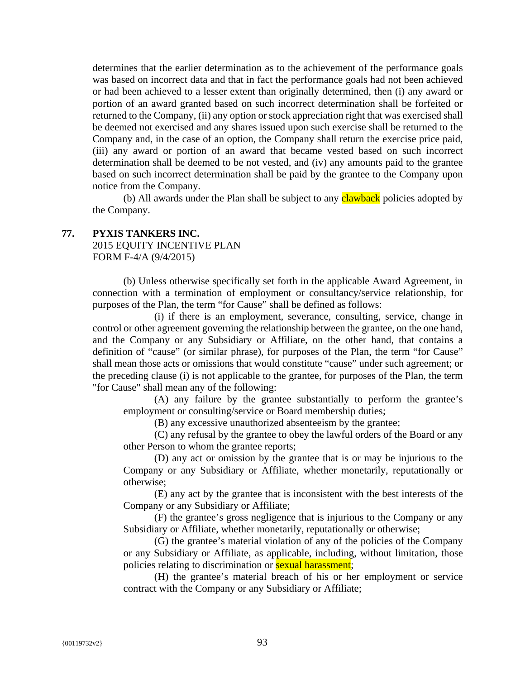determines that the earlier determination as to the achievement of the performance goals was based on incorrect data and that in fact the performance goals had not been achieved or had been achieved to a lesser extent than originally determined, then (i) any award or portion of an award granted based on such incorrect determination shall be forfeited or returned to the Company, (ii) any option or stock appreciation right that was exercised shall be deemed not exercised and any shares issued upon such exercise shall be returned to the Company and, in the case of an option, the Company shall return the exercise price paid, (iii) any award or portion of an award that became vested based on such incorrect determination shall be deemed to be not vested, and (iv) any amounts paid to the grantee based on such incorrect determination shall be paid by the grantee to the Company upon notice from the Company.

(b) All awards under the Plan shall be subject to any **clawback** policies adopted by the Company.

#### **77. PYXIS TANKERS INC.**

2015 EQUITY INCENTIVE PLAN FORM F-4/A (9/4/2015)

(b) Unless otherwise specifically set forth in the applicable Award Agreement, in connection with a termination of employment or consultancy/service relationship, for purposes of the Plan, the term "for Cause" shall be defined as follows:

(i) if there is an employment, severance, consulting, service, change in control or other agreement governing the relationship between the grantee, on the one hand, and the Company or any Subsidiary or Affiliate, on the other hand, that contains a definition of "cause" (or similar phrase), for purposes of the Plan, the term "for Cause" shall mean those acts or omissions that would constitute "cause" under such agreement; or the preceding clause (i) is not applicable to the grantee, for purposes of the Plan, the term "for Cause" shall mean any of the following:

(A) any failure by the grantee substantially to perform the grantee's employment or consulting/service or Board membership duties;

(B) any excessive unauthorized absenteeism by the grantee;

(C) any refusal by the grantee to obey the lawful orders of the Board or any other Person to whom the grantee reports;

(D) any act or omission by the grantee that is or may be injurious to the Company or any Subsidiary or Affiliate, whether monetarily, reputationally or otherwise;

(E) any act by the grantee that is inconsistent with the best interests of the Company or any Subsidiary or Affiliate;

(F) the grantee's gross negligence that is injurious to the Company or any Subsidiary or Affiliate, whether monetarily, reputationally or otherwise;

(G) the grantee's material violation of any of the policies of the Company or any Subsidiary or Affiliate, as applicable, including, without limitation, those policies relating to discrimination or **sexual harassment**;

(H) the grantee's material breach of his or her employment or service contract with the Company or any Subsidiary or Affiliate;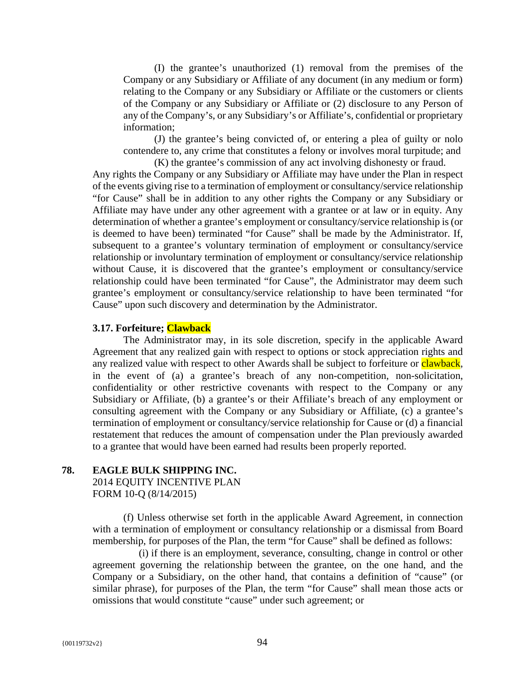(I) the grantee's unauthorized (1) removal from the premises of the Company or any Subsidiary or Affiliate of any document (in any medium or form) relating to the Company or any Subsidiary or Affiliate or the customers or clients of the Company or any Subsidiary or Affiliate or (2) disclosure to any Person of any of the Company's, or any Subsidiary's or Affiliate's, confidential or proprietary information;

(J) the grantee's being convicted of, or entering a plea of guilty or nolo contendere to, any crime that constitutes a felony or involves moral turpitude; and (K) the grantee's commission of any act involving dishonesty or fraud.

Any rights the Company or any Subsidiary or Affiliate may have under the Plan in respect of the events giving rise to a termination of employment or consultancy/service relationship "for Cause" shall be in addition to any other rights the Company or any Subsidiary or Affiliate may have under any other agreement with a grantee or at law or in equity. Any determination of whether a grantee's employment or consultancy/service relationship is (or is deemed to have been) terminated "for Cause" shall be made by the Administrator. If, subsequent to a grantee's voluntary termination of employment or consultancy/service relationship or involuntary termination of employment or consultancy/service relationship without Cause, it is discovered that the grantee's employment or consultancy/service relationship could have been terminated "for Cause", the Administrator may deem such grantee's employment or consultancy/service relationship to have been terminated "for Cause" upon such discovery and determination by the Administrator.

#### **3.17. Forfeiture; Clawback**

The Administrator may, in its sole discretion, specify in the applicable Award Agreement that any realized gain with respect to options or stock appreciation rights and any realized value with respect to other Awards shall be subject to forfeiture or **clawback**, in the event of (a) a grantee's breach of any non-competition, non-solicitation, confidentiality or other restrictive covenants with respect to the Company or any Subsidiary or Affiliate, (b) a grantee's or their Affiliate's breach of any employment or consulting agreement with the Company or any Subsidiary or Affiliate, (c) a grantee's termination of employment or consultancy/service relationship for Cause or (d) a financial restatement that reduces the amount of compensation under the Plan previously awarded to a grantee that would have been earned had results been properly reported.

#### **78. EAGLE BULK SHIPPING INC.**

2014 EQUITY INCENTIVE PLAN FORM 10-Q (8/14/2015)

(f) Unless otherwise set forth in the applicable Award Agreement, in connection with a termination of employment or consultancy relationship or a dismissal from Board membership, for purposes of the Plan, the term "for Cause" shall be defined as follows:

(i) if there is an employment, severance, consulting, change in control or other agreement governing the relationship between the grantee, on the one hand, and the Company or a Subsidiary, on the other hand, that contains a definition of "cause" (or similar phrase), for purposes of the Plan, the term "for Cause" shall mean those acts or omissions that would constitute "cause" under such agreement; or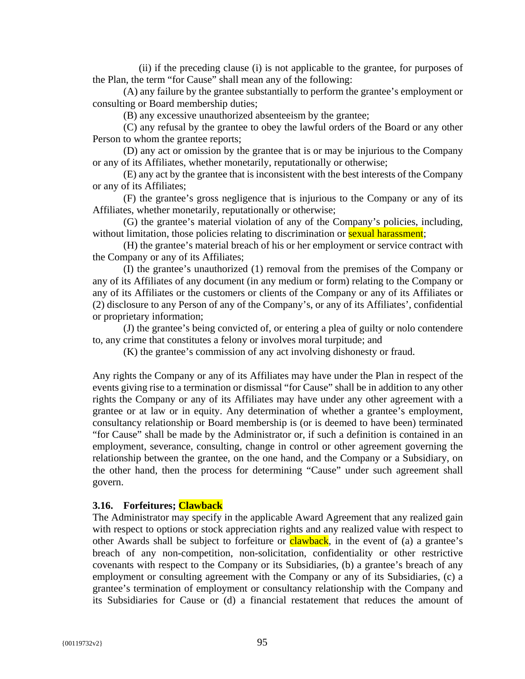(ii) if the preceding clause (i) is not applicable to the grantee, for purposes of the Plan, the term "for Cause" shall mean any of the following:

(A) any failure by the grantee substantially to perform the grantee's employment or consulting or Board membership duties;

(B) any excessive unauthorized absenteeism by the grantee;

(C) any refusal by the grantee to obey the lawful orders of the Board or any other Person to whom the grantee reports;

(D) any act or omission by the grantee that is or may be injurious to the Company or any of its Affiliates, whether monetarily, reputationally or otherwise;

(E) any act by the grantee that is inconsistent with the best interests of the Company or any of its Affiliates;

(F) the grantee's gross negligence that is injurious to the Company or any of its Affiliates, whether monetarily, reputationally or otherwise;

(G) the grantee's material violation of any of the Company's policies, including, without limitation, those policies relating to discrimination or **sexual harassment**;

(H) the grantee's material breach of his or her employment or service contract with the Company or any of its Affiliates;

(I) the grantee's unauthorized (1) removal from the premises of the Company or any of its Affiliates of any document (in any medium or form) relating to the Company or any of its Affiliates or the customers or clients of the Company or any of its Affiliates or (2) disclosure to any Person of any of the Company's, or any of its Affiliates', confidential or proprietary information;

(J) the grantee's being convicted of, or entering a plea of guilty or nolo contendere to, any crime that constitutes a felony or involves moral turpitude; and

(K) the grantee's commission of any act involving dishonesty or fraud.

Any rights the Company or any of its Affiliates may have under the Plan in respect of the events giving rise to a termination or dismissal "for Cause" shall be in addition to any other rights the Company or any of its Affiliates may have under any other agreement with a grantee or at law or in equity. Any determination of whether a grantee's employment, consultancy relationship or Board membership is (or is deemed to have been) terminated "for Cause" shall be made by the Administrator or, if such a definition is contained in an employment, severance, consulting, change in control or other agreement governing the relationship between the grantee, on the one hand, and the Company or a Subsidiary, on the other hand, then the process for determining "Cause" under such agreement shall govern.

#### **3.16. Forfeitures; Clawback**

The Administrator may specify in the applicable Award Agreement that any realized gain with respect to options or stock appreciation rights and any realized value with respect to other Awards shall be subject to forfeiture or **clawback**, in the event of (a) a grantee's breach of any non-competition, non-solicitation, confidentiality or other restrictive covenants with respect to the Company or its Subsidiaries, (b) a grantee's breach of any employment or consulting agreement with the Company or any of its Subsidiaries, (c) a grantee's termination of employment or consultancy relationship with the Company and its Subsidiaries for Cause or (d) a financial restatement that reduces the amount of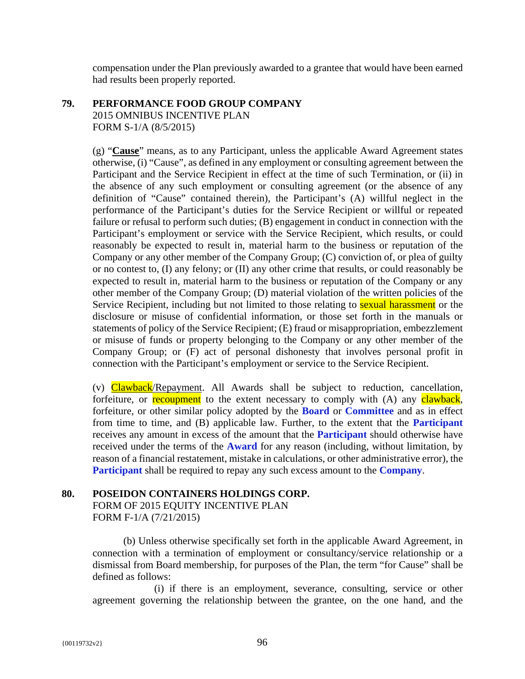compensation under the Plan previously awarded to a grantee that would have been earned had results been properly reported.

## **79. PERFORMANCE FOOD GROUP COMPANY**  2015 OMNIBUS INCENTIVE PLAN FORM S-1/A (8/5/2015)

(g) "**Cause**" means, as to any Participant, unless the applicable Award Agreement states otherwise, (i) "Cause", as defined in any employment or consulting agreement between the Participant and the Service Recipient in effect at the time of such Termination, or (ii) in the absence of any such employment or consulting agreement (or the absence of any definition of "Cause" contained therein), the Participant's (A) willful neglect in the performance of the Participant's duties for the Service Recipient or willful or repeated failure or refusal to perform such duties; (B) engagement in conduct in connection with the Participant's employment or service with the Service Recipient, which results, or could reasonably be expected to result in, material harm to the business or reputation of the Company or any other member of the Company Group; (C) conviction of, or plea of guilty or no contest to, (I) any felony; or (II) any other crime that results, or could reasonably be expected to result in, material harm to the business or reputation of the Company or any other member of the Company Group; (D) material violation of the written policies of the Service Recipient, including but not limited to those relating to **sexual harassment** or the disclosure or misuse of confidential information, or those set forth in the manuals or statements of policy of the Service Recipient; (E) fraud or misappropriation, embezzlement or misuse of funds or property belonging to the Company or any other member of the Company Group; or (F) act of personal dishonesty that involves personal profit in connection with the Participant's employment or service to the Service Recipient.

(v) Clawback/Repayment. All Awards shall be subject to reduction, cancellation, forfeiture, or recoupment to the extent necessary to comply with (A) any clawback, forfeiture, or other similar policy adopted by the **Board** or **Committee** and as in effect from time to time, and (B) applicable law. Further, to the extent that the **Participant** receives any amount in excess of the amount that the **Participant** should otherwise have received under the terms of the **Award** for any reason (including, without limitation, by reason of a financial restatement, mistake in calculations, or other administrative error), the **Participant** shall be required to repay any such excess amount to the **Company**.

## **80. POSEIDON CONTAINERS HOLDINGS CORP.**

FORM OF 2015 EQUITY INCENTIVE PLAN FORM F-1/A (7/21/2015)

(b) Unless otherwise specifically set forth in the applicable Award Agreement, in connection with a termination of employment or consultancy/service relationship or a dismissal from Board membership, for purposes of the Plan, the term "for Cause" shall be defined as follows:

(i) if there is an employment, severance, consulting, service or other agreement governing the relationship between the grantee, on the one hand, and the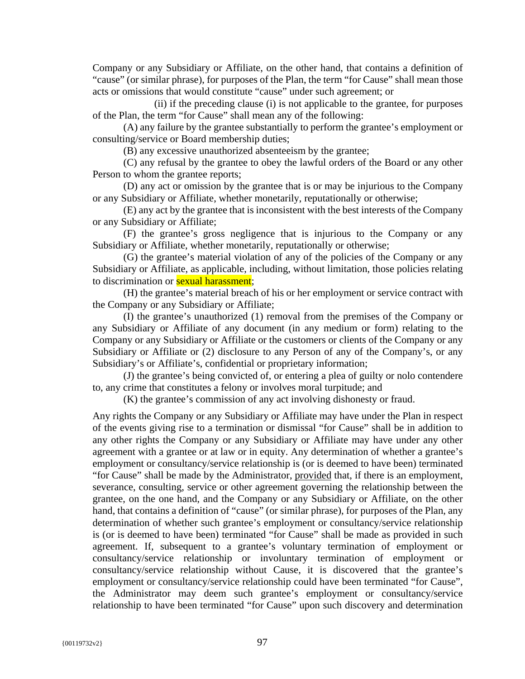Company or any Subsidiary or Affiliate, on the other hand, that contains a definition of "cause" (or similar phrase), for purposes of the Plan, the term "for Cause" shall mean those acts or omissions that would constitute "cause" under such agreement; or

(ii) if the preceding clause (i) is not applicable to the grantee, for purposes of the Plan, the term "for Cause" shall mean any of the following:

(A) any failure by the grantee substantially to perform the grantee's employment or consulting/service or Board membership duties;

(B) any excessive unauthorized absenteeism by the grantee;

(C) any refusal by the grantee to obey the lawful orders of the Board or any other Person to whom the grantee reports;

(D) any act or omission by the grantee that is or may be injurious to the Company or any Subsidiary or Affiliate, whether monetarily, reputationally or otherwise;

(E) any act by the grantee that is inconsistent with the best interests of the Company or any Subsidiary or Affiliate;

(F) the grantee's gross negligence that is injurious to the Company or any Subsidiary or Affiliate, whether monetarily, reputationally or otherwise;

(G) the grantee's material violation of any of the policies of the Company or any Subsidiary or Affiliate, as applicable, including, without limitation, those policies relating to discrimination or **sexual harassment**;

(H) the grantee's material breach of his or her employment or service contract with the Company or any Subsidiary or Affiliate;

(I) the grantee's unauthorized (1) removal from the premises of the Company or any Subsidiary or Affiliate of any document (in any medium or form) relating to the Company or any Subsidiary or Affiliate or the customers or clients of the Company or any Subsidiary or Affiliate or (2) disclosure to any Person of any of the Company's, or any Subsidiary's or Affiliate's, confidential or proprietary information;

(J) the grantee's being convicted of, or entering a plea of guilty or nolo contendere to, any crime that constitutes a felony or involves moral turpitude; and

(K) the grantee's commission of any act involving dishonesty or fraud.

Any rights the Company or any Subsidiary or Affiliate may have under the Plan in respect of the events giving rise to a termination or dismissal "for Cause" shall be in addition to any other rights the Company or any Subsidiary or Affiliate may have under any other agreement with a grantee or at law or in equity. Any determination of whether a grantee's employment or consultancy/service relationship is (or is deemed to have been) terminated "for Cause" shall be made by the Administrator, provided that, if there is an employment, severance, consulting, service or other agreement governing the relationship between the grantee, on the one hand, and the Company or any Subsidiary or Affiliate, on the other hand, that contains a definition of "cause" (or similar phrase), for purposes of the Plan, any determination of whether such grantee's employment or consultancy/service relationship is (or is deemed to have been) terminated "for Cause" shall be made as provided in such agreement. If, subsequent to a grantee's voluntary termination of employment or consultancy/service relationship or involuntary termination of employment or consultancy/service relationship without Cause, it is discovered that the grantee's employment or consultancy/service relationship could have been terminated "for Cause", the Administrator may deem such grantee's employment or consultancy/service relationship to have been terminated "for Cause" upon such discovery and determination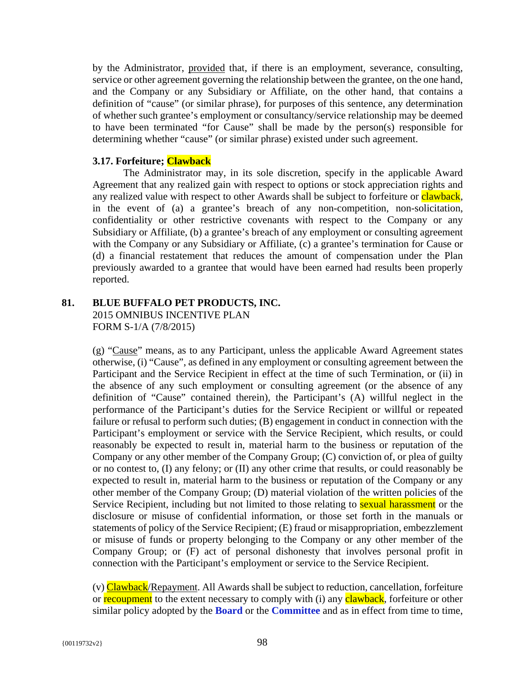by the Administrator, provided that, if there is an employment, severance, consulting, service or other agreement governing the relationship between the grantee, on the one hand, and the Company or any Subsidiary or Affiliate, on the other hand, that contains a definition of "cause" (or similar phrase), for purposes of this sentence, any determination of whether such grantee's employment or consultancy/service relationship may be deemed to have been terminated "for Cause" shall be made by the person(s) responsible for determining whether "cause" (or similar phrase) existed under such agreement.

## **3.17. Forfeiture; Clawback**

The Administrator may, in its sole discretion, specify in the applicable Award Agreement that any realized gain with respect to options or stock appreciation rights and any realized value with respect to other Awards shall be subject to forfeiture or **clawback**, in the event of (a) a grantee's breach of any non-competition, non-solicitation, confidentiality or other restrictive covenants with respect to the Company or any Subsidiary or Affiliate, (b) a grantee's breach of any employment or consulting agreement with the Company or any Subsidiary or Affiliate, (c) a grantee's termination for Cause or (d) a financial restatement that reduces the amount of compensation under the Plan previously awarded to a grantee that would have been earned had results been properly reported.

#### **81. BLUE BUFFALO PET PRODUCTS, INC.**  2015 OMNIBUS INCENTIVE PLAN FORM S-1/A (7/8/2015)

(g) "Cause" means, as to any Participant, unless the applicable Award Agreement states otherwise, (i) "Cause", as defined in any employment or consulting agreement between the Participant and the Service Recipient in effect at the time of such Termination, or (ii) in the absence of any such employment or consulting agreement (or the absence of any definition of "Cause" contained therein), the Participant's (A) willful neglect in the performance of the Participant's duties for the Service Recipient or willful or repeated failure or refusal to perform such duties; (B) engagement in conduct in connection with the Participant's employment or service with the Service Recipient, which results, or could reasonably be expected to result in, material harm to the business or reputation of the Company or any other member of the Company Group; (C) conviction of, or plea of guilty or no contest to, (I) any felony; or (II) any other crime that results, or could reasonably be expected to result in, material harm to the business or reputation of the Company or any other member of the Company Group; (D) material violation of the written policies of the Service Recipient, including but not limited to those relating to **sexual harassment** or the disclosure or misuse of confidential information, or those set forth in the manuals or statements of policy of the Service Recipient; (E) fraud or misappropriation, embezzlement or misuse of funds or property belonging to the Company or any other member of the Company Group; or (F) act of personal dishonesty that involves personal profit in connection with the Participant's employment or service to the Service Recipient.

(v) Clawback/Repayment. All Awards shall be subject to reduction, cancellation, forfeiture or recoupment to the extent necessary to comply with (i) any clawback, forfeiture or other similar policy adopted by the **Board** or the **Committee** and as in effect from time to time,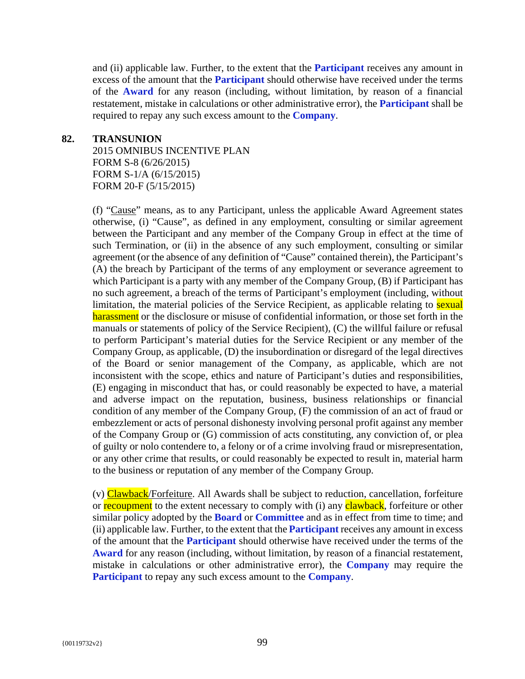and (ii) applicable law. Further, to the extent that the **Participant** receives any amount in excess of the amount that the **Participant** should otherwise have received under the terms of the **Award** for any reason (including, without limitation, by reason of a financial restatement, mistake in calculations or other administrative error), the **Participant** shall be required to repay any such excess amount to the **Company**.

#### **82. TRANSUNION**

2015 OMNIBUS INCENTIVE PLAN FORM S-8 (6/26/2015) FORM S-1/A (6/15/2015) FORM 20-F (5/15/2015)

(f) "Cause" means, as to any Participant, unless the applicable Award Agreement states otherwise, (i) "Cause", as defined in any employment, consulting or similar agreement between the Participant and any member of the Company Group in effect at the time of such Termination, or (ii) in the absence of any such employment, consulting or similar agreement (or the absence of any definition of "Cause" contained therein), the Participant's (A) the breach by Participant of the terms of any employment or severance agreement to which Participant is a party with any member of the Company Group, (B) if Participant has no such agreement, a breach of the terms of Participant's employment (including, without limitation, the material policies of the Service Recipient, as applicable relating to **sexual** harassment or the disclosure or misuse of confidential information, or those set forth in the manuals or statements of policy of the Service Recipient), (C) the willful failure or refusal to perform Participant's material duties for the Service Recipient or any member of the Company Group, as applicable, (D) the insubordination or disregard of the legal directives of the Board or senior management of the Company, as applicable, which are not inconsistent with the scope, ethics and nature of Participant's duties and responsibilities, (E) engaging in misconduct that has, or could reasonably be expected to have, a material and adverse impact on the reputation, business, business relationships or financial condition of any member of the Company Group, (F) the commission of an act of fraud or embezzlement or acts of personal dishonesty involving personal profit against any member of the Company Group or (G) commission of acts constituting, any conviction of, or plea of guilty or nolo contendere to, a felony or of a crime involving fraud or misrepresentation, or any other crime that results, or could reasonably be expected to result in, material harm to the business or reputation of any member of the Company Group.

(v) Clawback/Forfeiture. All Awards shall be subject to reduction, cancellation, forfeiture or recoupment to the extent necessary to comply with (i) any clawback, forfeiture or other similar policy adopted by the **Board** or **Committee** and as in effect from time to time; and (ii) applicable law. Further, to the extent that the **Participant** receives any amount in excess of the amount that the **Participant** should otherwise have received under the terms of the **Award** for any reason (including, without limitation, by reason of a financial restatement, mistake in calculations or other administrative error), the **Company** may require the **Participant** to repay any such excess amount to the **Company**.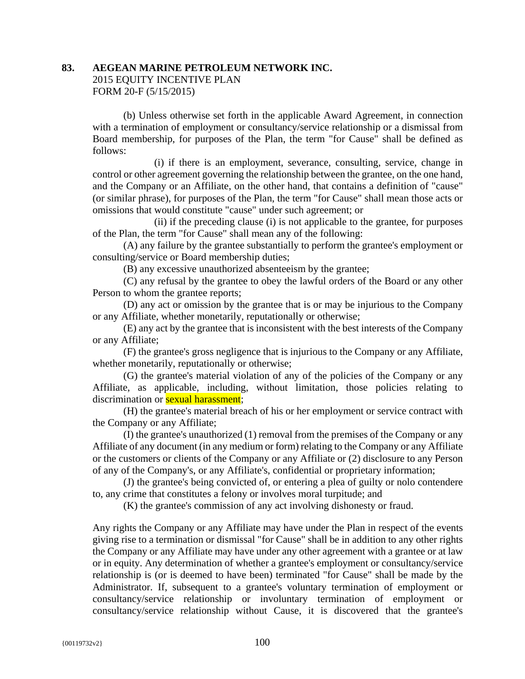# **83. AEGEAN MARINE PETROLEUM NETWORK INC.** 2015 EQUITY INCENTIVE PLAN FORM 20-F (5/15/2015)

(b) Unless otherwise set forth in the applicable Award Agreement, in connection with a termination of employment or consultancy/service relationship or a dismissal from Board membership, for purposes of the Plan, the term "for Cause" shall be defined as follows:

(i) if there is an employment, severance, consulting, service, change in control or other agreement governing the relationship between the grantee, on the one hand, and the Company or an Affiliate, on the other hand, that contains a definition of "cause" (or similar phrase), for purposes of the Plan, the term "for Cause" shall mean those acts or omissions that would constitute "cause" under such agreement; or

(ii) if the preceding clause (i) is not applicable to the grantee, for purposes of the Plan, the term "for Cause" shall mean any of the following:

(A) any failure by the grantee substantially to perform the grantee's employment or consulting/service or Board membership duties;

(B) any excessive unauthorized absenteeism by the grantee;

(C) any refusal by the grantee to obey the lawful orders of the Board or any other Person to whom the grantee reports;

(D) any act or omission by the grantee that is or may be injurious to the Company or any Affiliate, whether monetarily, reputationally or otherwise;

(E) any act by the grantee that is inconsistent with the best interests of the Company or any Affiliate;

(F) the grantee's gross negligence that is injurious to the Company or any Affiliate, whether monetarily, reputationally or otherwise;

(G) the grantee's material violation of any of the policies of the Company or any Affiliate, as applicable, including, without limitation, those policies relating to discrimination or **sexual harassment**:

(H) the grantee's material breach of his or her employment or service contract with the Company or any Affiliate;

(I) the grantee's unauthorized (1) removal from the premises of the Company or any Affiliate of any document (in any medium or form) relating to the Company or any Affiliate or the customers or clients of the Company or any Affiliate or (2) disclosure to any Person of any of the Company's, or any Affiliate's, confidential or proprietary information;

(J) the grantee's being convicted of, or entering a plea of guilty or nolo contendere to, any crime that constitutes a felony or involves moral turpitude; and

(K) the grantee's commission of any act involving dishonesty or fraud.

Any rights the Company or any Affiliate may have under the Plan in respect of the events giving rise to a termination or dismissal "for Cause" shall be in addition to any other rights the Company or any Affiliate may have under any other agreement with a grantee or at law or in equity. Any determination of whether a grantee's employment or consultancy/service relationship is (or is deemed to have been) terminated "for Cause" shall be made by the Administrator. If, subsequent to a grantee's voluntary termination of employment or consultancy/service relationship or involuntary termination of employment or consultancy/service relationship without Cause, it is discovered that the grantee's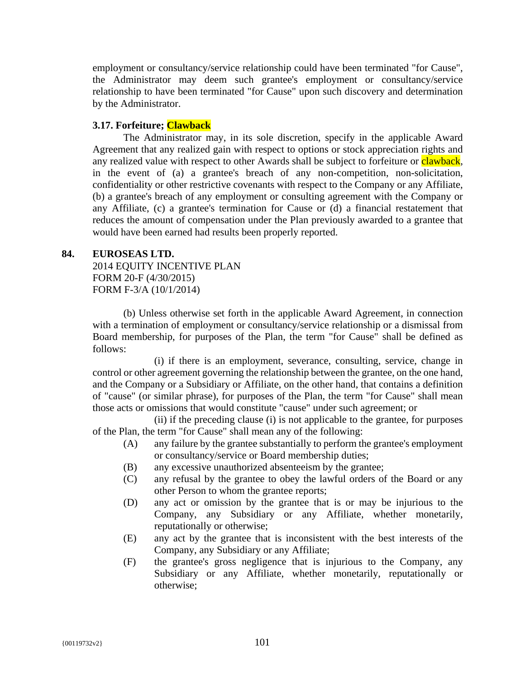employment or consultancy/service relationship could have been terminated "for Cause", the Administrator may deem such grantee's employment or consultancy/service relationship to have been terminated "for Cause" upon such discovery and determination by the Administrator.

## **3.17. Forfeiture; Clawback**

The Administrator may, in its sole discretion, specify in the applicable Award Agreement that any realized gain with respect to options or stock appreciation rights and any realized value with respect to other Awards shall be subject to forfeiture or **clawback**, in the event of (a) a grantee's breach of any non-competition, non-solicitation, confidentiality or other restrictive covenants with respect to the Company or any Affiliate, (b) a grantee's breach of any employment or consulting agreement with the Company or any Affiliate, (c) a grantee's termination for Cause or (d) a financial restatement that reduces the amount of compensation under the Plan previously awarded to a grantee that would have been earned had results been properly reported.

## **84. EUROSEAS LTD.**

2014 EQUITY INCENTIVE PLAN FORM 20-F (4/30/2015) FORM F-3/A (10/1/2014)

(b) Unless otherwise set forth in the applicable Award Agreement, in connection with a termination of employment or consultancy/service relationship or a dismissal from Board membership, for purposes of the Plan, the term "for Cause" shall be defined as follows:

(i) if there is an employment, severance, consulting, service, change in control or other agreement governing the relationship between the grantee, on the one hand, and the Company or a Subsidiary or Affiliate, on the other hand, that contains a definition of "cause" (or similar phrase), for purposes of the Plan, the term "for Cause" shall mean those acts or omissions that would constitute "cause" under such agreement; or

(ii) if the preceding clause (i) is not applicable to the grantee, for purposes of the Plan, the term "for Cause" shall mean any of the following:

- (A) any failure by the grantee substantially to perform the grantee's employment or consultancy/service or Board membership duties;
- (B) any excessive unauthorized absenteeism by the grantee;
- (C) any refusal by the grantee to obey the lawful orders of the Board or any other Person to whom the grantee reports;
- (D) any act or omission by the grantee that is or may be injurious to the Company, any Subsidiary or any Affiliate, whether monetarily, reputationally or otherwise;
- (E) any act by the grantee that is inconsistent with the best interests of the Company, any Subsidiary or any Affiliate;
- (F) the grantee's gross negligence that is injurious to the Company, any Subsidiary or any Affiliate, whether monetarily, reputationally or otherwise;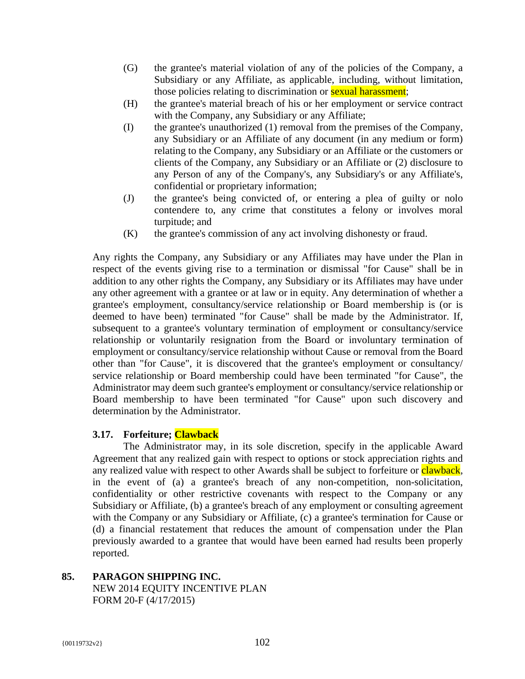- (G) the grantee's material violation of any of the policies of the Company, a Subsidiary or any Affiliate, as applicable, including, without limitation, those policies relating to discrimination or **sexual harassment**;
- (H) the grantee's material breach of his or her employment or service contract with the Company, any Subsidiary or any Affiliate;
- (I) the grantee's unauthorized (1) removal from the premises of the Company, any Subsidiary or an Affiliate of any document (in any medium or form) relating to the Company, any Subsidiary or an Affiliate or the customers or clients of the Company, any Subsidiary or an Affiliate or (2) disclosure to any Person of any of the Company's, any Subsidiary's or any Affiliate's, confidential or proprietary information;
- (J) the grantee's being convicted of, or entering a plea of guilty or nolo contendere to, any crime that constitutes a felony or involves moral turpitude; and
- (K) the grantee's commission of any act involving dishonesty or fraud.

Any rights the Company, any Subsidiary or any Affiliates may have under the Plan in respect of the events giving rise to a termination or dismissal "for Cause" shall be in addition to any other rights the Company, any Subsidiary or its Affiliates may have under any other agreement with a grantee or at law or in equity. Any determination of whether a grantee's employment, consultancy/service relationship or Board membership is (or is deemed to have been) terminated "for Cause" shall be made by the Administrator. If, subsequent to a grantee's voluntary termination of employment or consultancy/service relationship or voluntarily resignation from the Board or involuntary termination of employment or consultancy/service relationship without Cause or removal from the Board other than "for Cause", it is discovered that the grantee's employment or consultancy/ service relationship or Board membership could have been terminated "for Cause", the Administrator may deem such grantee's employment or consultancy/service relationship or Board membership to have been terminated "for Cause" upon such discovery and determination by the Administrator.

## **3.17. Forfeiture; Clawback**

The Administrator may, in its sole discretion, specify in the applicable Award Agreement that any realized gain with respect to options or stock appreciation rights and any realized value with respect to other Awards shall be subject to forfeiture or clawback, in the event of (a) a grantee's breach of any non-competition, non-solicitation, confidentiality or other restrictive covenants with respect to the Company or any Subsidiary or Affiliate, (b) a grantee's breach of any employment or consulting agreement with the Company or any Subsidiary or Affiliate, (c) a grantee's termination for Cause or (d) a financial restatement that reduces the amount of compensation under the Plan previously awarded to a grantee that would have been earned had results been properly reported.

**85. PARAGON SHIPPING INC.** NEW 2014 EQUITY INCENTIVE PLAN FORM 20-F (4/17/2015)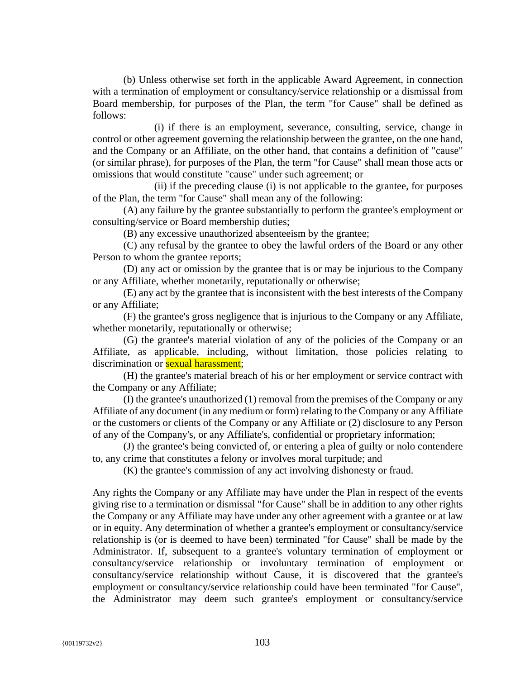(b) Unless otherwise set forth in the applicable Award Agreement, in connection with a termination of employment or consultancy/service relationship or a dismissal from Board membership, for purposes of the Plan, the term "for Cause" shall be defined as follows:

(i) if there is an employment, severance, consulting, service, change in control or other agreement governing the relationship between the grantee, on the one hand, and the Company or an Affiliate, on the other hand, that contains a definition of "cause" (or similar phrase), for purposes of the Plan, the term "for Cause" shall mean those acts or omissions that would constitute "cause" under such agreement; or

(ii) if the preceding clause (i) is not applicable to the grantee, for purposes of the Plan, the term "for Cause" shall mean any of the following:

(A) any failure by the grantee substantially to perform the grantee's employment or consulting/service or Board membership duties;

(B) any excessive unauthorized absenteeism by the grantee;

(C) any refusal by the grantee to obey the lawful orders of the Board or any other Person to whom the grantee reports;

(D) any act or omission by the grantee that is or may be injurious to the Company or any Affiliate, whether monetarily, reputationally or otherwise;

(E) any act by the grantee that is inconsistent with the best interests of the Company or any Affiliate;

(F) the grantee's gross negligence that is injurious to the Company or any Affiliate, whether monetarily, reputationally or otherwise;

(G) the grantee's material violation of any of the policies of the Company or an Affiliate, as applicable, including, without limitation, those policies relating to discrimination or **sexual harassment**:

(H) the grantee's material breach of his or her employment or service contract with the Company or any Affiliate;

(I) the grantee's unauthorized (1) removal from the premises of the Company or any Affiliate of any document (in any medium or form) relating to the Company or any Affiliate or the customers or clients of the Company or any Affiliate or (2) disclosure to any Person of any of the Company's, or any Affiliate's, confidential or proprietary information;

(J) the grantee's being convicted of, or entering a plea of guilty or nolo contendere to, any crime that constitutes a felony or involves moral turpitude; and

(K) the grantee's commission of any act involving dishonesty or fraud.

Any rights the Company or any Affiliate may have under the Plan in respect of the events giving rise to a termination or dismissal "for Cause" shall be in addition to any other rights the Company or any Affiliate may have under any other agreement with a grantee or at law or in equity. Any determination of whether a grantee's employment or consultancy/service relationship is (or is deemed to have been) terminated "for Cause" shall be made by the Administrator. If, subsequent to a grantee's voluntary termination of employment or consultancy/service relationship or involuntary termination of employment or consultancy/service relationship without Cause, it is discovered that the grantee's employment or consultancy/service relationship could have been terminated "for Cause", the Administrator may deem such grantee's employment or consultancy/service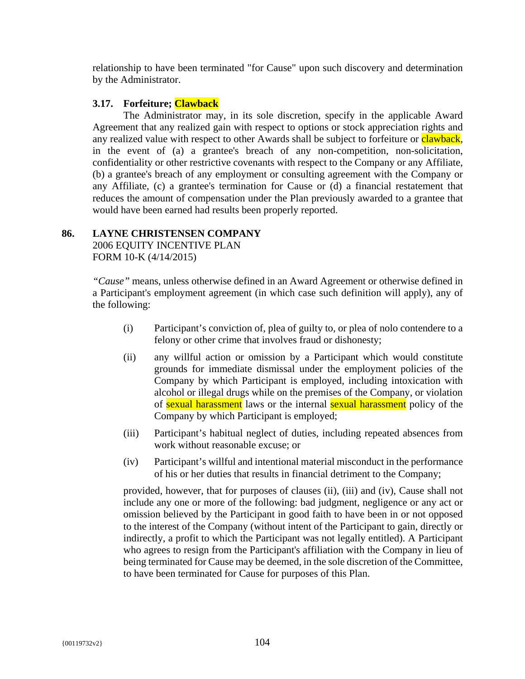relationship to have been terminated "for Cause" upon such discovery and determination by the Administrator.

#### **3.17. Forfeiture; Clawback**

The Administrator may, in its sole discretion, specify in the applicable Award Agreement that any realized gain with respect to options or stock appreciation rights and any realized value with respect to other Awards shall be subject to forfeiture or clawback, in the event of (a) a grantee's breach of any non-competition, non-solicitation, confidentiality or other restrictive covenants with respect to the Company or any Affiliate, (b) a grantee's breach of any employment or consulting agreement with the Company or any Affiliate, (c) a grantee's termination for Cause or (d) a financial restatement that reduces the amount of compensation under the Plan previously awarded to a grantee that would have been earned had results been properly reported.

# **86. LAYNE CHRISTENSEN COMPANY**

2006 EQUITY INCENTIVE PLAN FORM 10-K (4/14/2015)

*"Cause"* means, unless otherwise defined in an Award Agreement or otherwise defined in a Participant's employment agreement (in which case such definition will apply), any of the following:

- (i) Participant's conviction of, plea of guilty to, or plea of nolo contendere to a felony or other crime that involves fraud or dishonesty;
- (ii) any willful action or omission by a Participant which would constitute grounds for immediate dismissal under the employment policies of the Company by which Participant is employed, including intoxication with alcohol or illegal drugs while on the premises of the Company, or violation of sexual harassment laws or the internal sexual harassment policy of the Company by which Participant is employed;
- (iii) Participant's habitual neglect of duties, including repeated absences from work without reasonable excuse; or
- (iv) Participant's willful and intentional material misconduct in the performance of his or her duties that results in financial detriment to the Company;

provided, however, that for purposes of clauses (ii), (iii) and (iv), Cause shall not include any one or more of the following: bad judgment, negligence or any act or omission believed by the Participant in good faith to have been in or not opposed to the interest of the Company (without intent of the Participant to gain, directly or indirectly, a profit to which the Participant was not legally entitled). A Participant who agrees to resign from the Participant's affiliation with the Company in lieu of being terminated for Cause may be deemed, in the sole discretion of the Committee, to have been terminated for Cause for purposes of this Plan.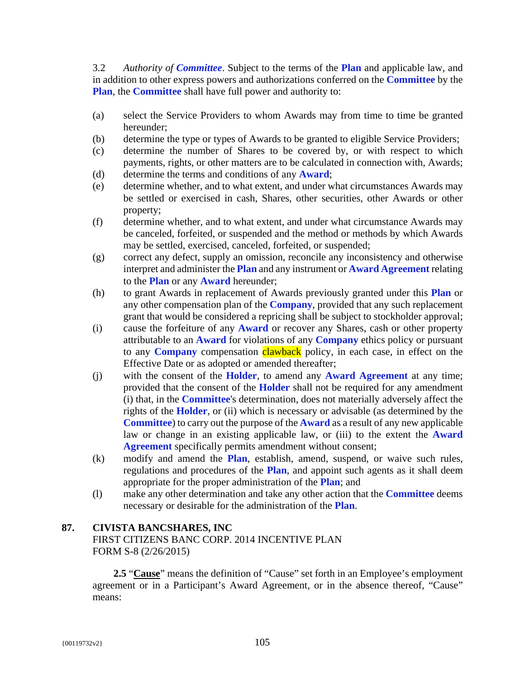3.2 *Authority of Committee*. Subject to the terms of the **Plan** and applicable law, and in addition to other express powers and authorizations conferred on the **Committee** by the **Plan**, the **Committee** shall have full power and authority to:

- (a) select the Service Providers to whom Awards may from time to time be granted hereunder;
- (b) determine the type or types of Awards to be granted to eligible Service Providers;
- (c) determine the number of Shares to be covered by, or with respect to which payments, rights, or other matters are to be calculated in connection with, Awards;
- (d) determine the terms and conditions of any **Award**;
- (e) determine whether, and to what extent, and under what circumstances Awards may be settled or exercised in cash, Shares, other securities, other Awards or other property;
- (f) determine whether, and to what extent, and under what circumstance Awards may be canceled, forfeited, or suspended and the method or methods by which Awards may be settled, exercised, canceled, forfeited, or suspended;
- (g) correct any defect, supply an omission, reconcile any inconsistency and otherwise interpret and administer the **Plan** and any instrument or **Award Agreement** relating to the **Plan** or any **Award** hereunder;
- (h) to grant Awards in replacement of Awards previously granted under this **Plan** or any other compensation plan of the **Company**, provided that any such replacement grant that would be considered a repricing shall be subject to stockholder approval;
- (i) cause the forfeiture of any **Award** or recover any Shares, cash or other property attributable to an **Award** for violations of any **Company** ethics policy or pursuant to any **Company** compensation **clawback** policy, in each case, in effect on the Effective Date or as adopted or amended thereafter;
- (j) with the consent of the **Holder**, to amend any **Award Agreement** at any time; provided that the consent of the **Holder** shall not be required for any amendment (i) that, in the **Committee**'s determination, does not materially adversely affect the rights of the **Holder**, or (ii) which is necessary or advisable (as determined by the **Committee**) to carry out the purpose of the **Award** as a result of any new applicable law or change in an existing applicable law, or (iii) to the extent the **Award Agreement** specifically permits amendment without consent;
- (k) modify and amend the **Plan**, establish, amend, suspend, or waive such rules, regulations and procedures of the **Plan**, and appoint such agents as it shall deem appropriate for the proper administration of the **Plan**; and
- (l) make any other determination and take any other action that the **Committee** deems necessary or desirable for the administration of the **Plan**.

# **87. CIVISTA BANCSHARES, INC**

FIRST CITIZENS BANC CORP. 2014 INCENTIVE PLAN FORM S-8 (2/26/2015)

**2.5** "**Cause**" means the definition of "Cause" set forth in an Employee's employment agreement or in a Participant's Award Agreement, or in the absence thereof, "Cause" means: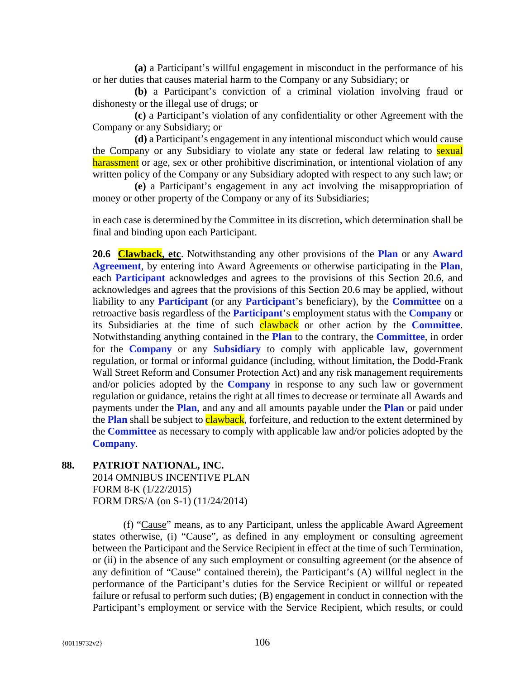**(a)** a Participant's willful engagement in misconduct in the performance of his or her duties that causes material harm to the Company or any Subsidiary; or

**(b)** a Participant's conviction of a criminal violation involving fraud or dishonesty or the illegal use of drugs; or

**(c)** a Participant's violation of any confidentiality or other Agreement with the Company or any Subsidiary; or

**(d)** a Participant's engagement in any intentional misconduct which would cause the Company or any Subsidiary to violate any state or federal law relating to sexual harassment or age, sex or other prohibitive discrimination, or intentional violation of any written policy of the Company or any Subsidiary adopted with respect to any such law; or

**(e)** a Participant's engagement in any act involving the misappropriation of money or other property of the Company or any of its Subsidiaries;

in each case is determined by the Committee in its discretion, which determination shall be final and binding upon each Participant.

**20.6 Clawback, etc**. Notwithstanding any other provisions of the **Plan** or any **Award Agreement**, by entering into Award Agreements or otherwise participating in the **Plan**, each **Participant** acknowledges and agrees to the provisions of this Section 20.6, and acknowledges and agrees that the provisions of this Section 20.6 may be applied, without liability to any **Participant** (or any **Participant**'s beneficiary), by the **Committee** on a retroactive basis regardless of the **Participant**'s employment status with the **Company** or its Subsidiaries at the time of such clawback or other action by the **Committee**. Notwithstanding anything contained in the **Plan** to the contrary, the **Committee**, in order for the **Company** or any **Subsidiary** to comply with applicable law, government regulation, or formal or informal guidance (including, without limitation, the Dodd-Frank Wall Street Reform and Consumer Protection Act) and any risk management requirements and/or policies adopted by the **Company** in response to any such law or government regulation or guidance, retains the right at all times to decrease or terminate all Awards and payments under the **Plan**, and any and all amounts payable under the **Plan** or paid under the **Plan** shall be subject to **clawback**, forfeiture, and reduction to the extent determined by the **Committee** as necessary to comply with applicable law and/or policies adopted by the **Company**.

**88. PATRIOT NATIONAL, INC.**  2014 OMNIBUS INCENTIVE PLAN FORM 8-K (1/22/2015) FORM DRS/A (on S-1) (11/24/2014)

> (f) "Cause" means, as to any Participant, unless the applicable Award Agreement states otherwise, (i) "Cause", as defined in any employment or consulting agreement between the Participant and the Service Recipient in effect at the time of such Termination, or (ii) in the absence of any such employment or consulting agreement (or the absence of any definition of "Cause" contained therein), the Participant's (A) willful neglect in the performance of the Participant's duties for the Service Recipient or willful or repeated failure or refusal to perform such duties; (B) engagement in conduct in connection with the Participant's employment or service with the Service Recipient, which results, or could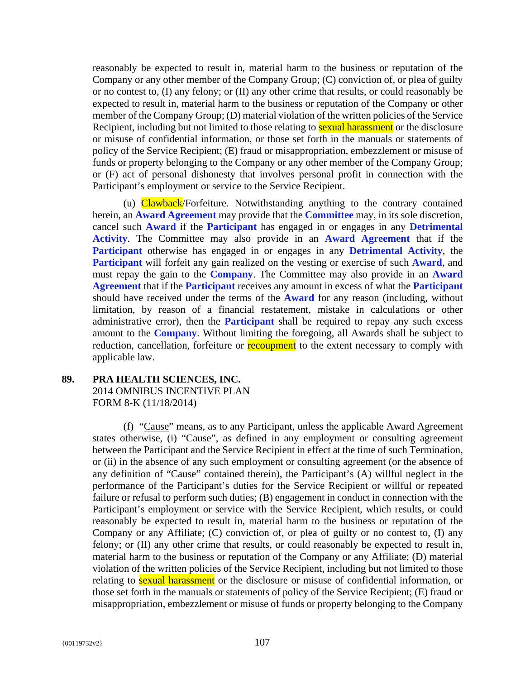reasonably be expected to result in, material harm to the business or reputation of the Company or any other member of the Company Group; (C) conviction of, or plea of guilty or no contest to, (I) any felony; or (II) any other crime that results, or could reasonably be expected to result in, material harm to the business or reputation of the Company or other member of the Company Group; (D) material violation of the written policies of the Service Recipient, including but not limited to those relating to **sexual harassment** or the disclosure or misuse of confidential information, or those set forth in the manuals or statements of policy of the Service Recipient; (E) fraud or misappropriation, embezzlement or misuse of funds or property belonging to the Company or any other member of the Company Group; or (F) act of personal dishonesty that involves personal profit in connection with the Participant's employment or service to the Service Recipient.

(u) Clawback/Forfeiture. Notwithstanding anything to the contrary contained herein, an **Award Agreement** may provide that the **Committee** may, in its sole discretion, cancel such **Award** if the **Participant** has engaged in or engages in any **Detrimental Activity**. The Committee may also provide in an **Award Agreement** that if the **Participant** otherwise has engaged in or engages in any **Detrimental Activity**, the **Participant** will forfeit any gain realized on the vesting or exercise of such **Award**, and must repay the gain to the **Company**. The Committee may also provide in an **Award Agreement** that if the **Participant** receives any amount in excess of what the **Participant** should have received under the terms of the **Award** for any reason (including, without limitation, by reason of a financial restatement, mistake in calculations or other administrative error), then the **Participant** shall be required to repay any such excess amount to the **Company**. Without limiting the foregoing, all Awards shall be subject to reduction, cancellation, forfeiture or **recoupment** to the extent necessary to comply with applicable law.

# **89. PRA HEALTH SCIENCES, INC.** 2014 OMNIBUS INCENTIVE PLAN FORM 8-K (11/18/2014)

(f) "Cause" means, as to any Participant, unless the applicable Award Agreement states otherwise, (i) "Cause", as defined in any employment or consulting agreement between the Participant and the Service Recipient in effect at the time of such Termination, or (ii) in the absence of any such employment or consulting agreement (or the absence of any definition of "Cause" contained therein), the Participant's (A) willful neglect in the performance of the Participant's duties for the Service Recipient or willful or repeated failure or refusal to perform such duties; (B) engagement in conduct in connection with the Participant's employment or service with the Service Recipient, which results, or could reasonably be expected to result in, material harm to the business or reputation of the Company or any Affiliate; (C) conviction of, or plea of guilty or no contest to, (I) any felony; or (II) any other crime that results, or could reasonably be expected to result in, material harm to the business or reputation of the Company or any Affiliate; (D) material violation of the written policies of the Service Recipient, including but not limited to those relating to **sexual harassment** or the disclosure or misuse of confidential information, or those set forth in the manuals or statements of policy of the Service Recipient; (E) fraud or misappropriation, embezzlement or misuse of funds or property belonging to the Company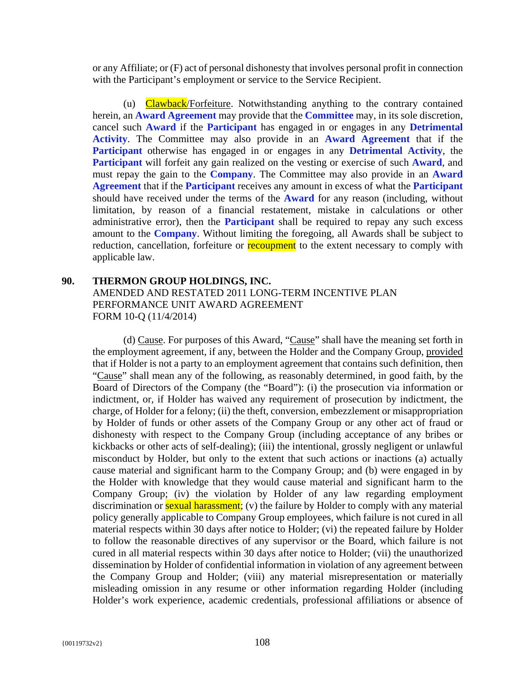or any Affiliate; or (F) act of personal dishonesty that involves personal profit in connection with the Participant's employment or service to the Service Recipient.

(u) Clawback/Forfeiture. Notwithstanding anything to the contrary contained herein, an **Award Agreement** may provide that the **Committee** may, in its sole discretion, cancel such **Award** if the **Participant** has engaged in or engages in any **Detrimental Activity**. The Committee may also provide in an **Award Agreement** that if the **Participant** otherwise has engaged in or engages in any **Detrimental Activity**, the **Participant** will forfeit any gain realized on the vesting or exercise of such **Award**, and must repay the gain to the **Company**. The Committee may also provide in an **Award Agreement** that if the **Participant** receives any amount in excess of what the **Participant** should have received under the terms of the **Award** for any reason (including, without limitation, by reason of a financial restatement, mistake in calculations or other administrative error), then the **Participant** shall be required to repay any such excess amount to the **Company**. Without limiting the foregoing, all Awards shall be subject to reduction, cancellation, forfeiture or **recoupment** to the extent necessary to comply with applicable law.

# **90. THERMON GROUP HOLDINGS, INC.**  AMENDED AND RESTATED 2011 LONG-TERM INCENTIVE PLAN PERFORMANCE UNIT AWARD AGREEMENT FORM 10-Q (11/4/2014)

(d) Cause. For purposes of this Award, "Cause" shall have the meaning set forth in the employment agreement, if any, between the Holder and the Company Group, provided that if Holder is not a party to an employment agreement that contains such definition, then "Cause" shall mean any of the following, as reasonably determined, in good faith, by the Board of Directors of the Company (the "Board"): (i) the prosecution via information or indictment, or, if Holder has waived any requirement of prosecution by indictment, the charge, of Holder for a felony; (ii) the theft, conversion, embezzlement or misappropriation by Holder of funds or other assets of the Company Group or any other act of fraud or dishonesty with respect to the Company Group (including acceptance of any bribes or kickbacks or other acts of self-dealing); (iii) the intentional, grossly negligent or unlawful misconduct by Holder, but only to the extent that such actions or inactions (a) actually cause material and significant harm to the Company Group; and (b) were engaged in by the Holder with knowledge that they would cause material and significant harm to the Company Group; (iv) the violation by Holder of any law regarding employment discrimination or **sexual harassment**; (v) the failure by Holder to comply with any material policy generally applicable to Company Group employees, which failure is not cured in all material respects within 30 days after notice to Holder; (vi) the repeated failure by Holder to follow the reasonable directives of any supervisor or the Board, which failure is not cured in all material respects within 30 days after notice to Holder; (vii) the unauthorized dissemination by Holder of confidential information in violation of any agreement between the Company Group and Holder; (viii) any material misrepresentation or materially misleading omission in any resume or other information regarding Holder (including Holder's work experience, academic credentials, professional affiliations or absence of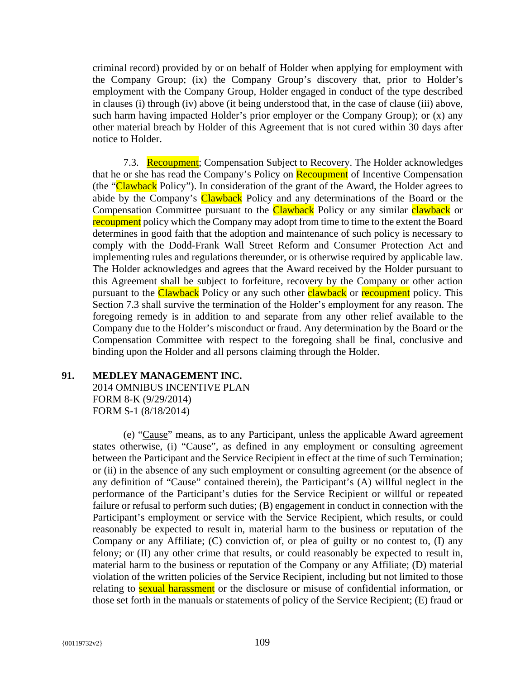criminal record) provided by or on behalf of Holder when applying for employment with the Company Group; (ix) the Company Group's discovery that, prior to Holder's employment with the Company Group, Holder engaged in conduct of the type described in clauses (i) through (iv) above (it being understood that, in the case of clause (iii) above, such harm having impacted Holder's prior employer or the Company Group); or (x) any other material breach by Holder of this Agreement that is not cured within 30 days after notice to Holder.

7.3. Recoupment; Compensation Subject to Recovery. The Holder acknowledges that he or she has read the Company's Policy on **Recoupment** of Incentive Compensation (the "Clawback Policy"). In consideration of the grant of the Award, the Holder agrees to abide by the Company's Clawback Policy and any determinations of the Board or the Compensation Committee pursuant to the Clawback Policy or any similar clawback or recoupment policy which the Company may adopt from time to time to the extent the Board determines in good faith that the adoption and maintenance of such policy is necessary to comply with the Dodd-Frank Wall Street Reform and Consumer Protection Act and implementing rules and regulations thereunder, or is otherwise required by applicable law. The Holder acknowledges and agrees that the Award received by the Holder pursuant to this Agreement shall be subject to forfeiture, recovery by the Company or other action pursuant to the Clawback Policy or any such other clawback or recoupment policy. This Section 7.3 shall survive the termination of the Holder's employment for any reason. The foregoing remedy is in addition to and separate from any other relief available to the Company due to the Holder's misconduct or fraud. Any determination by the Board or the Compensation Committee with respect to the foregoing shall be final, conclusive and binding upon the Holder and all persons claiming through the Holder.

# **91. MEDLEY MANAGEMENT INC.**  2014 OMNIBUS INCENTIVE PLAN FORM 8-K (9/29/2014) FORM S-1 (8/18/2014)

(e) "Cause" means, as to any Participant, unless the applicable Award agreement states otherwise, (i) "Cause", as defined in any employment or consulting agreement between the Participant and the Service Recipient in effect at the time of such Termination; or (ii) in the absence of any such employment or consulting agreement (or the absence of any definition of "Cause" contained therein), the Participant's (A) willful neglect in the performance of the Participant's duties for the Service Recipient or willful or repeated failure or refusal to perform such duties; (B) engagement in conduct in connection with the Participant's employment or service with the Service Recipient, which results, or could reasonably be expected to result in, material harm to the business or reputation of the Company or any Affiliate; (C) conviction of, or plea of guilty or no contest to, (I) any felony; or (II) any other crime that results, or could reasonably be expected to result in, material harm to the business or reputation of the Company or any Affiliate; (D) material violation of the written policies of the Service Recipient, including but not limited to those relating to **sexual harassment** or the disclosure or misuse of confidential information, or those set forth in the manuals or statements of policy of the Service Recipient; (E) fraud or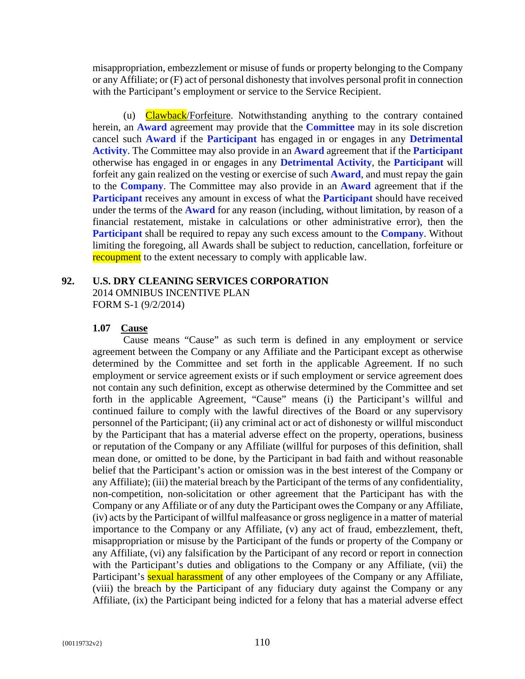misappropriation, embezzlement or misuse of funds or property belonging to the Company or any Affiliate; or (F) act of personal dishonesty that involves personal profit in connection with the Participant's employment or service to the Service Recipient.

(u) Clawback/Forfeiture. Notwithstanding anything to the contrary contained herein, an **Award** agreement may provide that the **Committee** may in its sole discretion cancel such **Award** if the **Participant** has engaged in or engages in any **Detrimental Activity**. The Committee may also provide in an **Award** agreement that if the **Participant** otherwise has engaged in or engages in any **Detrimental Activity**, the **Participant** will forfeit any gain realized on the vesting or exercise of such **Award**, and must repay the gain to the **Company**. The Committee may also provide in an **Award** agreement that if the **Participant** receives any amount in excess of what the **Participant** should have received under the terms of the **Award** for any reason (including, without limitation, by reason of a financial restatement, mistake in calculations or other administrative error), then the **Participant** shall be required to repay any such excess amount to the **Company**. Without limiting the foregoing, all Awards shall be subject to reduction, cancellation, forfeiture or recoupment to the extent necessary to comply with applicable law.

# **92. U.S. DRY CLEANING SERVICES CORPORATION**

2014 OMNIBUS INCENTIVE PLAN FORM S-1 (9/2/2014)

## **1.07 Cause**

Cause means "Cause" as such term is defined in any employment or service agreement between the Company or any Affiliate and the Participant except as otherwise determined by the Committee and set forth in the applicable Agreement. If no such employment or service agreement exists or if such employment or service agreement does not contain any such definition, except as otherwise determined by the Committee and set forth in the applicable Agreement, "Cause" means (i) the Participant's willful and continued failure to comply with the lawful directives of the Board or any supervisory personnel of the Participant; (ii) any criminal act or act of dishonesty or willful misconduct by the Participant that has a material adverse effect on the property, operations, business or reputation of the Company or any Affiliate (willful for purposes of this definition, shall mean done, or omitted to be done, by the Participant in bad faith and without reasonable belief that the Participant's action or omission was in the best interest of the Company or any Affiliate); (iii) the material breach by the Participant of the terms of any confidentiality, non-competition, non-solicitation or other agreement that the Participant has with the Company or any Affiliate or of any duty the Participant owes the Company or any Affiliate, (iv) acts by the Participant of willful malfeasance or gross negligence in a matter of material importance to the Company or any Affiliate, (v) any act of fraud, embezzlement, theft, misappropriation or misuse by the Participant of the funds or property of the Company or any Affiliate, (vi) any falsification by the Participant of any record or report in connection with the Participant's duties and obligations to the Company or any Affiliate, (vii) the Participant's **sexual harassment** of any other employees of the Company or any Affiliate, (viii) the breach by the Participant of any fiduciary duty against the Company or any Affiliate, (ix) the Participant being indicted for a felony that has a material adverse effect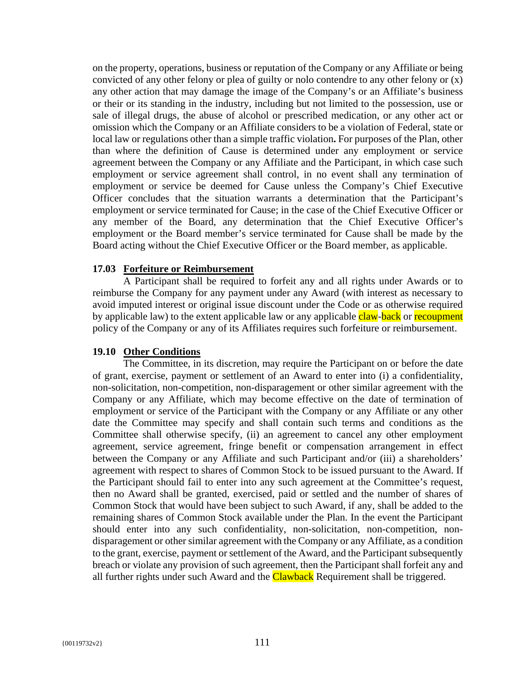on the property, operations, business or reputation of the Company or any Affiliate or being convicted of any other felony or plea of guilty or nolo contendre to any other felony or (x) any other action that may damage the image of the Company's or an Affiliate's business or their or its standing in the industry, including but not limited to the possession, use or sale of illegal drugs, the abuse of alcohol or prescribed medication, or any other act or omission which the Company or an Affiliate considers to be a violation of Federal, state or local law or regulations other than a simple traffic violation**.** For purposes of the Plan, other than where the definition of Cause is determined under any employment or service agreement between the Company or any Affiliate and the Participant, in which case such employment or service agreement shall control, in no event shall any termination of employment or service be deemed for Cause unless the Company's Chief Executive Officer concludes that the situation warrants a determination that the Participant's employment or service terminated for Cause; in the case of the Chief Executive Officer or any member of the Board, any determination that the Chief Executive Officer's employment or the Board member's service terminated for Cause shall be made by the Board acting without the Chief Executive Officer or the Board member, as applicable.

## **17.03 Forfeiture or Reimbursement**

A Participant shall be required to forfeit any and all rights under Awards or to reimburse the Company for any payment under any Award (with interest as necessary to avoid imputed interest or original issue discount under the Code or as otherwise required by applicable law) to the extent applicable law or any applicable **claw-back** or recoupment policy of the Company or any of its Affiliates requires such forfeiture or reimbursement.

## **19.10 Other Conditions**

The Committee, in its discretion, may require the Participant on or before the date of grant, exercise, payment or settlement of an Award to enter into (i) a confidentiality, non-solicitation, non-competition, non-disparagement or other similar agreement with the Company or any Affiliate, which may become effective on the date of termination of employment or service of the Participant with the Company or any Affiliate or any other date the Committee may specify and shall contain such terms and conditions as the Committee shall otherwise specify, (ii) an agreement to cancel any other employment agreement, service agreement, fringe benefit or compensation arrangement in effect between the Company or any Affiliate and such Participant and/or (iii) a shareholders' agreement with respect to shares of Common Stock to be issued pursuant to the Award. If the Participant should fail to enter into any such agreement at the Committee's request, then no Award shall be granted, exercised, paid or settled and the number of shares of Common Stock that would have been subject to such Award, if any, shall be added to the remaining shares of Common Stock available under the Plan. In the event the Participant should enter into any such confidentiality, non-solicitation, non-competition, nondisparagement or other similar agreement with the Company or any Affiliate, as a condition to the grant, exercise, payment or settlement of the Award, and the Participant subsequently breach or violate any provision of such agreement, then the Participant shall forfeit any and all further rights under such Award and the **Clawback** Requirement shall be triggered.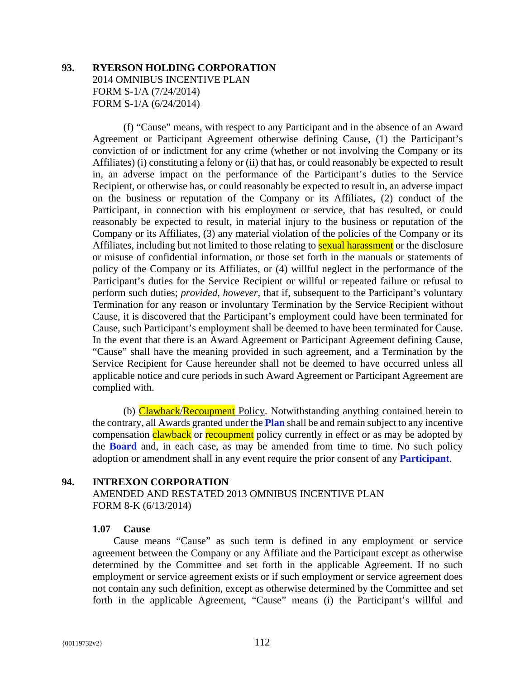# **93. RYERSON HOLDING CORPORATION**  2014 OMNIBUS INCENTIVE PLAN FORM S-1/A (7/24/2014) FORM S-1/A (6/24/2014)

(f) "Cause" means, with respect to any Participant and in the absence of an Award Agreement or Participant Agreement otherwise defining Cause, (1) the Participant's conviction of or indictment for any crime (whether or not involving the Company or its Affiliates) (i) constituting a felony or (ii) that has, or could reasonably be expected to result in, an adverse impact on the performance of the Participant's duties to the Service Recipient, or otherwise has, or could reasonably be expected to result in, an adverse impact on the business or reputation of the Company or its Affiliates, (2) conduct of the Participant, in connection with his employment or service, that has resulted, or could reasonably be expected to result, in material injury to the business or reputation of the Company or its Affiliates, (3) any material violation of the policies of the Company or its Affiliates, including but not limited to those relating to **sexual harassment** or the disclosure or misuse of confidential information, or those set forth in the manuals or statements of policy of the Company or its Affiliates, or (4) willful neglect in the performance of the Participant's duties for the Service Recipient or willful or repeated failure or refusal to perform such duties; *provided*, *however*, that if, subsequent to the Participant's voluntary Termination for any reason or involuntary Termination by the Service Recipient without Cause, it is discovered that the Participant's employment could have been terminated for Cause, such Participant's employment shall be deemed to have been terminated for Cause. In the event that there is an Award Agreement or Participant Agreement defining Cause, "Cause" shall have the meaning provided in such agreement, and a Termination by the Service Recipient for Cause hereunder shall not be deemed to have occurred unless all applicable notice and cure periods in such Award Agreement or Participant Agreement are complied with.

(b) Clawback/Recoupment Policy. Notwithstanding anything contained herein to the contrary, all Awards granted under the **Plan** shall be and remain subject to any incentive compensation clawback or recoupment policy currently in effect or as may be adopted by the **Board** and, in each case, as may be amended from time to time. No such policy adoption or amendment shall in any event require the prior consent of any **Participant**.

## **94. INTREXON CORPORATION**

AMENDED AND RESTATED 2013 OMNIBUS INCENTIVE PLAN FORM 8-K (6/13/2014)

## **1.07 Cause**

Cause means "Cause" as such term is defined in any employment or service agreement between the Company or any Affiliate and the Participant except as otherwise determined by the Committee and set forth in the applicable Agreement. If no such employment or service agreement exists or if such employment or service agreement does not contain any such definition, except as otherwise determined by the Committee and set forth in the applicable Agreement, "Cause" means (i) the Participant's willful and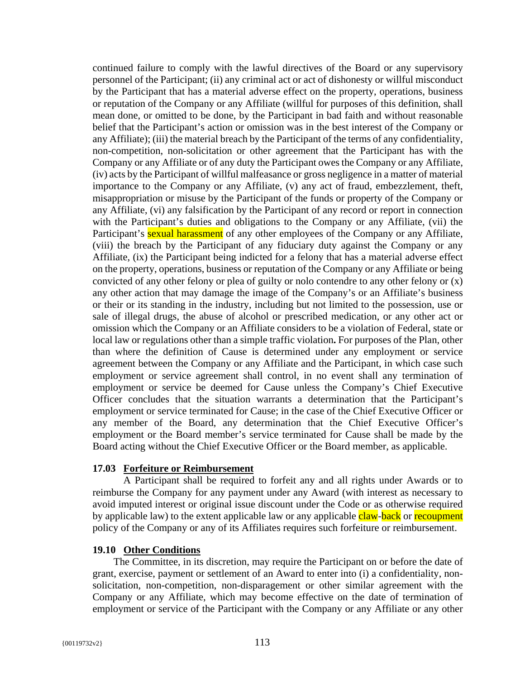continued failure to comply with the lawful directives of the Board or any supervisory personnel of the Participant; (ii) any criminal act or act of dishonesty or willful misconduct by the Participant that has a material adverse effect on the property, operations, business or reputation of the Company or any Affiliate (willful for purposes of this definition, shall mean done, or omitted to be done, by the Participant in bad faith and without reasonable belief that the Participant's action or omission was in the best interest of the Company or any Affiliate); (iii) the material breach by the Participant of the terms of any confidentiality, non-competition, non-solicitation or other agreement that the Participant has with the Company or any Affiliate or of any duty the Participant owes the Company or any Affiliate, (iv) acts by the Participant of willful malfeasance or gross negligence in a matter of material importance to the Company or any Affiliate, (v) any act of fraud, embezzlement, theft, misappropriation or misuse by the Participant of the funds or property of the Company or any Affiliate, (vi) any falsification by the Participant of any record or report in connection with the Participant's duties and obligations to the Company or any Affiliate, (vii) the Participant's **sexual harassment** of any other employees of the Company or any Affiliate, (viii) the breach by the Participant of any fiduciary duty against the Company or any Affiliate, (ix) the Participant being indicted for a felony that has a material adverse effect on the property, operations, business or reputation of the Company or any Affiliate or being convicted of any other felony or plea of guilty or nolo contendre to any other felony or (x) any other action that may damage the image of the Company's or an Affiliate's business or their or its standing in the industry, including but not limited to the possession, use or sale of illegal drugs, the abuse of alcohol or prescribed medication, or any other act or omission which the Company or an Affiliate considers to be a violation of Federal, state or local law or regulations other than a simple traffic violation**.** For purposes of the Plan, other than where the definition of Cause is determined under any employment or service agreement between the Company or any Affiliate and the Participant, in which case such employment or service agreement shall control, in no event shall any termination of employment or service be deemed for Cause unless the Company's Chief Executive Officer concludes that the situation warrants a determination that the Participant's employment or service terminated for Cause; in the case of the Chief Executive Officer or any member of the Board, any determination that the Chief Executive Officer's employment or the Board member's service terminated for Cause shall be made by the Board acting without the Chief Executive Officer or the Board member, as applicable.

# **17.03 Forfeiture or Reimbursement**

A Participant shall be required to forfeit any and all rights under Awards or to reimburse the Company for any payment under any Award (with interest as necessary to avoid imputed interest or original issue discount under the Code or as otherwise required by applicable law) to the extent applicable law or any applicable claw-back or recoupment policy of the Company or any of its Affiliates requires such forfeiture or reimbursement.

# **19.10 Other Conditions**

The Committee, in its discretion, may require the Participant on or before the date of grant, exercise, payment or settlement of an Award to enter into (i) a confidentiality, nonsolicitation, non-competition, non-disparagement or other similar agreement with the Company or any Affiliate, which may become effective on the date of termination of employment or service of the Participant with the Company or any Affiliate or any other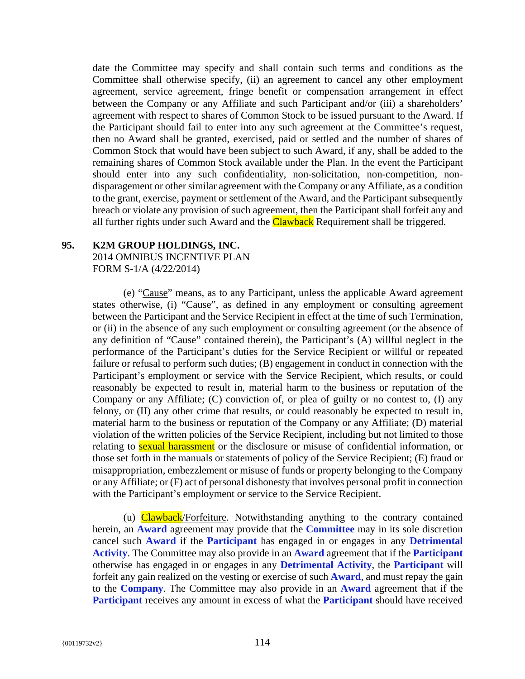date the Committee may specify and shall contain such terms and conditions as the Committee shall otherwise specify, (ii) an agreement to cancel any other employment agreement, service agreement, fringe benefit or compensation arrangement in effect between the Company or any Affiliate and such Participant and/or (iii) a shareholders' agreement with respect to shares of Common Stock to be issued pursuant to the Award. If the Participant should fail to enter into any such agreement at the Committee's request, then no Award shall be granted, exercised, paid or settled and the number of shares of Common Stock that would have been subject to such Award, if any, shall be added to the remaining shares of Common Stock available under the Plan. In the event the Participant should enter into any such confidentiality, non-solicitation, non-competition, nondisparagement or other similar agreement with the Company or any Affiliate, as a condition to the grant, exercise, payment or settlement of the Award, and the Participant subsequently breach or violate any provision of such agreement, then the Participant shall forfeit any and all further rights under such Award and the **Clawback** Requirement shall be triggered.

# **95. K2M GROUP HOLDINGS, INC.**

2014 OMNIBUS INCENTIVE PLAN FORM S-1/A (4/22/2014)

(e) "Cause" means, as to any Participant, unless the applicable Award agreement states otherwise, (i) "Cause", as defined in any employment or consulting agreement between the Participant and the Service Recipient in effect at the time of such Termination, or (ii) in the absence of any such employment or consulting agreement (or the absence of any definition of "Cause" contained therein), the Participant's (A) willful neglect in the performance of the Participant's duties for the Service Recipient or willful or repeated failure or refusal to perform such duties; (B) engagement in conduct in connection with the Participant's employment or service with the Service Recipient, which results, or could reasonably be expected to result in, material harm to the business or reputation of the Company or any Affiliate; (C) conviction of, or plea of guilty or no contest to, (I) any felony, or (II) any other crime that results, or could reasonably be expected to result in, material harm to the business or reputation of the Company or any Affiliate; (D) material violation of the written policies of the Service Recipient, including but not limited to those relating to **sexual harassment** or the disclosure or misuse of confidential information, or those set forth in the manuals or statements of policy of the Service Recipient; (E) fraud or misappropriation, embezzlement or misuse of funds or property belonging to the Company or any Affiliate; or (F) act of personal dishonesty that involves personal profit in connection with the Participant's employment or service to the Service Recipient.

(u) Clawback/Forfeiture. Notwithstanding anything to the contrary contained herein, an **Award** agreement may provide that the **Committee** may in its sole discretion cancel such **Award** if the **Participant** has engaged in or engages in any **Detrimental Activity**. The Committee may also provide in an **Award** agreement that if the **Participant** otherwise has engaged in or engages in any **Detrimental Activity**, the **Participant** will forfeit any gain realized on the vesting or exercise of such **Award**, and must repay the gain to the **Company**. The Committee may also provide in an **Award** agreement that if the **Participant** receives any amount in excess of what the **Participant** should have received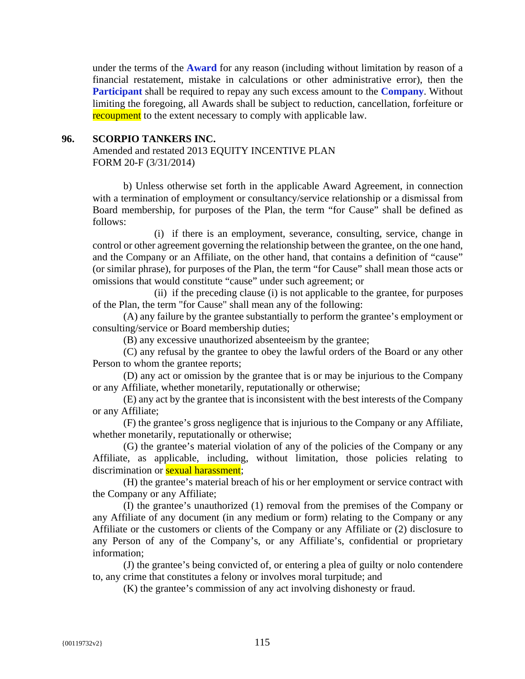under the terms of the **Award** for any reason (including without limitation by reason of a financial restatement, mistake in calculations or other administrative error), then the **Participant** shall be required to repay any such excess amount to the **Company**. Without limiting the foregoing, all Awards shall be subject to reduction, cancellation, forfeiture or recoupment to the extent necessary to comply with applicable law.

#### **96. SCORPIO TANKERS INC.**

Amended and restated 2013 EQUITY INCENTIVE PLAN FORM 20-F (3/31/2014)

b) Unless otherwise set forth in the applicable Award Agreement, in connection with a termination of employment or consultancy/service relationship or a dismissal from Board membership, for purposes of the Plan, the term "for Cause" shall be defined as follows:

(i) if there is an employment, severance, consulting, service, change in control or other agreement governing the relationship between the grantee, on the one hand, and the Company or an Affiliate, on the other hand, that contains a definition of "cause" (or similar phrase), for purposes of the Plan, the term "for Cause" shall mean those acts or omissions that would constitute "cause" under such agreement; or

(ii) if the preceding clause (i) is not applicable to the grantee, for purposes of the Plan, the term "for Cause" shall mean any of the following:

(A) any failure by the grantee substantially to perform the grantee's employment or consulting/service or Board membership duties;

(B) any excessive unauthorized absenteeism by the grantee;

(C) any refusal by the grantee to obey the lawful orders of the Board or any other Person to whom the grantee reports;

(D) any act or omission by the grantee that is or may be injurious to the Company or any Affiliate, whether monetarily, reputationally or otherwise;

(E) any act by the grantee that is inconsistent with the best interests of the Company or any Affiliate;

(F) the grantee's gross negligence that is injurious to the Company or any Affiliate, whether monetarily, reputationally or otherwise:

(G) the grantee's material violation of any of the policies of the Company or any Affiliate, as applicable, including, without limitation, those policies relating to discrimination or **sexual harassment**;

(H) the grantee's material breach of his or her employment or service contract with the Company or any Affiliate;

(I) the grantee's unauthorized (1) removal from the premises of the Company or any Affiliate of any document (in any medium or form) relating to the Company or any Affiliate or the customers or clients of the Company or any Affiliate or (2) disclosure to any Person of any of the Company's, or any Affiliate's, confidential or proprietary information;

(J) the grantee's being convicted of, or entering a plea of guilty or nolo contendere to, any crime that constitutes a felony or involves moral turpitude; and

(K) the grantee's commission of any act involving dishonesty or fraud.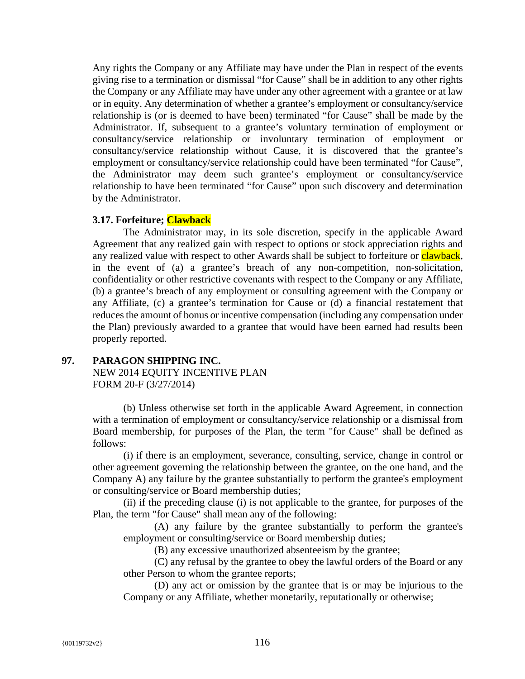Any rights the Company or any Affiliate may have under the Plan in respect of the events giving rise to a termination or dismissal "for Cause" shall be in addition to any other rights the Company or any Affiliate may have under any other agreement with a grantee or at law or in equity. Any determination of whether a grantee's employment or consultancy/service relationship is (or is deemed to have been) terminated "for Cause" shall be made by the Administrator. If, subsequent to a grantee's voluntary termination of employment or consultancy/service relationship or involuntary termination of employment or consultancy/service relationship without Cause, it is discovered that the grantee's employment or consultancy/service relationship could have been terminated "for Cause", the Administrator may deem such grantee's employment or consultancy/service relationship to have been terminated "for Cause" upon such discovery and determination by the Administrator.

# **3.17. Forfeiture; Clawback**

The Administrator may, in its sole discretion, specify in the applicable Award Agreement that any realized gain with respect to options or stock appreciation rights and any realized value with respect to other Awards shall be subject to forfeiture or **clawback**, in the event of (a) a grantee's breach of any non-competition, non-solicitation, confidentiality or other restrictive covenants with respect to the Company or any Affiliate, (b) a grantee's breach of any employment or consulting agreement with the Company or any Affiliate, (c) a grantee's termination for Cause or (d) a financial restatement that reduces the amount of bonus or incentive compensation (including any compensation under the Plan) previously awarded to a grantee that would have been earned had results been properly reported.

# **97. PARAGON SHIPPING INC.**

NEW 2014 EQUITY INCENTIVE PLAN FORM 20-F (3/27/2014)

(b) Unless otherwise set forth in the applicable Award Agreement, in connection with a termination of employment or consultancy/service relationship or a dismissal from Board membership, for purposes of the Plan, the term "for Cause" shall be defined as follows:

(i) if there is an employment, severance, consulting, service, change in control or other agreement governing the relationship between the grantee, on the one hand, and the Company A) any failure by the grantee substantially to perform the grantee's employment or consulting/service or Board membership duties;

(ii) if the preceding clause (i) is not applicable to the grantee, for purposes of the Plan, the term "for Cause" shall mean any of the following:

(A) any failure by the grantee substantially to perform the grantee's employment or consulting/service or Board membership duties;

(B) any excessive unauthorized absenteeism by the grantee;

(C) any refusal by the grantee to obey the lawful orders of the Board or any other Person to whom the grantee reports;

(D) any act or omission by the grantee that is or may be injurious to the Company or any Affiliate, whether monetarily, reputationally or otherwise;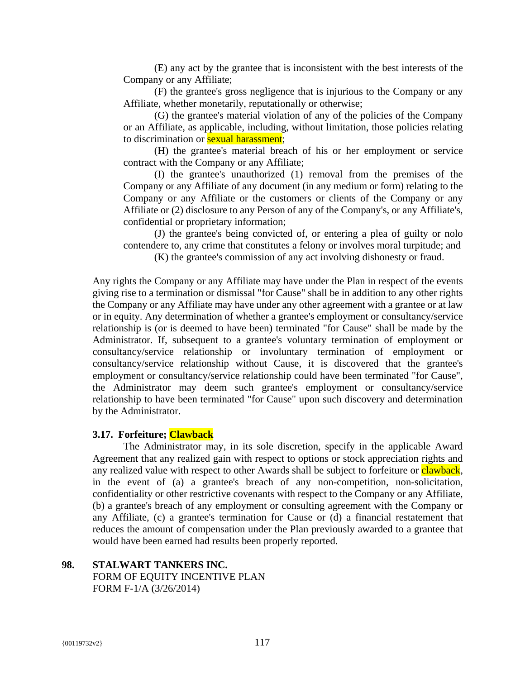(E) any act by the grantee that is inconsistent with the best interests of the Company or any Affiliate;

(F) the grantee's gross negligence that is injurious to the Company or any Affiliate, whether monetarily, reputationally or otherwise;

(G) the grantee's material violation of any of the policies of the Company or an Affiliate, as applicable, including, without limitation, those policies relating to discrimination or **sexual harassment**;

(H) the grantee's material breach of his or her employment or service contract with the Company or any Affiliate;

(I) the grantee's unauthorized (1) removal from the premises of the Company or any Affiliate of any document (in any medium or form) relating to the Company or any Affiliate or the customers or clients of the Company or any Affiliate or (2) disclosure to any Person of any of the Company's, or any Affiliate's, confidential or proprietary information;

(J) the grantee's being convicted of, or entering a plea of guilty or nolo contendere to, any crime that constitutes a felony or involves moral turpitude; and

(K) the grantee's commission of any act involving dishonesty or fraud.

Any rights the Company or any Affiliate may have under the Plan in respect of the events giving rise to a termination or dismissal "for Cause" shall be in addition to any other rights the Company or any Affiliate may have under any other agreement with a grantee or at law or in equity. Any determination of whether a grantee's employment or consultancy/service relationship is (or is deemed to have been) terminated "for Cause" shall be made by the Administrator. If, subsequent to a grantee's voluntary termination of employment or consultancy/service relationship or involuntary termination of employment or consultancy/service relationship without Cause, it is discovered that the grantee's employment or consultancy/service relationship could have been terminated "for Cause", the Administrator may deem such grantee's employment or consultancy/service relationship to have been terminated "for Cause" upon such discovery and determination by the Administrator.

# **3.17. Forfeiture; Clawback**

The Administrator may, in its sole discretion, specify in the applicable Award Agreement that any realized gain with respect to options or stock appreciation rights and any realized value with respect to other Awards shall be subject to forfeiture or clawback, in the event of (a) a grantee's breach of any non-competition, non-solicitation, confidentiality or other restrictive covenants with respect to the Company or any Affiliate, (b) a grantee's breach of any employment or consulting agreement with the Company or any Affiliate, (c) a grantee's termination for Cause or (d) a financial restatement that reduces the amount of compensation under the Plan previously awarded to a grantee that would have been earned had results been properly reported.

# **98. STALWART TANKERS INC.**  FORM OF EQUITY INCENTIVE PLAN FORM F-1/A (3/26/2014)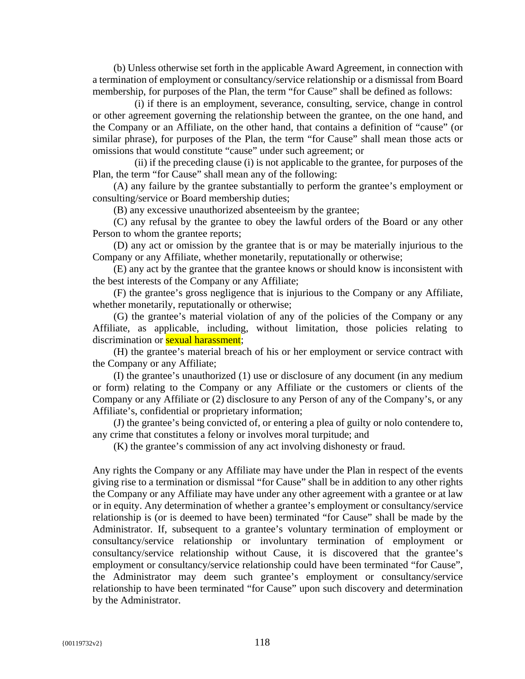(b) Unless otherwise set forth in the applicable Award Agreement, in connection with a termination of employment or consultancy/service relationship or a dismissal from Board membership, for purposes of the Plan, the term "for Cause" shall be defined as follows:

(i) if there is an employment, severance, consulting, service, change in control or other agreement governing the relationship between the grantee, on the one hand, and the Company or an Affiliate, on the other hand, that contains a definition of "cause" (or similar phrase), for purposes of the Plan, the term "for Cause" shall mean those acts or omissions that would constitute "cause" under such agreement; or

(ii) if the preceding clause (i) is not applicable to the grantee, for purposes of the Plan, the term "for Cause" shall mean any of the following:

(A) any failure by the grantee substantially to perform the grantee's employment or consulting/service or Board membership duties;

(B) any excessive unauthorized absenteeism by the grantee;

(C) any refusal by the grantee to obey the lawful orders of the Board or any other Person to whom the grantee reports;

(D) any act or omission by the grantee that is or may be materially injurious to the Company or any Affiliate, whether monetarily, reputationally or otherwise;

(E) any act by the grantee that the grantee knows or should know is inconsistent with the best interests of the Company or any Affiliate;

(F) the grantee's gross negligence that is injurious to the Company or any Affiliate, whether monetarily, reputationally or otherwise;

(G) the grantee's material violation of any of the policies of the Company or any Affiliate, as applicable, including, without limitation, those policies relating to discrimination or **sexual harassment**;

(H) the grantee's material breach of his or her employment or service contract with the Company or any Affiliate;

(I) the grantee's unauthorized (1) use or disclosure of any document (in any medium or form) relating to the Company or any Affiliate or the customers or clients of the Company or any Affiliate or (2) disclosure to any Person of any of the Company's, or any Affiliate's, confidential or proprietary information;

(J) the grantee's being convicted of, or entering a plea of guilty or nolo contendere to, any crime that constitutes a felony or involves moral turpitude; and

(K) the grantee's commission of any act involving dishonesty or fraud.

Any rights the Company or any Affiliate may have under the Plan in respect of the events giving rise to a termination or dismissal "for Cause" shall be in addition to any other rights the Company or any Affiliate may have under any other agreement with a grantee or at law or in equity. Any determination of whether a grantee's employment or consultancy/service relationship is (or is deemed to have been) terminated "for Cause" shall be made by the Administrator. If, subsequent to a grantee's voluntary termination of employment or consultancy/service relationship or involuntary termination of employment or consultancy/service relationship without Cause, it is discovered that the grantee's employment or consultancy/service relationship could have been terminated "for Cause", the Administrator may deem such grantee's employment or consultancy/service relationship to have been terminated "for Cause" upon such discovery and determination by the Administrator.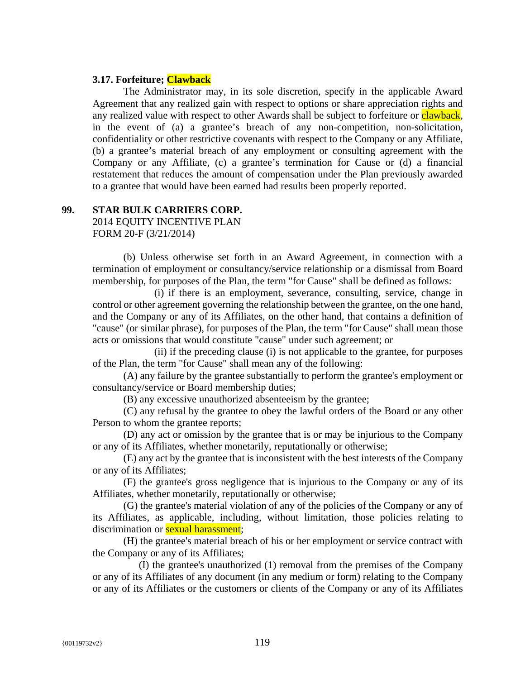## **3.17. Forfeiture; Clawback**

The Administrator may, in its sole discretion, specify in the applicable Award Agreement that any realized gain with respect to options or share appreciation rights and any realized value with respect to other Awards shall be subject to forfeiture or clawback, in the event of (a) a grantee's breach of any non-competition, non-solicitation, confidentiality or other restrictive covenants with respect to the Company or any Affiliate, (b) a grantee's material breach of any employment or consulting agreement with the Company or any Affiliate, (c) a grantee's termination for Cause or (d) a financial restatement that reduces the amount of compensation under the Plan previously awarded to a grantee that would have been earned had results been properly reported.

## **99. STAR BULK CARRIERS CORP.**  2014 EQUITY INCENTIVE PLAN

FORM 20-F (3/21/2014)

(b) Unless otherwise set forth in an Award Agreement, in connection with a termination of employment or consultancy/service relationship or a dismissal from Board membership, for purposes of the Plan, the term "for Cause" shall be defined as follows:

(i) if there is an employment, severance, consulting, service, change in control or other agreement governing the relationship between the grantee, on the one hand, and the Company or any of its Affiliates, on the other hand, that contains a definition of "cause" (or similar phrase), for purposes of the Plan, the term "for Cause" shall mean those acts or omissions that would constitute "cause" under such agreement; or

(ii) if the preceding clause (i) is not applicable to the grantee, for purposes of the Plan, the term "for Cause" shall mean any of the following:

(A) any failure by the grantee substantially to perform the grantee's employment or consultancy/service or Board membership duties;

(B) any excessive unauthorized absenteeism by the grantee;

(C) any refusal by the grantee to obey the lawful orders of the Board or any other Person to whom the grantee reports;

(D) any act or omission by the grantee that is or may be injurious to the Company or any of its Affiliates, whether monetarily, reputationally or otherwise;

(E) any act by the grantee that is inconsistent with the best interests of the Company or any of its Affiliates;

(F) the grantee's gross negligence that is injurious to the Company or any of its Affiliates, whether monetarily, reputationally or otherwise;

(G) the grantee's material violation of any of the policies of the Company or any of its Affiliates, as applicable, including, without limitation, those policies relating to discrimination or **sexual harassment**;

(H) the grantee's material breach of his or her employment or service contract with the Company or any of its Affiliates;

(I) the grantee's unauthorized (1) removal from the premises of the Company or any of its Affiliates of any document (in any medium or form) relating to the Company or any of its Affiliates or the customers or clients of the Company or any of its Affiliates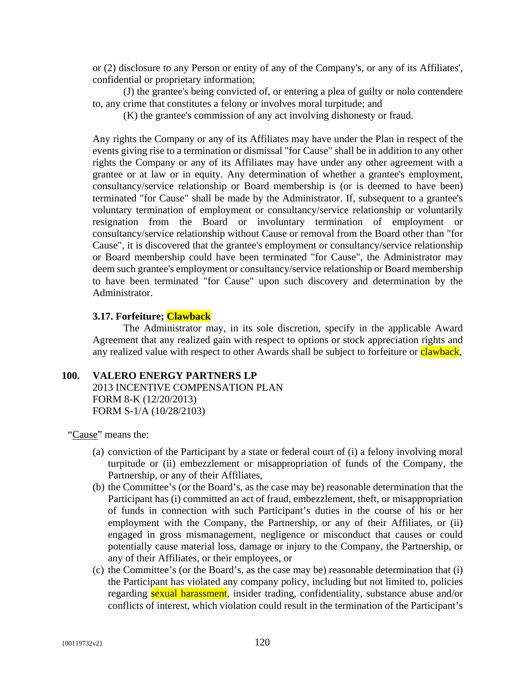or (2) disclosure to any Person or entity of any of the Company's, or any of its Affiliates', confidential or proprietary information;

(J) the grantee's being convicted of, or entering a plea of guilty or nolo contendere to, any crime that constitutes a felony or involves moral turpitude; and

(K) the grantee's commission of any act involving dishonesty or fraud.

Any rights the Company or any of its Affiliates may have under the Plan in respect of the events giving rise to a termination or dismissal "for Cause" shall be in addition to any other rights the Company or any of its Affiliates may have under any other agreement with a grantee or at law or in equity. Any determination of whether a grantee's employment, consultancy/service relationship or Board membership is (or is deemed to have been) terminated "for Cause" shall be made by the Administrator. If, subsequent to a grantee's voluntary termination of employment or consultancy/service relationship or voluntarily resignation from the Board or involuntary termination of employment or consultancy/service relationship without Cause or removal from the Board other than "for Cause", it is discovered that the grantee's employment or consultancy/service relationship or Board membership could have been terminated "for Cause", the Administrator may deem such grantee's employment or consultancy/service relationship or Board membership to have been terminated "for Cause" upon such discovery and determination by the Administrator.

# **3.17. Forfeiture; Clawback**

The Administrator may, in its sole discretion, specify in the applicable Award Agreement that any realized gain with respect to options or stock appreciation rights and any realized value with respect to other Awards shall be subject to forfeiture or clawback,

## **100. VALERO ENERGY PARTNERS LP**

2013 INCENTIVE COMPENSATION PLAN FORM 8-K (12/20/2013) FORM S-1/A (10/28/2103)

"Cause" means the:

- (a) conviction of the Participant by a state or federal court of (i) a felony involving moral turpitude or (ii) embezzlement or misappropriation of funds of the Company, the Partnership, or any of their Affiliates,
- (b) the Committee's (or the Board's, as the case may be) reasonable determination that the Participant has (i) committed an act of fraud, embezzlement, theft, or misappropriation of funds in connection with such Participant's duties in the course of his or her employment with the Company, the Partnership, or any of their Affiliates, or (ii) engaged in gross mismanagement, negligence or misconduct that causes or could potentially cause material loss, damage or injury to the Company, the Partnership, or any of their Affiliates, or their employees, or
- (c) the Committee's (or the Board's, as the case may be) reasonable determination that (i) the Participant has violated any company policy, including but not limited to, policies regarding **sexual harassment**, insider trading, confidentiality, substance abuse and/or conflicts of interest, which violation could result in the termination of the Participant's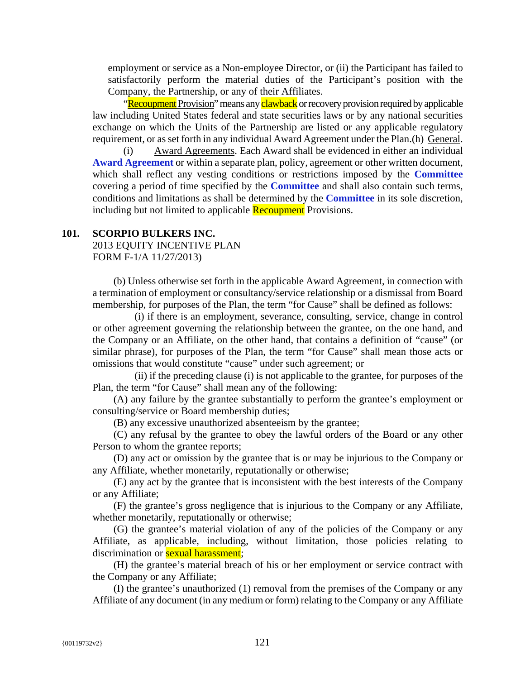employment or service as a Non-employee Director, or (ii) the Participant has failed to satisfactorily perform the material duties of the Participant's position with the Company, the Partnership, or any of their Affiliates.

"Recoupment Provision" means any clawback or recovery provision required by applicable law including United States federal and state securities laws or by any national securities exchange on which the Units of the Partnership are listed or any applicable regulatory requirement, or as set forth in any individual Award Agreement under the Plan.(h) General.

(i) Award Agreements. Each Award shall be evidenced in either an individual **Award Agreement** or within a separate plan, policy, agreement or other written document, which shall reflect any vesting conditions or restrictions imposed by the **Committee** covering a period of time specified by the **Committee** and shall also contain such terms, conditions and limitations as shall be determined by the **Committee** in its sole discretion, including but not limited to applicable **Recoupment** Provisions.

# **101. SCORPIO BULKERS INC.**

2013 EQUITY INCENTIVE PLAN FORM F-1/A 11/27/2013)

(b) Unless otherwise set forth in the applicable Award Agreement, in connection with a termination of employment or consultancy/service relationship or a dismissal from Board membership, for purposes of the Plan, the term "for Cause" shall be defined as follows:

(i) if there is an employment, severance, consulting, service, change in control or other agreement governing the relationship between the grantee, on the one hand, and the Company or an Affiliate, on the other hand, that contains a definition of "cause" (or similar phrase), for purposes of the Plan, the term "for Cause" shall mean those acts or omissions that would constitute "cause" under such agreement; or

(ii) if the preceding clause (i) is not applicable to the grantee, for purposes of the Plan, the term "for Cause" shall mean any of the following:

(A) any failure by the grantee substantially to perform the grantee's employment or consulting/service or Board membership duties;

(B) any excessive unauthorized absenteeism by the grantee;

(C) any refusal by the grantee to obey the lawful orders of the Board or any other Person to whom the grantee reports;

(D) any act or omission by the grantee that is or may be injurious to the Company or any Affiliate, whether monetarily, reputationally or otherwise;

(E) any act by the grantee that is inconsistent with the best interests of the Company or any Affiliate;

(F) the grantee's gross negligence that is injurious to the Company or any Affiliate, whether monetarily, reputationally or otherwise;

(G) the grantee's material violation of any of the policies of the Company or any Affiliate, as applicable, including, without limitation, those policies relating to discrimination or **sexual harassment**;

(H) the grantee's material breach of his or her employment or service contract with the Company or any Affiliate;

(I) the grantee's unauthorized (1) removal from the premises of the Company or any Affiliate of any document (in any medium or form) relating to the Company or any Affiliate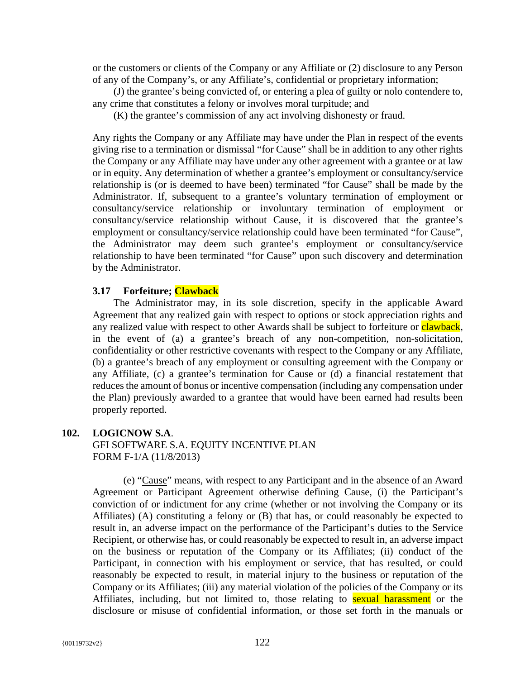or the customers or clients of the Company or any Affiliate or (2) disclosure to any Person of any of the Company's, or any Affiliate's, confidential or proprietary information;

(J) the grantee's being convicted of, or entering a plea of guilty or nolo contendere to, any crime that constitutes a felony or involves moral turpitude; and

(K) the grantee's commission of any act involving dishonesty or fraud.

Any rights the Company or any Affiliate may have under the Plan in respect of the events giving rise to a termination or dismissal "for Cause" shall be in addition to any other rights the Company or any Affiliate may have under any other agreement with a grantee or at law or in equity. Any determination of whether a grantee's employment or consultancy/service relationship is (or is deemed to have been) terminated "for Cause" shall be made by the Administrator. If, subsequent to a grantee's voluntary termination of employment or consultancy/service relationship or involuntary termination of employment or consultancy/service relationship without Cause, it is discovered that the grantee's employment or consultancy/service relationship could have been terminated "for Cause", the Administrator may deem such grantee's employment or consultancy/service relationship to have been terminated "for Cause" upon such discovery and determination by the Administrator.

#### **3.17 Forfeiture; Clawback**

The Administrator may, in its sole discretion, specify in the applicable Award Agreement that any realized gain with respect to options or stock appreciation rights and any realized value with respect to other Awards shall be subject to forfeiture or clawback, in the event of (a) a grantee's breach of any non-competition, non-solicitation, confidentiality or other restrictive covenants with respect to the Company or any Affiliate, (b) a grantee's breach of any employment or consulting agreement with the Company or any Affiliate, (c) a grantee's termination for Cause or (d) a financial restatement that reduces the amount of bonus or incentive compensation (including any compensation under the Plan) previously awarded to a grantee that would have been earned had results been properly reported.

## **102. LOGICNOW S.A**.

GFI SOFTWARE S.A. EQUITY INCENTIVE PLAN FORM F-1/A (11/8/2013)

(e) "Cause" means, with respect to any Participant and in the absence of an Award Agreement or Participant Agreement otherwise defining Cause, (i) the Participant's conviction of or indictment for any crime (whether or not involving the Company or its Affiliates) (A) constituting a felony or (B) that has, or could reasonably be expected to result in, an adverse impact on the performance of the Participant's duties to the Service Recipient, or otherwise has, or could reasonably be expected to result in, an adverse impact on the business or reputation of the Company or its Affiliates; (ii) conduct of the Participant, in connection with his employment or service, that has resulted, or could reasonably be expected to result, in material injury to the business or reputation of the Company or its Affiliates; (iii) any material violation of the policies of the Company or its Affiliates, including, but not limited to, those relating to **sexual harassment** or the disclosure or misuse of confidential information, or those set forth in the manuals or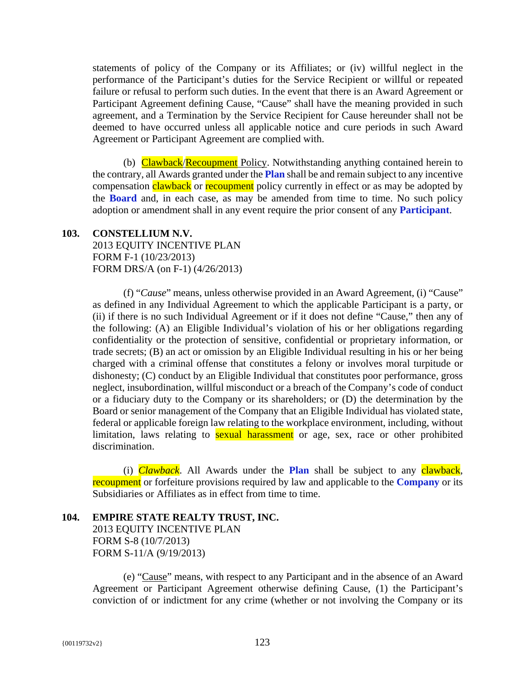statements of policy of the Company or its Affiliates; or (iv) willful neglect in the performance of the Participant's duties for the Service Recipient or willful or repeated failure or refusal to perform such duties. In the event that there is an Award Agreement or Participant Agreement defining Cause, "Cause" shall have the meaning provided in such agreement, and a Termination by the Service Recipient for Cause hereunder shall not be deemed to have occurred unless all applicable notice and cure periods in such Award Agreement or Participant Agreement are complied with.

(b) Clawback/Recoupment Policy. Notwithstanding anything contained herein to the contrary, all Awards granted under the **Plan** shall be and remain subject to any incentive compensation clawback or recoupment policy currently in effect or as may be adopted by the **Board** and, in each case, as may be amended from time to time. No such policy adoption or amendment shall in any event require the prior consent of any **Participant**.

## **103. CONSTELLIUM N.V.**

2013 EQUITY INCENTIVE PLAN FORM F-1 (10/23/2013) FORM DRS/A (on F-1) (4/26/2013)

(f) "*Cause*" means, unless otherwise provided in an Award Agreement, (i) "Cause" as defined in any Individual Agreement to which the applicable Participant is a party, or (ii) if there is no such Individual Agreement or if it does not define "Cause," then any of the following: (A) an Eligible Individual's violation of his or her obligations regarding confidentiality or the protection of sensitive, confidential or proprietary information, or trade secrets; (B) an act or omission by an Eligible Individual resulting in his or her being charged with a criminal offense that constitutes a felony or involves moral turpitude or dishonesty; (C) conduct by an Eligible Individual that constitutes poor performance, gross neglect, insubordination, willful misconduct or a breach of the Company's code of conduct or a fiduciary duty to the Company or its shareholders; or (D) the determination by the Board or senior management of the Company that an Eligible Individual has violated state, federal or applicable foreign law relating to the workplace environment, including, without limitation, laws relating to **sexual harassment** or age, sex, race or other prohibited discrimination.

(i) *Clawback*. All Awards under the **Plan** shall be subject to any clawback, recoupment or forfeiture provisions required by law and applicable to the **Company** or its Subsidiaries or Affiliates as in effect from time to time.

# **104. EMPIRE STATE REALTY TRUST, INC.** 2013 EQUITY INCENTIVE PLAN FORM S-8 (10/7/2013) FORM S-11/A (9/19/2013)

(e) "Cause" means, with respect to any Participant and in the absence of an Award Agreement or Participant Agreement otherwise defining Cause, (1) the Participant's conviction of or indictment for any crime (whether or not involving the Company or its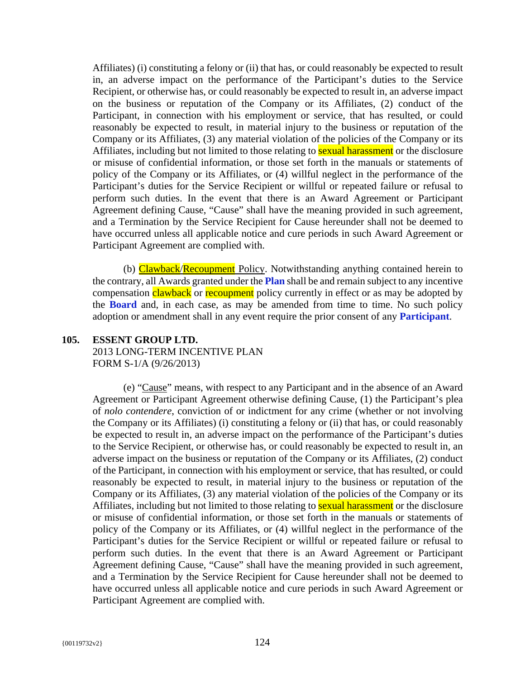Affiliates) (i) constituting a felony or (ii) that has, or could reasonably be expected to result in, an adverse impact on the performance of the Participant's duties to the Service Recipient, or otherwise has, or could reasonably be expected to result in, an adverse impact on the business or reputation of the Company or its Affiliates, (2) conduct of the Participant, in connection with his employment or service, that has resulted, or could reasonably be expected to result, in material injury to the business or reputation of the Company or its Affiliates, (3) any material violation of the policies of the Company or its Affiliates, including but not limited to those relating to **sexual harassment** or the disclosure or misuse of confidential information, or those set forth in the manuals or statements of policy of the Company or its Affiliates, or (4) willful neglect in the performance of the Participant's duties for the Service Recipient or willful or repeated failure or refusal to perform such duties. In the event that there is an Award Agreement or Participant Agreement defining Cause, "Cause" shall have the meaning provided in such agreement, and a Termination by the Service Recipient for Cause hereunder shall not be deemed to have occurred unless all applicable notice and cure periods in such Award Agreement or Participant Agreement are complied with.

(b) **Clawback/Recoupment** Policy. Notwithstanding anything contained herein to the contrary, all Awards granted under the **Plan** shall be and remain subject to any incentive compensation clawback or recoupment policy currently in effect or as may be adopted by the **Board** and, in each case, as may be amended from time to time. No such policy adoption or amendment shall in any event require the prior consent of any **Participant**.

## **105. ESSENT GROUP LTD.**

2013 LONG-TERM INCENTIVE PLAN FORM S-1/A (9/26/2013)

(e) "Cause" means, with respect to any Participant and in the absence of an Award Agreement or Participant Agreement otherwise defining Cause, (1) the Participant's plea of *nolo contendere*, conviction of or indictment for any crime (whether or not involving the Company or its Affiliates) (i) constituting a felony or (ii) that has, or could reasonably be expected to result in, an adverse impact on the performance of the Participant's duties to the Service Recipient, or otherwise has, or could reasonably be expected to result in, an adverse impact on the business or reputation of the Company or its Affiliates, (2) conduct of the Participant, in connection with his employment or service, that has resulted, or could reasonably be expected to result, in material injury to the business or reputation of the Company or its Affiliates, (3) any material violation of the policies of the Company or its Affiliates, including but not limited to those relating to **sexual harassment** or the disclosure or misuse of confidential information, or those set forth in the manuals or statements of policy of the Company or its Affiliates, or (4) willful neglect in the performance of the Participant's duties for the Service Recipient or willful or repeated failure or refusal to perform such duties. In the event that there is an Award Agreement or Participant Agreement defining Cause, "Cause" shall have the meaning provided in such agreement, and a Termination by the Service Recipient for Cause hereunder shall not be deemed to have occurred unless all applicable notice and cure periods in such Award Agreement or Participant Agreement are complied with.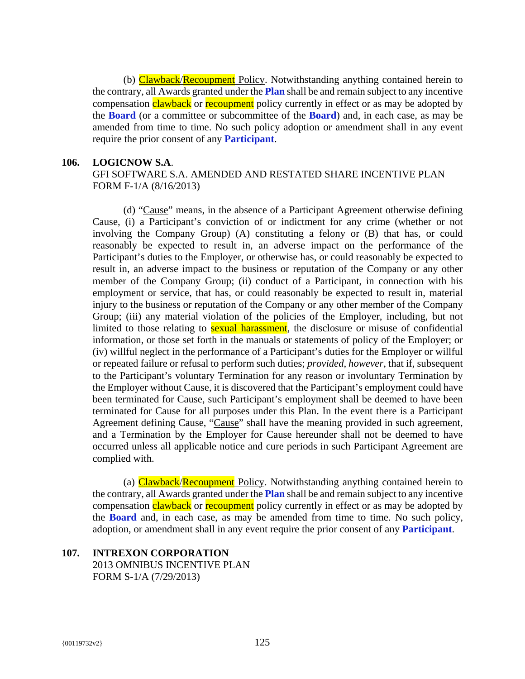(b) Clawback/Recoupment Policy. Notwithstanding anything contained herein to the contrary, all Awards granted under the **Plan** shall be and remain subject to any incentive compensation clawback or recoupment policy currently in effect or as may be adopted by the **Board** (or a committee or subcommittee of the **Board**) and, in each case, as may be amended from time to time. No such policy adoption or amendment shall in any event require the prior consent of any **Participant**.

# **106. LOGICNOW S.A**.

# GFI SOFTWARE S.A. AMENDED AND RESTATED SHARE INCENTIVE PLAN FORM F-1/A (8/16/2013)

(d) "Cause" means, in the absence of a Participant Agreement otherwise defining Cause, (i) a Participant's conviction of or indictment for any crime (whether or not involving the Company Group) (A) constituting a felony or (B) that has, or could reasonably be expected to result in, an adverse impact on the performance of the Participant's duties to the Employer, or otherwise has, or could reasonably be expected to result in, an adverse impact to the business or reputation of the Company or any other member of the Company Group; (ii) conduct of a Participant, in connection with his employment or service, that has, or could reasonably be expected to result in, material injury to the business or reputation of the Company or any other member of the Company Group; (iii) any material violation of the policies of the Employer, including, but not limited to those relating to **sexual harassment**, the disclosure or misuse of confidential information, or those set forth in the manuals or statements of policy of the Employer; or (iv) willful neglect in the performance of a Participant's duties for the Employer or willful or repeated failure or refusal to perform such duties; *provided*, *however*, that if, subsequent to the Participant's voluntary Termination for any reason or involuntary Termination by the Employer without Cause, it is discovered that the Participant's employment could have been terminated for Cause, such Participant's employment shall be deemed to have been terminated for Cause for all purposes under this Plan. In the event there is a Participant Agreement defining Cause, "Cause" shall have the meaning provided in such agreement, and a Termination by the Employer for Cause hereunder shall not be deemed to have occurred unless all applicable notice and cure periods in such Participant Agreement are complied with.

(a) Clawback/Recoupment Policy. Notwithstanding anything contained herein to the contrary, all Awards granted under the **Plan** shall be and remain subject to any incentive compensation clawback or recoupment policy currently in effect or as may be adopted by the **Board** and, in each case, as may be amended from time to time. No such policy, adoption, or amendment shall in any event require the prior consent of any **Participant**.

# **107. INTREXON CORPORATION**  2013 OMNIBUS INCENTIVE PLAN FORM S-1/A (7/29/2013)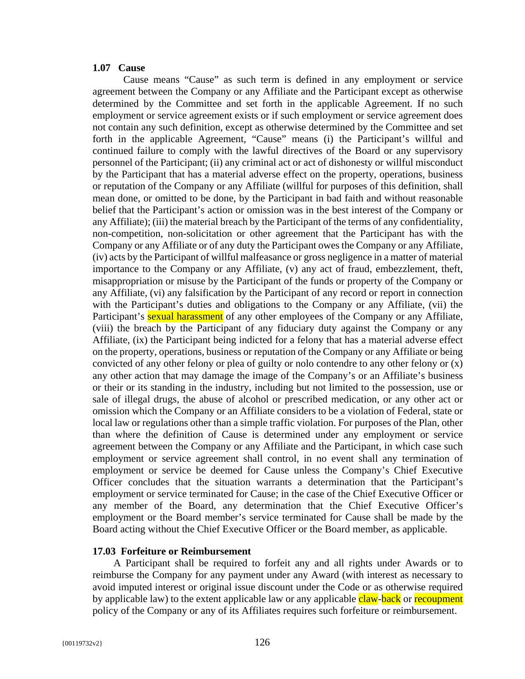#### **1.07 Cause**

Cause means "Cause" as such term is defined in any employment or service agreement between the Company or any Affiliate and the Participant except as otherwise determined by the Committee and set forth in the applicable Agreement. If no such employment or service agreement exists or if such employment or service agreement does not contain any such definition, except as otherwise determined by the Committee and set forth in the applicable Agreement, "Cause" means (i) the Participant's willful and continued failure to comply with the lawful directives of the Board or any supervisory personnel of the Participant; (ii) any criminal act or act of dishonesty or willful misconduct by the Participant that has a material adverse effect on the property, operations, business or reputation of the Company or any Affiliate (willful for purposes of this definition, shall mean done, or omitted to be done, by the Participant in bad faith and without reasonable belief that the Participant's action or omission was in the best interest of the Company or any Affiliate); (iii) the material breach by the Participant of the terms of any confidentiality, non-competition, non-solicitation or other agreement that the Participant has with the Company or any Affiliate or of any duty the Participant owes the Company or any Affiliate, (iv) acts by the Participant of willful malfeasance or gross negligence in a matter of material importance to the Company or any Affiliate, (v) any act of fraud, embezzlement, theft, misappropriation or misuse by the Participant of the funds or property of the Company or any Affiliate, (vi) any falsification by the Participant of any record or report in connection with the Participant's duties and obligations to the Company or any Affiliate, (vii) the Participant's **sexual harassment** of any other employees of the Company or any Affiliate, (viii) the breach by the Participant of any fiduciary duty against the Company or any Affiliate, (ix) the Participant being indicted for a felony that has a material adverse effect on the property, operations, business or reputation of the Company or any Affiliate or being convicted of any other felony or plea of guilty or nolo contendre to any other felony or (x) any other action that may damage the image of the Company's or an Affiliate's business or their or its standing in the industry, including but not limited to the possession, use or sale of illegal drugs, the abuse of alcohol or prescribed medication, or any other act or omission which the Company or an Affiliate considers to be a violation of Federal, state or local law or regulations other than a simple traffic violation. For purposes of the Plan, other than where the definition of Cause is determined under any employment or service agreement between the Company or any Affiliate and the Participant, in which case such employment or service agreement shall control, in no event shall any termination of employment or service be deemed for Cause unless the Company's Chief Executive Officer concludes that the situation warrants a determination that the Participant's employment or service terminated for Cause; in the case of the Chief Executive Officer or any member of the Board, any determination that the Chief Executive Officer's employment or the Board member's service terminated for Cause shall be made by the Board acting without the Chief Executive Officer or the Board member, as applicable.

## **17.03 Forfeiture or Reimbursement**

A Participant shall be required to forfeit any and all rights under Awards or to reimburse the Company for any payment under any Award (with interest as necessary to avoid imputed interest or original issue discount under the Code or as otherwise required by applicable law) to the extent applicable law or any applicable claw-back or recoupment policy of the Company or any of its Affiliates requires such forfeiture or reimbursement.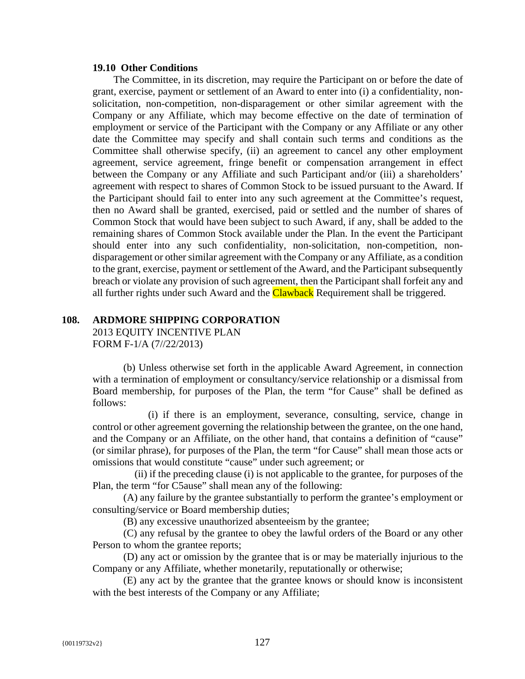#### **19.10 Other Conditions**

The Committee, in its discretion, may require the Participant on or before the date of grant, exercise, payment or settlement of an Award to enter into (i) a confidentiality, nonsolicitation, non-competition, non-disparagement or other similar agreement with the Company or any Affiliate, which may become effective on the date of termination of employment or service of the Participant with the Company or any Affiliate or any other date the Committee may specify and shall contain such terms and conditions as the Committee shall otherwise specify, (ii) an agreement to cancel any other employment agreement, service agreement, fringe benefit or compensation arrangement in effect between the Company or any Affiliate and such Participant and/or (iii) a shareholders' agreement with respect to shares of Common Stock to be issued pursuant to the Award. If the Participant should fail to enter into any such agreement at the Committee's request, then no Award shall be granted, exercised, paid or settled and the number of shares of Common Stock that would have been subject to such Award, if any, shall be added to the remaining shares of Common Stock available under the Plan. In the event the Participant should enter into any such confidentiality, non-solicitation, non-competition, nondisparagement or other similar agreement with the Company or any Affiliate, as a condition to the grant, exercise, payment or settlement of the Award, and the Participant subsequently breach or violate any provision of such agreement, then the Participant shall forfeit any and all further rights under such Award and the **Clawback** Requirement shall be triggered.

## **108. ARDMORE SHIPPING CORPORATION**

2013 EQUITY INCENTIVE PLAN FORM F-1/A (7//22/2013)

(b) Unless otherwise set forth in the applicable Award Agreement, in connection with a termination of employment or consultancy/service relationship or a dismissal from Board membership, for purposes of the Plan, the term "for Cause" shall be defined as follows:

(i) if there is an employment, severance, consulting, service, change in control or other agreement governing the relationship between the grantee, on the one hand, and the Company or an Affiliate, on the other hand, that contains a definition of "cause" (or similar phrase), for purposes of the Plan, the term "for Cause" shall mean those acts or omissions that would constitute "cause" under such agreement; or

(ii) if the preceding clause (i) is not applicable to the grantee, for purposes of the Plan, the term "for C5ause" shall mean any of the following:

(A) any failure by the grantee substantially to perform the grantee's employment or consulting/service or Board membership duties;

(B) any excessive unauthorized absenteeism by the grantee;

(C) any refusal by the grantee to obey the lawful orders of the Board or any other Person to whom the grantee reports;

(D) any act or omission by the grantee that is or may be materially injurious to the Company or any Affiliate, whether monetarily, reputationally or otherwise;

(E) any act by the grantee that the grantee knows or should know is inconsistent with the best interests of the Company or any Affiliate;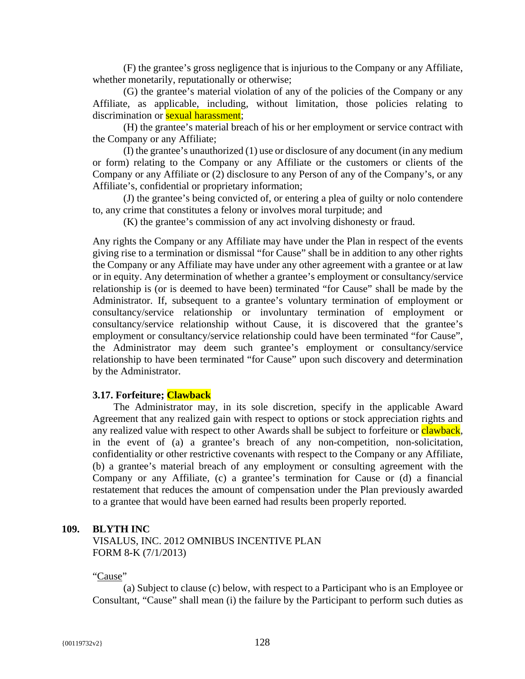(F) the grantee's gross negligence that is injurious to the Company or any Affiliate, whether monetarily, reputationally or otherwise;

(G) the grantee's material violation of any of the policies of the Company or any Affiliate, as applicable, including, without limitation, those policies relating to discrimination or **sexual harassment**;

(H) the grantee's material breach of his or her employment or service contract with the Company or any Affiliate;

(I) the grantee's unauthorized (1) use or disclosure of any document (in any medium or form) relating to the Company or any Affiliate or the customers or clients of the Company or any Affiliate or (2) disclosure to any Person of any of the Company's, or any Affiliate's, confidential or proprietary information;

(J) the grantee's being convicted of, or entering a plea of guilty or nolo contendere to, any crime that constitutes a felony or involves moral turpitude; and

(K) the grantee's commission of any act involving dishonesty or fraud.

Any rights the Company or any Affiliate may have under the Plan in respect of the events giving rise to a termination or dismissal "for Cause" shall be in addition to any other rights the Company or any Affiliate may have under any other agreement with a grantee or at law or in equity. Any determination of whether a grantee's employment or consultancy/service relationship is (or is deemed to have been) terminated "for Cause" shall be made by the Administrator. If, subsequent to a grantee's voluntary termination of employment or consultancy/service relationship or involuntary termination of employment or consultancy/service relationship without Cause, it is discovered that the grantee's employment or consultancy/service relationship could have been terminated "for Cause", the Administrator may deem such grantee's employment or consultancy/service relationship to have been terminated "for Cause" upon such discovery and determination by the Administrator.

#### **3.17. Forfeiture; Clawback**

The Administrator may, in its sole discretion, specify in the applicable Award Agreement that any realized gain with respect to options or stock appreciation rights and any realized value with respect to other Awards shall be subject to forfeiture or **clawback**, in the event of (a) a grantee's breach of any non-competition, non-solicitation, confidentiality or other restrictive covenants with respect to the Company or any Affiliate, (b) a grantee's material breach of any employment or consulting agreement with the Company or any Affiliate, (c) a grantee's termination for Cause or (d) a financial restatement that reduces the amount of compensation under the Plan previously awarded to a grantee that would have been earned had results been properly reported.

#### **109. BLYTH INC**

VISALUS, INC. 2012 OMNIBUS INCENTIVE PLAN FORM 8-K (7/1/2013)

#### "Cause"

(a) Subject to clause (c) below, with respect to a Participant who is an Employee or Consultant, "Cause" shall mean (i) the failure by the Participant to perform such duties as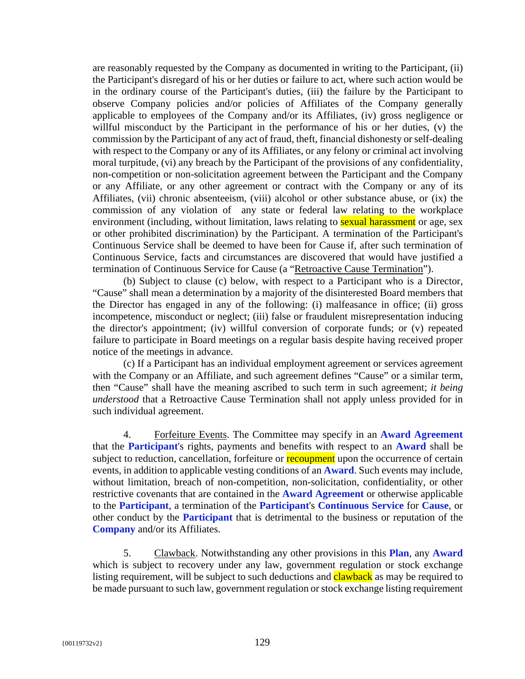are reasonably requested by the Company as documented in writing to the Participant, (ii) the Participant's disregard of his or her duties or failure to act, where such action would be in the ordinary course of the Participant's duties, (iii) the failure by the Participant to observe Company policies and/or policies of Affiliates of the Company generally applicable to employees of the Company and/or its Affiliates, (iv) gross negligence or willful misconduct by the Participant in the performance of his or her duties, (v) the commission by the Participant of any act of fraud, theft, financial dishonesty or self-dealing with respect to the Company or any of its Affiliates, or any felony or criminal act involving moral turpitude, (vi) any breach by the Participant of the provisions of any confidentiality, non-competition or non-solicitation agreement between the Participant and the Company or any Affiliate, or any other agreement or contract with the Company or any of its Affiliates, (vii) chronic absenteeism, (viii) alcohol or other substance abuse, or (ix) the commission of any violation of any state or federal law relating to the workplace environment (including, without limitation, laws relating to **sexual harassment** or age, sex or other prohibited discrimination) by the Participant. A termination of the Participant's Continuous Service shall be deemed to have been for Cause if, after such termination of Continuous Service, facts and circumstances are discovered that would have justified a termination of Continuous Service for Cause (a "Retroactive Cause Termination").

(b) Subject to clause (c) below, with respect to a Participant who is a Director, "Cause" shall mean a determination by a majority of the disinterested Board members that the Director has engaged in any of the following: (i) malfeasance in office; (ii) gross incompetence, misconduct or neglect; (iii) false or fraudulent misrepresentation inducing the director's appointment; (iv) willful conversion of corporate funds; or (v) repeated failure to participate in Board meetings on a regular basis despite having received proper notice of the meetings in advance.

(c) If a Participant has an individual employment agreement or services agreement with the Company or an Affiliate, and such agreement defines "Cause" or a similar term, then "Cause" shall have the meaning ascribed to such term in such agreement; *it being understood* that a Retroactive Cause Termination shall not apply unless provided for in such individual agreement.

4. Forfeiture Events. The Committee may specify in an **Award Agreement** that the **Participant**'s rights, payments and benefits with respect to an **Award** shall be subject to reduction, cancellation, forfeiture or **recoupment** upon the occurrence of certain events, in addition to applicable vesting conditions of an **Award**. Such events may include, without limitation, breach of non-competition, non-solicitation, confidentiality, or other restrictive covenants that are contained in the **Award Agreement** or otherwise applicable to the **Participant**, a termination of the **Participant**'s **Continuous Service** for **Cause**, or other conduct by the **Participant** that is detrimental to the business or reputation of the **Company** and/or its Affiliates.

5. Clawback. Notwithstanding any other provisions in this **Plan**, any **Award** which is subject to recovery under any law, government regulation or stock exchange listing requirement, will be subject to such deductions and **clawback** as may be required to be made pursuant to such law, government regulation or stock exchange listing requirement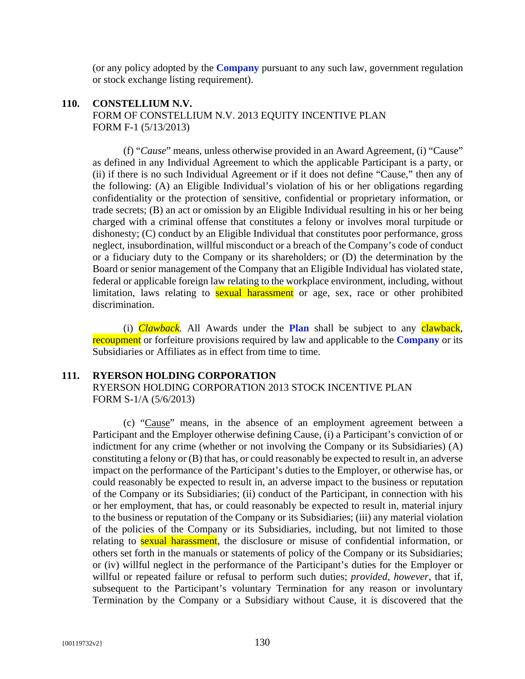(or any policy adopted by the **Company** pursuant to any such law, government regulation or stock exchange listing requirement).

# **110. CONSTELLIUM N.V.** FORM OF CONSTELLIUM N.V. 2013 EQUITY INCENTIVE PLAN FORM F-1 (5/13/2013)

(f) "*Cause*" means, unless otherwise provided in an Award Agreement, (i) "Cause" as defined in any Individual Agreement to which the applicable Participant is a party, or (ii) if there is no such Individual Agreement or if it does not define "Cause," then any of the following: (A) an Eligible Individual's violation of his or her obligations regarding confidentiality or the protection of sensitive, confidential or proprietary information, or trade secrets; (B) an act or omission by an Eligible Individual resulting in his or her being charged with a criminal offense that constitutes a felony or involves moral turpitude or dishonesty; (C) conduct by an Eligible Individual that constitutes poor performance, gross neglect, insubordination, willful misconduct or a breach of the Company's code of conduct or a fiduciary duty to the Company or its shareholders; or (D) the determination by the Board or senior management of the Company that an Eligible Individual has violated state, federal or applicable foreign law relating to the workplace environment, including, without limitation, laws relating to **sexual harassment** or age, sex, race or other prohibited discrimination.

(i) *Clawback.* All Awards under the **Plan** shall be subject to any clawback, recoupment or forfeiture provisions required by law and applicable to the **Company** or its Subsidiaries or Affiliates as in effect from time to time.

## **111. RYERSON HOLDING CORPORATION**

RYERSON HOLDING CORPORATION 2013 STOCK INCENTIVE PLAN FORM S-1/A (5/6/2013)

(c) "Cause" means, in the absence of an employment agreement between a Participant and the Employer otherwise defining Cause, (i) a Participant's conviction of or indictment for any crime (whether or not involving the Company or its Subsidiaries) (A) constituting a felony or (B) that has, or could reasonably be expected to result in, an adverse impact on the performance of the Participant's duties to the Employer, or otherwise has, or could reasonably be expected to result in, an adverse impact to the business or reputation of the Company or its Subsidiaries; (ii) conduct of the Participant, in connection with his or her employment, that has, or could reasonably be expected to result in, material injury to the business or reputation of the Company or its Subsidiaries; (iii) any material violation of the policies of the Company or its Subsidiaries, including, but not limited to those relating to **sexual harassment**, the disclosure or misuse of confidential information, or others set forth in the manuals or statements of policy of the Company or its Subsidiaries; or (iv) willful neglect in the performance of the Participant's duties for the Employer or willful or repeated failure or refusal to perform such duties; *provided*, *however*, that if, subsequent to the Participant's voluntary Termination for any reason or involuntary Termination by the Company or a Subsidiary without Cause, it is discovered that the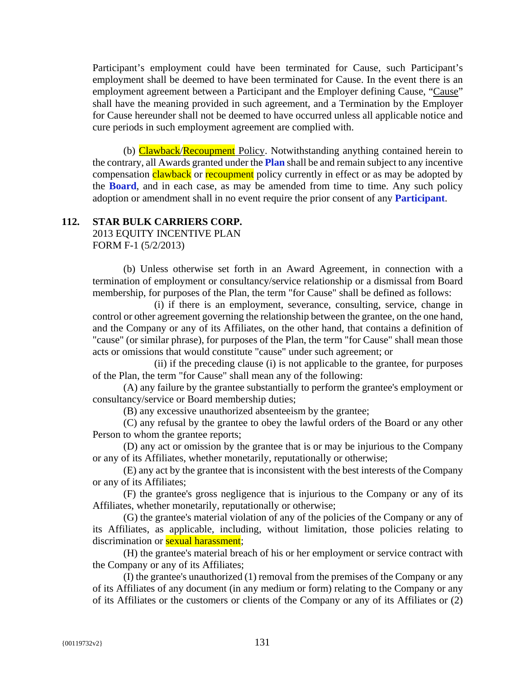Participant's employment could have been terminated for Cause, such Participant's employment shall be deemed to have been terminated for Cause. In the event there is an employment agreement between a Participant and the Employer defining Cause, "Cause" shall have the meaning provided in such agreement, and a Termination by the Employer for Cause hereunder shall not be deemed to have occurred unless all applicable notice and cure periods in such employment agreement are complied with.

(b) Clawback/Recoupment Policy. Notwithstanding anything contained herein to the contrary, all Awards granted under the **Plan** shall be and remain subject to any incentive compensation clawback or recoupment policy currently in effect or as may be adopted by the **Board**, and in each case, as may be amended from time to time. Any such policy adoption or amendment shall in no event require the prior consent of any **Participant**.

# **112. STAR BULK CARRIERS CORP.**

2013 EQUITY INCENTIVE PLAN FORM F-1 (5/2/2013)

(b) Unless otherwise set forth in an Award Agreement, in connection with a termination of employment or consultancy/service relationship or a dismissal from Board membership, for purposes of the Plan, the term "for Cause" shall be defined as follows:

(i) if there is an employment, severance, consulting, service, change in control or other agreement governing the relationship between the grantee, on the one hand, and the Company or any of its Affiliates, on the other hand, that contains a definition of "cause" (or similar phrase), for purposes of the Plan, the term "for Cause" shall mean those acts or omissions that would constitute "cause" under such agreement; or

(ii) if the preceding clause (i) is not applicable to the grantee, for purposes of the Plan, the term "for Cause" shall mean any of the following:

(A) any failure by the grantee substantially to perform the grantee's employment or consultancy/service or Board membership duties;

(B) any excessive unauthorized absenteeism by the grantee;

(C) any refusal by the grantee to obey the lawful orders of the Board or any other Person to whom the grantee reports;

(D) any act or omission by the grantee that is or may be injurious to the Company or any of its Affiliates, whether monetarily, reputationally or otherwise;

(E) any act by the grantee that is inconsistent with the best interests of the Company or any of its Affiliates;

(F) the grantee's gross negligence that is injurious to the Company or any of its Affiliates, whether monetarily, reputationally or otherwise;

(G) the grantee's material violation of any of the policies of the Company or any of its Affiliates, as applicable, including, without limitation, those policies relating to discrimination or **sexual harassment**;

(H) the grantee's material breach of his or her employment or service contract with the Company or any of its Affiliates;

(I) the grantee's unauthorized (1) removal from the premises of the Company or any of its Affiliates of any document (in any medium or form) relating to the Company or any of its Affiliates or the customers or clients of the Company or any of its Affiliates or (2)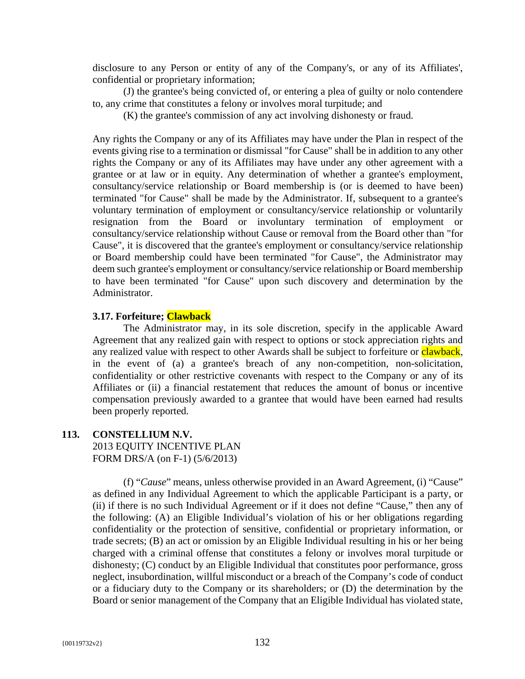disclosure to any Person or entity of any of the Company's, or any of its Affiliates', confidential or proprietary information;

(J) the grantee's being convicted of, or entering a plea of guilty or nolo contendere to, any crime that constitutes a felony or involves moral turpitude; and

(K) the grantee's commission of any act involving dishonesty or fraud.

Any rights the Company or any of its Affiliates may have under the Plan in respect of the events giving rise to a termination or dismissal "for Cause" shall be in addition to any other rights the Company or any of its Affiliates may have under any other agreement with a grantee or at law or in equity. Any determination of whether a grantee's employment, consultancy/service relationship or Board membership is (or is deemed to have been) terminated "for Cause" shall be made by the Administrator. If, subsequent to a grantee's voluntary termination of employment or consultancy/service relationship or voluntarily resignation from the Board or involuntary termination of employment or consultancy/service relationship without Cause or removal from the Board other than "for Cause", it is discovered that the grantee's employment or consultancy/service relationship or Board membership could have been terminated "for Cause", the Administrator may deem such grantee's employment or consultancy/service relationship or Board membership to have been terminated "for Cause" upon such discovery and determination by the Administrator.

# **3.17. Forfeiture; Clawback**

The Administrator may, in its sole discretion, specify in the applicable Award Agreement that any realized gain with respect to options or stock appreciation rights and any realized value with respect to other Awards shall be subject to forfeiture or clawback, in the event of (a) a grantee's breach of any non-competition, non-solicitation, confidentiality or other restrictive covenants with respect to the Company or any of its Affiliates or (ii) a financial restatement that reduces the amount of bonus or incentive compensation previously awarded to a grantee that would have been earned had results been properly reported.

## **113. CONSTELLIUM N.V.**

2013 EQUITY INCENTIVE PLAN FORM DRS/A (on F-1) (5/6/2013)

(f) "*Cause*" means, unless otherwise provided in an Award Agreement, (i) "Cause" as defined in any Individual Agreement to which the applicable Participant is a party, or (ii) if there is no such Individual Agreement or if it does not define "Cause," then any of the following: (A) an Eligible Individual's violation of his or her obligations regarding confidentiality or the protection of sensitive, confidential or proprietary information, or trade secrets; (B) an act or omission by an Eligible Individual resulting in his or her being charged with a criminal offense that constitutes a felony or involves moral turpitude or dishonesty; (C) conduct by an Eligible Individual that constitutes poor performance, gross neglect, insubordination, willful misconduct or a breach of the Company's code of conduct or a fiduciary duty to the Company or its shareholders; or (D) the determination by the Board or senior management of the Company that an Eligible Individual has violated state,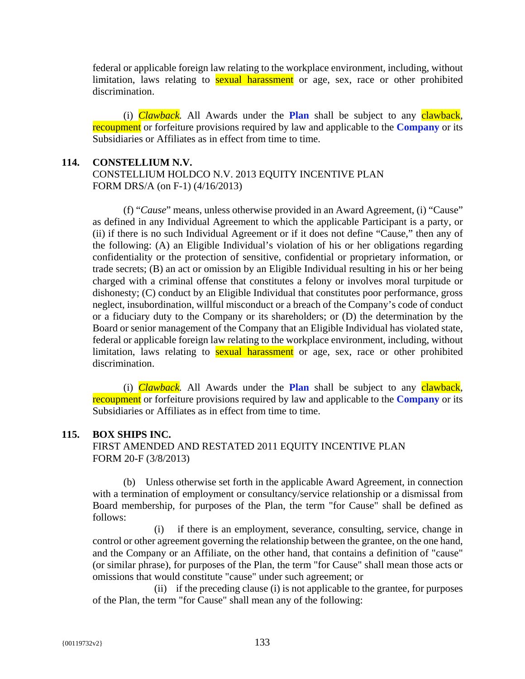federal or applicable foreign law relating to the workplace environment, including, without limitation, laws relating to **sexual harassment** or age, sex, race or other prohibited discrimination.

(i) *Clawback.* All Awards under the **Plan** shall be subject to any clawback, recoupment or forfeiture provisions required by law and applicable to the **Company** or its Subsidiaries or Affiliates as in effect from time to time.

## **114. CONSTELLIUM N.V.**

CONSTELLIUM HOLDCO N.V. 2013 EQUITY INCENTIVE PLAN FORM DRS/A (on F-1) (4/16/2013)

(f) "*Cause*" means, unless otherwise provided in an Award Agreement, (i) "Cause" as defined in any Individual Agreement to which the applicable Participant is a party, or (ii) if there is no such Individual Agreement or if it does not define "Cause," then any of the following: (A) an Eligible Individual's violation of his or her obligations regarding confidentiality or the protection of sensitive, confidential or proprietary information, or trade secrets; (B) an act or omission by an Eligible Individual resulting in his or her being charged with a criminal offense that constitutes a felony or involves moral turpitude or dishonesty; (C) conduct by an Eligible Individual that constitutes poor performance, gross neglect, insubordination, willful misconduct or a breach of the Company's code of conduct or a fiduciary duty to the Company or its shareholders; or (D) the determination by the Board or senior management of the Company that an Eligible Individual has violated state, federal or applicable foreign law relating to the workplace environment, including, without limitation, laws relating to **sexual harassment** or age, sex, race or other prohibited discrimination.

(i) *Clawback.* All Awards under the **Plan** shall be subject to any clawback, recoupment or forfeiture provisions required by law and applicable to the **Company** or its Subsidiaries or Affiliates as in effect from time to time.

# **115. BOX SHIPS INC.**

FIRST AMENDED AND RESTATED 2011 EQUITY INCENTIVE PLAN FORM 20-F (3/8/2013)

(b) Unless otherwise set forth in the applicable Award Agreement, in connection with a termination of employment or consultancy/service relationship or a dismissal from Board membership, for purposes of the Plan, the term "for Cause" shall be defined as follows:

(i) if there is an employment, severance, consulting, service, change in control or other agreement governing the relationship between the grantee, on the one hand, and the Company or an Affiliate, on the other hand, that contains a definition of "cause" (or similar phrase), for purposes of the Plan, the term "for Cause" shall mean those acts or omissions that would constitute "cause" under such agreement; or

(ii) if the preceding clause (i) is not applicable to the grantee, for purposes of the Plan, the term "for Cause" shall mean any of the following: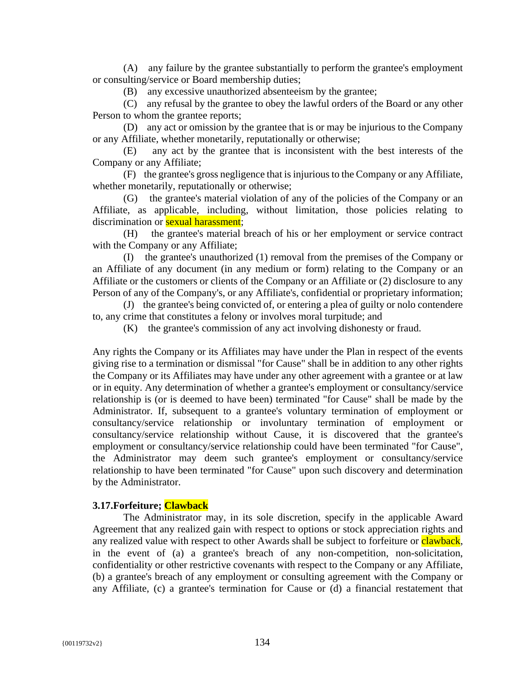(A) any failure by the grantee substantially to perform the grantee's employment or consulting/service or Board membership duties;

(B) any excessive unauthorized absenteeism by the grantee;

(C) any refusal by the grantee to obey the lawful orders of the Board or any other Person to whom the grantee reports;

(D) any act or omission by the grantee that is or may be injurious to the Company or any Affiliate, whether monetarily, reputationally or otherwise;

(E) any act by the grantee that is inconsistent with the best interests of the Company or any Affiliate;

(F) the grantee's gross negligence that is injurious to the Company or any Affiliate, whether monetarily, reputationally or otherwise;

(G) the grantee's material violation of any of the policies of the Company or an Affiliate, as applicable, including, without limitation, those policies relating to discrimination or **sexual harassment**;

(H) the grantee's material breach of his or her employment or service contract with the Company or any Affiliate;

(I) the grantee's unauthorized (1) removal from the premises of the Company or an Affiliate of any document (in any medium or form) relating to the Company or an Affiliate or the customers or clients of the Company or an Affiliate or (2) disclosure to any Person of any of the Company's, or any Affiliate's, confidential or proprietary information;

(J) the grantee's being convicted of, or entering a plea of guilty or nolo contendere to, any crime that constitutes a felony or involves moral turpitude; and

(K) the grantee's commission of any act involving dishonesty or fraud.

Any rights the Company or its Affiliates may have under the Plan in respect of the events giving rise to a termination or dismissal "for Cause" shall be in addition to any other rights the Company or its Affiliates may have under any other agreement with a grantee or at law or in equity. Any determination of whether a grantee's employment or consultancy/service relationship is (or is deemed to have been) terminated "for Cause" shall be made by the Administrator. If, subsequent to a grantee's voluntary termination of employment or consultancy/service relationship or involuntary termination of employment or consultancy/service relationship without Cause, it is discovered that the grantee's employment or consultancy/service relationship could have been terminated "for Cause", the Administrator may deem such grantee's employment or consultancy/service relationship to have been terminated "for Cause" upon such discovery and determination by the Administrator.

# **3.17.Forfeiture; Clawback**

The Administrator may, in its sole discretion, specify in the applicable Award Agreement that any realized gain with respect to options or stock appreciation rights and any realized value with respect to other Awards shall be subject to forfeiture or clawback, in the event of (a) a grantee's breach of any non-competition, non-solicitation, confidentiality or other restrictive covenants with respect to the Company or any Affiliate, (b) a grantee's breach of any employment or consulting agreement with the Company or any Affiliate, (c) a grantee's termination for Cause or (d) a financial restatement that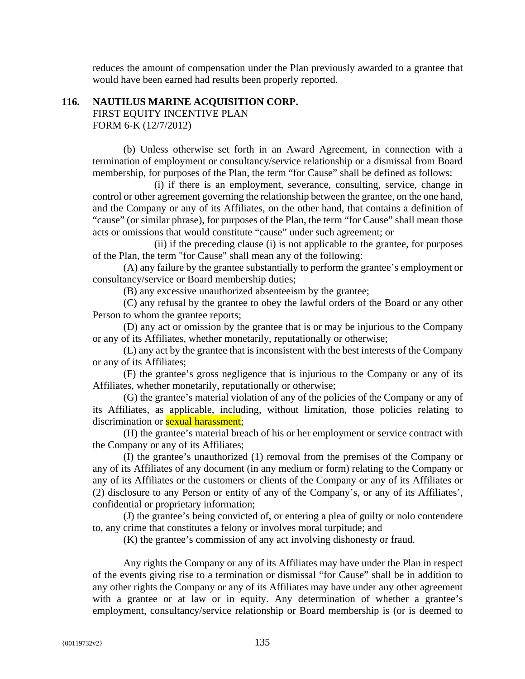reduces the amount of compensation under the Plan previously awarded to a grantee that would have been earned had results been properly reported.

# **116. NAUTILUS MARINE ACQUISITION CORP.** FIRST EQUITY INCENTIVE PLAN FORM 6-K (12/7/2012)

(b) Unless otherwise set forth in an Award Agreement, in connection with a termination of employment or consultancy/service relationship or a dismissal from Board membership, for purposes of the Plan, the term "for Cause" shall be defined as follows:

(i) if there is an employment, severance, consulting, service, change in control or other agreement governing the relationship between the grantee, on the one hand, and the Company or any of its Affiliates, on the other hand, that contains a definition of "cause" (or similar phrase), for purposes of the Plan, the term "for Cause" shall mean those acts or omissions that would constitute "cause" under such agreement; or

(ii) if the preceding clause (i) is not applicable to the grantee, for purposes of the Plan, the term "for Cause" shall mean any of the following:

(A) any failure by the grantee substantially to perform the grantee's employment or consultancy/service or Board membership duties;

(B) any excessive unauthorized absenteeism by the grantee;

(C) any refusal by the grantee to obey the lawful orders of the Board or any other Person to whom the grantee reports;

(D) any act or omission by the grantee that is or may be injurious to the Company or any of its Affiliates, whether monetarily, reputationally or otherwise;

(E) any act by the grantee that is inconsistent with the best interests of the Company or any of its Affiliates;

(F) the grantee's gross negligence that is injurious to the Company or any of its Affiliates, whether monetarily, reputationally or otherwise;

(G) the grantee's material violation of any of the policies of the Company or any of its Affiliates, as applicable, including, without limitation, those policies relating to discrimination or **sexual harassment**:

(H) the grantee's material breach of his or her employment or service contract with the Company or any of its Affiliates;

(I) the grantee's unauthorized (1) removal from the premises of the Company or any of its Affiliates of any document (in any medium or form) relating to the Company or any of its Affiliates or the customers or clients of the Company or any of its Affiliates or (2) disclosure to any Person or entity of any of the Company's, or any of its Affiliates', confidential or proprietary information;

(J) the grantee's being convicted of, or entering a plea of guilty or nolo contendere to, any crime that constitutes a felony or involves moral turpitude; and

(K) the grantee's commission of any act involving dishonesty or fraud.

Any rights the Company or any of its Affiliates may have under the Plan in respect of the events giving rise to a termination or dismissal "for Cause" shall be in addition to any other rights the Company or any of its Affiliates may have under any other agreement with a grantee or at law or in equity. Any determination of whether a grantee's employment, consultancy/service relationship or Board membership is (or is deemed to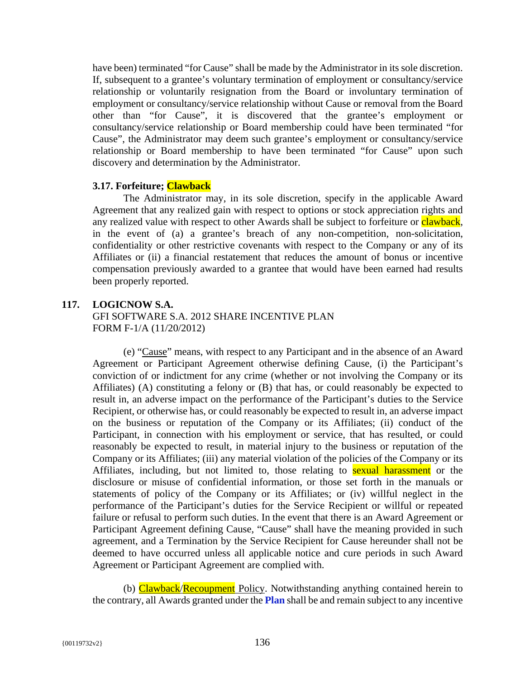have been) terminated "for Cause" shall be made by the Administrator in its sole discretion. If, subsequent to a grantee's voluntary termination of employment or consultancy/service relationship or voluntarily resignation from the Board or involuntary termination of employment or consultancy/service relationship without Cause or removal from the Board other than "for Cause", it is discovered that the grantee's employment or consultancy/service relationship or Board membership could have been terminated "for Cause", the Administrator may deem such grantee's employment or consultancy/service relationship or Board membership to have been terminated "for Cause" upon such discovery and determination by the Administrator.

## **3.17. Forfeiture; Clawback**

The Administrator may, in its sole discretion, specify in the applicable Award Agreement that any realized gain with respect to options or stock appreciation rights and any realized value with respect to other Awards shall be subject to forfeiture or clawback, in the event of (a) a grantee's breach of any non-competition, non-solicitation, confidentiality or other restrictive covenants with respect to the Company or any of its Affiliates or (ii) a financial restatement that reduces the amount of bonus or incentive compensation previously awarded to a grantee that would have been earned had results been properly reported.

# **117. LOGICNOW S.A.**

GFI SOFTWARE S.A. 2012 SHARE INCENTIVE PLAN FORM F-1/A (11/20/2012)

(e) "Cause" means, with respect to any Participant and in the absence of an Award Agreement or Participant Agreement otherwise defining Cause, (i) the Participant's conviction of or indictment for any crime (whether or not involving the Company or its Affiliates) (A) constituting a felony or (B) that has, or could reasonably be expected to result in, an adverse impact on the performance of the Participant's duties to the Service Recipient, or otherwise has, or could reasonably be expected to result in, an adverse impact on the business or reputation of the Company or its Affiliates; (ii) conduct of the Participant, in connection with his employment or service, that has resulted, or could reasonably be expected to result, in material injury to the business or reputation of the Company or its Affiliates; (iii) any material violation of the policies of the Company or its Affiliates, including, but not limited to, those relating to **sexual harassment** or the disclosure or misuse of confidential information, or those set forth in the manuals or statements of policy of the Company or its Affiliates; or (iv) willful neglect in the performance of the Participant's duties for the Service Recipient or willful or repeated failure or refusal to perform such duties. In the event that there is an Award Agreement or Participant Agreement defining Cause, "Cause" shall have the meaning provided in such agreement, and a Termination by the Service Recipient for Cause hereunder shall not be deemed to have occurred unless all applicable notice and cure periods in such Award Agreement or Participant Agreement are complied with.

(b) Clawback/Recoupment Policy. Notwithstanding anything contained herein to the contrary, all Awards granted under the **Plan** shall be and remain subject to any incentive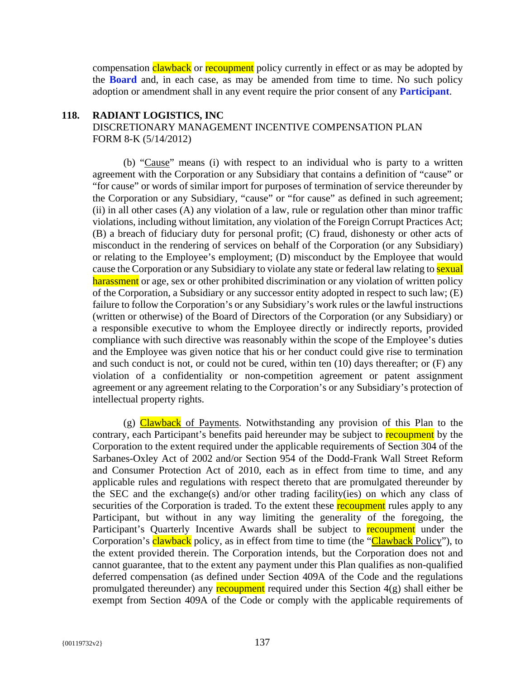compensation clawback or recoupment policy currently in effect or as may be adopted by the **Board** and, in each case, as may be amended from time to time. No such policy adoption or amendment shall in any event require the prior consent of any **Participant**.

#### **118. RADIANT LOGISTICS, INC**

# DISCRETIONARY MANAGEMENT INCENTIVE COMPENSATION PLAN FORM 8-K (5/14/2012)

(b) "Cause" means (i) with respect to an individual who is party to a written agreement with the Corporation or any Subsidiary that contains a definition of "cause" or "for cause" or words of similar import for purposes of termination of service thereunder by the Corporation or any Subsidiary, "cause" or "for cause" as defined in such agreement; (ii) in all other cases (A) any violation of a law, rule or regulation other than minor traffic violations, including without limitation, any violation of the Foreign Corrupt Practices Act; (B) a breach of fiduciary duty for personal profit; (C) fraud, dishonesty or other acts of misconduct in the rendering of services on behalf of the Corporation (or any Subsidiary) or relating to the Employee's employment; (D) misconduct by the Employee that would cause the Corporation or any Subsidiary to violate any state or federal law relating to **sexual** harassment or age, sex or other prohibited discrimination or any violation of written policy of the Corporation, a Subsidiary or any successor entity adopted in respect to such law; (E) failure to follow the Corporation's or any Subsidiary's work rules or the lawful instructions (written or otherwise) of the Board of Directors of the Corporation (or any Subsidiary) or a responsible executive to whom the Employee directly or indirectly reports, provided compliance with such directive was reasonably within the scope of the Employee's duties and the Employee was given notice that his or her conduct could give rise to termination and such conduct is not, or could not be cured, within ten (10) days thereafter; or (F) any violation of a confidentiality or non-competition agreement or patent assignment agreement or any agreement relating to the Corporation's or any Subsidiary's protection of intellectual property rights.

(g) Clawback of Payments. Notwithstanding any provision of this Plan to the contrary, each Participant's benefits paid hereunder may be subject to recoupment by the Corporation to the extent required under the applicable requirements of Section 304 of the Sarbanes-Oxley Act of 2002 and/or Section 954 of the Dodd-Frank Wall Street Reform and Consumer Protection Act of 2010, each as in effect from time to time, and any applicable rules and regulations with respect thereto that are promulgated thereunder by the SEC and the exchange(s) and/or other trading facility(ies) on which any class of securities of the Corporation is traded. To the extent these recoupment rules apply to any Participant, but without in any way limiting the generality of the foregoing, the Participant's Quarterly Incentive Awards shall be subject to **recoupment** under the Corporation's clawback policy, as in effect from time to time (the "Clawback Policy"), to the extent provided therein. The Corporation intends, but the Corporation does not and cannot guarantee, that to the extent any payment under this Plan qualifies as non-qualified deferred compensation (as defined under Section 409A of the Code and the regulations promulgated thereunder) any **recoupment** required under this Section 4(g) shall either be exempt from Section 409A of the Code or comply with the applicable requirements of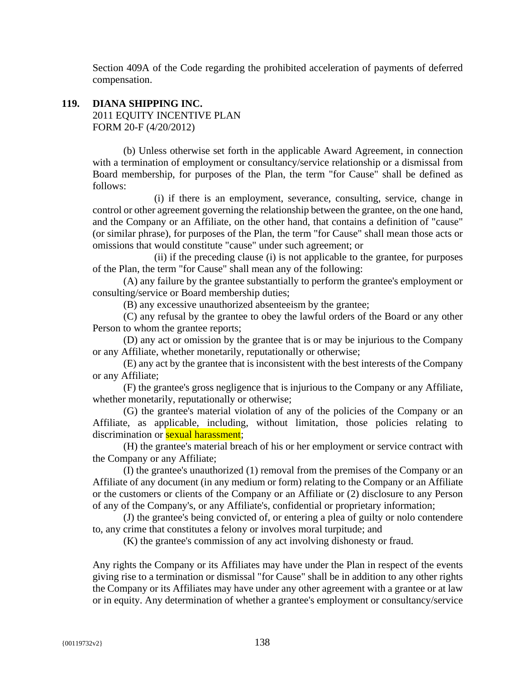Section 409A of the Code regarding the prohibited acceleration of payments of deferred compensation.

# **119. DIANA SHIPPING INC.**  2011 EQUITY INCENTIVE PLAN FORM 20-F (4/20/2012)

(b) Unless otherwise set forth in the applicable Award Agreement, in connection with a termination of employment or consultancy/service relationship or a dismissal from Board membership, for purposes of the Plan, the term "for Cause" shall be defined as follows:

(i) if there is an employment, severance, consulting, service, change in control or other agreement governing the relationship between the grantee, on the one hand, and the Company or an Affiliate, on the other hand, that contains a definition of "cause" (or similar phrase), for purposes of the Plan, the term "for Cause" shall mean those acts or omissions that would constitute "cause" under such agreement; or

(ii) if the preceding clause (i) is not applicable to the grantee, for purposes of the Plan, the term "for Cause" shall mean any of the following:

(A) any failure by the grantee substantially to perform the grantee's employment or consulting/service or Board membership duties;

(B) any excessive unauthorized absenteeism by the grantee;

(C) any refusal by the grantee to obey the lawful orders of the Board or any other Person to whom the grantee reports;

(D) any act or omission by the grantee that is or may be injurious to the Company or any Affiliate, whether monetarily, reputationally or otherwise;

(E) any act by the grantee that is inconsistent with the best interests of the Company or any Affiliate;

(F) the grantee's gross negligence that is injurious to the Company or any Affiliate, whether monetarily, reputationally or otherwise;

(G) the grantee's material violation of any of the policies of the Company or an Affiliate, as applicable, including, without limitation, those policies relating to discrimination or **sexual harassment**;

(H) the grantee's material breach of his or her employment or service contract with the Company or any Affiliate;

(I) the grantee's unauthorized (1) removal from the premises of the Company or an Affiliate of any document (in any medium or form) relating to the Company or an Affiliate or the customers or clients of the Company or an Affiliate or (2) disclosure to any Person of any of the Company's, or any Affiliate's, confidential or proprietary information;

(J) the grantee's being convicted of, or entering a plea of guilty or nolo contendere to, any crime that constitutes a felony or involves moral turpitude; and

(K) the grantee's commission of any act involving dishonesty or fraud.

Any rights the Company or its Affiliates may have under the Plan in respect of the events giving rise to a termination or dismissal "for Cause" shall be in addition to any other rights the Company or its Affiliates may have under any other agreement with a grantee or at law or in equity. Any determination of whether a grantee's employment or consultancy/service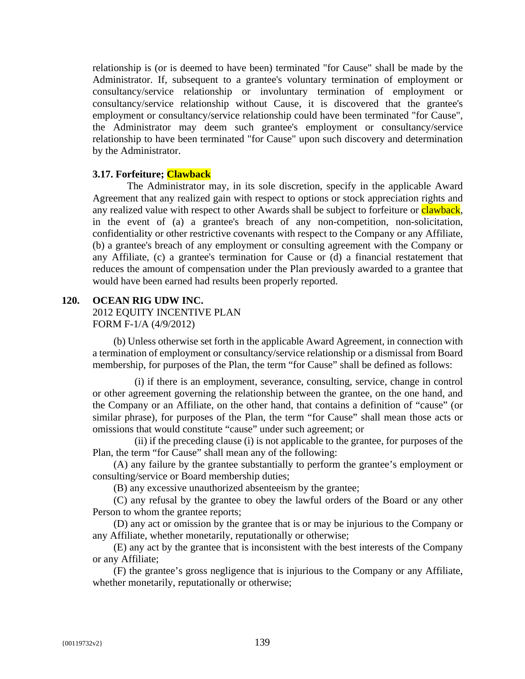relationship is (or is deemed to have been) terminated "for Cause" shall be made by the Administrator. If, subsequent to a grantee's voluntary termination of employment or consultancy/service relationship or involuntary termination of employment or consultancy/service relationship without Cause, it is discovered that the grantee's employment or consultancy/service relationship could have been terminated "for Cause", the Administrator may deem such grantee's employment or consultancy/service relationship to have been terminated "for Cause" upon such discovery and determination by the Administrator.

## **3.17. Forfeiture; Clawback**

The Administrator may, in its sole discretion, specify in the applicable Award Agreement that any realized gain with respect to options or stock appreciation rights and any realized value with respect to other Awards shall be subject to forfeiture or **clawback**, in the event of (a) a grantee's breach of any non-competition, non-solicitation, confidentiality or other restrictive covenants with respect to the Company or any Affiliate, (b) a grantee's breach of any employment or consulting agreement with the Company or any Affiliate, (c) a grantee's termination for Cause or (d) a financial restatement that reduces the amount of compensation under the Plan previously awarded to a grantee that would have been earned had results been properly reported.

## **120. OCEAN RIG UDW INC.**

2012 EQUITY INCENTIVE PLAN

FORM F-1/A (4/9/2012)

(b) Unless otherwise set forth in the applicable Award Agreement, in connection with a termination of employment or consultancy/service relationship or a dismissal from Board membership, for purposes of the Plan, the term "for Cause" shall be defined as follows:

(i) if there is an employment, severance, consulting, service, change in control or other agreement governing the relationship between the grantee, on the one hand, and the Company or an Affiliate, on the other hand, that contains a definition of "cause" (or similar phrase), for purposes of the Plan, the term "for Cause" shall mean those acts or omissions that would constitute "cause" under such agreement; or

(ii) if the preceding clause (i) is not applicable to the grantee, for purposes of the Plan, the term "for Cause" shall mean any of the following:

(A) any failure by the grantee substantially to perform the grantee's employment or consulting/service or Board membership duties;

(B) any excessive unauthorized absenteeism by the grantee;

(C) any refusal by the grantee to obey the lawful orders of the Board or any other Person to whom the grantee reports;

(D) any act or omission by the grantee that is or may be injurious to the Company or any Affiliate, whether monetarily, reputationally or otherwise;

(E) any act by the grantee that is inconsistent with the best interests of the Company or any Affiliate;

(F) the grantee's gross negligence that is injurious to the Company or any Affiliate, whether monetarily, reputationally or otherwise;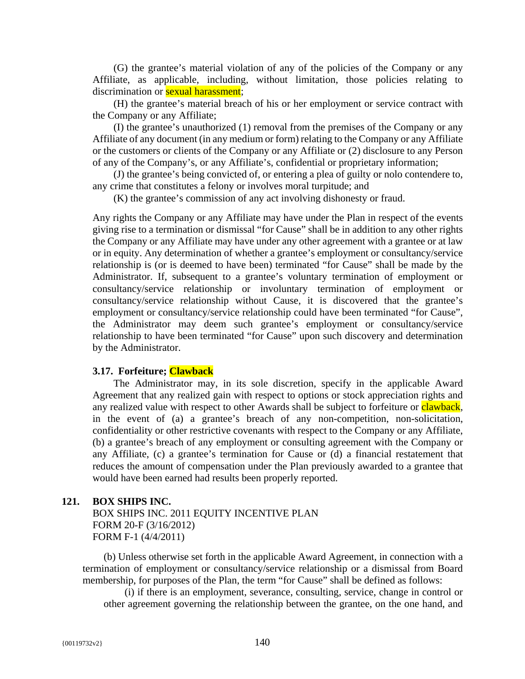(G) the grantee's material violation of any of the policies of the Company or any Affiliate, as applicable, including, without limitation, those policies relating to discrimination or **sexual harassment**;

(H) the grantee's material breach of his or her employment or service contract with the Company or any Affiliate;

(I) the grantee's unauthorized (1) removal from the premises of the Company or any Affiliate of any document (in any medium or form) relating to the Company or any Affiliate or the customers or clients of the Company or any Affiliate or (2) disclosure to any Person of any of the Company's, or any Affiliate's, confidential or proprietary information;

(J) the grantee's being convicted of, or entering a plea of guilty or nolo contendere to, any crime that constitutes a felony or involves moral turpitude; and

(K) the grantee's commission of any act involving dishonesty or fraud.

Any rights the Company or any Affiliate may have under the Plan in respect of the events giving rise to a termination or dismissal "for Cause" shall be in addition to any other rights the Company or any Affiliate may have under any other agreement with a grantee or at law or in equity. Any determination of whether a grantee's employment or consultancy/service relationship is (or is deemed to have been) terminated "for Cause" shall be made by the Administrator. If, subsequent to a grantee's voluntary termination of employment or consultancy/service relationship or involuntary termination of employment or consultancy/service relationship without Cause, it is discovered that the grantee's employment or consultancy/service relationship could have been terminated "for Cause", the Administrator may deem such grantee's employment or consultancy/service relationship to have been terminated "for Cause" upon such discovery and determination by the Administrator.

## **3.17. Forfeiture; Clawback**

The Administrator may, in its sole discretion, specify in the applicable Award Agreement that any realized gain with respect to options or stock appreciation rights and any realized value with respect to other Awards shall be subject to forfeiture or **clawback**, in the event of (a) a grantee's breach of any non-competition, non-solicitation, confidentiality or other restrictive covenants with respect to the Company or any Affiliate, (b) a grantee's breach of any employment or consulting agreement with the Company or any Affiliate, (c) a grantee's termination for Cause or (d) a financial restatement that reduces the amount of compensation under the Plan previously awarded to a grantee that would have been earned had results been properly reported.

#### **121. BOX SHIPS INC.**

BOX SHIPS INC. 2011 EQUITY INCENTIVE PLAN FORM 20-F (3/16/2012) FORM F-1 (4/4/2011)

(b) Unless otherwise set forth in the applicable Award Agreement, in connection with a termination of employment or consultancy/service relationship or a dismissal from Board membership, for purposes of the Plan, the term "for Cause" shall be defined as follows:

(i) if there is an employment, severance, consulting, service, change in control or other agreement governing the relationship between the grantee, on the one hand, and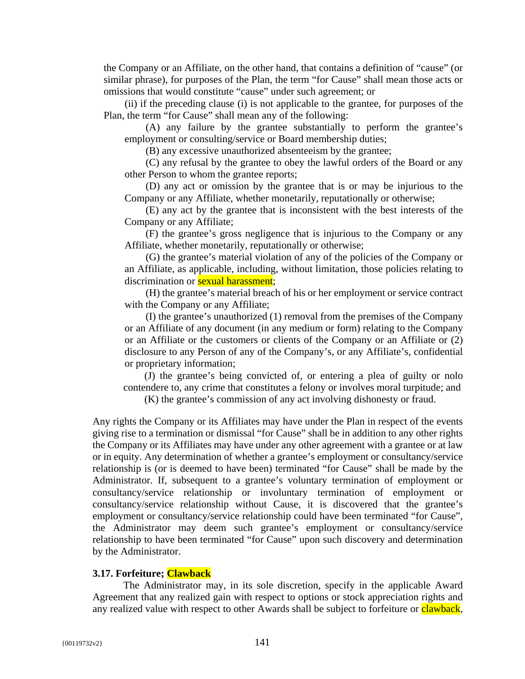the Company or an Affiliate, on the other hand, that contains a definition of "cause" (or similar phrase), for purposes of the Plan, the term "for Cause" shall mean those acts or omissions that would constitute "cause" under such agreement; or

(ii) if the preceding clause (i) is not applicable to the grantee, for purposes of the Plan, the term "for Cause" shall mean any of the following:

(A) any failure by the grantee substantially to perform the grantee's employment or consulting/service or Board membership duties;

(B) any excessive unauthorized absenteeism by the grantee;

(C) any refusal by the grantee to obey the lawful orders of the Board or any other Person to whom the grantee reports;

(D) any act or omission by the grantee that is or may be injurious to the Company or any Affiliate, whether monetarily, reputationally or otherwise;

(E) any act by the grantee that is inconsistent with the best interests of the Company or any Affiliate;

(F) the grantee's gross negligence that is injurious to the Company or any Affiliate, whether monetarily, reputationally or otherwise;

(G) the grantee's material violation of any of the policies of the Company or an Affiliate, as applicable, including, without limitation, those policies relating to discrimination or **sexual harassment**;

(H) the grantee's material breach of his or her employment or service contract with the Company or any Affiliate;

(I) the grantee's unauthorized (1) removal from the premises of the Company or an Affiliate of any document (in any medium or form) relating to the Company or an Affiliate or the customers or clients of the Company or an Affiliate or (2) disclosure to any Person of any of the Company's, or any Affiliate's, confidential or proprietary information;

(J) the grantee's being convicted of, or entering a plea of guilty or nolo contendere to, any crime that constitutes a felony or involves moral turpitude; and

(K) the grantee's commission of any act involving dishonesty or fraud.

Any rights the Company or its Affiliates may have under the Plan in respect of the events giving rise to a termination or dismissal "for Cause" shall be in addition to any other rights the Company or its Affiliates may have under any other agreement with a grantee or at law or in equity. Any determination of whether a grantee's employment or consultancy/service relationship is (or is deemed to have been) terminated "for Cause" shall be made by the Administrator. If, subsequent to a grantee's voluntary termination of employment or consultancy/service relationship or involuntary termination of employment or consultancy/service relationship without Cause, it is discovered that the grantee's employment or consultancy/service relationship could have been terminated "for Cause", the Administrator may deem such grantee's employment or consultancy/service relationship to have been terminated "for Cause" upon such discovery and determination by the Administrator.

#### **3.17. Forfeiture; Clawback**

The Administrator may, in its sole discretion, specify in the applicable Award Agreement that any realized gain with respect to options or stock appreciation rights and any realized value with respect to other Awards shall be subject to forfeiture or clawback,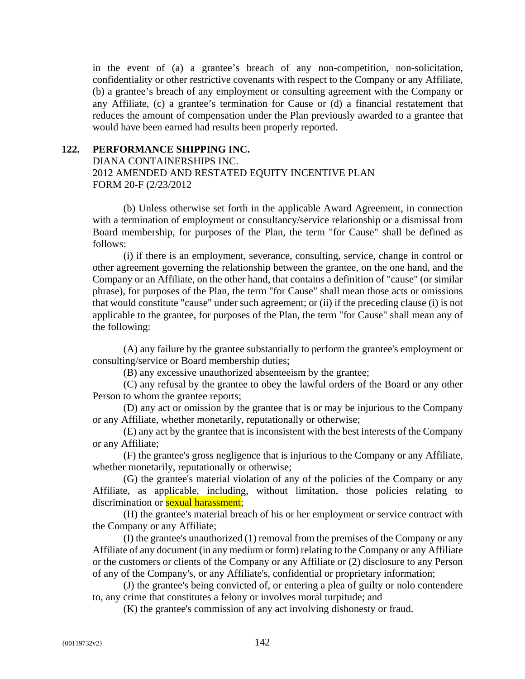in the event of (a) a grantee's breach of any non-competition, non-solicitation, confidentiality or other restrictive covenants with respect to the Company or any Affiliate, (b) a grantee's breach of any employment or consulting agreement with the Company or any Affiliate, (c) a grantee's termination for Cause or (d) a financial restatement that reduces the amount of compensation under the Plan previously awarded to a grantee that would have been earned had results been properly reported.

## **122. PERFORMANCE SHIPPING INC.**

DIANA CONTAINERSHIPS INC. 2012 AMENDED AND RESTATED EQUITY INCENTIVE PLAN FORM 20-F (2/23/2012

(b) Unless otherwise set forth in the applicable Award Agreement, in connection with a termination of employment or consultancy/service relationship or a dismissal from Board membership, for purposes of the Plan, the term "for Cause" shall be defined as follows:

(i) if there is an employment, severance, consulting, service, change in control or other agreement governing the relationship between the grantee, on the one hand, and the Company or an Affiliate, on the other hand, that contains a definition of "cause" (or similar phrase), for purposes of the Plan, the term "for Cause" shall mean those acts or omissions that would constitute "cause" under such agreement; or (ii) if the preceding clause (i) is not applicable to the grantee, for purposes of the Plan, the term "for Cause" shall mean any of the following:

(A) any failure by the grantee substantially to perform the grantee's employment or consulting/service or Board membership duties;

(B) any excessive unauthorized absenteeism by the grantee;

(C) any refusal by the grantee to obey the lawful orders of the Board or any other Person to whom the grantee reports;

(D) any act or omission by the grantee that is or may be injurious to the Company or any Affiliate, whether monetarily, reputationally or otherwise;

(E) any act by the grantee that is inconsistent with the best interests of the Company or any Affiliate;

(F) the grantee's gross negligence that is injurious to the Company or any Affiliate, whether monetarily, reputationally or otherwise;

(G) the grantee's material violation of any of the policies of the Company or any Affiliate, as applicable, including, without limitation, those policies relating to discrimination or **sexual harassment**;

(H) the grantee's material breach of his or her employment or service contract with the Company or any Affiliate;

(I) the grantee's unauthorized (1) removal from the premises of the Company or any Affiliate of any document (in any medium or form) relating to the Company or any Affiliate or the customers or clients of the Company or any Affiliate or (2) disclosure to any Person of any of the Company's, or any Affiliate's, confidential or proprietary information;

(J) the grantee's being convicted of, or entering a plea of guilty or nolo contendere to, any crime that constitutes a felony or involves moral turpitude; and

(K) the grantee's commission of any act involving dishonesty or fraud.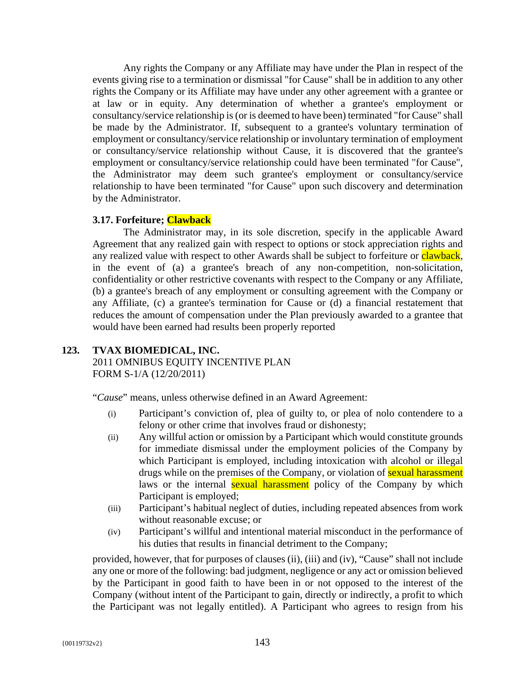Any rights the Company or any Affiliate may have under the Plan in respect of the events giving rise to a termination or dismissal "for Cause" shall be in addition to any other rights the Company or its Affiliate may have under any other agreement with a grantee or at law or in equity. Any determination of whether a grantee's employment or consultancy/service relationship is (or is deemed to have been) terminated "for Cause" shall be made by the Administrator. If, subsequent to a grantee's voluntary termination of employment or consultancy/service relationship or involuntary termination of employment or consultancy/service relationship without Cause, it is discovered that the grantee's employment or consultancy/service relationship could have been terminated "for Cause", the Administrator may deem such grantee's employment or consultancy/service relationship to have been terminated "for Cause" upon such discovery and determination by the Administrator.

# **3.17. Forfeiture; Clawback**

The Administrator may, in its sole discretion, specify in the applicable Award Agreement that any realized gain with respect to options or stock appreciation rights and any realized value with respect to other Awards shall be subject to forfeiture or **clawback**, in the event of (a) a grantee's breach of any non-competition, non-solicitation, confidentiality or other restrictive covenants with respect to the Company or any Affiliate, (b) a grantee's breach of any employment or consulting agreement with the Company or any Affiliate, (c) a grantee's termination for Cause or (d) a financial restatement that reduces the amount of compensation under the Plan previously awarded to a grantee that would have been earned had results been properly reported

# **123. TVAX BIOMEDICAL, INC.**

2011 OMNIBUS EQUITY INCENTIVE PLAN FORM S-1/A (12/20/2011)

"*Cause*" means, unless otherwise defined in an Award Agreement:

- (i) Participant's conviction of, plea of guilty to, or plea of nolo contendere to a felony or other crime that involves fraud or dishonesty;
- (ii) Any willful action or omission by a Participant which would constitute grounds for immediate dismissal under the employment policies of the Company by which Participant is employed, including intoxication with alcohol or illegal drugs while on the premises of the Company, or violation of **sexual harassment** laws or the internal **sexual harassment** policy of the Company by which Participant is employed;
- (iii) Participant's habitual neglect of duties, including repeated absences from work without reasonable excuse; or
- (iv) Participant's willful and intentional material misconduct in the performance of his duties that results in financial detriment to the Company;

provided, however, that for purposes of clauses (ii), (iii) and (iv), "Cause" shall not include any one or more of the following: bad judgment, negligence or any act or omission believed by the Participant in good faith to have been in or not opposed to the interest of the Company (without intent of the Participant to gain, directly or indirectly, a profit to which the Participant was not legally entitled). A Participant who agrees to resign from his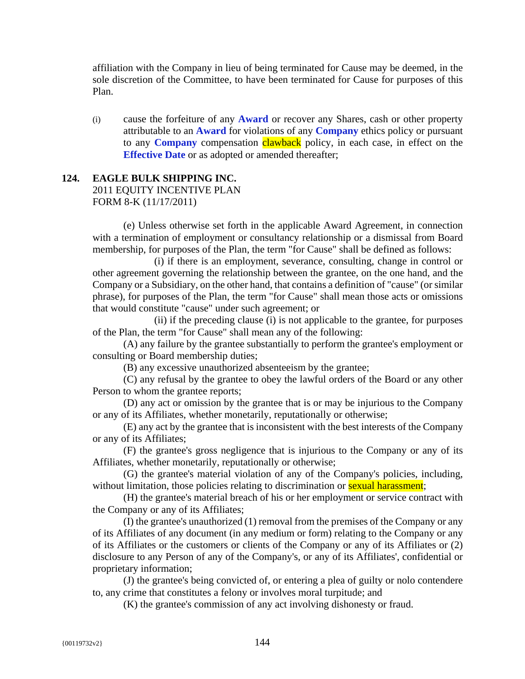affiliation with the Company in lieu of being terminated for Cause may be deemed, in the sole discretion of the Committee, to have been terminated for Cause for purposes of this Plan.

(i) cause the forfeiture of any **Award** or recover any Shares, cash or other property attributable to an **Award** for violations of any **Company** ethics policy or pursuant to any **Company** compensation **clawback** policy, in each case, in effect on the **Effective Date** or as adopted or amended thereafter;

### **124. EAGLE BULK SHIPPING INC.**

2011 EQUITY INCENTIVE PLAN FORM 8-K (11/17/2011)

(e) Unless otherwise set forth in the applicable Award Agreement, in connection with a termination of employment or consultancy relationship or a dismissal from Board membership, for purposes of the Plan, the term "for Cause" shall be defined as follows:

(i) if there is an employment, severance, consulting, change in control or other agreement governing the relationship between the grantee, on the one hand, and the Company or a Subsidiary, on the other hand, that contains a definition of "cause" (or similar phrase), for purposes of the Plan, the term "for Cause" shall mean those acts or omissions that would constitute "cause" under such agreement; or

(ii) if the preceding clause (i) is not applicable to the grantee, for purposes of the Plan, the term "for Cause" shall mean any of the following:

(A) any failure by the grantee substantially to perform the grantee's employment or consulting or Board membership duties;

(B) any excessive unauthorized absenteeism by the grantee;

(C) any refusal by the grantee to obey the lawful orders of the Board or any other Person to whom the grantee reports;

(D) any act or omission by the grantee that is or may be injurious to the Company or any of its Affiliates, whether monetarily, reputationally or otherwise;

(E) any act by the grantee that is inconsistent with the best interests of the Company or any of its Affiliates;

(F) the grantee's gross negligence that is injurious to the Company or any of its Affiliates, whether monetarily, reputationally or otherwise;

(G) the grantee's material violation of any of the Company's policies, including, without limitation, those policies relating to discrimination or **sexual harassment**;

(H) the grantee's material breach of his or her employment or service contract with the Company or any of its Affiliates;

(I) the grantee's unauthorized (1) removal from the premises of the Company or any of its Affiliates of any document (in any medium or form) relating to the Company or any of its Affiliates or the customers or clients of the Company or any of its Affiliates or (2) disclosure to any Person of any of the Company's, or any of its Affiliates', confidential or proprietary information;

(J) the grantee's being convicted of, or entering a plea of guilty or nolo contendere to, any crime that constitutes a felony or involves moral turpitude; and

(K) the grantee's commission of any act involving dishonesty or fraud.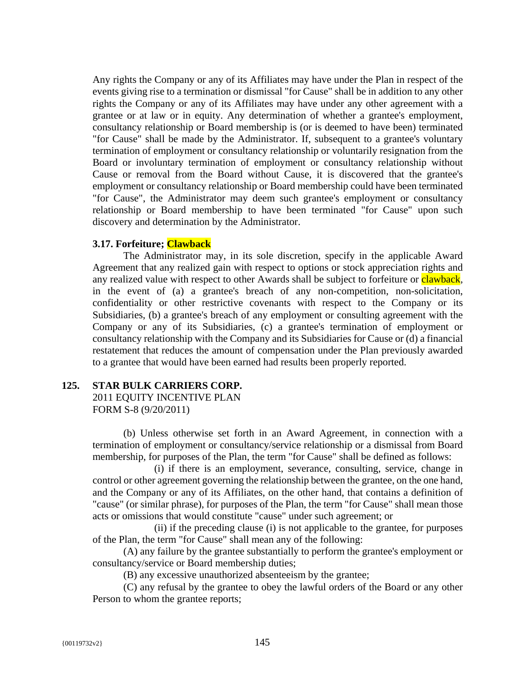Any rights the Company or any of its Affiliates may have under the Plan in respect of the events giving rise to a termination or dismissal "for Cause" shall be in addition to any other rights the Company or any of its Affiliates may have under any other agreement with a grantee or at law or in equity. Any determination of whether a grantee's employment, consultancy relationship or Board membership is (or is deemed to have been) terminated "for Cause" shall be made by the Administrator. If, subsequent to a grantee's voluntary termination of employment or consultancy relationship or voluntarily resignation from the Board or involuntary termination of employment or consultancy relationship without Cause or removal from the Board without Cause, it is discovered that the grantee's employment or consultancy relationship or Board membership could have been terminated "for Cause", the Administrator may deem such grantee's employment or consultancy relationship or Board membership to have been terminated "for Cause" upon such discovery and determination by the Administrator.

# **3.17. Forfeiture; Clawback**

The Administrator may, in its sole discretion, specify in the applicable Award Agreement that any realized gain with respect to options or stock appreciation rights and any realized value with respect to other Awards shall be subject to forfeiture or **clawback**, in the event of (a) a grantee's breach of any non-competition, non-solicitation, confidentiality or other restrictive covenants with respect to the Company or its Subsidiaries, (b) a grantee's breach of any employment or consulting agreement with the Company or any of its Subsidiaries, (c) a grantee's termination of employment or consultancy relationship with the Company and its Subsidiaries for Cause or (d) a financial restatement that reduces the amount of compensation under the Plan previously awarded to a grantee that would have been earned had results been properly reported.

## **125. STAR BULK CARRIERS CORP.**

2011 EQUITY INCENTIVE PLAN FORM S-8 (9/20/2011)

(b) Unless otherwise set forth in an Award Agreement, in connection with a termination of employment or consultancy/service relationship or a dismissal from Board membership, for purposes of the Plan, the term "for Cause" shall be defined as follows:

(i) if there is an employment, severance, consulting, service, change in control or other agreement governing the relationship between the grantee, on the one hand, and the Company or any of its Affiliates, on the other hand, that contains a definition of "cause" (or similar phrase), for purposes of the Plan, the term "for Cause" shall mean those acts or omissions that would constitute "cause" under such agreement; or

(ii) if the preceding clause (i) is not applicable to the grantee, for purposes of the Plan, the term "for Cause" shall mean any of the following:

(A) any failure by the grantee substantially to perform the grantee's employment or consultancy/service or Board membership duties;

(B) any excessive unauthorized absenteeism by the grantee;

(C) any refusal by the grantee to obey the lawful orders of the Board or any other Person to whom the grantee reports;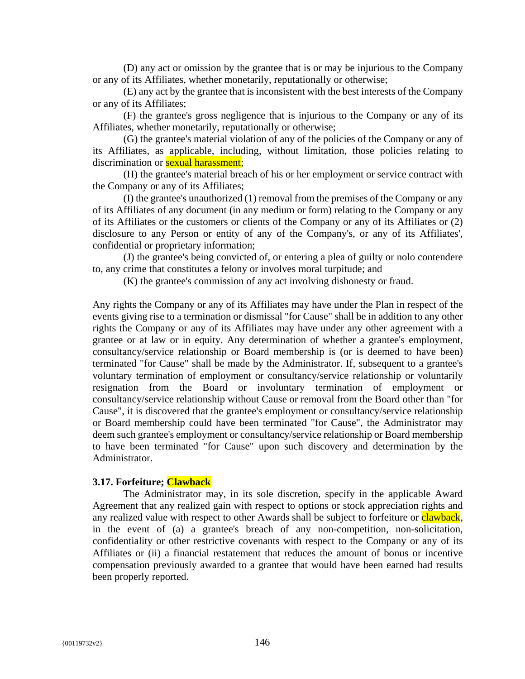(D) any act or omission by the grantee that is or may be injurious to the Company or any of its Affiliates, whether monetarily, reputationally or otherwise;

(E) any act by the grantee that is inconsistent with the best interests of the Company or any of its Affiliates;

(F) the grantee's gross negligence that is injurious to the Company or any of its Affiliates, whether monetarily, reputationally or otherwise;

(G) the grantee's material violation of any of the policies of the Company or any of its Affiliates, as applicable, including, without limitation, those policies relating to discrimination or **sexual harassment**;

(H) the grantee's material breach of his or her employment or service contract with the Company or any of its Affiliates;

(I) the grantee's unauthorized (1) removal from the premises of the Company or any of its Affiliates of any document (in any medium or form) relating to the Company or any of its Affiliates or the customers or clients of the Company or any of its Affiliates or (2) disclosure to any Person or entity of any of the Company's, or any of its Affiliates', confidential or proprietary information;

(J) the grantee's being convicted of, or entering a plea of guilty or nolo contendere to, any crime that constitutes a felony or involves moral turpitude; and

(K) the grantee's commission of any act involving dishonesty or fraud.

Any rights the Company or any of its Affiliates may have under the Plan in respect of the events giving rise to a termination or dismissal "for Cause" shall be in addition to any other rights the Company or any of its Affiliates may have under any other agreement with a grantee or at law or in equity. Any determination of whether a grantee's employment, consultancy/service relationship or Board membership is (or is deemed to have been) terminated "for Cause" shall be made by the Administrator. If, subsequent to a grantee's voluntary termination of employment or consultancy/service relationship or voluntarily resignation from the Board or involuntary termination of employment or consultancy/service relationship without Cause or removal from the Board other than "for Cause", it is discovered that the grantee's employment or consultancy/service relationship or Board membership could have been terminated "for Cause", the Administrator may deem such grantee's employment or consultancy/service relationship or Board membership to have been terminated "for Cause" upon such discovery and determination by the Administrator.

#### **3.17. Forfeiture; Clawback**

The Administrator may, in its sole discretion, specify in the applicable Award Agreement that any realized gain with respect to options or stock appreciation rights and any realized value with respect to other Awards shall be subject to forfeiture or **clawback**, in the event of (a) a grantee's breach of any non-competition, non-solicitation, confidentiality or other restrictive covenants with respect to the Company or any of its Affiliates or (ii) a financial restatement that reduces the amount of bonus or incentive compensation previously awarded to a grantee that would have been earned had results been properly reported.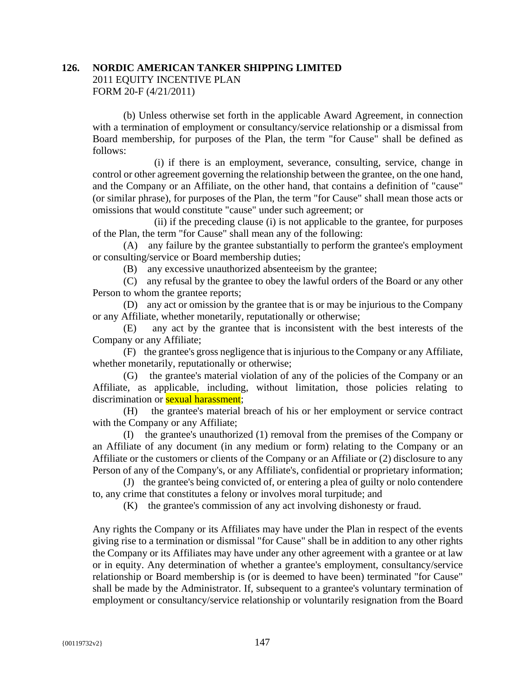# **126. NORDIC AMERICAN TANKER SHIPPING LIMITED**

2011 EQUITY INCENTIVE PLAN FORM 20-F (4/21/2011)

(b) Unless otherwise set forth in the applicable Award Agreement, in connection with a termination of employment or consultancy/service relationship or a dismissal from Board membership, for purposes of the Plan, the term "for Cause" shall be defined as follows:

(i) if there is an employment, severance, consulting, service, change in control or other agreement governing the relationship between the grantee, on the one hand, and the Company or an Affiliate, on the other hand, that contains a definition of "cause" (or similar phrase), for purposes of the Plan, the term "for Cause" shall mean those acts or omissions that would constitute "cause" under such agreement; or

(ii) if the preceding clause (i) is not applicable to the grantee, for purposes of the Plan, the term "for Cause" shall mean any of the following:

(A) any failure by the grantee substantially to perform the grantee's employment or consulting/service or Board membership duties;

(B) any excessive unauthorized absenteeism by the grantee;

(C) any refusal by the grantee to obey the lawful orders of the Board or any other Person to whom the grantee reports;

(D) any act or omission by the grantee that is or may be injurious to the Company or any Affiliate, whether monetarily, reputationally or otherwise;

(E) any act by the grantee that is inconsistent with the best interests of the Company or any Affiliate;

(F) the grantee's gross negligence that is injurious to the Company or any Affiliate, whether monetarily, reputationally or otherwise;

(G) the grantee's material violation of any of the policies of the Company or an Affiliate, as applicable, including, without limitation, those policies relating to discrimination or **sexual harassment**:

(H) the grantee's material breach of his or her employment or service contract with the Company or any Affiliate;

(I) the grantee's unauthorized (1) removal from the premises of the Company or an Affiliate of any document (in any medium or form) relating to the Company or an Affiliate or the customers or clients of the Company or an Affiliate or (2) disclosure to any Person of any of the Company's, or any Affiliate's, confidential or proprietary information;

(J) the grantee's being convicted of, or entering a plea of guilty or nolo contendere to, any crime that constitutes a felony or involves moral turpitude; and

(K) the grantee's commission of any act involving dishonesty or fraud.

Any rights the Company or its Affiliates may have under the Plan in respect of the events giving rise to a termination or dismissal "for Cause" shall be in addition to any other rights the Company or its Affiliates may have under any other agreement with a grantee or at law or in equity. Any determination of whether a grantee's employment, consultancy/service relationship or Board membership is (or is deemed to have been) terminated "for Cause" shall be made by the Administrator. If, subsequent to a grantee's voluntary termination of employment or consultancy/service relationship or voluntarily resignation from the Board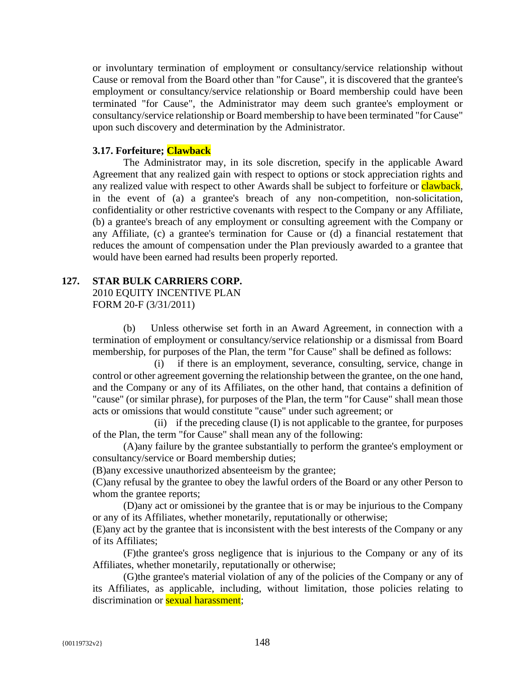or involuntary termination of employment or consultancy/service relationship without Cause or removal from the Board other than "for Cause", it is discovered that the grantee's employment or consultancy/service relationship or Board membership could have been terminated "for Cause", the Administrator may deem such grantee's employment or consultancy/service relationship or Board membership to have been terminated "for Cause" upon such discovery and determination by the Administrator.

### **3.17. Forfeiture; Clawback**

The Administrator may, in its sole discretion, specify in the applicable Award Agreement that any realized gain with respect to options or stock appreciation rights and any realized value with respect to other Awards shall be subject to forfeiture or clawback, in the event of (a) a grantee's breach of any non-competition, non-solicitation, confidentiality or other restrictive covenants with respect to the Company or any Affiliate, (b) a grantee's breach of any employment or consulting agreement with the Company or any Affiliate, (c) a grantee's termination for Cause or (d) a financial restatement that reduces the amount of compensation under the Plan previously awarded to a grantee that would have been earned had results been properly reported.

## **127. STAR BULK CARRIERS CORP.**

2010 EQUITY INCENTIVE PLAN FORM 20-F (3/31/2011)

(b) Unless otherwise set forth in an Award Agreement, in connection with a termination of employment or consultancy/service relationship or a dismissal from Board membership, for purposes of the Plan, the term "for Cause" shall be defined as follows:

(i) if there is an employment, severance, consulting, service, change in control or other agreement governing the relationship between the grantee, on the one hand, and the Company or any of its Affiliates, on the other hand, that contains a definition of "cause" (or similar phrase), for purposes of the Plan, the term "for Cause" shall mean those acts or omissions that would constitute "cause" under such agreement; or

(ii) if the preceding clause (I) is not applicable to the grantee, for purposes of the Plan, the term "for Cause" shall mean any of the following:

(A)any failure by the grantee substantially to perform the grantee's employment or consultancy/service or Board membership duties;

(B)any excessive unauthorized absenteeism by the grantee;

(C)any refusal by the grantee to obey the lawful orders of the Board or any other Person to whom the grantee reports;

(D)any act or omissionei by the grantee that is or may be injurious to the Company or any of its Affiliates, whether monetarily, reputationally or otherwise;

(E)any act by the grantee that is inconsistent with the best interests of the Company or any of its Affiliates;

(F)the grantee's gross negligence that is injurious to the Company or any of its Affiliates, whether monetarily, reputationally or otherwise;

(G)the grantee's material violation of any of the policies of the Company or any of its Affiliates, as applicable, including, without limitation, those policies relating to discrimination or **sexual harassment**;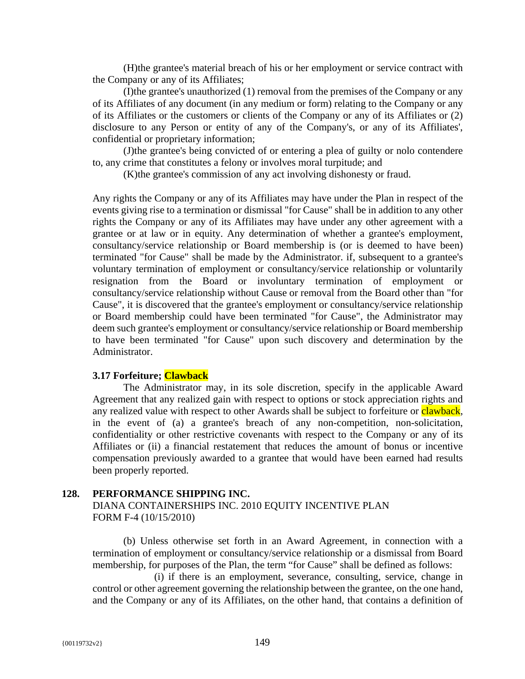(H)the grantee's material breach of his or her employment or service contract with the Company or any of its Affiliates;

(I)the grantee's unauthorized (1) removal from the premises of the Company or any of its Affiliates of any document (in any medium or form) relating to the Company or any of its Affiliates or the customers or clients of the Company or any of its Affiliates or (2) disclosure to any Person or entity of any of the Company's, or any of its Affiliates', confidential or proprietary information;

(J)the grantee's being convicted of or entering a plea of guilty or nolo contendere to, any crime that constitutes a felony or involves moral turpitude; and

(K)the grantee's commission of any act involving dishonesty or fraud.

Any rights the Company or any of its Affiliates may have under the Plan in respect of the events giving rise to a termination or dismissal "for Cause" shall be in addition to any other rights the Company or any of its Affiliates may have under any other agreement with a grantee or at law or in equity. Any determination of whether a grantee's employment, consultancy/service relationship or Board membership is (or is deemed to have been) terminated "for Cause" shall be made by the Administrator. if, subsequent to a grantee's voluntary termination of employment or consultancy/service relationship or voluntarily resignation from the Board or involuntary termination of employment or consultancy/service relationship without Cause or removal from the Board other than "for Cause", it is discovered that the grantee's employment or consultancy/service relationship or Board membership could have been terminated "for Cause", the Administrator may deem such grantee's employment or consultancy/service relationship or Board membership to have been terminated "for Cause" upon such discovery and determination by the Administrator.

#### **3.17 Forfeiture; Clawback**

The Administrator may, in its sole discretion, specify in the applicable Award Agreement that any realized gain with respect to options or stock appreciation rights and any realized value with respect to other Awards shall be subject to forfeiture or **clawback**, in the event of (a) a grantee's breach of any non-competition, non-solicitation, confidentiality or other restrictive covenants with respect to the Company or any of its Affiliates or (ii) a financial restatement that reduces the amount of bonus or incentive compensation previously awarded to a grantee that would have been earned had results been properly reported.

### **128. PERFORMANCE SHIPPING INC.**

DIANA CONTAINERSHIPS INC. 2010 EQUITY INCENTIVE PLAN FORM F-4 (10/15/2010)

(b) Unless otherwise set forth in an Award Agreement, in connection with a termination of employment or consultancy/service relationship or a dismissal from Board membership, for purposes of the Plan, the term "for Cause" shall be defined as follows:

(i) if there is an employment, severance, consulting, service, change in control or other agreement governing the relationship between the grantee, on the one hand, and the Company or any of its Affiliates, on the other hand, that contains a definition of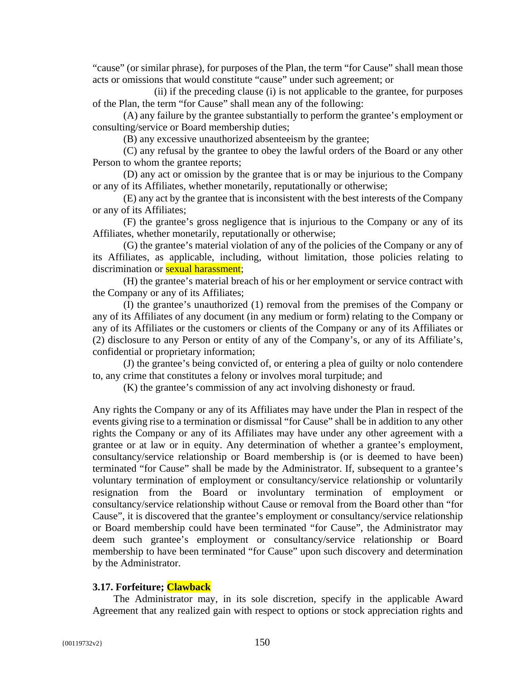"cause" (or similar phrase), for purposes of the Plan, the term "for Cause" shall mean those acts or omissions that would constitute "cause" under such agreement; or

(ii) if the preceding clause (i) is not applicable to the grantee, for purposes of the Plan, the term "for Cause" shall mean any of the following:

(A) any failure by the grantee substantially to perform the grantee's employment or consulting/service or Board membership duties;

(B) any excessive unauthorized absenteeism by the grantee;

(C) any refusal by the grantee to obey the lawful orders of the Board or any other Person to whom the grantee reports;

(D) any act or omission by the grantee that is or may be injurious to the Company or any of its Affiliates, whether monetarily, reputationally or otherwise;

(E) any act by the grantee that is inconsistent with the best interests of the Company or any of its Affiliates;

(F) the grantee's gross negligence that is injurious to the Company or any of its Affiliates, whether monetarily, reputationally or otherwise;

(G) the grantee's material violation of any of the policies of the Company or any of its Affiliates, as applicable, including, without limitation, those policies relating to discrimination or **sexual harassment**;

(H) the grantee's material breach of his or her employment or service contract with the Company or any of its Affiliates;

(I) the grantee's unauthorized (1) removal from the premises of the Company or any of its Affiliates of any document (in any medium or form) relating to the Company or any of its Affiliates or the customers or clients of the Company or any of its Affiliates or (2) disclosure to any Person or entity of any of the Company's, or any of its Affiliate's, confidential or proprietary information;

(J) the grantee's being convicted of, or entering a plea of guilty or nolo contendere to, any crime that constitutes a felony or involves moral turpitude; and

(K) the grantee's commission of any act involving dishonesty or fraud.

Any rights the Company or any of its Affiliates may have under the Plan in respect of the events giving rise to a termination or dismissal "for Cause" shall be in addition to any other rights the Company or any of its Affiliates may have under any other agreement with a grantee or at law or in equity. Any determination of whether a grantee's employment, consultancy/service relationship or Board membership is (or is deemed to have been) terminated "for Cause" shall be made by the Administrator. If, subsequent to a grantee's voluntary termination of employment or consultancy/service relationship or voluntarily resignation from the Board or involuntary termination of employment or consultancy/service relationship without Cause or removal from the Board other than "for Cause", it is discovered that the grantee's employment or consultancy/service relationship or Board membership could have been terminated "for Cause", the Administrator may deem such grantee's employment or consultancy/service relationship or Board membership to have been terminated "for Cause" upon such discovery and determination by the Administrator.

#### **3.17. Forfeiture; Clawback**

The Administrator may, in its sole discretion, specify in the applicable Award Agreement that any realized gain with respect to options or stock appreciation rights and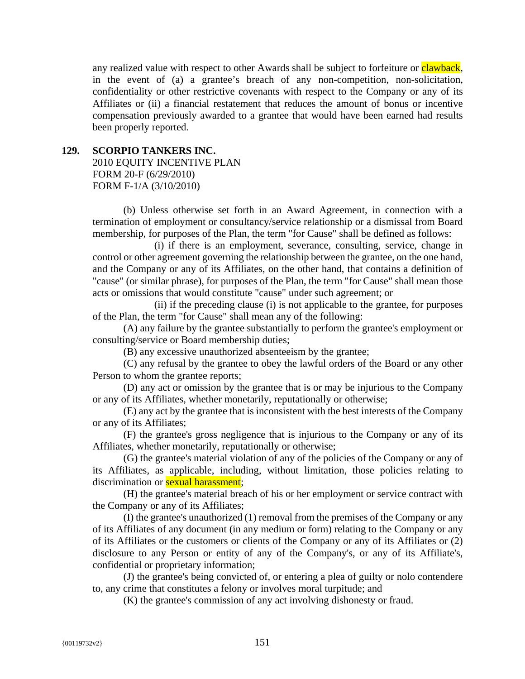any realized value with respect to other Awards shall be subject to forfeiture or clawback, in the event of (a) a grantee's breach of any non-competition, non-solicitation, confidentiality or other restrictive covenants with respect to the Company or any of its Affiliates or (ii) a financial restatement that reduces the amount of bonus or incentive compensation previously awarded to a grantee that would have been earned had results been properly reported.

# **129. SCORPIO TANKERS INC.**

2010 EQUITY INCENTIVE PLAN FORM 20-F (6/29/2010) FORM F-1/A (3/10/2010)

(b) Unless otherwise set forth in an Award Agreement, in connection with a termination of employment or consultancy/service relationship or a dismissal from Board membership, for purposes of the Plan, the term "for Cause" shall be defined as follows:

(i) if there is an employment, severance, consulting, service, change in control or other agreement governing the relationship between the grantee, on the one hand, and the Company or any of its Affiliates, on the other hand, that contains a definition of "cause" (or similar phrase), for purposes of the Plan, the term "for Cause" shall mean those acts or omissions that would constitute "cause" under such agreement; or

(ii) if the preceding clause (i) is not applicable to the grantee, for purposes of the Plan, the term "for Cause" shall mean any of the following:

(A) any failure by the grantee substantially to perform the grantee's employment or consulting/service or Board membership duties;

(B) any excessive unauthorized absenteeism by the grantee;

(C) any refusal by the grantee to obey the lawful orders of the Board or any other Person to whom the grantee reports;

(D) any act or omission by the grantee that is or may be injurious to the Company or any of its Affiliates, whether monetarily, reputationally or otherwise;

(E) any act by the grantee that is inconsistent with the best interests of the Company or any of its Affiliates;

(F) the grantee's gross negligence that is injurious to the Company or any of its Affiliates, whether monetarily, reputationally or otherwise;

(G) the grantee's material violation of any of the policies of the Company or any of its Affiliates, as applicable, including, without limitation, those policies relating to discrimination or **sexual harassment**;

(H) the grantee's material breach of his or her employment or service contract with the Company or any of its Affiliates;

(I) the grantee's unauthorized (1) removal from the premises of the Company or any of its Affiliates of any document (in any medium or form) relating to the Company or any of its Affiliates or the customers or clients of the Company or any of its Affiliates or (2) disclosure to any Person or entity of any of the Company's, or any of its Affiliate's, confidential or proprietary information;

(J) the grantee's being convicted of, or entering a plea of guilty or nolo contendere to, any crime that constitutes a felony or involves moral turpitude; and

(K) the grantee's commission of any act involving dishonesty or fraud.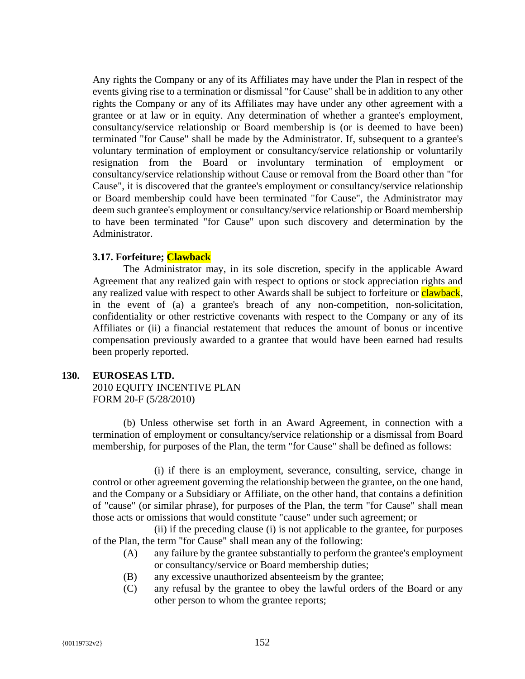Any rights the Company or any of its Affiliates may have under the Plan in respect of the events giving rise to a termination or dismissal "for Cause" shall be in addition to any other rights the Company or any of its Affiliates may have under any other agreement with a grantee or at law or in equity. Any determination of whether a grantee's employment, consultancy/service relationship or Board membership is (or is deemed to have been) terminated "for Cause" shall be made by the Administrator. If, subsequent to a grantee's voluntary termination of employment or consultancy/service relationship or voluntarily resignation from the Board or involuntary termination of employment or consultancy/service relationship without Cause or removal from the Board other than "for Cause", it is discovered that the grantee's employment or consultancy/service relationship or Board membership could have been terminated "for Cause", the Administrator may deem such grantee's employment or consultancy/service relationship or Board membership to have been terminated "for Cause" upon such discovery and determination by the Administrator.

### **3.17. Forfeiture; Clawback**

The Administrator may, in its sole discretion, specify in the applicable Award Agreement that any realized gain with respect to options or stock appreciation rights and any realized value with respect to other Awards shall be subject to forfeiture or clawback, in the event of (a) a grantee's breach of any non-competition, non-solicitation, confidentiality or other restrictive covenants with respect to the Company or any of its Affiliates or (ii) a financial restatement that reduces the amount of bonus or incentive compensation previously awarded to a grantee that would have been earned had results been properly reported.

## **130. EUROSEAS LTD.**

2010 EQUITY INCENTIVE PLAN FORM 20-F (5/28/2010)

(b) Unless otherwise set forth in an Award Agreement, in connection with a termination of employment or consultancy/service relationship or a dismissal from Board membership, for purposes of the Plan, the term "for Cause" shall be defined as follows:

(i) if there is an employment, severance, consulting, service, change in control or other agreement governing the relationship between the grantee, on the one hand, and the Company or a Subsidiary or Affiliate, on the other hand, that contains a definition of "cause" (or similar phrase), for purposes of the Plan, the term "for Cause" shall mean those acts or omissions that would constitute "cause" under such agreement; or

(ii) if the preceding clause (i) is not applicable to the grantee, for purposes of the Plan, the term "for Cause" shall mean any of the following:

- (A) any failure by the grantee substantially to perform the grantee's employment or consultancy/service or Board membership duties;
- (B) any excessive unauthorized absenteeism by the grantee;
- (C) any refusal by the grantee to obey the lawful orders of the Board or any other person to whom the grantee reports;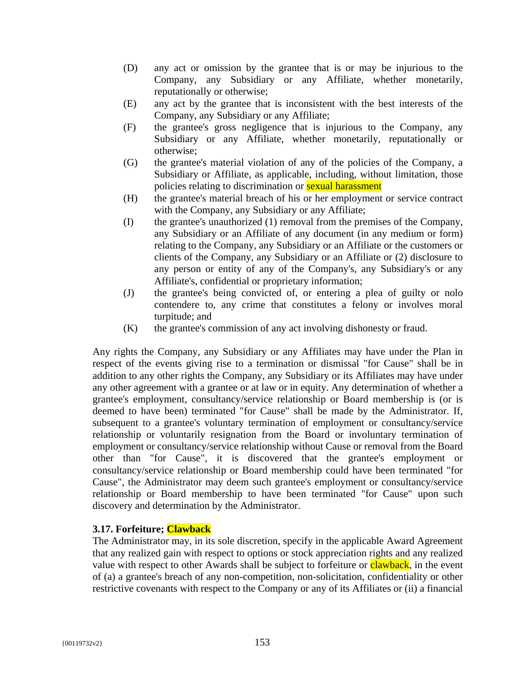- (D) any act or omission by the grantee that is or may be injurious to the Company, any Subsidiary or any Affiliate, whether monetarily, reputationally or otherwise;
- (E) any act by the grantee that is inconsistent with the best interests of the Company, any Subsidiary or any Affiliate;
- (F) the grantee's gross negligence that is injurious to the Company, any Subsidiary or any Affiliate, whether monetarily, reputationally or otherwise;
- (G) the grantee's material violation of any of the policies of the Company, a Subsidiary or Affiliate, as applicable, including, without limitation, those policies relating to discrimination or sexual harassment
- (H) the grantee's material breach of his or her employment or service contract with the Company, any Subsidiary or any Affiliate;
- (I) the grantee's unauthorized (1) removal from the premises of the Company, any Subsidiary or an Affiliate of any document (in any medium or form) relating to the Company, any Subsidiary or an Affiliate or the customers or clients of the Company, any Subsidiary or an Affiliate or (2) disclosure to any person or entity of any of the Company's, any Subsidiary's or any Affiliate's, confidential or proprietary information;
- (J) the grantee's being convicted of, or entering a plea of guilty or nolo contendere to, any crime that constitutes a felony or involves moral turpitude; and
- (K) the grantee's commission of any act involving dishonesty or fraud.

Any rights the Company, any Subsidiary or any Affiliates may have under the Plan in respect of the events giving rise to a termination or dismissal "for Cause" shall be in addition to any other rights the Company, any Subsidiary or its Affiliates may have under any other agreement with a grantee or at law or in equity. Any determination of whether a grantee's employment, consultancy/service relationship or Board membership is (or is deemed to have been) terminated "for Cause" shall be made by the Administrator. If, subsequent to a grantee's voluntary termination of employment or consultancy/service relationship or voluntarily resignation from the Board or involuntary termination of employment or consultancy/service relationship without Cause or removal from the Board other than "for Cause", it is discovered that the grantee's employment or consultancy/service relationship or Board membership could have been terminated "for Cause", the Administrator may deem such grantee's employment or consultancy/service relationship or Board membership to have been terminated "for Cause" upon such discovery and determination by the Administrator.

# **3.17. Forfeiture; Clawback**

The Administrator may, in its sole discretion, specify in the applicable Award Agreement that any realized gain with respect to options or stock appreciation rights and any realized value with respect to other Awards shall be subject to forfeiture or **clawback**, in the event of (a) a grantee's breach of any non-competition, non-solicitation, confidentiality or other restrictive covenants with respect to the Company or any of its Affiliates or (ii) a financial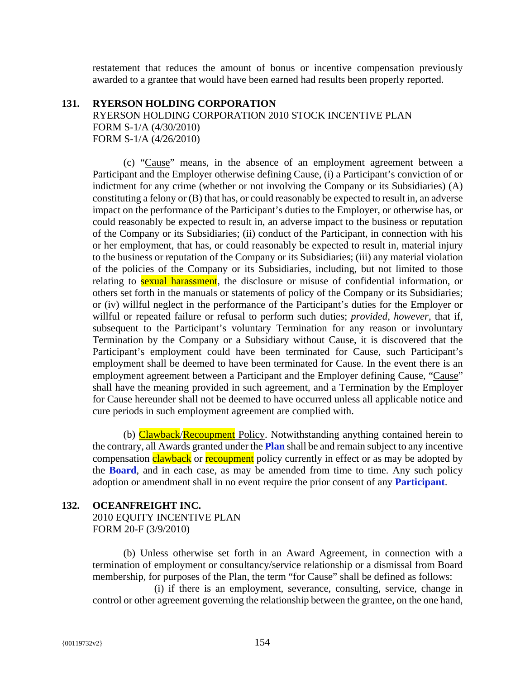restatement that reduces the amount of bonus or incentive compensation previously awarded to a grantee that would have been earned had results been properly reported.

#### **131. RYERSON HOLDING CORPORATION**

RYERSON HOLDING CORPORATION 2010 STOCK INCENTIVE PLAN FORM S-1/A (4/30/2010) FORM S-1/A (4/26/2010)

(c) "Cause" means, in the absence of an employment agreement between a Participant and the Employer otherwise defining Cause, (i) a Participant's conviction of or indictment for any crime (whether or not involving the Company or its Subsidiaries) (A) constituting a felony or (B) that has, or could reasonably be expected to result in, an adverse impact on the performance of the Participant's duties to the Employer, or otherwise has, or could reasonably be expected to result in, an adverse impact to the business or reputation of the Company or its Subsidiaries; (ii) conduct of the Participant, in connection with his or her employment, that has, or could reasonably be expected to result in, material injury to the business or reputation of the Company or its Subsidiaries; (iii) any material violation of the policies of the Company or its Subsidiaries, including, but not limited to those relating to **sexual harassment**, the disclosure or misuse of confidential information, or others set forth in the manuals or statements of policy of the Company or its Subsidiaries; or (iv) willful neglect in the performance of the Participant's duties for the Employer or willful or repeated failure or refusal to perform such duties; *provided*, *however*, that if, subsequent to the Participant's voluntary Termination for any reason or involuntary Termination by the Company or a Subsidiary without Cause, it is discovered that the Participant's employment could have been terminated for Cause, such Participant's employment shall be deemed to have been terminated for Cause. In the event there is an employment agreement between a Participant and the Employer defining Cause, "Cause" shall have the meaning provided in such agreement, and a Termination by the Employer for Cause hereunder shall not be deemed to have occurred unless all applicable notice and cure periods in such employment agreement are complied with.

(b) Clawback/Recoupment Policy. Notwithstanding anything contained herein to the contrary, all Awards granted under the **Plan** shall be and remain subject to any incentive compensation clawback or recoupment policy currently in effect or as may be adopted by the **Board**, and in each case, as may be amended from time to time. Any such policy adoption or amendment shall in no event require the prior consent of any **Participant**.

## **132. OCEANFREIGHT INC.**

2010 EQUITY INCENTIVE PLAN FORM 20-F (3/9/2010)

(b) Unless otherwise set forth in an Award Agreement, in connection with a termination of employment or consultancy/service relationship or a dismissal from Board membership, for purposes of the Plan, the term "for Cause" shall be defined as follows:

(i) if there is an employment, severance, consulting, service, change in control or other agreement governing the relationship between the grantee, on the one hand,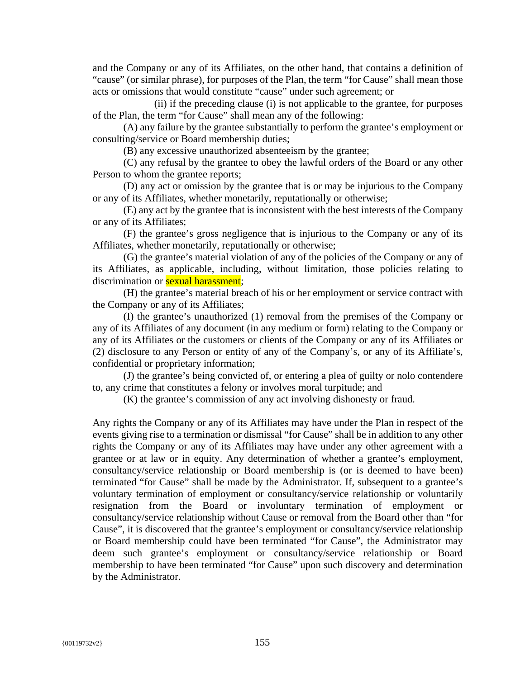and the Company or any of its Affiliates, on the other hand, that contains a definition of "cause" (or similar phrase), for purposes of the Plan, the term "for Cause" shall mean those acts or omissions that would constitute "cause" under such agreement; or

(ii) if the preceding clause (i) is not applicable to the grantee, for purposes of the Plan, the term "for Cause" shall mean any of the following:

(A) any failure by the grantee substantially to perform the grantee's employment or consulting/service or Board membership duties;

(B) any excessive unauthorized absenteeism by the grantee;

(C) any refusal by the grantee to obey the lawful orders of the Board or any other Person to whom the grantee reports;

(D) any act or omission by the grantee that is or may be injurious to the Company or any of its Affiliates, whether monetarily, reputationally or otherwise;

(E) any act by the grantee that is inconsistent with the best interests of the Company or any of its Affiliates;

(F) the grantee's gross negligence that is injurious to the Company or any of its Affiliates, whether monetarily, reputationally or otherwise;

(G) the grantee's material violation of any of the policies of the Company or any of its Affiliates, as applicable, including, without limitation, those policies relating to discrimination or **sexual harassment**;

(H) the grantee's material breach of his or her employment or service contract with the Company or any of its Affiliates;

(I) the grantee's unauthorized (1) removal from the premises of the Company or any of its Affiliates of any document (in any medium or form) relating to the Company or any of its Affiliates or the customers or clients of the Company or any of its Affiliates or (2) disclosure to any Person or entity of any of the Company's, or any of its Affiliate's, confidential or proprietary information;

(J) the grantee's being convicted of, or entering a plea of guilty or nolo contendere to, any crime that constitutes a felony or involves moral turpitude; and

(K) the grantee's commission of any act involving dishonesty or fraud.

Any rights the Company or any of its Affiliates may have under the Plan in respect of the events giving rise to a termination or dismissal "for Cause" shall be in addition to any other rights the Company or any of its Affiliates may have under any other agreement with a grantee or at law or in equity. Any determination of whether a grantee's employment, consultancy/service relationship or Board membership is (or is deemed to have been) terminated "for Cause" shall be made by the Administrator. If, subsequent to a grantee's voluntary termination of employment or consultancy/service relationship or voluntarily resignation from the Board or involuntary termination of employment or consultancy/service relationship without Cause or removal from the Board other than "for Cause", it is discovered that the grantee's employment or consultancy/service relationship or Board membership could have been terminated "for Cause", the Administrator may deem such grantee's employment or consultancy/service relationship or Board membership to have been terminated "for Cause" upon such discovery and determination by the Administrator.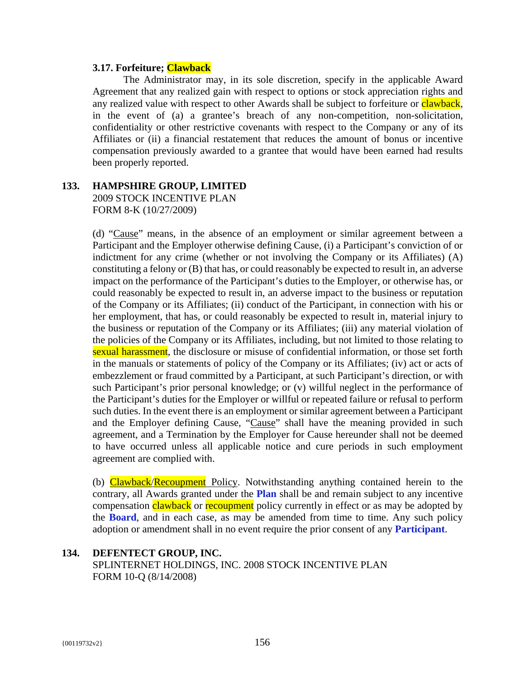#### **3.17. Forfeiture; Clawback**

The Administrator may, in its sole discretion, specify in the applicable Award Agreement that any realized gain with respect to options or stock appreciation rights and any realized value with respect to other Awards shall be subject to forfeiture or clawback, in the event of (a) a grantee's breach of any non-competition, non-solicitation, confidentiality or other restrictive covenants with respect to the Company or any of its Affiliates or (ii) a financial restatement that reduces the amount of bonus or incentive compensation previously awarded to a grantee that would have been earned had results been properly reported.

# **133. HAMPSHIRE GROUP, LIMITED**

2009 STOCK INCENTIVE PLAN FORM 8-K (10/27/2009)

(d) "Cause" means, in the absence of an employment or similar agreement between a Participant and the Employer otherwise defining Cause, (i) a Participant's conviction of or indictment for any crime (whether or not involving the Company or its Affiliates) (A) constituting a felony or (B) that has, or could reasonably be expected to result in, an adverse impact on the performance of the Participant's duties to the Employer, or otherwise has, or could reasonably be expected to result in, an adverse impact to the business or reputation of the Company or its Affiliates; (ii) conduct of the Participant, in connection with his or her employment, that has, or could reasonably be expected to result in, material injury to the business or reputation of the Company or its Affiliates; (iii) any material violation of the policies of the Company or its Affiliates, including, but not limited to those relating to sexual harassment, the disclosure or misuse of confidential information, or those set forth in the manuals or statements of policy of the Company or its Affiliates; (iv) act or acts of embezzlement or fraud committed by a Participant, at such Participant's direction, or with such Participant's prior personal knowledge; or (v) willful neglect in the performance of the Participant's duties for the Employer or willful or repeated failure or refusal to perform such duties. In the event there is an employment or similar agreement between a Participant and the Employer defining Cause, "Cause" shall have the meaning provided in such agreement, and a Termination by the Employer for Cause hereunder shall not be deemed to have occurred unless all applicable notice and cure periods in such employment agreement are complied with.

(b) Clawback/Recoupment Policy. Notwithstanding anything contained herein to the contrary, all Awards granted under the **Plan** shall be and remain subject to any incentive compensation clawback or recoupment policy currently in effect or as may be adopted by the **Board**, and in each case, as may be amended from time to time. Any such policy adoption or amendment shall in no event require the prior consent of any **Participant**.

#### **134. DEFENTECT GROUP, INC.**

SPLINTERNET HOLDINGS, INC. 2008 STOCK INCENTIVE PLAN FORM 10-Q (8/14/2008)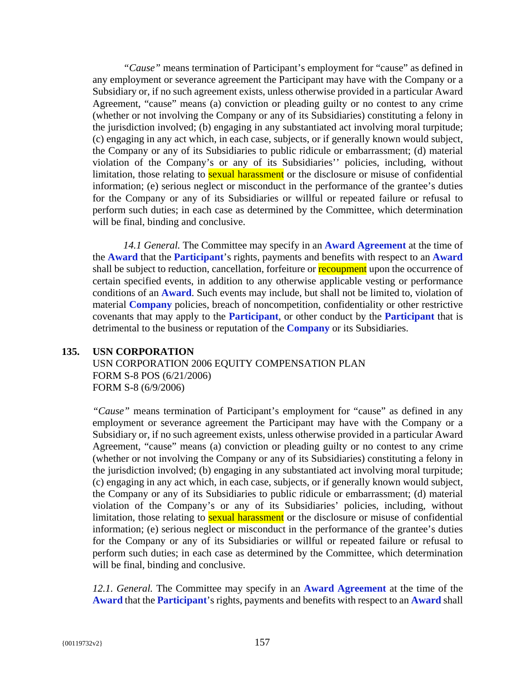*"Cause"* means termination of Participant's employment for "cause" as defined in any employment or severance agreement the Participant may have with the Company or a Subsidiary or, if no such agreement exists, unless otherwise provided in a particular Award Agreement, "cause" means (a) conviction or pleading guilty or no contest to any crime (whether or not involving the Company or any of its Subsidiaries) constituting a felony in the jurisdiction involved; (b) engaging in any substantiated act involving moral turpitude; (c) engaging in any act which, in each case, subjects, or if generally known would subject, the Company or any of its Subsidiaries to public ridicule or embarrassment; (d) material violation of the Company's or any of its Subsidiaries'' policies, including, without limitation, those relating to **sexual harassment** or the disclosure or misuse of confidential information; (e) serious neglect or misconduct in the performance of the grantee's duties for the Company or any of its Subsidiaries or willful or repeated failure or refusal to perform such duties; in each case as determined by the Committee, which determination will be final, binding and conclusive.

*14.1 General.* The Committee may specify in an **Award Agreement** at the time of the **Award** that the **Participant**'s rights, payments and benefits with respect to an **Award** shall be subject to reduction, cancellation, forfeiture or recoupment upon the occurrence of certain specified events, in addition to any otherwise applicable vesting or performance conditions of an **Award**. Such events may include, but shall not be limited to, violation of material **Company** policies, breach of noncompetition, confidentiality or other restrictive covenants that may apply to the **Participant**, or other conduct by the **Participant** that is detrimental to the business or reputation of the **Company** or its Subsidiaries.

## **135. USN CORPORATION**

USN CORPORATION 2006 EQUITY COMPENSATION PLAN FORM S-8 POS (6/21/2006) FORM S-8 (6/9/2006)

*"Cause"* means termination of Participant's employment for "cause" as defined in any employment or severance agreement the Participant may have with the Company or a Subsidiary or, if no such agreement exists, unless otherwise provided in a particular Award Agreement, "cause" means (a) conviction or pleading guilty or no contest to any crime (whether or not involving the Company or any of its Subsidiaries) constituting a felony in the jurisdiction involved; (b) engaging in any substantiated act involving moral turpitude; (c) engaging in any act which, in each case, subjects, or if generally known would subject, the Company or any of its Subsidiaries to public ridicule or embarrassment; (d) material violation of the Company's or any of its Subsidiaries' policies, including, without limitation, those relating to **sexual harassment** or the disclosure or misuse of confidential information; (e) serious neglect or misconduct in the performance of the grantee's duties for the Company or any of its Subsidiaries or willful or repeated failure or refusal to perform such duties; in each case as determined by the Committee, which determination will be final, binding and conclusive.

*12.1. General.* The Committee may specify in an **Award Agreement** at the time of the **Award** that the **Participant**'s rights, payments and benefits with respect to an **Award** shall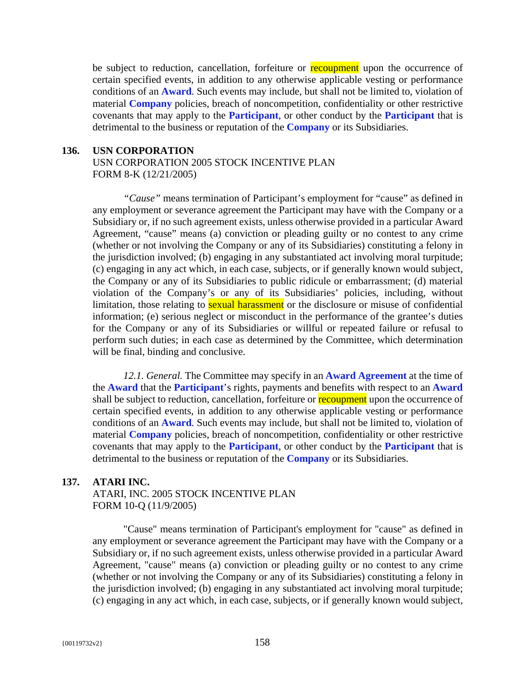be subject to reduction, cancellation, forfeiture or recoupment upon the occurrence of certain specified events, in addition to any otherwise applicable vesting or performance conditions of an **Award**. Such events may include, but shall not be limited to, violation of material **Company** policies, breach of noncompetition, confidentiality or other restrictive covenants that may apply to the **Participant**, or other conduct by the **Participant** that is detrimental to the business or reputation of the **Company** or its Subsidiaries.

### **136. USN CORPORATION**

USN CORPORATION 2005 STOCK INCENTIVE PLAN FORM 8-K (12/21/2005)

*"Cause"* means termination of Participant's employment for "cause" as defined in any employment or severance agreement the Participant may have with the Company or a Subsidiary or, if no such agreement exists, unless otherwise provided in a particular Award Agreement, "cause" means (a) conviction or pleading guilty or no contest to any crime (whether or not involving the Company or any of its Subsidiaries) constituting a felony in the jurisdiction involved; (b) engaging in any substantiated act involving moral turpitude; (c) engaging in any act which, in each case, subjects, or if generally known would subject, the Company or any of its Subsidiaries to public ridicule or embarrassment; (d) material violation of the Company's or any of its Subsidiaries' policies, including, without limitation, those relating to **sexual harassment** or the disclosure or misuse of confidential information; (e) serious neglect or misconduct in the performance of the grantee's duties for the Company or any of its Subsidiaries or willful or repeated failure or refusal to perform such duties; in each case as determined by the Committee, which determination will be final, binding and conclusive.

*12.1. General.* The Committee may specify in an **Award Agreement** at the time of the **Award** that the **Participant**'s rights, payments and benefits with respect to an **Award** shall be subject to reduction, cancellation, forfeiture or recoupment upon the occurrence of certain specified events, in addition to any otherwise applicable vesting or performance conditions of an **Award**. Such events may include, but shall not be limited to, violation of material **Company** policies, breach of noncompetition, confidentiality or other restrictive covenants that may apply to the **Participant**, or other conduct by the **Participant** that is detrimental to the business or reputation of the **Company** or its Subsidiaries.

## **137. ATARI INC.**

ATARI, INC. 2005 STOCK INCENTIVE PLAN FORM 10-Q (11/9/2005)

"Cause" means termination of Participant's employment for "cause" as defined in any employment or severance agreement the Participant may have with the Company or a Subsidiary or, if no such agreement exists, unless otherwise provided in a particular Award Agreement, "cause" means (a) conviction or pleading guilty or no contest to any crime (whether or not involving the Company or any of its Subsidiaries) constituting a felony in the jurisdiction involved; (b) engaging in any substantiated act involving moral turpitude; (c) engaging in any act which, in each case, subjects, or if generally known would subject,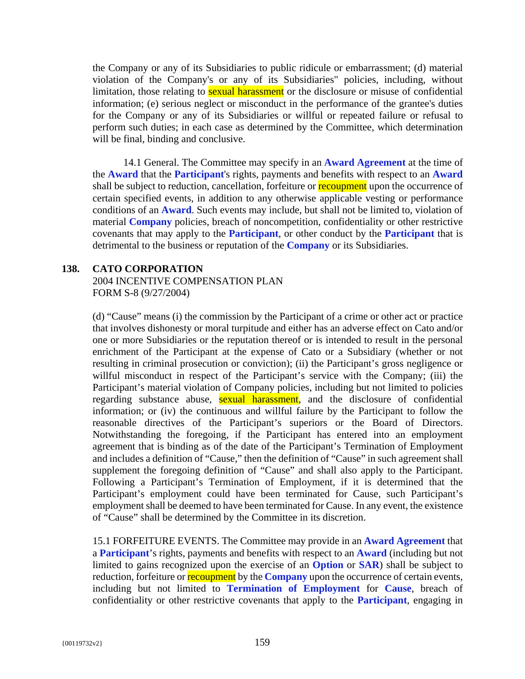the Company or any of its Subsidiaries to public ridicule or embarrassment; (d) material violation of the Company's or any of its Subsidiaries" policies, including, without limitation, those relating to **sexual harassment** or the disclosure or misuse of confidential information; (e) serious neglect or misconduct in the performance of the grantee's duties for the Company or any of its Subsidiaries or willful or repeated failure or refusal to perform such duties; in each case as determined by the Committee, which determination will be final, binding and conclusive.

14.1 General. The Committee may specify in an **Award Agreement** at the time of the **Award** that the **Participant**'s rights, payments and benefits with respect to an **Award** shall be subject to reduction, cancellation, forfeiture or recoupment upon the occurrence of certain specified events, in addition to any otherwise applicable vesting or performance conditions of an **Award**. Such events may include, but shall not be limited to, violation of material **Company** policies, breach of noncompetition, confidentiality or other restrictive covenants that may apply to the **Participant**, or other conduct by the **Participant** that is detrimental to the business or reputation of the **Company** or its Subsidiaries.

#### **138. CATO CORPORATION**

2004 INCENTIVE COMPENSATION PLAN FORM S-8 (9/27/2004)

(d) "Cause" means (i) the commission by the Participant of a crime or other act or practice that involves dishonesty or moral turpitude and either has an adverse effect on Cato and/or one or more Subsidiaries or the reputation thereof or is intended to result in the personal enrichment of the Participant at the expense of Cato or a Subsidiary (whether or not resulting in criminal prosecution or conviction); (ii) the Participant's gross negligence or willful misconduct in respect of the Participant's service with the Company; (iii) the Participant's material violation of Company policies, including but not limited to policies regarding substance abuse, sexual harassment, and the disclosure of confidential information; or (iv) the continuous and willful failure by the Participant to follow the reasonable directives of the Participant's superiors or the Board of Directors. Notwithstanding the foregoing, if the Participant has entered into an employment agreement that is binding as of the date of the Participant's Termination of Employment and includes a definition of "Cause," then the definition of "Cause" in such agreement shall supplement the foregoing definition of "Cause" and shall also apply to the Participant. Following a Participant's Termination of Employment, if it is determined that the Participant's employment could have been terminated for Cause, such Participant's employment shall be deemed to have been terminated for Cause. In any event, the existence of "Cause" shall be determined by the Committee in its discretion.

15.1 FORFEITURE EVENTS. The Committee may provide in an **Award Agreement** that a **Participant**'s rights, payments and benefits with respect to an **Award** (including but not limited to gains recognized upon the exercise of an **Option** or **SAR**) shall be subject to reduction, forfeiture or **recoupment** by the **Company** upon the occurrence of certain events, including but not limited to **Termination of Employment** for **Cause**, breach of confidentiality or other restrictive covenants that apply to the **Participant**, engaging in